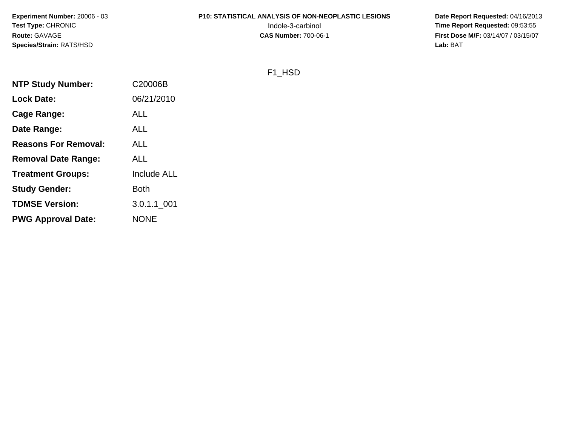**Experiment Number:** 20006 - 03**Test Type:** CHRONIC**Route:** GAVAGE**Species/Strain:** RATS/HSD

# **P10: STATISTICAL ANALYSIS OF NON-NEOPLASTIC LESIONS**

 **Date Report Requested:** 04/16/2013 Indole-3-carbinol **Time Report Requested:** 09:53:55 **First Dose M/F:** 03/14/07 / 03/15/07<br>Lab: BAT **Lab:** BAT

#### F1\_HSD

| <b>NTP Study Number:</b>    | C20006B            |
|-----------------------------|--------------------|
| <b>Lock Date:</b>           | 06/21/2010         |
| Cage Range:                 | <b>ALL</b>         |
| Date Range:                 | <b>ALL</b>         |
| <b>Reasons For Removal:</b> | ALL                |
| <b>Removal Date Range:</b>  | <b>ALL</b>         |
| <b>Treatment Groups:</b>    | <b>Include ALL</b> |
| <b>Study Gender:</b>        | Both               |
| <b>TDMSE Version:</b>       | 3.0.1.1 001        |
| <b>PWG Approval Date:</b>   | <b>NONE</b>        |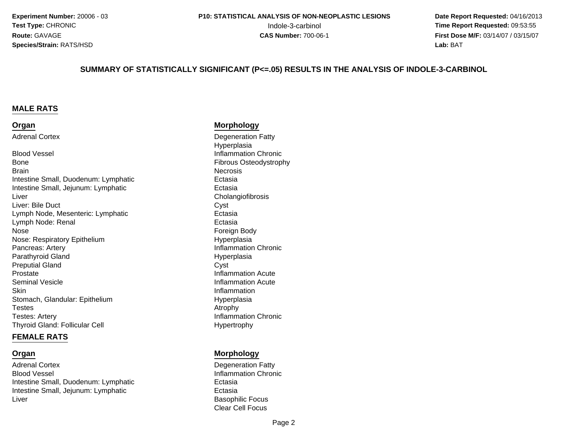**Experiment Number:** 20006 - 03**Test Type:** CHRONIC**Route:** GAVAGE**Species/Strain:** RATS/HSD

 **Date Report Requested:** 04/16/2013 Indole-3-carbinol **Time Report Requested:** 09:53:55 **First Dose M/F:** 03/14/07 / 03/15/07<br>**Lab:** BAT **Lab:** BAT

#### **SUMMARY OF STATISTICALLY SIGNIFICANT (P<=.05) RESULTS IN THE ANALYSIS OF INDOLE-3-CARBINOL**

#### **MALE RATS**

#### **Organ**

Adrenal Cortex

Inflammation Chronic contracts and the contracts of the Inflammation Chronic Blood Vessel Fibrous Osteodystrophy Bone**Brain** n<br>Necrosis Intestine Small, Duodenum: LymphaticIntestine Small, Jejunum: Lymphaticr and the contract of the contract of the contract of the contract of the contract of the contract of the contract of  $\Gamma$ LiverLiver: Bile Ductt Cyst Lymph Node, Mesenteric: Lymphaticl and the contract of the contract of the Ectasia Lymph Node: Renale Romeign Body (1999) and the Second Second Second Second Second Second Second Second Second Second Second Second Second Second Second Second Second Second Second Second Second Second Second Second Second Second Second Sec NoseNose: Respiratory EpitheliumPancreas: ArteryParathyroid GlandPreputial Glandd Cyst ProstateSeminal Vesicle**Skin** Stomach, Glandular: Epithelium**Testes** s Atrophy Testes: ArteryThyroid Gland: Follicular Cell

#### **FEMALE RATS**

#### **Organ**

Adrenal CortexBlood VesselIntestine Small, Duodenum: LymphaticIntestine Small, Jejunum: Lymphaticr and the contract of the contract of the Basophilic Focus Liver

#### **Morphology**

 Degeneration Fatty Hyperplasia Ectasiac Ectasia Ectasia Hyperplasia Inflammation Chronic Hyperplasia<br>Cyst Inflammation Acute Inflammation Acute Inflammation Hyperplasia<br>Atrophy Inflammation Chronic Hypertrophy

#### **Morphology**

 Degeneration Fatty Inflammation Chronic Ectasiac Ectasia Clear Cell Focus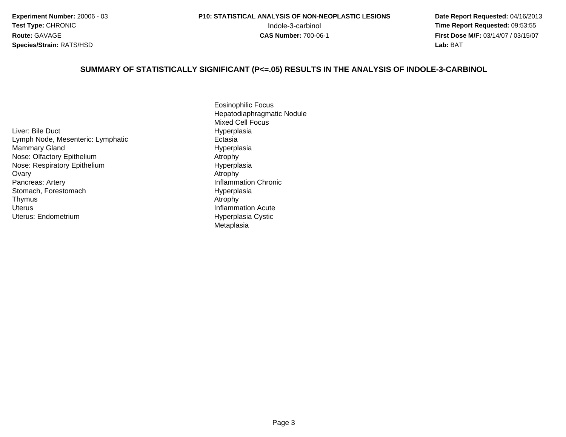**Experiment Number:** 20006 - 03**Test Type:** CHRONIC**Route:** GAVAGE**Species/Strain:** RATS/HSD

 **Date Report Requested:** 04/16/2013 Indole-3-carbinol **Time Report Requested:** 09:53:55 **First Dose M/F:** 03/14/07 / 03/15/07<br>**Lab:** BAT **Lab:** BAT

#### **SUMMARY OF STATISTICALLY SIGNIFICANT (P<=.05) RESULTS IN THE ANALYSIS OF INDOLE-3-CARBINOL**

Liver: Bile DuctLymph Node, Mesenteric: Lymphaticd Hyperplasia Mammary GlandNose: Olfactory Epithelium Atrophy Nose: Respiratory Epithelium**Ovary** y and the contract of the contract of the contract of the contract of the contract of the contract of the contract of the contract of the contract of the contract of the contract of the contract of the contract of the cont Pancreas: ArteryStomach, ForestomachThymuss and the contract of the contract of the contract of the contract of the contract of the contract of the contract of the contract of the contract of the contract of the contract of the contract of the contract of the cont UterusUterus: Endometrium

Eosinophilic Focus Hepatodiaphragmatic NoduleMixed Cell Focus Hyperplasia EctasiaHyperplasia<br>Atrophy Inflammation Chronic Hyperplasia<br>Atrophy Inflammation Acute Hyperplasia Cystic Metaplasia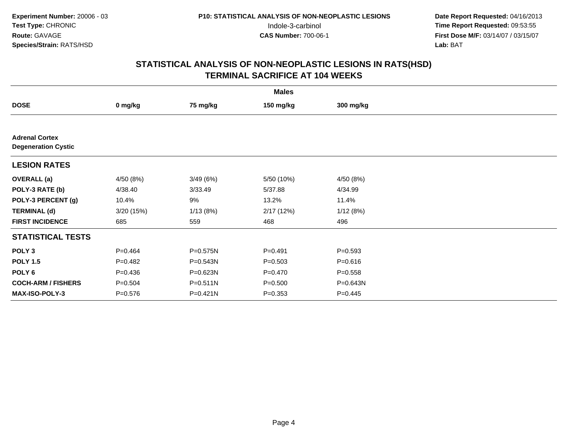|                                                     |             |              | <b>Males</b> |             |  |
|-----------------------------------------------------|-------------|--------------|--------------|-------------|--|
| <b>DOSE</b>                                         | 0 mg/kg     | 75 mg/kg     | 150 mg/kg    | 300 mg/kg   |  |
|                                                     |             |              |              |             |  |
| <b>Adrenal Cortex</b><br><b>Degeneration Cystic</b> |             |              |              |             |  |
| <b>LESION RATES</b>                                 |             |              |              |             |  |
| <b>OVERALL</b> (a)                                  | 4/50 (8%)   | 3/49(6%)     | 5/50 (10%)   | 4/50 (8%)   |  |
| POLY-3 RATE (b)                                     | 4/38.40     | 3/33.49      | 5/37.88      | 4/34.99     |  |
| POLY-3 PERCENT (g)                                  | 10.4%       | 9%           | 13.2%        | 11.4%       |  |
| <b>TERMINAL (d)</b>                                 | 3/20(15%)   | 1/13(8%)     | 2/17(12%)    | 1/12(8%)    |  |
| <b>FIRST INCIDENCE</b>                              | 685         | 559          | 468          | 496         |  |
| <b>STATISTICAL TESTS</b>                            |             |              |              |             |  |
| POLY <sub>3</sub>                                   | $P = 0.464$ | P=0.575N     | $P = 0.491$  | $P = 0.593$ |  |
| <b>POLY 1.5</b>                                     | $P=0.482$   | P=0.543N     | $P = 0.503$  | $P = 0.616$ |  |
| POLY 6                                              | $P = 0.436$ | P=0.623N     | $P = 0.470$  | $P = 0.558$ |  |
| <b>COCH-ARM / FISHERS</b>                           | $P = 0.504$ | $P = 0.511N$ | $P = 0.500$  | P=0.643N    |  |
| <b>MAX-ISO-POLY-3</b>                               | $P = 0.576$ | P=0.421N     | $P = 0.353$  | $P = 0.445$ |  |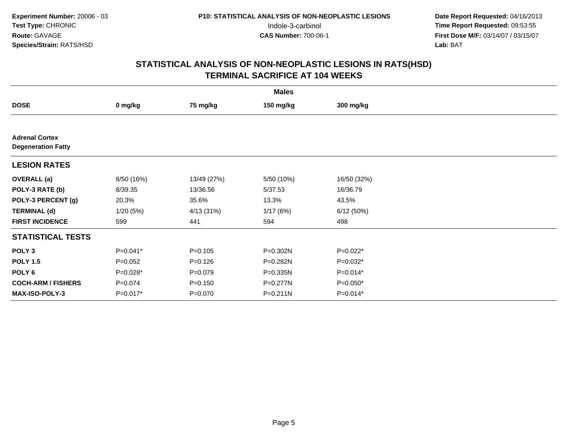|                                                    |             |             | <b>Males</b> |             |  |
|----------------------------------------------------|-------------|-------------|--------------|-------------|--|
| <b>DOSE</b>                                        | 0 mg/kg     | 75 mg/kg    | 150 mg/kg    | 300 mg/kg   |  |
|                                                    |             |             |              |             |  |
| <b>Adrenal Cortex</b><br><b>Degeneration Fatty</b> |             |             |              |             |  |
| <b>LESION RATES</b>                                |             |             |              |             |  |
| <b>OVERALL</b> (a)                                 | 8/50 (16%)  | 13/49 (27%) | 5/50 (10%)   | 16/50 (32%) |  |
| POLY-3 RATE (b)                                    | 8/39.35     | 13/36.56    | 5/37.53      | 16/36.79    |  |
| POLY-3 PERCENT (g)                                 | 20.3%       | 35.6%       | 13.3%        | 43.5%       |  |
| <b>TERMINAL (d)</b>                                | 1/20(5%)    | 4/13 (31%)  | 1/17(6%)     | 6/12(50%)   |  |
| <b>FIRST INCIDENCE</b>                             | 599         | 441         | 594          | 498         |  |
| <b>STATISTICAL TESTS</b>                           |             |             |              |             |  |
| POLY <sub>3</sub>                                  | $P=0.041*$  | $P = 0.105$ | P=0.302N     | $P=0.022*$  |  |
| <b>POLY 1.5</b>                                    | $P=0.052$   | $P = 0.126$ | P=0.282N     | $P=0.032*$  |  |
| POLY 6                                             | $P=0.028*$  | $P=0.079$   | $P = 0.335N$ | $P=0.014*$  |  |
| <b>COCH-ARM / FISHERS</b>                          | $P = 0.074$ | $P = 0.150$ | $P = 0.277N$ | $P=0.050*$  |  |
| MAX-ISO-POLY-3                                     | P=0.017*    | $P = 0.070$ | P=0.211N     | $P=0.014*$  |  |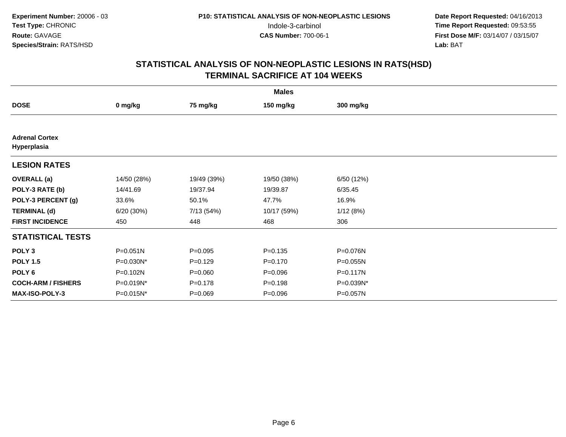| <b>Males</b>                         |             |             |             |            |  |  |
|--------------------------------------|-------------|-------------|-------------|------------|--|--|
| <b>DOSE</b>                          | 0 mg/kg     | 75 mg/kg    | 150 mg/kg   | 300 mg/kg  |  |  |
|                                      |             |             |             |            |  |  |
| <b>Adrenal Cortex</b><br>Hyperplasia |             |             |             |            |  |  |
| <b>LESION RATES</b>                  |             |             |             |            |  |  |
| <b>OVERALL</b> (a)                   | 14/50 (28%) | 19/49 (39%) | 19/50 (38%) | 6/50 (12%) |  |  |
| POLY-3 RATE (b)                      | 14/41.69    | 19/37.94    | 19/39.87    | 6/35.45    |  |  |
| POLY-3 PERCENT (g)                   | 33.6%       | 50.1%       | 47.7%       | 16.9%      |  |  |
| <b>TERMINAL (d)</b>                  | 6/20 (30%)  | 7/13 (54%)  | 10/17 (59%) | 1/12(8%)   |  |  |
| <b>FIRST INCIDENCE</b>               | 450         | 448         | 468         | 306        |  |  |
| <b>STATISTICAL TESTS</b>             |             |             |             |            |  |  |
| POLY <sub>3</sub>                    | P=0.051N    | $P = 0.095$ | $P = 0.135$ | P=0.076N   |  |  |
| <b>POLY 1.5</b>                      | P=0.030N*   | $P=0.129$   | $P = 0.170$ | P=0.055N   |  |  |
| POLY 6                               | P=0.102N    | $P = 0.060$ | $P = 0.096$ | P=0.117N   |  |  |
| <b>COCH-ARM / FISHERS</b>            | P=0.019N*   | $P = 0.178$ | $P = 0.198$ | P=0.039N*  |  |  |
| <b>MAX-ISO-POLY-3</b>                | P=0.015N*   | $P = 0.069$ | $P = 0.096$ | P=0.057N   |  |  |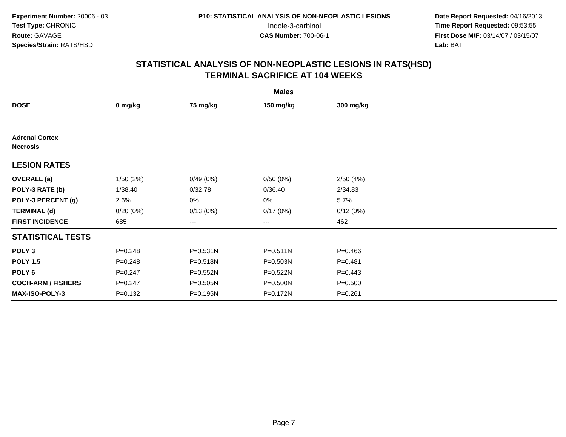|                                          |             |              | <b>Males</b>      |             |  |
|------------------------------------------|-------------|--------------|-------------------|-------------|--|
| <b>DOSE</b>                              | 0 mg/kg     | 75 mg/kg     | 150 mg/kg         | 300 mg/kg   |  |
|                                          |             |              |                   |             |  |
| <b>Adrenal Cortex</b><br><b>Necrosis</b> |             |              |                   |             |  |
| <b>LESION RATES</b>                      |             |              |                   |             |  |
| <b>OVERALL</b> (a)                       | 1/50(2%)    | 0/49(0%)     | 0/50(0%)          | 2/50(4%)    |  |
| POLY-3 RATE (b)                          | 1/38.40     | 0/32.78      | 0/36.40           | 2/34.83     |  |
| POLY-3 PERCENT (g)                       | 2.6%        | 0%           | 0%                | 5.7%        |  |
| <b>TERMINAL (d)</b>                      | 0/20(0%)    | 0/13(0%)     | 0/17(0%)          | 0/12(0%)    |  |
| <b>FIRST INCIDENCE</b>                   | 685         | ---          | $\qquad \qquad -$ | 462         |  |
| <b>STATISTICAL TESTS</b>                 |             |              |                   |             |  |
| POLY <sub>3</sub>                        | $P = 0.248$ | $P = 0.531N$ | $P = 0.511N$      | $P = 0.466$ |  |
| <b>POLY 1.5</b>                          | $P = 0.248$ | P=0.518N     | $P = 0.503N$      | $P = 0.481$ |  |
| POLY 6                                   | $P = 0.247$ | $P = 0.552N$ | P=0.522N          | $P=0.443$   |  |
| <b>COCH-ARM / FISHERS</b>                | $P = 0.247$ | P=0.505N     | P=0.500N          | $P = 0.500$ |  |
| MAX-ISO-POLY-3                           | $P = 0.132$ | P=0.195N     | P=0.172N          | $P = 0.261$ |  |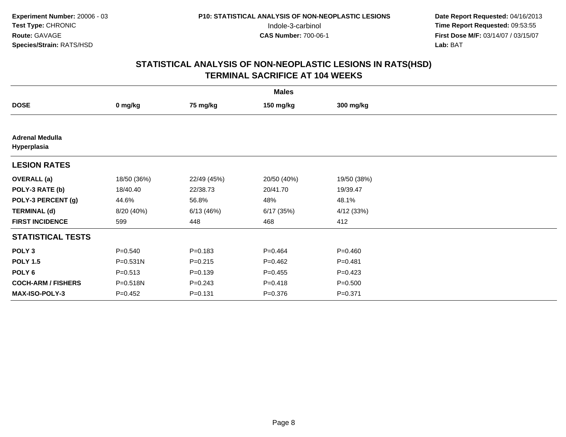| <b>Males</b>                          |              |             |             |             |  |  |
|---------------------------------------|--------------|-------------|-------------|-------------|--|--|
| <b>DOSE</b>                           | 0 mg/kg      | 75 mg/kg    | 150 mg/kg   | 300 mg/kg   |  |  |
|                                       |              |             |             |             |  |  |
| <b>Adrenal Medulla</b><br>Hyperplasia |              |             |             |             |  |  |
| <b>LESION RATES</b>                   |              |             |             |             |  |  |
| <b>OVERALL</b> (a)                    | 18/50 (36%)  | 22/49 (45%) | 20/50 (40%) | 19/50 (38%) |  |  |
| POLY-3 RATE (b)                       | 18/40.40     | 22/38.73    | 20/41.70    | 19/39.47    |  |  |
| POLY-3 PERCENT (g)                    | 44.6%        | 56.8%       | 48%         | 48.1%       |  |  |
| <b>TERMINAL (d)</b>                   | 8/20 (40%)   | 6/13(46%)   | 6/17(35%)   | 4/12(33%)   |  |  |
| <b>FIRST INCIDENCE</b>                | 599          | 448         | 468         | 412         |  |  |
| <b>STATISTICAL TESTS</b>              |              |             |             |             |  |  |
| POLY <sub>3</sub>                     | $P = 0.540$  | $P = 0.183$ | $P=0.464$   | $P = 0.460$ |  |  |
| <b>POLY 1.5</b>                       | $P = 0.531N$ | $P = 0.215$ | $P=0.462$   | $P = 0.481$ |  |  |
| POLY 6                                | $P = 0.513$  | $P = 0.139$ | $P=0.455$   | $P=0.423$   |  |  |
| <b>COCH-ARM / FISHERS</b>             | P=0.518N     | $P = 0.243$ | $P = 0.418$ | $P = 0.500$ |  |  |
| <b>MAX-ISO-POLY-3</b>                 | $P = 0.452$  | $P = 0.131$ | $P = 0.376$ | $P = 0.371$ |  |  |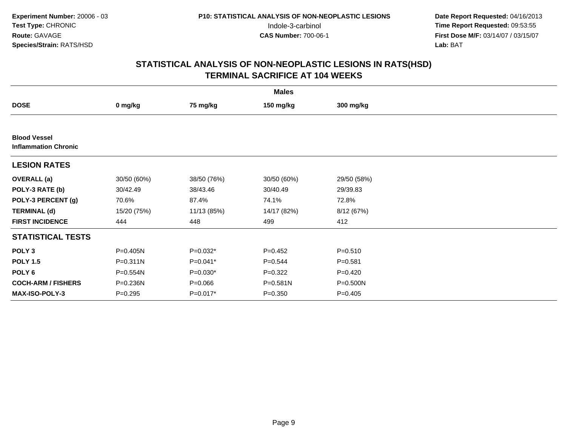| <b>Males</b>                                       |              |             |              |             |  |  |
|----------------------------------------------------|--------------|-------------|--------------|-------------|--|--|
| <b>DOSE</b>                                        | 0 mg/kg      | 75 mg/kg    | 150 mg/kg    | 300 mg/kg   |  |  |
|                                                    |              |             |              |             |  |  |
| <b>Blood Vessel</b><br><b>Inflammation Chronic</b> |              |             |              |             |  |  |
| <b>LESION RATES</b>                                |              |             |              |             |  |  |
| <b>OVERALL</b> (a)                                 | 30/50 (60%)  | 38/50 (76%) | 30/50 (60%)  | 29/50 (58%) |  |  |
| POLY-3 RATE (b)                                    | 30/42.49     | 38/43.46    | 30/40.49     | 29/39.83    |  |  |
| POLY-3 PERCENT (g)                                 | 70.6%        | 87.4%       | 74.1%        | 72.8%       |  |  |
| <b>TERMINAL (d)</b>                                | 15/20 (75%)  | 11/13 (85%) | 14/17 (82%)  | 8/12 (67%)  |  |  |
| <b>FIRST INCIDENCE</b>                             | 444          | 448         | 499          | 412         |  |  |
| <b>STATISTICAL TESTS</b>                           |              |             |              |             |  |  |
| POLY <sub>3</sub>                                  | $P = 0.405N$ | $P=0.032*$  | $P=0.452$    | $P = 0.510$ |  |  |
| <b>POLY 1.5</b>                                    | $P = 0.311N$ | $P=0.041*$  | $P=0.544$    | $P = 0.581$ |  |  |
| POLY <sub>6</sub>                                  | P=0.554N     | $P=0.030*$  | $P=0.322$    | $P=0.420$   |  |  |
| <b>COCH-ARM / FISHERS</b>                          | P=0.236N     | $P = 0.066$ | $P = 0.581N$ | P=0.500N    |  |  |
| MAX-ISO-POLY-3                                     | $P = 0.295$  | P=0.017*    | $P = 0.350$  | $P = 0.405$ |  |  |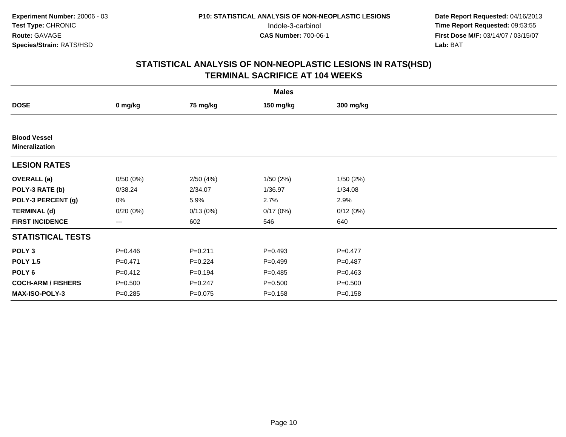|                                              |             |             | <b>Males</b> |             |  |
|----------------------------------------------|-------------|-------------|--------------|-------------|--|
| <b>DOSE</b>                                  | 0 mg/kg     | 75 mg/kg    | 150 mg/kg    | 300 mg/kg   |  |
|                                              |             |             |              |             |  |
| <b>Blood Vessel</b><br><b>Mineralization</b> |             |             |              |             |  |
| <b>LESION RATES</b>                          |             |             |              |             |  |
| <b>OVERALL</b> (a)                           | 0/50(0%)    | 2/50(4%)    | 1/50(2%)     | 1/50(2%)    |  |
| POLY-3 RATE (b)                              | 0/38.24     | 2/34.07     | 1/36.97      | 1/34.08     |  |
| POLY-3 PERCENT (g)                           | 0%          | 5.9%        | 2.7%         | 2.9%        |  |
| <b>TERMINAL (d)</b>                          | $0/20(0\%)$ | 0/13(0%)    | 0/17(0%)     | 0/12(0%)    |  |
| <b>FIRST INCIDENCE</b>                       | ---         | 602         | 546          | 640         |  |
| <b>STATISTICAL TESTS</b>                     |             |             |              |             |  |
| POLY <sub>3</sub>                            | $P = 0.446$ | $P = 0.211$ | $P=0.493$    | $P = 0.477$ |  |
| <b>POLY 1.5</b>                              | $P = 0.471$ | $P=0.224$   | $P=0.499$    | $P = 0.487$ |  |
| POLY 6                                       | $P=0.412$   | $P = 0.194$ | $P=0.485$    | $P = 0.463$ |  |
| <b>COCH-ARM / FISHERS</b>                    | $P = 0.500$ | $P = 0.247$ | $P = 0.500$  | $P = 0.500$ |  |
| MAX-ISO-POLY-3                               | $P = 0.285$ | $P=0.075$   | $P = 0.158$  | $P = 0.158$ |  |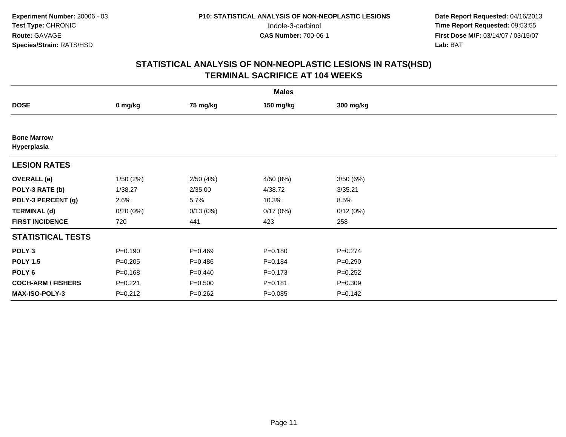|                                   |             |             | <b>Males</b> |             |  |
|-----------------------------------|-------------|-------------|--------------|-------------|--|
| <b>DOSE</b>                       | 0 mg/kg     | 75 mg/kg    | 150 mg/kg    | 300 mg/kg   |  |
|                                   |             |             |              |             |  |
| <b>Bone Marrow</b><br>Hyperplasia |             |             |              |             |  |
| <b>LESION RATES</b>               |             |             |              |             |  |
| <b>OVERALL</b> (a)                | 1/50(2%)    | 2/50(4%)    | 4/50 (8%)    | 3/50(6%)    |  |
| POLY-3 RATE (b)                   | 1/38.27     | 2/35.00     | 4/38.72      | 3/35.21     |  |
| POLY-3 PERCENT (g)                | 2.6%        | 5.7%        | 10.3%        | 8.5%        |  |
| <b>TERMINAL (d)</b>               | 0/20(0%)    | 0/13(0%)    | 0/17(0%)     | 0/12(0%)    |  |
| <b>FIRST INCIDENCE</b>            | 720         | 441         | 423          | 258         |  |
| <b>STATISTICAL TESTS</b>          |             |             |              |             |  |
| POLY <sub>3</sub>                 | $P = 0.190$ | $P=0.469$   | $P = 0.180$  | $P = 0.274$ |  |
| <b>POLY 1.5</b>                   | $P = 0.205$ | $P=0.486$   | $P = 0.184$  | $P = 0.290$ |  |
| POLY 6                            | $P = 0.168$ | $P=0.440$   | $P = 0.173$  | $P=0.252$   |  |
| <b>COCH-ARM / FISHERS</b>         | $P = 0.221$ | $P = 0.500$ | $P = 0.181$  | $P = 0.309$ |  |
| MAX-ISO-POLY-3                    | $P = 0.212$ | $P = 0.262$ | $P=0.085$    | $P=0.142$   |  |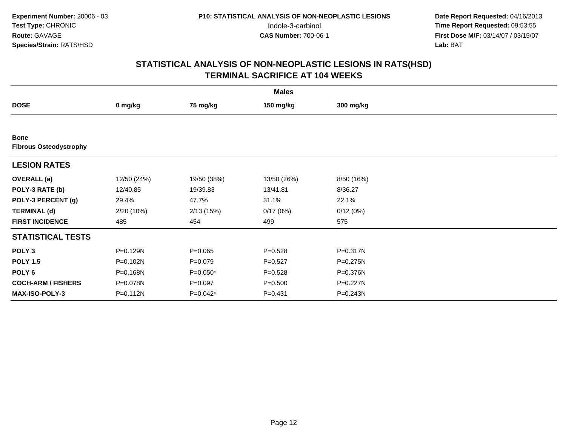| <b>Males</b>                                 |             |             |             |            |  |  |
|----------------------------------------------|-------------|-------------|-------------|------------|--|--|
| <b>DOSE</b>                                  | 0 mg/kg     | 75 mg/kg    | 150 mg/kg   | 300 mg/kg  |  |  |
|                                              |             |             |             |            |  |  |
| <b>Bone</b><br><b>Fibrous Osteodystrophy</b> |             |             |             |            |  |  |
| <b>LESION RATES</b>                          |             |             |             |            |  |  |
| <b>OVERALL</b> (a)                           | 12/50 (24%) | 19/50 (38%) | 13/50 (26%) | 8/50 (16%) |  |  |
| POLY-3 RATE (b)                              | 12/40.85    | 19/39.83    | 13/41.81    | 8/36.27    |  |  |
| POLY-3 PERCENT (g)                           | 29.4%       | 47.7%       | 31.1%       | 22.1%      |  |  |
| <b>TERMINAL (d)</b>                          | 2/20(10%)   | 2/13(15%)   | 0/17(0%)    | 0/12(0%)   |  |  |
| <b>FIRST INCIDENCE</b>                       | 485         | 454         | 499         | 575        |  |  |
| <b>STATISTICAL TESTS</b>                     |             |             |             |            |  |  |
| POLY <sub>3</sub>                            | P=0.129N    | $P=0.065$   | $P = 0.528$ | P=0.317N   |  |  |
| <b>POLY 1.5</b>                              | P=0.102N    | $P = 0.079$ | $P = 0.527$ | P=0.275N   |  |  |
| POLY <sub>6</sub>                            | P=0.168N    | P=0.050*    | $P = 0.528$ | P=0.376N   |  |  |
| <b>COCH-ARM / FISHERS</b>                    | P=0.078N    | $P = 0.097$ | $P = 0.500$ | P=0.227N   |  |  |
| <b>MAX-ISO-POLY-3</b>                        | P=0.112N    | P=0.042*    | $P = 0.431$ | P=0.243N   |  |  |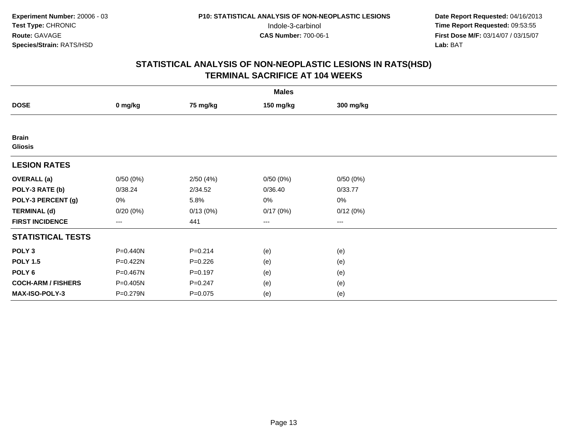|                                |                        |             | <b>Males</b> |           |  |
|--------------------------------|------------------------|-------------|--------------|-----------|--|
| <b>DOSE</b>                    | 0 mg/kg                | 75 mg/kg    | 150 mg/kg    | 300 mg/kg |  |
|                                |                        |             |              |           |  |
| <b>Brain</b><br><b>Gliosis</b> |                        |             |              |           |  |
| <b>LESION RATES</b>            |                        |             |              |           |  |
| <b>OVERALL</b> (a)             | 0/50(0%)               | 2/50(4%)    | 0/50(0%)     | 0/50(0%)  |  |
| POLY-3 RATE (b)                | 0/38.24                | 2/34.52     | 0/36.40      | 0/33.77   |  |
| POLY-3 PERCENT (g)             | $0\%$                  | 5.8%        | 0%           | 0%        |  |
| <b>TERMINAL (d)</b>            | 0/20(0%)               | 0/13(0%)    | 0/17(0%)     | 0/12(0%)  |  |
| <b>FIRST INCIDENCE</b>         | $\qquad \qquad \cdots$ | 441         | ---          | $--$      |  |
| <b>STATISTICAL TESTS</b>       |                        |             |              |           |  |
| POLY <sub>3</sub>              | P=0.440N               | $P = 0.214$ | (e)          | (e)       |  |
| <b>POLY 1.5</b>                | P=0.422N               | $P = 0.226$ | (e)          | (e)       |  |
| POLY 6                         | P=0.467N               | $P = 0.197$ | (e)          | (e)       |  |
| <b>COCH-ARM / FISHERS</b>      | P=0.405N               | $P = 0.247$ | (e)          | (e)       |  |
| MAX-ISO-POLY-3                 | P=0.279N               | $P = 0.075$ | (e)          | (e)       |  |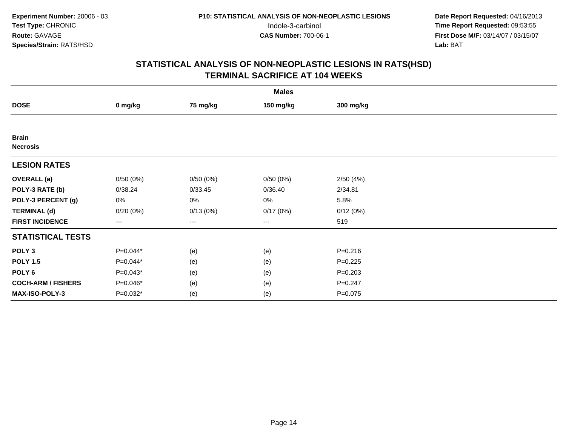|                                 |             |          | <b>Males</b>      |             |  |
|---------------------------------|-------------|----------|-------------------|-------------|--|
| <b>DOSE</b>                     | 0 mg/kg     | 75 mg/kg | 150 mg/kg         | 300 mg/kg   |  |
|                                 |             |          |                   |             |  |
| <b>Brain</b><br><b>Necrosis</b> |             |          |                   |             |  |
| <b>LESION RATES</b>             |             |          |                   |             |  |
| <b>OVERALL</b> (a)              | 0/50(0%)    | 0/50(0%) | 0/50(0%)          | 2/50(4%)    |  |
| POLY-3 RATE (b)                 | 0/38.24     | 0/33.45  | 0/36.40           | 2/34.81     |  |
| POLY-3 PERCENT (g)              | 0%          | 0%       | 0%                | 5.8%        |  |
| <b>TERMINAL (d)</b>             | $0/20(0\%)$ | 0/13(0%) | 0/17(0%)          | 0/12(0%)    |  |
| <b>FIRST INCIDENCE</b>          | ---         | ---      | $\qquad \qquad -$ | 519         |  |
| <b>STATISTICAL TESTS</b>        |             |          |                   |             |  |
| POLY <sub>3</sub>               | $P=0.044*$  | (e)      | (e)               | $P = 0.216$ |  |
| <b>POLY 1.5</b>                 | $P=0.044*$  | (e)      | (e)               | $P=0.225$   |  |
| POLY <sub>6</sub>               | $P=0.043*$  | (e)      | (e)               | $P = 0.203$ |  |
| <b>COCH-ARM / FISHERS</b>       | P=0.046*    | (e)      | (e)               | $P = 0.247$ |  |
| MAX-ISO-POLY-3                  | P=0.032*    | (e)      | (e)               | $P = 0.075$ |  |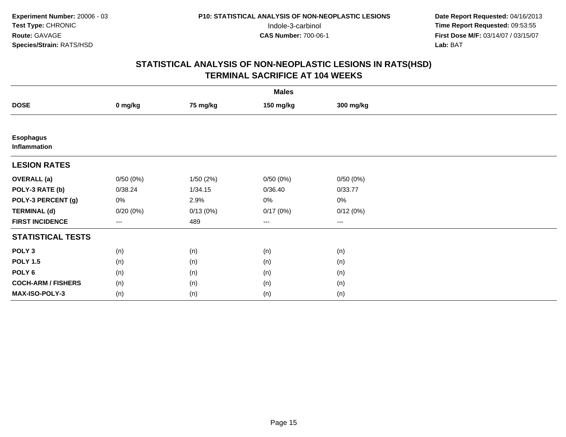|                                         | <b>Males</b>         |          |           |           |  |  |  |  |
|-----------------------------------------|----------------------|----------|-----------|-----------|--|--|--|--|
| <b>DOSE</b>                             | 0 mg/kg              | 75 mg/kg | 150 mg/kg | 300 mg/kg |  |  |  |  |
|                                         |                      |          |           |           |  |  |  |  |
| <b>Esophagus</b><br><b>Inflammation</b> |                      |          |           |           |  |  |  |  |
| <b>LESION RATES</b>                     |                      |          |           |           |  |  |  |  |
| <b>OVERALL</b> (a)                      | 0/50(0%)             | 1/50(2%) | 0/50(0%)  | 0/50(0%)  |  |  |  |  |
| POLY-3 RATE (b)                         | 0/38.24              | 1/34.15  | 0/36.40   | 0/33.77   |  |  |  |  |
| POLY-3 PERCENT (g)                      | 0%                   | 2.9%     | $0\%$     | $0\%$     |  |  |  |  |
| <b>TERMINAL (d)</b>                     | 0/20(0%)             | 0/13(0%) | 0/17(0%)  | 0/12(0%)  |  |  |  |  |
| <b>FIRST INCIDENCE</b>                  | $\scriptstyle\cdots$ | 489      | $\cdots$  | $\cdots$  |  |  |  |  |
| <b>STATISTICAL TESTS</b>                |                      |          |           |           |  |  |  |  |
| POLY <sub>3</sub>                       | (n)                  | (n)      | (n)       | (n)       |  |  |  |  |
| <b>POLY 1.5</b>                         | (n)                  | (n)      | (n)       | (n)       |  |  |  |  |
| POLY 6                                  | (n)                  | (n)      | (n)       | (n)       |  |  |  |  |
| <b>COCH-ARM / FISHERS</b>               | (n)                  | (n)      | (n)       | (n)       |  |  |  |  |
| MAX-ISO-POLY-3                          | (n)                  | (n)      | (n)       | (n)       |  |  |  |  |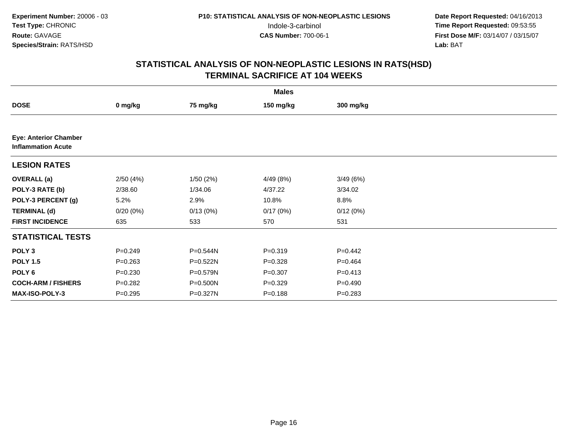|                                                           | <b>Males</b> |          |             |             |  |  |  |  |
|-----------------------------------------------------------|--------------|----------|-------------|-------------|--|--|--|--|
| <b>DOSE</b>                                               | 0 mg/kg      | 75 mg/kg | 150 mg/kg   | 300 mg/kg   |  |  |  |  |
|                                                           |              |          |             |             |  |  |  |  |
| <b>Eye: Anterior Chamber</b><br><b>Inflammation Acute</b> |              |          |             |             |  |  |  |  |
| <b>LESION RATES</b>                                       |              |          |             |             |  |  |  |  |
| <b>OVERALL</b> (a)                                        | 2/50(4%)     | 1/50(2%) | 4/49 (8%)   | 3/49 (6%)   |  |  |  |  |
| POLY-3 RATE (b)                                           | 2/38.60      | 1/34.06  | 4/37.22     | 3/34.02     |  |  |  |  |
| POLY-3 PERCENT (g)                                        | 5.2%         | 2.9%     | 10.8%       | 8.8%        |  |  |  |  |
| <b>TERMINAL (d)</b>                                       | 0/20(0%)     | 0/13(0%) | 0/17(0%)    | 0/12(0%)    |  |  |  |  |
| <b>FIRST INCIDENCE</b>                                    | 635          | 533      | 570         | 531         |  |  |  |  |
| <b>STATISTICAL TESTS</b>                                  |              |          |             |             |  |  |  |  |
| POLY <sub>3</sub>                                         | $P = 0.249$  | P=0.544N | $P = 0.319$ | $P=0.442$   |  |  |  |  |
| <b>POLY 1.5</b>                                           | $P = 0.263$  | P=0.522N | $P = 0.328$ | $P = 0.464$ |  |  |  |  |
| POLY 6                                                    | $P = 0.230$  | P=0.579N | $P=0.307$   | $P = 0.413$ |  |  |  |  |
| <b>COCH-ARM / FISHERS</b>                                 | $P=0.282$    | P=0.500N | $P = 0.329$ | $P=0.490$   |  |  |  |  |
| MAX-ISO-POLY-3                                            | $P = 0.295$  | P=0.327N | $P = 0.188$ | $P = 0.283$ |  |  |  |  |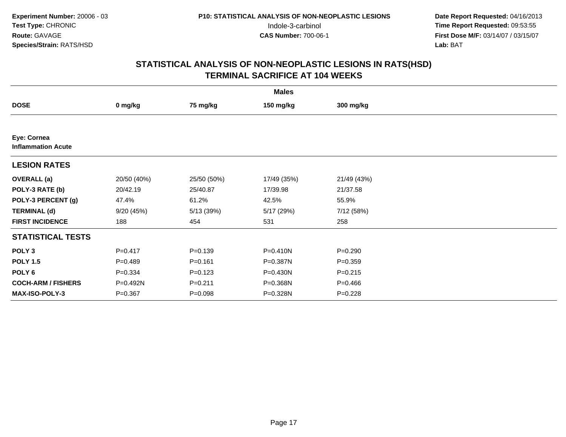|                                          | <b>Males</b> |             |              |             |  |  |  |  |
|------------------------------------------|--------------|-------------|--------------|-------------|--|--|--|--|
| <b>DOSE</b>                              | 0 mg/kg      | 75 mg/kg    | 150 mg/kg    | 300 mg/kg   |  |  |  |  |
|                                          |              |             |              |             |  |  |  |  |
| Eye: Cornea<br><b>Inflammation Acute</b> |              |             |              |             |  |  |  |  |
| <b>LESION RATES</b>                      |              |             |              |             |  |  |  |  |
| <b>OVERALL</b> (a)                       | 20/50 (40%)  | 25/50 (50%) | 17/49 (35%)  | 21/49 (43%) |  |  |  |  |
| POLY-3 RATE (b)                          | 20/42.19     | 25/40.87    | 17/39.98     | 21/37.58    |  |  |  |  |
| POLY-3 PERCENT (g)                       | 47.4%        | 61.2%       | 42.5%        | 55.9%       |  |  |  |  |
| <b>TERMINAL (d)</b>                      | 9/20(45%)    | 5/13 (39%)  | 5/17(29%)    | 7/12 (58%)  |  |  |  |  |
| <b>FIRST INCIDENCE</b>                   | 188          | 454         | 531          | 258         |  |  |  |  |
| <b>STATISTICAL TESTS</b>                 |              |             |              |             |  |  |  |  |
| POLY <sub>3</sub>                        | $P = 0.417$  | $P = 0.139$ | $P = 0.410N$ | $P = 0.290$ |  |  |  |  |
| <b>POLY 1.5</b>                          | $P=0.489$    | $P = 0.161$ | P=0.387N     | $P = 0.359$ |  |  |  |  |
| POLY <sub>6</sub>                        | $P = 0.334$  | $P = 0.123$ | P=0.430N     | $P = 0.215$ |  |  |  |  |
| <b>COCH-ARM / FISHERS</b>                | P=0.492N     | $P = 0.211$ | P=0.368N     | $P=0.466$   |  |  |  |  |
| <b>MAX-ISO-POLY-3</b>                    | $P = 0.367$  | $P = 0.098$ | P=0.328N     | $P = 0.228$ |  |  |  |  |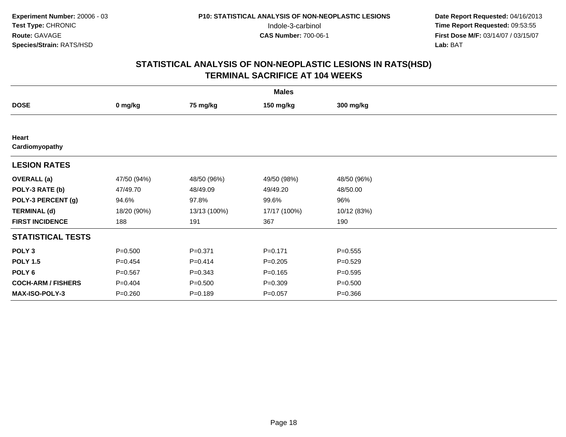|                           | <b>Males</b> |              |              |             |  |  |  |  |
|---------------------------|--------------|--------------|--------------|-------------|--|--|--|--|
| <b>DOSE</b>               | 0 mg/kg      | 75 mg/kg     | 150 mg/kg    | 300 mg/kg   |  |  |  |  |
|                           |              |              |              |             |  |  |  |  |
| Heart<br>Cardiomyopathy   |              |              |              |             |  |  |  |  |
| <b>LESION RATES</b>       |              |              |              |             |  |  |  |  |
| <b>OVERALL</b> (a)        | 47/50 (94%)  | 48/50 (96%)  | 49/50 (98%)  | 48/50 (96%) |  |  |  |  |
| POLY-3 RATE (b)           | 47/49.70     | 48/49.09     | 49/49.20     | 48/50.00    |  |  |  |  |
| POLY-3 PERCENT (g)        | 94.6%        | 97.8%        | 99.6%        | 96%         |  |  |  |  |
| <b>TERMINAL (d)</b>       | 18/20 (90%)  | 13/13 (100%) | 17/17 (100%) | 10/12 (83%) |  |  |  |  |
| <b>FIRST INCIDENCE</b>    | 188          | 191          | 367          | 190         |  |  |  |  |
| <b>STATISTICAL TESTS</b>  |              |              |              |             |  |  |  |  |
| POLY <sub>3</sub>         | $P = 0.500$  | $P = 0.371$  | $P = 0.171$  | $P = 0.555$ |  |  |  |  |
| <b>POLY 1.5</b>           | $P=0.454$    | $P = 0.414$  | $P = 0.205$  | $P = 0.529$ |  |  |  |  |
| POLY 6                    | $P = 0.567$  | $P = 0.343$  | $P = 0.165$  | $P = 0.595$ |  |  |  |  |
| <b>COCH-ARM / FISHERS</b> | $P=0.404$    | $P = 0.500$  | $P=0.309$    | $P = 0.500$ |  |  |  |  |
| MAX-ISO-POLY-3            | $P = 0.260$  | $P = 0.189$  | $P = 0.057$  | $P = 0.366$ |  |  |  |  |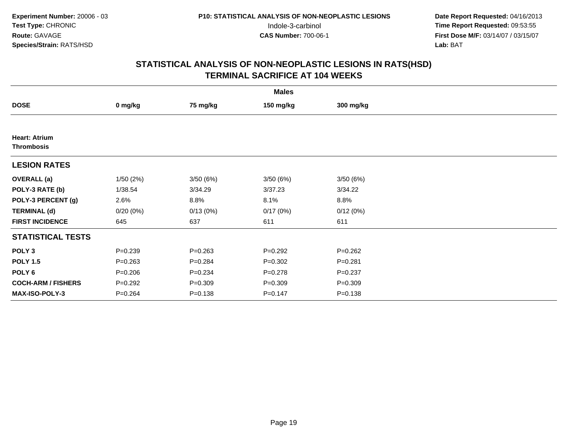|                                           | <b>Males</b> |             |             |             |  |  |  |  |
|-------------------------------------------|--------------|-------------|-------------|-------------|--|--|--|--|
| <b>DOSE</b>                               | 0 mg/kg      | 75 mg/kg    | 150 mg/kg   | 300 mg/kg   |  |  |  |  |
|                                           |              |             |             |             |  |  |  |  |
| <b>Heart: Atrium</b><br><b>Thrombosis</b> |              |             |             |             |  |  |  |  |
| <b>LESION RATES</b>                       |              |             |             |             |  |  |  |  |
| <b>OVERALL</b> (a)                        | 1/50(2%)     | 3/50(6%)    | 3/50(6%)    | 3/50(6%)    |  |  |  |  |
| POLY-3 RATE (b)                           | 1/38.54      | 3/34.29     | 3/37.23     | 3/34.22     |  |  |  |  |
| POLY-3 PERCENT (g)                        | 2.6%         | 8.8%        | 8.1%        | 8.8%        |  |  |  |  |
| <b>TERMINAL (d)</b>                       | 0/20(0%)     | 0/13(0%)    | 0/17(0%)    | 0/12(0%)    |  |  |  |  |
| <b>FIRST INCIDENCE</b>                    | 645          | 637         | 611         | 611         |  |  |  |  |
| <b>STATISTICAL TESTS</b>                  |              |             |             |             |  |  |  |  |
| POLY <sub>3</sub>                         | $P = 0.239$  | $P = 0.263$ | $P=0.292$   | $P = 0.262$ |  |  |  |  |
| <b>POLY 1.5</b>                           | $P = 0.263$  | $P = 0.284$ | $P=0.302$   | $P = 0.281$ |  |  |  |  |
| POLY 6                                    | $P = 0.206$  | $P = 0.234$ | $P = 0.278$ | $P = 0.237$ |  |  |  |  |
| <b>COCH-ARM / FISHERS</b>                 | $P = 0.292$  | $P = 0.309$ | $P = 0.309$ | $P = 0.309$ |  |  |  |  |
| MAX-ISO-POLY-3                            | $P = 0.264$  | $P = 0.138$ | $P = 0.147$ | $P = 0.138$ |  |  |  |  |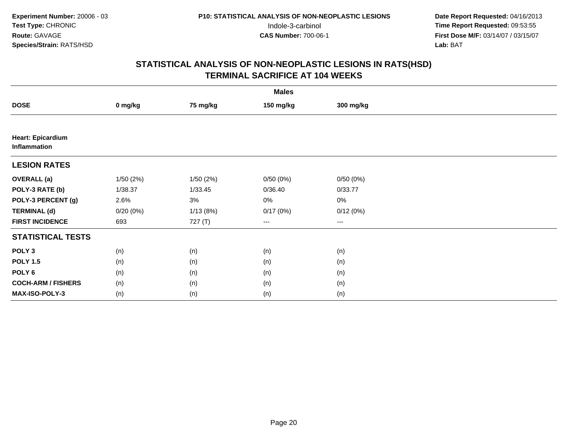|                                   | <b>Males</b> |           |                        |           |  |  |  |  |
|-----------------------------------|--------------|-----------|------------------------|-----------|--|--|--|--|
| <b>DOSE</b>                       | 0 mg/kg      | 75 mg/kg  | 150 mg/kg              | 300 mg/kg |  |  |  |  |
|                                   |              |           |                        |           |  |  |  |  |
| Heart: Epicardium<br>Inflammation |              |           |                        |           |  |  |  |  |
| <b>LESION RATES</b>               |              |           |                        |           |  |  |  |  |
| <b>OVERALL</b> (a)                | 1/50(2%)     | 1/50 (2%) | 0/50(0%)               | 0/50(0%)  |  |  |  |  |
| POLY-3 RATE (b)                   | 1/38.37      | 1/33.45   | 0/36.40                | 0/33.77   |  |  |  |  |
| POLY-3 PERCENT (g)                | 2.6%         | 3%        | 0%                     | 0%        |  |  |  |  |
| <b>TERMINAL (d)</b>               | 0/20(0%)     | 1/13(8%)  | 0/17(0%)               | 0/12(0%)  |  |  |  |  |
| <b>FIRST INCIDENCE</b>            | 693          | 727 (T)   | $\qquad \qquad \cdots$ | $\cdots$  |  |  |  |  |
| <b>STATISTICAL TESTS</b>          |              |           |                        |           |  |  |  |  |
| POLY <sub>3</sub>                 | (n)          | (n)       | (n)                    | (n)       |  |  |  |  |
| <b>POLY 1.5</b>                   | (n)          | (n)       | (n)                    | (n)       |  |  |  |  |
| POLY <sub>6</sub>                 | (n)          | (n)       | (n)                    | (n)       |  |  |  |  |
| <b>COCH-ARM / FISHERS</b>         | (n)          | (n)       | (n)                    | (n)       |  |  |  |  |
| MAX-ISO-POLY-3                    | (n)          | (n)       | (n)                    | (n)       |  |  |  |  |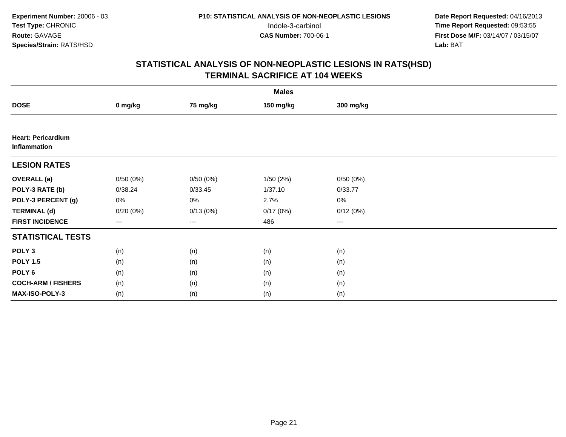|                                           | <b>Males</b> |          |           |           |  |  |  |  |
|-------------------------------------------|--------------|----------|-----------|-----------|--|--|--|--|
| <b>DOSE</b>                               | 0 mg/kg      | 75 mg/kg | 150 mg/kg | 300 mg/kg |  |  |  |  |
|                                           |              |          |           |           |  |  |  |  |
| <b>Heart: Pericardium</b><br>Inflammation |              |          |           |           |  |  |  |  |
| <b>LESION RATES</b>                       |              |          |           |           |  |  |  |  |
| <b>OVERALL</b> (a)                        | 0/50(0%)     | 0/50(0%) | 1/50(2%)  | 0/50(0%)  |  |  |  |  |
| POLY-3 RATE (b)                           | 0/38.24      | 0/33.45  | 1/37.10   | 0/33.77   |  |  |  |  |
| POLY-3 PERCENT (g)                        | 0%           | 0%       | 2.7%      | 0%        |  |  |  |  |
| <b>TERMINAL (d)</b>                       | $0/20(0\%)$  | 0/13(0%) | 0/17(0%)  | 0/12(0%)  |  |  |  |  |
| <b>FIRST INCIDENCE</b>                    | ---          | $---$    | 486       | $\cdots$  |  |  |  |  |
| <b>STATISTICAL TESTS</b>                  |              |          |           |           |  |  |  |  |
| POLY <sub>3</sub>                         | (n)          | (n)      | (n)       | (n)       |  |  |  |  |
| <b>POLY 1.5</b>                           | (n)          | (n)      | (n)       | (n)       |  |  |  |  |
| POLY <sub>6</sub>                         | (n)          | (n)      | (n)       | (n)       |  |  |  |  |
| <b>COCH-ARM / FISHERS</b>                 | (n)          | (n)      | (n)       | (n)       |  |  |  |  |
| MAX-ISO-POLY-3                            | (n)          | (n)      | (n)       | (n)       |  |  |  |  |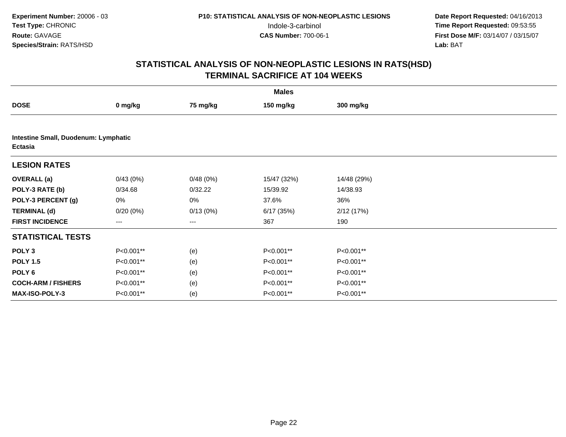|                                                        | <b>Males</b> |          |             |             |  |  |  |  |
|--------------------------------------------------------|--------------|----------|-------------|-------------|--|--|--|--|
| <b>DOSE</b>                                            | 0 mg/kg      | 75 mg/kg | 150 mg/kg   | 300 mg/kg   |  |  |  |  |
|                                                        |              |          |             |             |  |  |  |  |
| Intestine Small, Duodenum: Lymphatic<br><b>Ectasia</b> |              |          |             |             |  |  |  |  |
| <b>LESION RATES</b>                                    |              |          |             |             |  |  |  |  |
| <b>OVERALL</b> (a)                                     | 0/43(0%)     | 0/48(0%) | 15/47 (32%) | 14/48 (29%) |  |  |  |  |
| POLY-3 RATE (b)                                        | 0/34.68      | 0/32.22  | 15/39.92    | 14/38.93    |  |  |  |  |
| POLY-3 PERCENT (g)                                     | 0%           | 0%       | 37.6%       | 36%         |  |  |  |  |
| <b>TERMINAL (d)</b>                                    | $0/20(0\%)$  | 0/13(0%) | 6/17(35%)   | 2/12(17%)   |  |  |  |  |
| <b>FIRST INCIDENCE</b>                                 | ---          | ---      | 367         | 190         |  |  |  |  |
| <b>STATISTICAL TESTS</b>                               |              |          |             |             |  |  |  |  |
| POLY <sub>3</sub>                                      | P<0.001**    | (e)      | P<0.001**   | P<0.001**   |  |  |  |  |
| <b>POLY 1.5</b>                                        | P<0.001**    | (e)      | P<0.001**   | P<0.001**   |  |  |  |  |
| POLY <sub>6</sub>                                      | P<0.001**    | (e)      | P<0.001**   | P<0.001**   |  |  |  |  |
| <b>COCH-ARM / FISHERS</b>                              | P<0.001**    | (e)      | P<0.001**   | P<0.001**   |  |  |  |  |
| <b>MAX-ISO-POLY-3</b>                                  | P<0.001**    | (e)      | P<0.001**   | P<0.001**   |  |  |  |  |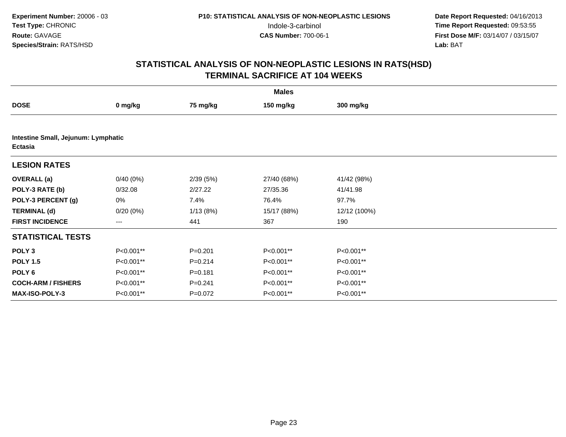|                                                | <b>Males</b> |             |             |              |  |  |  |  |
|------------------------------------------------|--------------|-------------|-------------|--------------|--|--|--|--|
| <b>DOSE</b>                                    | 0 mg/kg      | 75 mg/kg    | 150 mg/kg   | 300 mg/kg    |  |  |  |  |
|                                                |              |             |             |              |  |  |  |  |
| Intestine Small, Jejunum: Lymphatic<br>Ectasia |              |             |             |              |  |  |  |  |
| <b>LESION RATES</b>                            |              |             |             |              |  |  |  |  |
| <b>OVERALL</b> (a)                             | 0/40(0%)     | 2/39(5%)    | 27/40 (68%) | 41/42 (98%)  |  |  |  |  |
| POLY-3 RATE (b)                                | 0/32.08      | 2/27.22     | 27/35.36    | 41/41.98     |  |  |  |  |
| POLY-3 PERCENT (g)                             | 0%           | 7.4%        | 76.4%       | 97.7%        |  |  |  |  |
| <b>TERMINAL (d)</b>                            | 0/20(0%)     | 1/13(8%)    | 15/17 (88%) | 12/12 (100%) |  |  |  |  |
| <b>FIRST INCIDENCE</b>                         | $---$        | 441         | 367         | 190          |  |  |  |  |
| <b>STATISTICAL TESTS</b>                       |              |             |             |              |  |  |  |  |
| POLY <sub>3</sub>                              | P<0.001**    | $P = 0.201$ | P<0.001**   | P<0.001**    |  |  |  |  |
| <b>POLY 1.5</b>                                | P<0.001**    | $P = 0.214$ | P<0.001**   | P<0.001**    |  |  |  |  |
| POLY 6                                         | P<0.001**    | $P = 0.181$ | P<0.001**   | P<0.001**    |  |  |  |  |
| <b>COCH-ARM / FISHERS</b>                      | P<0.001**    | $P = 0.241$ | P<0.001**   | P<0.001**    |  |  |  |  |
| <b>MAX-ISO-POLY-3</b>                          | P<0.001**    | $P=0.072$   | P<0.001**   | P<0.001**    |  |  |  |  |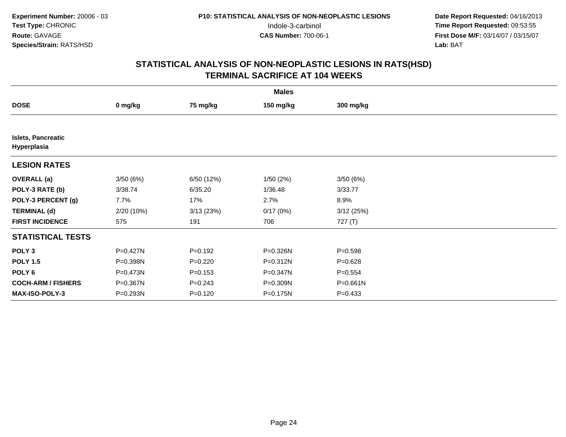|                                          | <b>Males</b> |             |              |             |  |  |  |  |
|------------------------------------------|--------------|-------------|--------------|-------------|--|--|--|--|
| <b>DOSE</b>                              | 0 mg/kg      | 75 mg/kg    | 150 mg/kg    | 300 mg/kg   |  |  |  |  |
|                                          |              |             |              |             |  |  |  |  |
| <b>Islets, Pancreatic</b><br>Hyperplasia |              |             |              |             |  |  |  |  |
| <b>LESION RATES</b>                      |              |             |              |             |  |  |  |  |
| <b>OVERALL</b> (a)                       | 3/50(6%)     | 6/50 (12%)  | 1/50(2%)     | 3/50(6%)    |  |  |  |  |
| POLY-3 RATE (b)                          | 3/38.74      | 6/35.20     | 1/36.48      | 3/33.77     |  |  |  |  |
| POLY-3 PERCENT (g)                       | 7.7%         | 17%         | 2.7%         | 8.9%        |  |  |  |  |
| <b>TERMINAL (d)</b>                      | 2/20 (10%)   | 3/13(23%)   | 0/17(0%)     | 3/12(25%)   |  |  |  |  |
| <b>FIRST INCIDENCE</b>                   | 575          | 191         | 706          | 727 (T)     |  |  |  |  |
| <b>STATISTICAL TESTS</b>                 |              |             |              |             |  |  |  |  |
| POLY <sub>3</sub>                        | $P = 0.427N$ | $P = 0.192$ | P=0.326N     | $P = 0.598$ |  |  |  |  |
| <b>POLY 1.5</b>                          | P=0.398N     | $P=0.220$   | P=0.312N     | $P = 0.628$ |  |  |  |  |
| POLY 6                                   | P=0.473N     | $P = 0.153$ | $P = 0.347N$ | $P = 0.554$ |  |  |  |  |
| <b>COCH-ARM / FISHERS</b>                | P=0.367N     | $P = 0.243$ | P=0.309N     | P=0.661N    |  |  |  |  |
| <b>MAX-ISO-POLY-3</b>                    | P=0.293N     | $P = 0.120$ | P=0.175N     | $P = 0.433$ |  |  |  |  |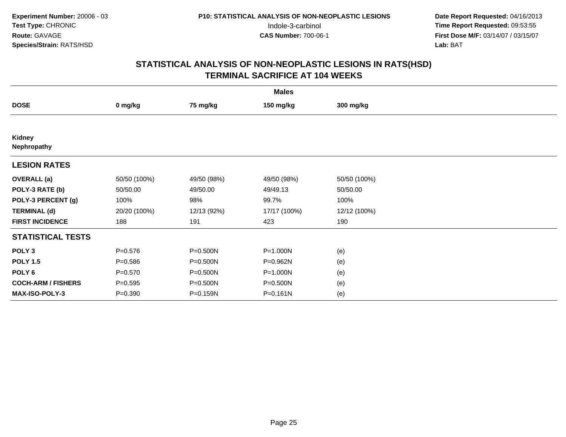|                           | <b>Males</b> |             |              |              |  |  |  |  |
|---------------------------|--------------|-------------|--------------|--------------|--|--|--|--|
| <b>DOSE</b>               | 0 mg/kg      | 75 mg/kg    | 150 mg/kg    | 300 mg/kg    |  |  |  |  |
|                           |              |             |              |              |  |  |  |  |
| Kidney<br>Nephropathy     |              |             |              |              |  |  |  |  |
| <b>LESION RATES</b>       |              |             |              |              |  |  |  |  |
| <b>OVERALL</b> (a)        | 50/50 (100%) | 49/50 (98%) | 49/50 (98%)  | 50/50 (100%) |  |  |  |  |
| POLY-3 RATE (b)           | 50/50.00     | 49/50.00    | 49/49.13     | 50/50.00     |  |  |  |  |
| POLY-3 PERCENT (g)        | 100%         | 98%         | 99.7%        | 100%         |  |  |  |  |
| <b>TERMINAL (d)</b>       | 20/20 (100%) | 12/13 (92%) | 17/17 (100%) | 12/12 (100%) |  |  |  |  |
| <b>FIRST INCIDENCE</b>    | 188          | 191         | 423          | 190          |  |  |  |  |
| <b>STATISTICAL TESTS</b>  |              |             |              |              |  |  |  |  |
| POLY <sub>3</sub>         | $P = 0.576$  | P=0.500N    | P=1.000N     | (e)          |  |  |  |  |
| <b>POLY 1.5</b>           | $P = 0.586$  | P=0.500N    | P=0.962N     | (e)          |  |  |  |  |
| POLY 6                    | $P = 0.570$  | P=0.500N    | P=1.000N     | (e)          |  |  |  |  |
| <b>COCH-ARM / FISHERS</b> | $P = 0.595$  | P=0.500N    | P=0.500N     | (e)          |  |  |  |  |
| MAX-ISO-POLY-3            | $P = 0.390$  | P=0.159N    | $P = 0.161N$ | (e)          |  |  |  |  |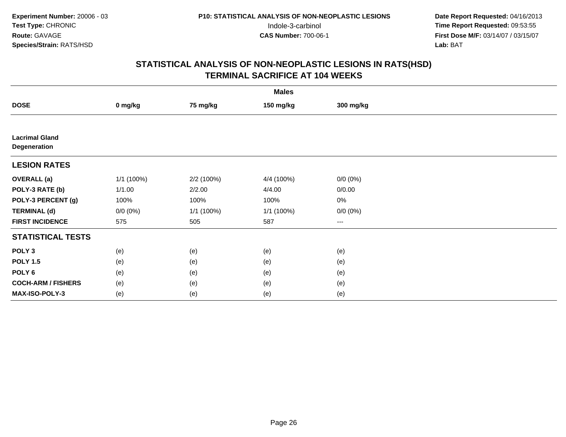|                                       | <b>Males</b> |            |            |             |  |  |  |  |
|---------------------------------------|--------------|------------|------------|-------------|--|--|--|--|
| <b>DOSE</b>                           | 0 mg/kg      | 75 mg/kg   | 150 mg/kg  | 300 mg/kg   |  |  |  |  |
|                                       |              |            |            |             |  |  |  |  |
| <b>Lacrimal Gland</b><br>Degeneration |              |            |            |             |  |  |  |  |
| <b>LESION RATES</b>                   |              |            |            |             |  |  |  |  |
| <b>OVERALL</b> (a)                    | 1/1 (100%)   | 2/2 (100%) | 4/4 (100%) | $0/0 (0\%)$ |  |  |  |  |
| POLY-3 RATE (b)                       | 1/1.00       | 2/2.00     | 4/4.00     | 0/0.00      |  |  |  |  |
| POLY-3 PERCENT (g)                    | 100%         | 100%       | 100%       | $0\%$       |  |  |  |  |
| <b>TERMINAL (d)</b>                   | $0/0 (0\%)$  | 1/1 (100%) | 1/1 (100%) | $0/0 (0\%)$ |  |  |  |  |
| <b>FIRST INCIDENCE</b>                | 575          | 505        | 587        | $\cdots$    |  |  |  |  |
| <b>STATISTICAL TESTS</b>              |              |            |            |             |  |  |  |  |
| POLY <sub>3</sub>                     | (e)          | (e)        | (e)        | (e)         |  |  |  |  |
| <b>POLY 1.5</b>                       | (e)          | (e)        | (e)        | (e)         |  |  |  |  |
| POLY <sub>6</sub>                     | (e)          | (e)        | (e)        | (e)         |  |  |  |  |
| <b>COCH-ARM / FISHERS</b>             | (e)          | (e)        | (e)        | (e)         |  |  |  |  |
| MAX-ISO-POLY-3                        | (e)          | (e)        | (e)        | (e)         |  |  |  |  |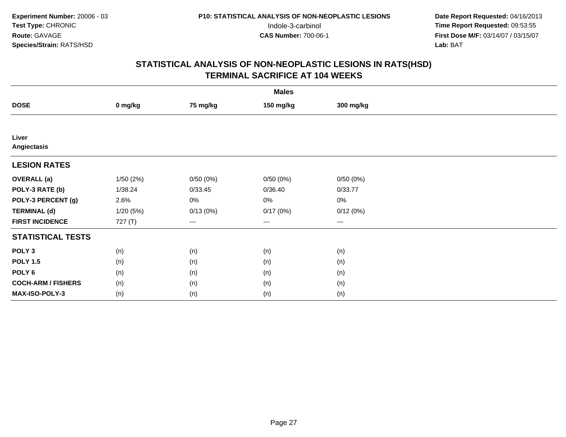| <b>Males</b>              |          |          |           |                        |  |  |
|---------------------------|----------|----------|-----------|------------------------|--|--|
| <b>DOSE</b>               | 0 mg/kg  | 75 mg/kg | 150 mg/kg | 300 mg/kg              |  |  |
|                           |          |          |           |                        |  |  |
| Liver<br>Angiectasis      |          |          |           |                        |  |  |
| <b>LESION RATES</b>       |          |          |           |                        |  |  |
| <b>OVERALL</b> (a)        | 1/50(2%) | 0/50(0%) | 0/50(0%)  | 0/50(0%)               |  |  |
| POLY-3 RATE (b)           | 1/38.24  | 0/33.45  | 0/36.40   | 0/33.77                |  |  |
| POLY-3 PERCENT (g)        | 2.6%     | $0\%$    | 0%        | 0%                     |  |  |
| <b>TERMINAL (d)</b>       | 1/20(5%) | 0/13(0%) | 0/17(0%)  | 0/12(0%)               |  |  |
| <b>FIRST INCIDENCE</b>    | 727 (T)  | ---      | $---$     | $\qquad \qquad \cdots$ |  |  |
| <b>STATISTICAL TESTS</b>  |          |          |           |                        |  |  |
| POLY <sub>3</sub>         | (n)      | (n)      | (n)       | (n)                    |  |  |
| <b>POLY 1.5</b>           | (n)      | (n)      | (n)       | (n)                    |  |  |
| POLY <sub>6</sub>         | (n)      | (n)      | (n)       | (n)                    |  |  |
| <b>COCH-ARM / FISHERS</b> | (n)      | (n)      | (n)       | (n)                    |  |  |
| MAX-ISO-POLY-3            | (n)      | (n)      | (n)       | (n)                    |  |  |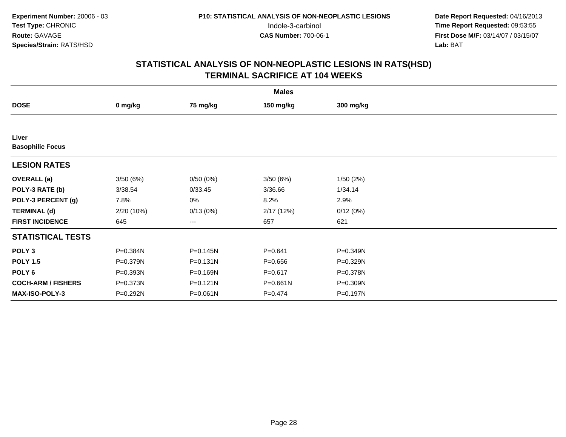| <b>Males</b>                     |              |              |              |           |  |  |
|----------------------------------|--------------|--------------|--------------|-----------|--|--|
| <b>DOSE</b>                      | 0 mg/kg      | 75 mg/kg     | 150 mg/kg    | 300 mg/kg |  |  |
|                                  |              |              |              |           |  |  |
| Liver<br><b>Basophilic Focus</b> |              |              |              |           |  |  |
| <b>LESION RATES</b>              |              |              |              |           |  |  |
| <b>OVERALL</b> (a)               | 3/50(6%)     | 0/50(0%)     | 3/50(6%)     | 1/50(2%)  |  |  |
| POLY-3 RATE (b)                  | 3/38.54      | 0/33.45      | 3/36.66      | 1/34.14   |  |  |
| POLY-3 PERCENT (g)               | 7.8%         | 0%           | 8.2%         | 2.9%      |  |  |
| <b>TERMINAL (d)</b>              | 2/20 (10%)   | 0/13(0%)     | 2/17(12%)    | 0/12(0%)  |  |  |
| <b>FIRST INCIDENCE</b>           | 645          | ---          | 657          | 621       |  |  |
| <b>STATISTICAL TESTS</b>         |              |              |              |           |  |  |
| POLY <sub>3</sub>                | P=0.384N     | P=0.145N     | $P = 0.641$  | P=0.349N  |  |  |
| <b>POLY 1.5</b>                  | $P = 0.379N$ | $P = 0.131N$ | $P = 0.656$  | P=0.329N  |  |  |
| POLY 6                           | P=0.393N     | P=0.169N     | $P = 0.617$  | P=0.378N  |  |  |
| <b>COCH-ARM / FISHERS</b>        | P=0.373N     | $P = 0.121N$ | $P = 0.661N$ | P=0.309N  |  |  |
| MAX-ISO-POLY-3                   | P=0.292N     | P=0.061N     | $P = 0.474$  | P=0.197N  |  |  |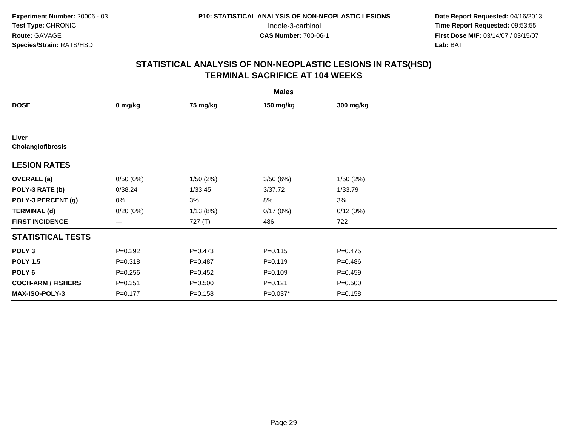| <b>Males</b>               |             |             |             |             |  |  |
|----------------------------|-------------|-------------|-------------|-------------|--|--|
| <b>DOSE</b>                | 0 mg/kg     | 75 mg/kg    | 150 mg/kg   | 300 mg/kg   |  |  |
|                            |             |             |             |             |  |  |
| Liver<br>Cholangiofibrosis |             |             |             |             |  |  |
| <b>LESION RATES</b>        |             |             |             |             |  |  |
| <b>OVERALL</b> (a)         | 0/50(0%)    | 1/50(2%)    | 3/50(6%)    | 1/50(2%)    |  |  |
| POLY-3 RATE (b)            | 0/38.24     | 1/33.45     | 3/37.72     | 1/33.79     |  |  |
| POLY-3 PERCENT (g)         | 0%          | 3%          | 8%          | 3%          |  |  |
| <b>TERMINAL (d)</b>        | 0/20(0%)    | 1/13(8%)    | 0/17(0%)    | 0/12(0%)    |  |  |
| <b>FIRST INCIDENCE</b>     | ---         | 727 (T)     | 486         | 722         |  |  |
| <b>STATISTICAL TESTS</b>   |             |             |             |             |  |  |
| POLY <sub>3</sub>          | $P=0.292$   | $P=0.473$   | $P = 0.115$ | $P=0.475$   |  |  |
| <b>POLY 1.5</b>            | $P = 0.318$ | $P=0.487$   | $P = 0.119$ | $P = 0.486$ |  |  |
| POLY 6                     | $P = 0.256$ | $P=0.452$   | $P = 0.109$ | $P = 0.459$ |  |  |
| <b>COCH-ARM / FISHERS</b>  | $P = 0.351$ | $P = 0.500$ | $P=0.121$   | $P = 0.500$ |  |  |
| MAX-ISO-POLY-3             | $P = 0.177$ | $P = 0.158$ | $P=0.037*$  | $P = 0.158$ |  |  |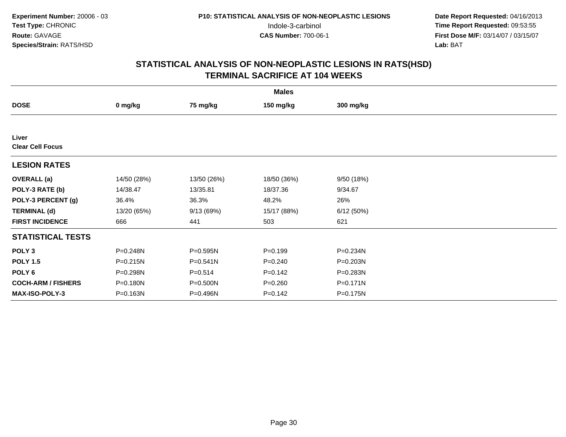| <b>Males</b>                     |             |             |             |           |  |  |
|----------------------------------|-------------|-------------|-------------|-----------|--|--|
| <b>DOSE</b>                      | 0 mg/kg     | 75 mg/kg    | 150 mg/kg   | 300 mg/kg |  |  |
|                                  |             |             |             |           |  |  |
| Liver<br><b>Clear Cell Focus</b> |             |             |             |           |  |  |
| <b>LESION RATES</b>              |             |             |             |           |  |  |
| <b>OVERALL</b> (a)               | 14/50 (28%) | 13/50 (26%) | 18/50 (36%) | 9/50(18%) |  |  |
| POLY-3 RATE (b)                  | 14/38.47    | 13/35.81    | 18/37.36    | 9/34.67   |  |  |
| POLY-3 PERCENT (g)               | 36.4%       | 36.3%       | 48.2%       | 26%       |  |  |
| <b>TERMINAL (d)</b>              | 13/20 (65%) | 9/13(69%)   | 15/17 (88%) | 6/12(50%) |  |  |
| <b>FIRST INCIDENCE</b>           | 666         | 441         | 503         | 621       |  |  |
| <b>STATISTICAL TESTS</b>         |             |             |             |           |  |  |
| POLY <sub>3</sub>                | P=0.248N    | P=0.595N    | $P = 0.199$ | P=0.234N  |  |  |
| <b>POLY 1.5</b>                  | P=0.215N    | P=0.541N    | $P = 0.240$ | P=0.203N  |  |  |
| POLY <sub>6</sub>                | P=0.298N    | $P = 0.514$ | $P=0.142$   | P=0.283N  |  |  |
| <b>COCH-ARM / FISHERS</b>        | P=0.180N    | P=0.500N    | $P = 0.260$ | P=0.171N  |  |  |
| <b>MAX-ISO-POLY-3</b>            | P=0.163N    | P=0.496N    | $P=0.142$   | P=0.175N  |  |  |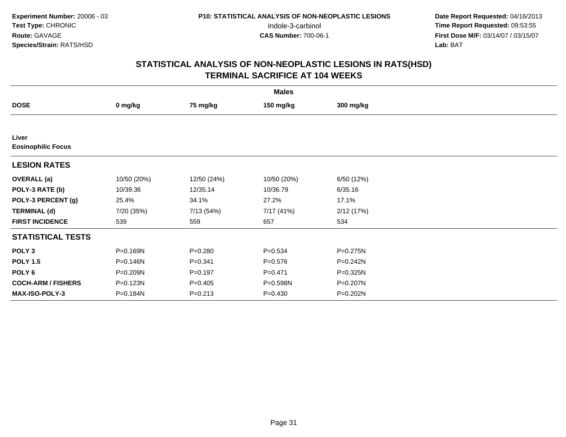| <b>Males</b>                       |             |             |             |              |  |  |
|------------------------------------|-------------|-------------|-------------|--------------|--|--|
| <b>DOSE</b>                        | 0 mg/kg     | 75 mg/kg    | 150 mg/kg   | 300 mg/kg    |  |  |
|                                    |             |             |             |              |  |  |
| Liver<br><b>Eosinophilic Focus</b> |             |             |             |              |  |  |
| <b>LESION RATES</b>                |             |             |             |              |  |  |
| <b>OVERALL</b> (a)                 | 10/50 (20%) | 12/50 (24%) | 10/50 (20%) | 6/50 (12%)   |  |  |
| POLY-3 RATE (b)                    | 10/39.36    | 12/35.14    | 10/36.79    | 6/35.16      |  |  |
| POLY-3 PERCENT (g)                 | 25.4%       | 34.1%       | 27.2%       | 17.1%        |  |  |
| <b>TERMINAL (d)</b>                | 7/20 (35%)  | 7/13 (54%)  | 7/17 (41%)  | 2/12(17%)    |  |  |
| <b>FIRST INCIDENCE</b>             | 539         | 559         | 657         | 534          |  |  |
| <b>STATISTICAL TESTS</b>           |             |             |             |              |  |  |
| POLY <sub>3</sub>                  | P=0.169N    | $P = 0.280$ | $P = 0.534$ | $P = 0.275N$ |  |  |
| <b>POLY 1.5</b>                    | P=0.146N    | $P = 0.341$ | $P = 0.576$ | $P = 0.242N$ |  |  |
| POLY 6                             | P=0.209N    | $P = 0.197$ | $P=0.471$   | $P = 0.325N$ |  |  |
| <b>COCH-ARM / FISHERS</b>          | P=0.123N    | $P = 0.405$ | P=0.598N    | P=0.207N     |  |  |
| MAX-ISO-POLY-3                     | P=0.184N    | $P = 0.213$ | $P = 0.430$ | P=0.202N     |  |  |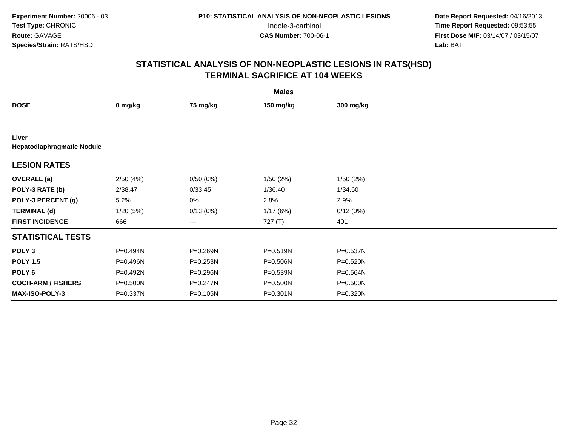| <b>Males</b>              |                            |              |              |              |  |  |  |  |
|---------------------------|----------------------------|--------------|--------------|--------------|--|--|--|--|
| <b>DOSE</b>               | 0 mg/kg                    | 75 mg/kg     | 150 mg/kg    | 300 mg/kg    |  |  |  |  |
|                           |                            |              |              |              |  |  |  |  |
| Liver                     | Hepatodiaphragmatic Nodule |              |              |              |  |  |  |  |
| <b>LESION RATES</b>       |                            |              |              |              |  |  |  |  |
| <b>OVERALL</b> (a)        | 2/50(4%)                   | 0/50(0%)     | 1/50 (2%)    | 1/50(2%)     |  |  |  |  |
| POLY-3 RATE (b)           | 2/38.47                    | 0/33.45      | 1/36.40      | 1/34.60      |  |  |  |  |
| POLY-3 PERCENT (g)        | 5.2%                       | 0%           | 2.8%         | 2.9%         |  |  |  |  |
| <b>TERMINAL (d)</b>       | 1/20(5%)                   | 0/13(0%)     | 1/17(6%)     | 0/12(0%)     |  |  |  |  |
| <b>FIRST INCIDENCE</b>    | 666                        | ---          | 727 (T)      | 401          |  |  |  |  |
| <b>STATISTICAL TESTS</b>  |                            |              |              |              |  |  |  |  |
| POLY <sub>3</sub>         | P=0.494N                   | P=0.269N     | $P = 0.519N$ | P=0.537N     |  |  |  |  |
| <b>POLY 1.5</b>           | P=0.496N                   | $P = 0.253N$ | P=0.506N     | $P = 0.520N$ |  |  |  |  |
| POLY <sub>6</sub>         | P=0.492N                   | P=0.296N     | $P = 0.539N$ | $P = 0.564N$ |  |  |  |  |
| <b>COCH-ARM / FISHERS</b> | P=0.500N                   | P=0.247N     | P=0.500N     | P=0.500N     |  |  |  |  |
| MAX-ISO-POLY-3            | P=0.337N                   | P=0.105N     | $P = 0.301N$ | P=0.320N     |  |  |  |  |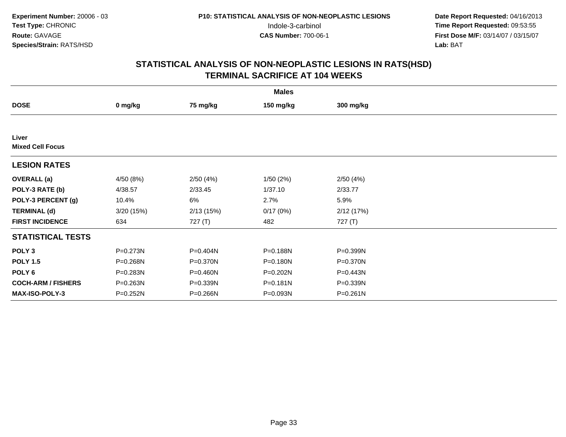| <b>Males</b>                     |           |           |           |              |  |  |
|----------------------------------|-----------|-----------|-----------|--------------|--|--|
| <b>DOSE</b>                      | 0 mg/kg   | 75 mg/kg  | 150 mg/kg | 300 mg/kg    |  |  |
|                                  |           |           |           |              |  |  |
| Liver<br><b>Mixed Cell Focus</b> |           |           |           |              |  |  |
| <b>LESION RATES</b>              |           |           |           |              |  |  |
| <b>OVERALL</b> (a)               | 4/50 (8%) | 2/50(4%)  | 1/50 (2%) | 2/50(4%)     |  |  |
| POLY-3 RATE (b)                  | 4/38.57   | 2/33.45   | 1/37.10   | 2/33.77      |  |  |
| POLY-3 PERCENT (g)               | 10.4%     | 6%        | 2.7%      | 5.9%         |  |  |
| <b>TERMINAL (d)</b>              | 3/20(15%) | 2/13(15%) | 0/17(0%)  | 2/12(17%)    |  |  |
| <b>FIRST INCIDENCE</b>           | 634       | 727(T)    | 482       | 727 (T)      |  |  |
| <b>STATISTICAL TESTS</b>         |           |           |           |              |  |  |
| POLY <sub>3</sub>                | P=0.273N  | P=0.404N  | P=0.188N  | P=0.399N     |  |  |
| <b>POLY 1.5</b>                  | P=0.268N  | P=0.370N  | P=0.180N  | $P = 0.370N$ |  |  |
| POLY 6                           | P=0.283N  | P=0.460N  | P=0.202N  | P=0.443N     |  |  |
| <b>COCH-ARM / FISHERS</b>        | P=0.263N  | P=0.339N  | P=0.181N  | P=0.339N     |  |  |
| <b>MAX-ISO-POLY-3</b>            | P=0.252N  | P=0.266N  | P=0.093N  | P=0.261N     |  |  |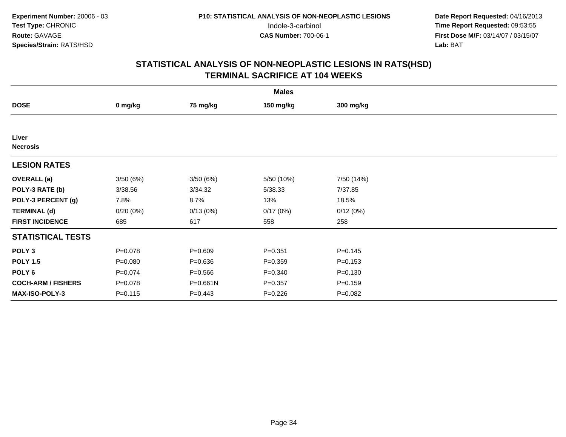| <b>Males</b>              |             |              |             |             |  |  |
|---------------------------|-------------|--------------|-------------|-------------|--|--|
| <b>DOSE</b>               | 0 mg/kg     | 75 mg/kg     | 150 mg/kg   | 300 mg/kg   |  |  |
|                           |             |              |             |             |  |  |
| Liver<br><b>Necrosis</b>  |             |              |             |             |  |  |
| <b>LESION RATES</b>       |             |              |             |             |  |  |
| <b>OVERALL</b> (a)        | 3/50(6%)    | 3/50(6%)     | 5/50 (10%)  | 7/50 (14%)  |  |  |
| POLY-3 RATE (b)           | 3/38.56     | 3/34.32      | 5/38.33     | 7/37.85     |  |  |
| POLY-3 PERCENT (g)        | 7.8%        | 8.7%         | 13%         | 18.5%       |  |  |
| <b>TERMINAL (d)</b>       | 0/20(0%)    | 0/13(0%)     | 0/17(0%)    | 0/12(0%)    |  |  |
| <b>FIRST INCIDENCE</b>    | 685         | 617          | 558         | 258         |  |  |
| <b>STATISTICAL TESTS</b>  |             |              |             |             |  |  |
| POLY <sub>3</sub>         | $P = 0.078$ | $P = 0.609$  | $P = 0.351$ | $P=0.145$   |  |  |
| <b>POLY 1.5</b>           | $P = 0.080$ | $P = 0.636$  | $P = 0.359$ | $P = 0.153$ |  |  |
| POLY 6                    | $P = 0.074$ | $P = 0.566$  | $P = 0.340$ | $P = 0.130$ |  |  |
| <b>COCH-ARM / FISHERS</b> | $P = 0.078$ | $P = 0.661N$ | $P = 0.357$ | $P = 0.159$ |  |  |
| MAX-ISO-POLY-3            | $P = 0.115$ | $P=0.443$    | $P = 0.226$ | $P = 0.082$ |  |  |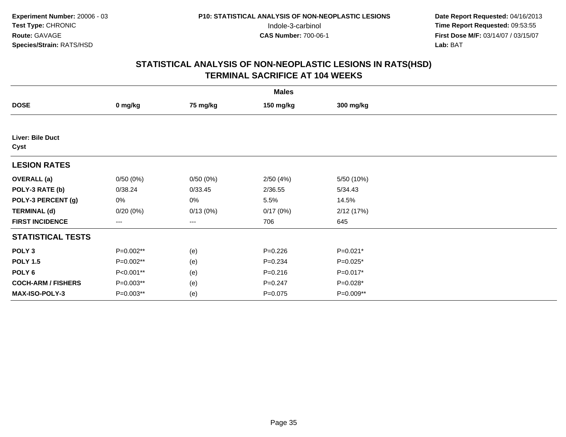| <b>Males</b>              |           |          |             |            |  |  |
|---------------------------|-----------|----------|-------------|------------|--|--|
| <b>DOSE</b>               | 0 mg/kg   | 75 mg/kg | 150 mg/kg   | 300 mg/kg  |  |  |
|                           |           |          |             |            |  |  |
| Liver: Bile Duct<br>Cyst  |           |          |             |            |  |  |
| <b>LESION RATES</b>       |           |          |             |            |  |  |
| <b>OVERALL</b> (a)        | 0/50(0%)  | 0/50(0%) | 2/50(4%)    | 5/50 (10%) |  |  |
| POLY-3 RATE (b)           | 0/38.24   | 0/33.45  | 2/36.55     | 5/34.43    |  |  |
| POLY-3 PERCENT (g)        | 0%        | 0%       | 5.5%        | 14.5%      |  |  |
| <b>TERMINAL (d)</b>       | 0/20(0%)  | 0/13(0%) | 0/17(0%)    | 2/12(17%)  |  |  |
| <b>FIRST INCIDENCE</b>    | $---$     | $---$    | 706         | 645        |  |  |
| <b>STATISTICAL TESTS</b>  |           |          |             |            |  |  |
| POLY <sub>3</sub>         | P=0.002** | (e)      | $P=0.226$   | $P=0.021*$ |  |  |
| <b>POLY 1.5</b>           | P=0.002** | (e)      | $P = 0.234$ | $P=0.025*$ |  |  |
| POLY <sub>6</sub>         | P<0.001** | (e)      | $P = 0.216$ | $P=0.017*$ |  |  |
| <b>COCH-ARM / FISHERS</b> | P=0.003** | (e)      | $P = 0.247$ | $P=0.028*$ |  |  |
| <b>MAX-ISO-POLY-3</b>     | P=0.003** | (e)      | $P = 0.075$ | P=0.009**  |  |  |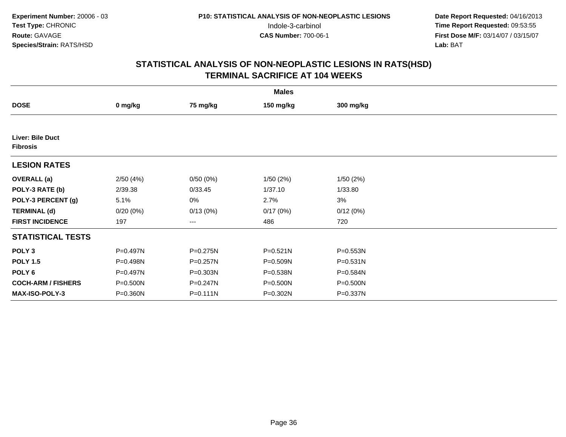|                                     | <b>Males</b> |              |              |              |  |  |  |
|-------------------------------------|--------------|--------------|--------------|--------------|--|--|--|
| <b>DOSE</b>                         | 0 mg/kg      | 75 mg/kg     | 150 mg/kg    | 300 mg/kg    |  |  |  |
|                                     |              |              |              |              |  |  |  |
| Liver: Bile Duct<br><b>Fibrosis</b> |              |              |              |              |  |  |  |
| <b>LESION RATES</b>                 |              |              |              |              |  |  |  |
| <b>OVERALL</b> (a)                  | 2/50(4%)     | 0/50(0%)     | 1/50(2%)     | 1/50(2%)     |  |  |  |
| POLY-3 RATE (b)                     | 2/39.38      | 0/33.45      | 1/37.10      | 1/33.80      |  |  |  |
| POLY-3 PERCENT (g)                  | 5.1%         | 0%           | 2.7%         | 3%           |  |  |  |
| <b>TERMINAL (d)</b>                 | 0/20(0%)     | 0/13(0%)     | 0/17(0%)     | 0/12(0%)     |  |  |  |
| <b>FIRST INCIDENCE</b>              | 197          | ---          | 486          | 720          |  |  |  |
| <b>STATISTICAL TESTS</b>            |              |              |              |              |  |  |  |
| POLY <sub>3</sub>                   | P=0.497N     | P=0.275N     | $P = 0.521N$ | $P = 0.553N$ |  |  |  |
| <b>POLY 1.5</b>                     | P=0.498N     | P=0.257N     | P=0.509N     | $P = 0.531N$ |  |  |  |
| POLY 6                              | P=0.497N     | P=0.303N     | P=0.538N     | P=0.584N     |  |  |  |
| <b>COCH-ARM / FISHERS</b>           | P=0.500N     | P=0.247N     | P=0.500N     | P=0.500N     |  |  |  |
| MAX-ISO-POLY-3                      | P=0.360N     | $P = 0.111N$ | P=0.302N     | P=0.337N     |  |  |  |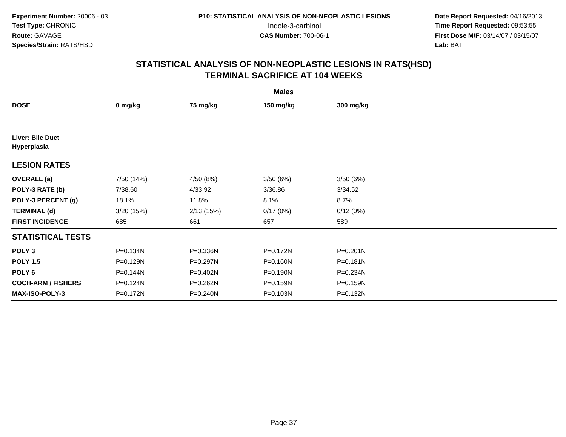| <b>Males</b>                    |            |           |              |              |  |  |  |
|---------------------------------|------------|-----------|--------------|--------------|--|--|--|
| <b>DOSE</b>                     | 0 mg/kg    | 75 mg/kg  | 150 mg/kg    | 300 mg/kg    |  |  |  |
|                                 |            |           |              |              |  |  |  |
| Liver: Bile Duct<br>Hyperplasia |            |           |              |              |  |  |  |
| <b>LESION RATES</b>             |            |           |              |              |  |  |  |
| <b>OVERALL</b> (a)              | 7/50 (14%) | 4/50 (8%) | 3/50(6%)     | 3/50(6%)     |  |  |  |
| POLY-3 RATE (b)                 | 7/38.60    | 4/33.92   | 3/36.86      | 3/34.52      |  |  |  |
| POLY-3 PERCENT (g)              | 18.1%      | 11.8%     | 8.1%         | 8.7%         |  |  |  |
| <b>TERMINAL (d)</b>             | 3/20(15%)  | 2/13(15%) | 0/17(0%)     | 0/12(0%)     |  |  |  |
| <b>FIRST INCIDENCE</b>          | 685        | 661       | 657          | 589          |  |  |  |
| <b>STATISTICAL TESTS</b>        |            |           |              |              |  |  |  |
| POLY <sub>3</sub>               | P=0.134N   | P=0.336N  | P=0.172N     | $P = 0.201N$ |  |  |  |
| <b>POLY 1.5</b>                 | P=0.129N   | P=0.297N  | $P = 0.160N$ | $P = 0.181N$ |  |  |  |
| POLY 6                          | P=0.144N   | P=0.402N  | P=0.190N     | $P = 0.234N$ |  |  |  |
| <b>COCH-ARM / FISHERS</b>       | P=0.124N   | P=0.262N  | P=0.159N     | P=0.159N     |  |  |  |
| <b>MAX-ISO-POLY-3</b>           | P=0.172N   | P=0.240N  | P=0.103N     | P=0.132N     |  |  |  |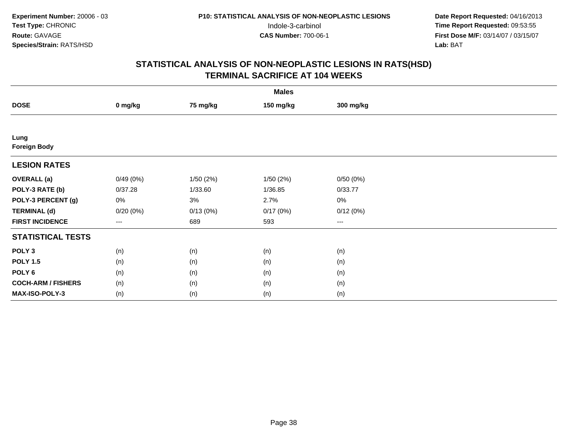|                             | <b>Males</b> |           |           |           |  |  |  |  |
|-----------------------------|--------------|-----------|-----------|-----------|--|--|--|--|
| <b>DOSE</b>                 | 0 mg/kg      | 75 mg/kg  | 150 mg/kg | 300 mg/kg |  |  |  |  |
|                             |              |           |           |           |  |  |  |  |
| Lung<br><b>Foreign Body</b> |              |           |           |           |  |  |  |  |
| <b>LESION RATES</b>         |              |           |           |           |  |  |  |  |
| <b>OVERALL</b> (a)          | 0/49(0%)     | 1/50 (2%) | 1/50(2%)  | 0/50(0%)  |  |  |  |  |
| POLY-3 RATE (b)             | 0/37.28      | 1/33.60   | 1/36.85   | 0/33.77   |  |  |  |  |
| POLY-3 PERCENT (g)          | 0%           | 3%        | 2.7%      | $0\%$     |  |  |  |  |
| <b>TERMINAL (d)</b>         | 0/20(0%)     | 0/13(0%)  | 0/17(0%)  | 0/12(0%)  |  |  |  |  |
| <b>FIRST INCIDENCE</b>      | ---          | 689       | 593       | $\cdots$  |  |  |  |  |
| <b>STATISTICAL TESTS</b>    |              |           |           |           |  |  |  |  |
| POLY <sub>3</sub>           | (n)          | (n)       | (n)       | (n)       |  |  |  |  |
| <b>POLY 1.5</b>             | (n)          | (n)       | (n)       | (n)       |  |  |  |  |
| POLY <sub>6</sub>           | (n)          | (n)       | (n)       | (n)       |  |  |  |  |
| <b>COCH-ARM / FISHERS</b>   | (n)          | (n)       | (n)       | (n)       |  |  |  |  |
| MAX-ISO-POLY-3              | (n)          | (n)       | (n)       | (n)       |  |  |  |  |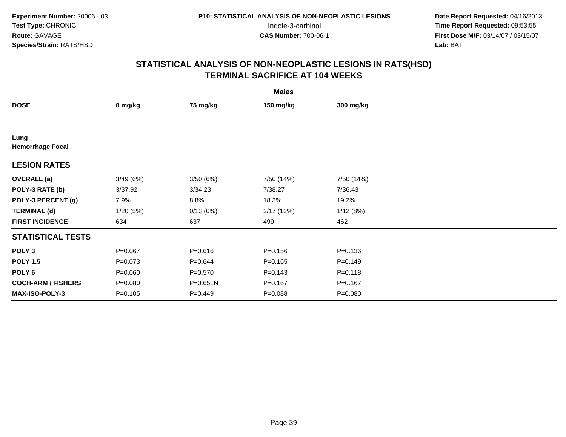|                                 | <b>Males</b> |             |             |             |  |  |  |  |
|---------------------------------|--------------|-------------|-------------|-------------|--|--|--|--|
| <b>DOSE</b>                     | 0 mg/kg      | 75 mg/kg    | 150 mg/kg   | 300 mg/kg   |  |  |  |  |
|                                 |              |             |             |             |  |  |  |  |
| Lung<br><b>Hemorrhage Focal</b> |              |             |             |             |  |  |  |  |
| <b>LESION RATES</b>             |              |             |             |             |  |  |  |  |
| <b>OVERALL</b> (a)              | 3/49(6%)     | 3/50(6%)    | 7/50 (14%)  | 7/50 (14%)  |  |  |  |  |
| POLY-3 RATE (b)                 | 3/37.92      | 3/34.23     | 7/38.27     | 7/36.43     |  |  |  |  |
| POLY-3 PERCENT (g)              | 7.9%         | 8.8%        | 18.3%       | 19.2%       |  |  |  |  |
| <b>TERMINAL (d)</b>             | 1/20(5%)     | 0/13(0%)    | 2/17(12%)   | 1/12(8%)    |  |  |  |  |
| <b>FIRST INCIDENCE</b>          | 634          | 637         | 499         | 462         |  |  |  |  |
| <b>STATISTICAL TESTS</b>        |              |             |             |             |  |  |  |  |
| POLY <sub>3</sub>               | $P = 0.067$  | $P = 0.616$ | $P = 0.156$ | $P = 0.136$ |  |  |  |  |
| <b>POLY 1.5</b>                 | $P=0.073$    | $P = 0.644$ | $P = 0.165$ | $P = 0.149$ |  |  |  |  |
| POLY <sub>6</sub>               | $P = 0.060$  | $P = 0.570$ | $P = 0.143$ | $P = 0.118$ |  |  |  |  |
| <b>COCH-ARM / FISHERS</b>       | $P = 0.080$  | P=0.651N    | $P = 0.167$ | $P = 0.167$ |  |  |  |  |
| MAX-ISO-POLY-3                  | $P = 0.105$  | $P=0.449$   | $P = 0.088$ | $P = 0.080$ |  |  |  |  |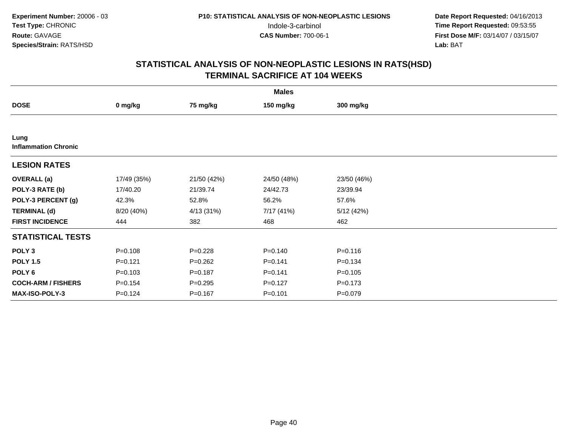| <b>Males</b>                        |             |             |             |             |  |  |  |
|-------------------------------------|-------------|-------------|-------------|-------------|--|--|--|
| <b>DOSE</b>                         | 0 mg/kg     | 75 mg/kg    | 150 mg/kg   | 300 mg/kg   |  |  |  |
|                                     |             |             |             |             |  |  |  |
| Lung<br><b>Inflammation Chronic</b> |             |             |             |             |  |  |  |
| <b>LESION RATES</b>                 |             |             |             |             |  |  |  |
| <b>OVERALL</b> (a)                  | 17/49 (35%) | 21/50 (42%) | 24/50 (48%) | 23/50 (46%) |  |  |  |
| POLY-3 RATE (b)                     | 17/40.20    | 21/39.74    | 24/42.73    | 23/39.94    |  |  |  |
| POLY-3 PERCENT (g)                  | 42.3%       | 52.8%       | 56.2%       | 57.6%       |  |  |  |
| <b>TERMINAL (d)</b>                 | 8/20 (40%)  | 4/13 (31%)  | 7/17 (41%)  | 5/12(42%)   |  |  |  |
| <b>FIRST INCIDENCE</b>              | 444         | 382         | 468         | 462         |  |  |  |
| <b>STATISTICAL TESTS</b>            |             |             |             |             |  |  |  |
| POLY <sub>3</sub>                   | $P = 0.108$ | $P=0.228$   | $P = 0.140$ | $P = 0.116$ |  |  |  |
| <b>POLY 1.5</b>                     | $P=0.121$   | $P=0.262$   | $P = 0.141$ | $P = 0.134$ |  |  |  |
| POLY <sub>6</sub>                   | $P = 0.103$ | $P = 0.187$ | $P = 0.141$ | $P = 0.105$ |  |  |  |
| <b>COCH-ARM / FISHERS</b>           | $P = 0.154$ | $P = 0.295$ | $P=0.127$   | $P = 0.173$ |  |  |  |
| MAX-ISO-POLY-3                      | $P = 0.124$ | $P = 0.167$ | $P = 0.101$ | $P = 0.079$ |  |  |  |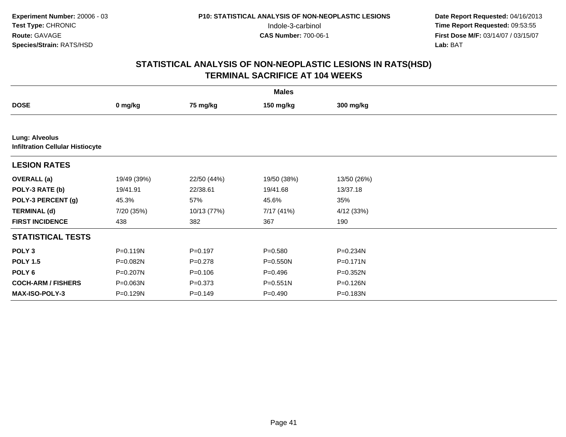|                                                                  | <b>Males</b> |             |              |              |  |  |  |  |  |
|------------------------------------------------------------------|--------------|-------------|--------------|--------------|--|--|--|--|--|
| <b>DOSE</b>                                                      | 0 mg/kg      | 75 mg/kg    | 150 mg/kg    | 300 mg/kg    |  |  |  |  |  |
|                                                                  |              |             |              |              |  |  |  |  |  |
| <b>Lung: Alveolus</b><br><b>Infiltration Cellular Histiocyte</b> |              |             |              |              |  |  |  |  |  |
| <b>LESION RATES</b>                                              |              |             |              |              |  |  |  |  |  |
| <b>OVERALL</b> (a)                                               | 19/49 (39%)  | 22/50 (44%) | 19/50 (38%)  | 13/50 (26%)  |  |  |  |  |  |
| POLY-3 RATE (b)                                                  | 19/41.91     | 22/38.61    | 19/41.68     | 13/37.18     |  |  |  |  |  |
| POLY-3 PERCENT (g)                                               | 45.3%        | 57%         | 45.6%        | 35%          |  |  |  |  |  |
| <b>TERMINAL (d)</b>                                              | 7/20 (35%)   | 10/13 (77%) | 7/17 (41%)   | 4/12 (33%)   |  |  |  |  |  |
| <b>FIRST INCIDENCE</b>                                           | 438          | 382         | 367          | 190          |  |  |  |  |  |
| <b>STATISTICAL TESTS</b>                                         |              |             |              |              |  |  |  |  |  |
| POLY <sub>3</sub>                                                | P=0.119N     | $P=0.197$   | $P = 0.580$  | P=0.234N     |  |  |  |  |  |
| <b>POLY 1.5</b>                                                  | P=0.082N     | $P=0.278$   | P=0.550N     | $P = 0.171N$ |  |  |  |  |  |
| POLY <sub>6</sub>                                                | P=0.207N     | $P = 0.106$ | $P = 0.496$  | P=0.352N     |  |  |  |  |  |
| <b>COCH-ARM / FISHERS</b>                                        | P=0.063N     | $P = 0.373$ | $P = 0.551N$ | P=0.126N     |  |  |  |  |  |
| <b>MAX-ISO-POLY-3</b>                                            | P=0.129N     | $P = 0.149$ | $P = 0.490$  | P=0.183N     |  |  |  |  |  |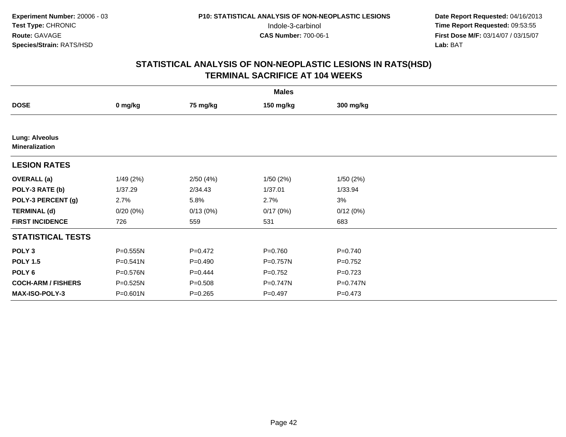|                                                | <b>Males</b> |             |              |             |  |  |  |  |
|------------------------------------------------|--------------|-------------|--------------|-------------|--|--|--|--|
| <b>DOSE</b>                                    | 0 mg/kg      | 75 mg/kg    | 150 mg/kg    | 300 mg/kg   |  |  |  |  |
|                                                |              |             |              |             |  |  |  |  |
| <b>Lung: Alveolus</b><br><b>Mineralization</b> |              |             |              |             |  |  |  |  |
| <b>LESION RATES</b>                            |              |             |              |             |  |  |  |  |
| <b>OVERALL</b> (a)                             | 1/49(2%)     | 2/50(4%)    | 1/50(2%)     | 1/50(2%)    |  |  |  |  |
| POLY-3 RATE (b)                                | 1/37.29      | 2/34.43     | 1/37.01      | 1/33.94     |  |  |  |  |
| POLY-3 PERCENT (g)                             | 2.7%         | 5.8%        | 2.7%         | 3%          |  |  |  |  |
| <b>TERMINAL (d)</b>                            | 0/20(0%)     | 0/13(0%)    | 0/17(0%)     | 0/12(0%)    |  |  |  |  |
| <b>FIRST INCIDENCE</b>                         | 726          | 559         | 531          | 683         |  |  |  |  |
| <b>STATISTICAL TESTS</b>                       |              |             |              |             |  |  |  |  |
| POLY <sub>3</sub>                              | $P = 0.555N$ | $P=0.472$   | $P = 0.760$  | $P=0.740$   |  |  |  |  |
| <b>POLY 1.5</b>                                | $P = 0.541N$ | $P = 0.490$ | $P = 0.757N$ | $P=0.752$   |  |  |  |  |
| POLY <sub>6</sub>                              | P=0.576N     | $P=0.444$   | $P=0.752$    | $P=0.723$   |  |  |  |  |
| <b>COCH-ARM / FISHERS</b>                      | P=0.525N     | $P = 0.508$ | P=0.747N     | P=0.747N    |  |  |  |  |
| MAX-ISO-POLY-3                                 | P=0.601N     | $P = 0.265$ | $P=0.497$    | $P = 0.473$ |  |  |  |  |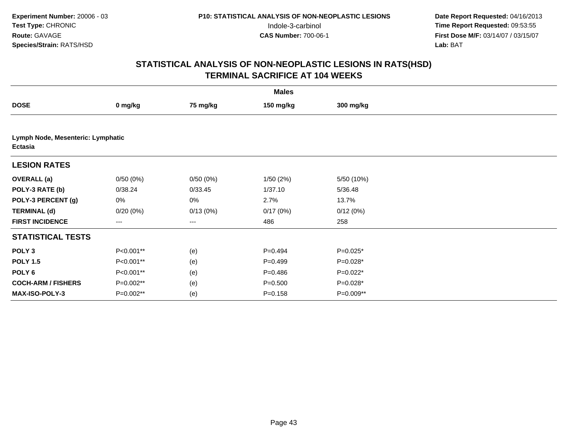|                           | <b>Males</b>                      |          |             |            |  |  |  |  |  |
|---------------------------|-----------------------------------|----------|-------------|------------|--|--|--|--|--|
| <b>DOSE</b>               | 0 mg/kg                           | 75 mg/kg | 150 mg/kg   | 300 mg/kg  |  |  |  |  |  |
|                           |                                   |          |             |            |  |  |  |  |  |
| <b>Ectasia</b>            | Lymph Node, Mesenteric: Lymphatic |          |             |            |  |  |  |  |  |
| <b>LESION RATES</b>       |                                   |          |             |            |  |  |  |  |  |
| <b>OVERALL</b> (a)        | 0/50(0%)                          | 0/50(0%) | 1/50(2%)    | 5/50 (10%) |  |  |  |  |  |
| POLY-3 RATE (b)           | 0/38.24                           | 0/33.45  | 1/37.10     | 5/36.48    |  |  |  |  |  |
| POLY-3 PERCENT (g)        | 0%                                | 0%       | 2.7%        | 13.7%      |  |  |  |  |  |
| <b>TERMINAL (d)</b>       | 0/20(0%)                          | 0/13(0%) | 0/17(0%)    | 0/12(0%)   |  |  |  |  |  |
| <b>FIRST INCIDENCE</b>    | $\cdots$                          | $---$    | 486         | 258        |  |  |  |  |  |
| <b>STATISTICAL TESTS</b>  |                                   |          |             |            |  |  |  |  |  |
| POLY <sub>3</sub>         | P<0.001**                         | (e)      | $P=0.494$   | P=0.025*   |  |  |  |  |  |
| <b>POLY 1.5</b>           | P<0.001**                         | (e)      | $P=0.499$   | P=0.028*   |  |  |  |  |  |
| POLY <sub>6</sub>         | P<0.001**                         | (e)      | $P = 0.486$ | $P=0.022*$ |  |  |  |  |  |
| <b>COCH-ARM / FISHERS</b> | P=0.002**                         | (e)      | $P = 0.500$ | P=0.028*   |  |  |  |  |  |
| <b>MAX-ISO-POLY-3</b>     | $P=0.002**$                       | (e)      | $P = 0.158$ | P=0.009**  |  |  |  |  |  |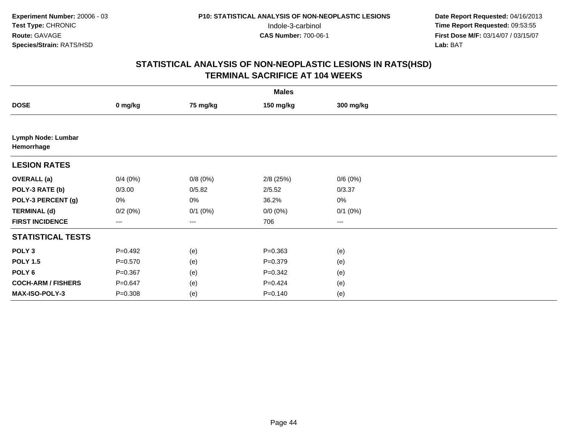| <b>Males</b>                     |             |              |             |              |  |  |  |
|----------------------------------|-------------|--------------|-------------|--------------|--|--|--|
| <b>DOSE</b>                      | 0 mg/kg     | 75 mg/kg     | 150 mg/kg   | 300 mg/kg    |  |  |  |
|                                  |             |              |             |              |  |  |  |
| Lymph Node: Lumbar<br>Hemorrhage |             |              |             |              |  |  |  |
| <b>LESION RATES</b>              |             |              |             |              |  |  |  |
| <b>OVERALL</b> (a)               | 0/4(0%)     | 0/8(0%)      | $2/8$ (25%) | 0/6(0%)      |  |  |  |
| POLY-3 RATE (b)                  | 0/3.00      | 0/5.82       | 2/5.52      | 0/3.37       |  |  |  |
| POLY-3 PERCENT (g)               | 0%          | 0%           | 36.2%       | $0\%$        |  |  |  |
| <b>TERMINAL (d)</b>              | 0/2(0%)     | $0/1$ $(0%)$ | $0/0 (0\%)$ | $0/1$ $(0%)$ |  |  |  |
| <b>FIRST INCIDENCE</b>           | $\cdots$    | $---$        | 706         | $\cdots$     |  |  |  |
| <b>STATISTICAL TESTS</b>         |             |              |             |              |  |  |  |
| POLY <sub>3</sub>                | $P=0.492$   | (e)          | $P = 0.363$ | (e)          |  |  |  |
| <b>POLY 1.5</b>                  | $P = 0.570$ | (e)          | $P = 0.379$ | (e)          |  |  |  |
| POLY <sub>6</sub>                | $P = 0.367$ | (e)          | $P = 0.342$ | (e)          |  |  |  |
| <b>COCH-ARM / FISHERS</b>        | $P = 0.647$ | (e)          | $P=0.424$   | (e)          |  |  |  |
| MAX-ISO-POLY-3                   | $P = 0.308$ | (e)          | $P = 0.140$ | (e)          |  |  |  |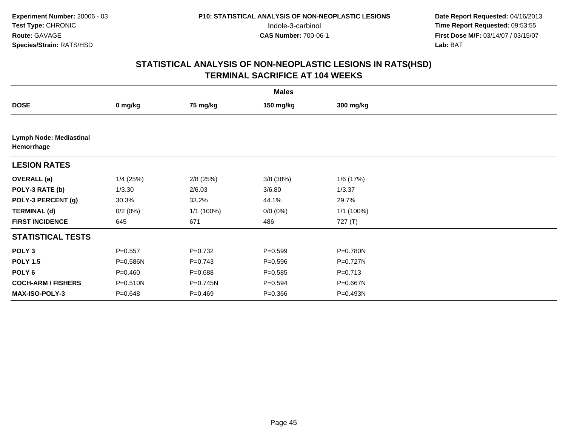|                                              | <b>Males</b> |             |             |             |  |  |  |  |
|----------------------------------------------|--------------|-------------|-------------|-------------|--|--|--|--|
| <b>DOSE</b>                                  | 0 mg/kg      | 75 mg/kg    | 150 mg/kg   | 300 mg/kg   |  |  |  |  |
|                                              |              |             |             |             |  |  |  |  |
| <b>Lymph Node: Mediastinal</b><br>Hemorrhage |              |             |             |             |  |  |  |  |
| <b>LESION RATES</b>                          |              |             |             |             |  |  |  |  |
| <b>OVERALL</b> (a)                           | $1/4$ (25%)  | $2/8$ (25%) | $3/8$ (38%) | 1/6 (17%)   |  |  |  |  |
| POLY-3 RATE (b)                              | 1/3.30       | 2/6.03      | 3/6.80      | 1/3.37      |  |  |  |  |
| POLY-3 PERCENT (g)                           | 30.3%        | 33.2%       | 44.1%       | 29.7%       |  |  |  |  |
| <b>TERMINAL (d)</b>                          | 0/2(0%)      | 1/1 (100%)  | $0/0 (0\%)$ | 1/1 (100%)  |  |  |  |  |
| <b>FIRST INCIDENCE</b>                       | 645          | 671         | 486         | 727 (T)     |  |  |  |  |
| <b>STATISTICAL TESTS</b>                     |              |             |             |             |  |  |  |  |
| POLY <sub>3</sub>                            | $P = 0.557$  | $P=0.732$   | $P = 0.599$ | P=0.780N    |  |  |  |  |
| <b>POLY 1.5</b>                              | P=0.586N     | $P=0.743$   | $P = 0.596$ | P=0.727N    |  |  |  |  |
| POLY <sub>6</sub>                            | $P = 0.460$  | $P = 0.688$ | $P = 0.585$ | $P = 0.713$ |  |  |  |  |
| <b>COCH-ARM / FISHERS</b>                    | P=0.510N     | P=0.745N    | $P = 0.594$ | P=0.667N    |  |  |  |  |
| <b>MAX-ISO-POLY-3</b>                        | $P = 0.648$  | $P=0.469$   | $P = 0.366$ | P=0.493N    |  |  |  |  |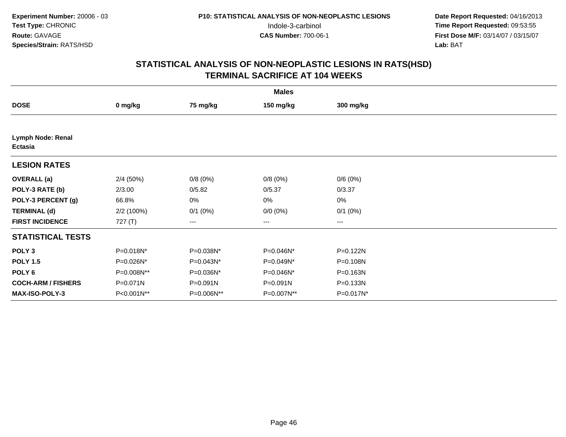|                                     | <b>Males</b> |              |                        |              |  |  |  |  |
|-------------------------------------|--------------|--------------|------------------------|--------------|--|--|--|--|
| <b>DOSE</b>                         | 0 mg/kg      | 75 mg/kg     | 150 mg/kg              | 300 mg/kg    |  |  |  |  |
|                                     |              |              |                        |              |  |  |  |  |
| <b>Lymph Node: Renal</b><br>Ectasia |              |              |                        |              |  |  |  |  |
| <b>LESION RATES</b>                 |              |              |                        |              |  |  |  |  |
| <b>OVERALL</b> (a)                  | 2/4(50%)     | 0/8(0%)      | 0/8(0%)                | 0/6(0%)      |  |  |  |  |
| POLY-3 RATE (b)                     | 2/3.00       | 0/5.82       | 0/5.37                 | 0/3.37       |  |  |  |  |
| POLY-3 PERCENT (g)                  | 66.8%        | 0%           | 0%                     | $0\%$        |  |  |  |  |
| <b>TERMINAL (d)</b>                 | 2/2 (100%)   | $0/1$ $(0%)$ | $0/0 (0\%)$            | $0/1$ $(0%)$ |  |  |  |  |
| <b>FIRST INCIDENCE</b>              | 727(T)       | ---          | $\qquad \qquad \cdots$ | ---          |  |  |  |  |
| <b>STATISTICAL TESTS</b>            |              |              |                        |              |  |  |  |  |
| POLY <sub>3</sub>                   | P=0.018N*    | P=0.038N*    | P=0.046N*              | P=0.122N     |  |  |  |  |
| <b>POLY 1.5</b>                     | P=0.026N*    | P=0.043N*    | P=0.049N*              | P=0.108N     |  |  |  |  |
| POLY 6                              | P=0.008N**   | P=0.036N*    | P=0.046N*              | P=0.163N     |  |  |  |  |
| <b>COCH-ARM / FISHERS</b>           | P=0.071N     | P=0.091N     | P=0.091N               | P=0.133N     |  |  |  |  |
| MAX-ISO-POLY-3                      | P<0.001N**   | P=0.006N**   | P=0.007N**             | P=0.017N*    |  |  |  |  |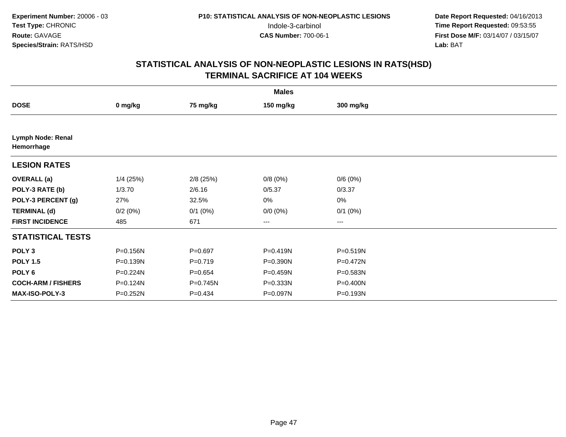| <b>Males</b>                    |             |              |                        |                        |  |  |  |
|---------------------------------|-------------|--------------|------------------------|------------------------|--|--|--|
| <b>DOSE</b>                     | 0 mg/kg     | 75 mg/kg     | 150 mg/kg              | 300 mg/kg              |  |  |  |
|                                 |             |              |                        |                        |  |  |  |
| Lymph Node: Renal<br>Hemorrhage |             |              |                        |                        |  |  |  |
| <b>LESION RATES</b>             |             |              |                        |                        |  |  |  |
| <b>OVERALL</b> (a)              | $1/4$ (25%) | $2/8$ (25%)  | 0/8(0%)                | 0/6(0%)                |  |  |  |
| POLY-3 RATE (b)                 | 1/3.70      | 2/6.16       | 0/5.37                 | 0/3.37                 |  |  |  |
| POLY-3 PERCENT (g)              | 27%         | 32.5%        | 0%                     | $0\%$                  |  |  |  |
| <b>TERMINAL (d)</b>             | 0/2(0%)     | $0/1$ $(0%)$ | $0/0 (0\%)$            | $0/1$ $(0%)$           |  |  |  |
| <b>FIRST INCIDENCE</b>          | 485         | 671          | $\qquad \qquad \cdots$ | $\qquad \qquad \cdots$ |  |  |  |
| <b>STATISTICAL TESTS</b>        |             |              |                        |                        |  |  |  |
| POLY <sub>3</sub>               | P=0.156N    | $P = 0.697$  | P=0.419N               | P=0.519N               |  |  |  |
| <b>POLY 1.5</b>                 | P=0.139N    | $P = 0.719$  | P=0.390N               | P=0.472N               |  |  |  |
| POLY <sub>6</sub>               | P=0.224N    | $P = 0.654$  | P=0.459N               | P=0.583N               |  |  |  |
| <b>COCH-ARM / FISHERS</b>       | P=0.124N    | P=0.745N     | P=0.333N               | P=0.400N               |  |  |  |
| <b>MAX-ISO-POLY-3</b>           | P=0.252N    | $P = 0.434$  | P=0.097N               | P=0.193N               |  |  |  |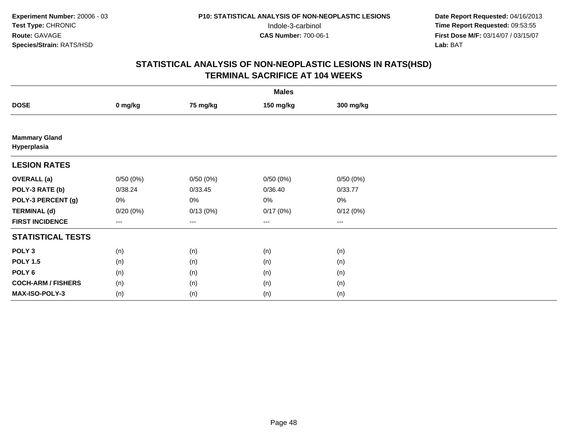| <b>Males</b>                        |                                          |                   |           |           |  |  |  |
|-------------------------------------|------------------------------------------|-------------------|-----------|-----------|--|--|--|
| <b>DOSE</b>                         | 0 mg/kg                                  | 75 mg/kg          | 150 mg/kg | 300 mg/kg |  |  |  |
|                                     |                                          |                   |           |           |  |  |  |
| <b>Mammary Gland</b><br>Hyperplasia |                                          |                   |           |           |  |  |  |
| <b>LESION RATES</b>                 |                                          |                   |           |           |  |  |  |
| <b>OVERALL</b> (a)                  | 0/50(0%)                                 | 0/50(0%)          | 0/50(0%)  | 0/50(0%)  |  |  |  |
| POLY-3 RATE (b)                     | 0/38.24                                  | 0/33.45           | 0/36.40   | 0/33.77   |  |  |  |
| POLY-3 PERCENT (g)                  | 0%                                       | 0%                | 0%        | 0%        |  |  |  |
| <b>TERMINAL (d)</b>                 | 0/20(0%)                                 | 0/13(0%)          | 0/17(0%)  | 0/12(0%)  |  |  |  |
| <b>FIRST INCIDENCE</b>              | $\hspace{0.05cm} \ldots \hspace{0.05cm}$ | $\qquad \qquad -$ | $\cdots$  | $\cdots$  |  |  |  |
| <b>STATISTICAL TESTS</b>            |                                          |                   |           |           |  |  |  |
| POLY <sub>3</sub>                   | (n)                                      | (n)               | (n)       | (n)       |  |  |  |
| <b>POLY 1.5</b>                     | (n)                                      | (n)               | (n)       | (n)       |  |  |  |
| POLY <sub>6</sub>                   | (n)                                      | (n)               | (n)       | (n)       |  |  |  |
| <b>COCH-ARM / FISHERS</b>           | (n)                                      | (n)               | (n)       | (n)       |  |  |  |
| MAX-ISO-POLY-3                      | (n)                                      | (n)               | (n)       | (n)       |  |  |  |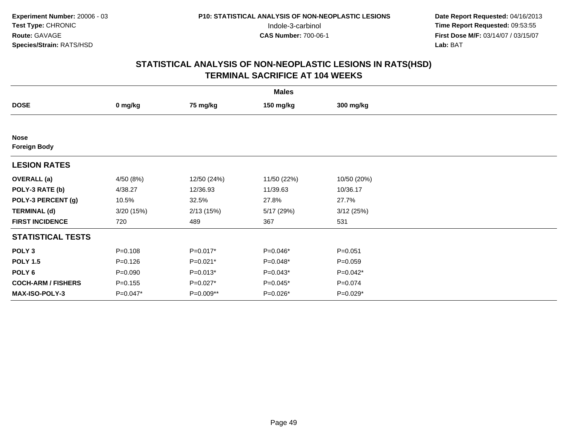|                                    | <b>Males</b> |             |             |             |  |  |  |  |
|------------------------------------|--------------|-------------|-------------|-------------|--|--|--|--|
| <b>DOSE</b>                        | 0 mg/kg      | 75 mg/kg    | 150 mg/kg   | 300 mg/kg   |  |  |  |  |
|                                    |              |             |             |             |  |  |  |  |
| <b>Nose</b><br><b>Foreign Body</b> |              |             |             |             |  |  |  |  |
| <b>LESION RATES</b>                |              |             |             |             |  |  |  |  |
| <b>OVERALL</b> (a)                 | 4/50 (8%)    | 12/50 (24%) | 11/50 (22%) | 10/50 (20%) |  |  |  |  |
| POLY-3 RATE (b)                    | 4/38.27      | 12/36.93    | 11/39.63    | 10/36.17    |  |  |  |  |
| POLY-3 PERCENT (g)                 | 10.5%        | 32.5%       | 27.8%       | 27.7%       |  |  |  |  |
| <b>TERMINAL (d)</b>                | 3/20 (15%)   | 2/13(15%)   | 5/17 (29%)  | 3/12(25%)   |  |  |  |  |
| <b>FIRST INCIDENCE</b>             | 720          | 489         | 367         | 531         |  |  |  |  |
| <b>STATISTICAL TESTS</b>           |              |             |             |             |  |  |  |  |
| POLY <sub>3</sub>                  | $P = 0.108$  | $P=0.017*$  | P=0.046*    | $P = 0.051$ |  |  |  |  |
| <b>POLY 1.5</b>                    | $P=0.126$    | $P=0.021*$  | $P=0.048*$  | $P = 0.059$ |  |  |  |  |
| POLY 6                             | $P = 0.090$  | $P=0.013*$  | $P=0.043*$  | $P=0.042*$  |  |  |  |  |
| <b>COCH-ARM / FISHERS</b>          | $P = 0.155$  | $P=0.027*$  | $P=0.045*$  | $P = 0.074$ |  |  |  |  |
| MAX-ISO-POLY-3                     | P=0.047*     | P=0.009**   | P=0.026*    | $P=0.029*$  |  |  |  |  |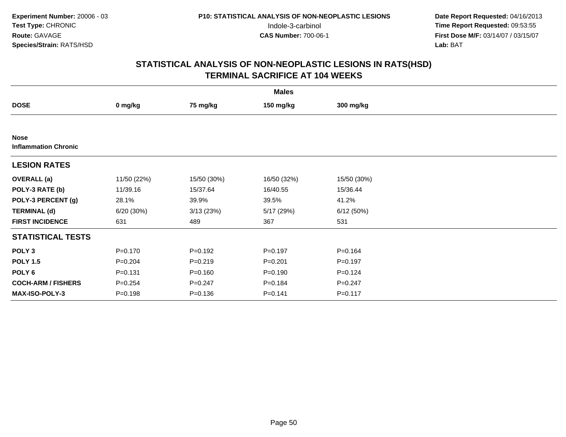|                                            | <b>Males</b> |             |             |             |  |  |  |  |
|--------------------------------------------|--------------|-------------|-------------|-------------|--|--|--|--|
| <b>DOSE</b>                                | 0 mg/kg      | 75 mg/kg    | 150 mg/kg   | 300 mg/kg   |  |  |  |  |
|                                            |              |             |             |             |  |  |  |  |
| <b>Nose</b><br><b>Inflammation Chronic</b> |              |             |             |             |  |  |  |  |
| <b>LESION RATES</b>                        |              |             |             |             |  |  |  |  |
| <b>OVERALL</b> (a)                         | 11/50 (22%)  | 15/50 (30%) | 16/50 (32%) | 15/50 (30%) |  |  |  |  |
| POLY-3 RATE (b)                            | 11/39.16     | 15/37.64    | 16/40.55    | 15/36.44    |  |  |  |  |
| POLY-3 PERCENT (g)                         | 28.1%        | 39.9%       | 39.5%       | 41.2%       |  |  |  |  |
| <b>TERMINAL (d)</b>                        | 6/20 (30%)   | 3/13(23%)   | 5/17 (29%)  | 6/12(50%)   |  |  |  |  |
| <b>FIRST INCIDENCE</b>                     | 631          | 489         | 367         | 531         |  |  |  |  |
| <b>STATISTICAL TESTS</b>                   |              |             |             |             |  |  |  |  |
| POLY <sub>3</sub>                          | $P = 0.170$  | $P=0.192$   | $P=0.197$   | $P = 0.164$ |  |  |  |  |
| <b>POLY 1.5</b>                            | $P = 0.204$  | $P=0.219$   | $P = 0.201$ | $P=0.197$   |  |  |  |  |
| POLY <sub>6</sub>                          | $P = 0.131$  | $P = 0.160$ | $P = 0.190$ | $P=0.124$   |  |  |  |  |
| <b>COCH-ARM / FISHERS</b>                  | $P = 0.254$  | $P = 0.247$ | $P = 0.184$ | $P = 0.247$ |  |  |  |  |
| MAX-ISO-POLY-3                             | $P = 0.198$  | $P = 0.136$ | $P = 0.141$ | $P = 0.117$ |  |  |  |  |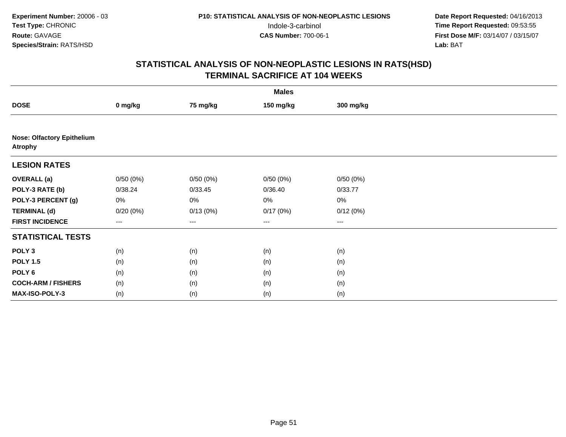|                                                     | <b>Males</b>      |          |                   |                   |  |  |  |  |  |
|-----------------------------------------------------|-------------------|----------|-------------------|-------------------|--|--|--|--|--|
| <b>DOSE</b>                                         | 0 mg/kg           | 75 mg/kg | 150 mg/kg         | 300 mg/kg         |  |  |  |  |  |
|                                                     |                   |          |                   |                   |  |  |  |  |  |
| <b>Nose: Olfactory Epithelium</b><br><b>Atrophy</b> |                   |          |                   |                   |  |  |  |  |  |
| <b>LESION RATES</b>                                 |                   |          |                   |                   |  |  |  |  |  |
| <b>OVERALL</b> (a)                                  | 0/50(0%)          | 0/50(0%) | 0/50(0%)          | 0/50(0%)          |  |  |  |  |  |
| POLY-3 RATE (b)                                     | 0/38.24           | 0/33.45  | 0/36.40           | 0/33.77           |  |  |  |  |  |
| POLY-3 PERCENT (g)                                  | $0\%$             | 0%       | 0%                | 0%                |  |  |  |  |  |
| <b>TERMINAL (d)</b>                                 | 0/20(0%)          | 0/13(0%) | 0/17(0%)          | 0/12(0%)          |  |  |  |  |  |
| <b>FIRST INCIDENCE</b>                              | $\qquad \qquad -$ | $--$     | $\qquad \qquad -$ | $\qquad \qquad -$ |  |  |  |  |  |
| <b>STATISTICAL TESTS</b>                            |                   |          |                   |                   |  |  |  |  |  |
| POLY <sub>3</sub>                                   | (n)               | (n)      | (n)               | (n)               |  |  |  |  |  |
| <b>POLY 1.5</b>                                     | (n)               | (n)      | (n)               | (n)               |  |  |  |  |  |
| POLY <sub>6</sub>                                   | (n)               | (n)      | (n)               | (n)               |  |  |  |  |  |
| <b>COCH-ARM / FISHERS</b>                           | (n)               | (n)      | (n)               | (n)               |  |  |  |  |  |
| MAX-ISO-POLY-3                                      | (n)               | (n)      | (n)               | (n)               |  |  |  |  |  |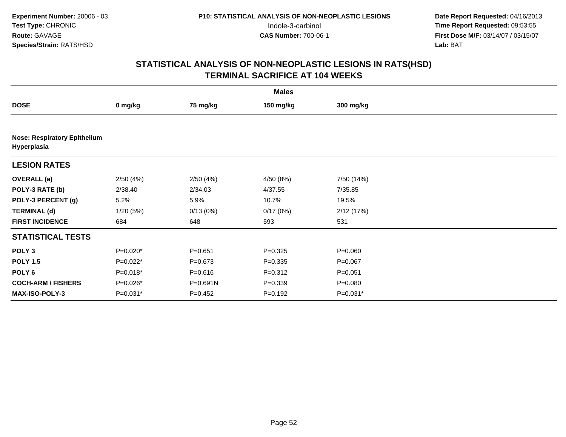|                           | <b>Males</b>                        |             |             |             |  |  |  |  |  |
|---------------------------|-------------------------------------|-------------|-------------|-------------|--|--|--|--|--|
| <b>DOSE</b>               | 0 mg/kg                             | 75 mg/kg    | 150 mg/kg   | 300 mg/kg   |  |  |  |  |  |
|                           |                                     |             |             |             |  |  |  |  |  |
| Hyperplasia               | <b>Nose: Respiratory Epithelium</b> |             |             |             |  |  |  |  |  |
| <b>LESION RATES</b>       |                                     |             |             |             |  |  |  |  |  |
| <b>OVERALL</b> (a)        | 2/50(4%)                            | 2/50(4%)    | 4/50 (8%)   | 7/50 (14%)  |  |  |  |  |  |
| POLY-3 RATE (b)           | 2/38.40                             | 2/34.03     | 4/37.55     | 7/35.85     |  |  |  |  |  |
| POLY-3 PERCENT (g)        | 5.2%                                | 5.9%        | 10.7%       | 19.5%       |  |  |  |  |  |
| <b>TERMINAL (d)</b>       | 1/20(5%)                            | 0/13(0%)    | 0/17(0%)    | 2/12(17%)   |  |  |  |  |  |
| <b>FIRST INCIDENCE</b>    | 684                                 | 648         | 593         | 531         |  |  |  |  |  |
| <b>STATISTICAL TESTS</b>  |                                     |             |             |             |  |  |  |  |  |
| POLY <sub>3</sub>         | P=0.020*                            | $P = 0.651$ | $P = 0.325$ | $P = 0.060$ |  |  |  |  |  |
| <b>POLY 1.5</b>           | $P=0.022*$                          | $P = 0.673$ | $P = 0.335$ | $P = 0.067$ |  |  |  |  |  |
| POLY 6                    | $P=0.018*$                          | $P = 0.616$ | $P = 0.312$ | $P = 0.051$ |  |  |  |  |  |
| <b>COCH-ARM / FISHERS</b> | P=0.026*                            | P=0.691N    | $P = 0.339$ | $P = 0.080$ |  |  |  |  |  |
| MAX-ISO-POLY-3            | $P=0.031*$                          | $P = 0.452$ | $P = 0.192$ | $P=0.031*$  |  |  |  |  |  |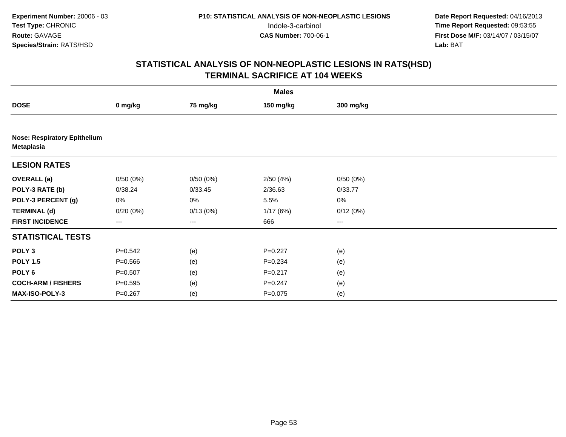|                           | <b>Males</b>                        |          |             |           |  |  |  |  |  |
|---------------------------|-------------------------------------|----------|-------------|-----------|--|--|--|--|--|
| <b>DOSE</b>               | 0 mg/kg                             | 75 mg/kg | 150 mg/kg   | 300 mg/kg |  |  |  |  |  |
|                           |                                     |          |             |           |  |  |  |  |  |
| Metaplasia                | <b>Nose: Respiratory Epithelium</b> |          |             |           |  |  |  |  |  |
| <b>LESION RATES</b>       |                                     |          |             |           |  |  |  |  |  |
| <b>OVERALL (a)</b>        | 0/50(0%)                            | 0/50(0%) | 2/50(4%)    | 0/50(0%)  |  |  |  |  |  |
| POLY-3 RATE (b)           | 0/38.24                             | 0/33.45  | 2/36.63     | 0/33.77   |  |  |  |  |  |
| POLY-3 PERCENT (g)        | 0%                                  | 0%       | 5.5%        | $0\%$     |  |  |  |  |  |
| <b>TERMINAL (d)</b>       | 0/20(0%)                            | 0/13(0%) | 1/17(6%)    | 0/12(0%)  |  |  |  |  |  |
| <b>FIRST INCIDENCE</b>    | ---                                 | ---      | 666         | ---       |  |  |  |  |  |
| <b>STATISTICAL TESTS</b>  |                                     |          |             |           |  |  |  |  |  |
| POLY <sub>3</sub>         | $P = 0.542$                         | (e)      | $P=0.227$   | (e)       |  |  |  |  |  |
| <b>POLY 1.5</b>           | $P = 0.566$                         | (e)      | $P = 0.234$ | (e)       |  |  |  |  |  |
| POLY <sub>6</sub>         | $P = 0.507$                         | (e)      | $P = 0.217$ | (e)       |  |  |  |  |  |
| <b>COCH-ARM / FISHERS</b> | $P = 0.595$                         | (e)      | $P = 0.247$ | (e)       |  |  |  |  |  |
| MAX-ISO-POLY-3            | $P = 0.267$                         | (e)      | $P = 0.075$ | (e)       |  |  |  |  |  |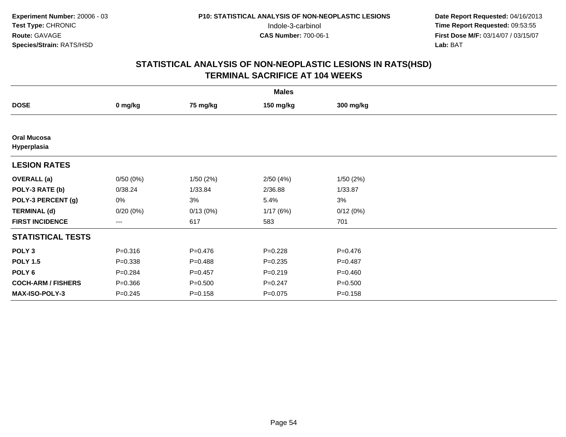|                                   | <b>Males</b> |             |             |             |  |  |  |  |
|-----------------------------------|--------------|-------------|-------------|-------------|--|--|--|--|
| <b>DOSE</b>                       | 0 mg/kg      | 75 mg/kg    | 150 mg/kg   | 300 mg/kg   |  |  |  |  |
|                                   |              |             |             |             |  |  |  |  |
| <b>Oral Mucosa</b><br>Hyperplasia |              |             |             |             |  |  |  |  |
| <b>LESION RATES</b>               |              |             |             |             |  |  |  |  |
| <b>OVERALL</b> (a)                | 0/50(0%)     | 1/50(2%)    | 2/50(4%)    | 1/50(2%)    |  |  |  |  |
| POLY-3 RATE (b)                   | 0/38.24      | 1/33.84     | 2/36.88     | 1/33.87     |  |  |  |  |
| POLY-3 PERCENT (g)                | 0%           | 3%          | 5.4%        | 3%          |  |  |  |  |
| <b>TERMINAL (d)</b>               | $0/20(0\%)$  | 0/13(0%)    | 1/17(6%)    | 0/12(0%)    |  |  |  |  |
| <b>FIRST INCIDENCE</b>            | ---          | 617         | 583         | 701         |  |  |  |  |
| <b>STATISTICAL TESTS</b>          |              |             |             |             |  |  |  |  |
| POLY <sub>3</sub>                 | $P = 0.316$  | $P = 0.476$ | $P = 0.228$ | $P = 0.476$ |  |  |  |  |
| <b>POLY 1.5</b>                   | $P = 0.338$  | $P=0.488$   | $P = 0.235$ | $P = 0.487$ |  |  |  |  |
| POLY <sub>6</sub>                 | $P = 0.284$  | $P = 0.457$ | $P = 0.219$ | $P = 0.460$ |  |  |  |  |
| <b>COCH-ARM / FISHERS</b>         | $P = 0.366$  | $P = 0.500$ | $P = 0.247$ | $P = 0.500$ |  |  |  |  |
| <b>MAX-ISO-POLY-3</b>             | $P = 0.245$  | $P = 0.158$ | $P = 0.075$ | $P = 0.158$ |  |  |  |  |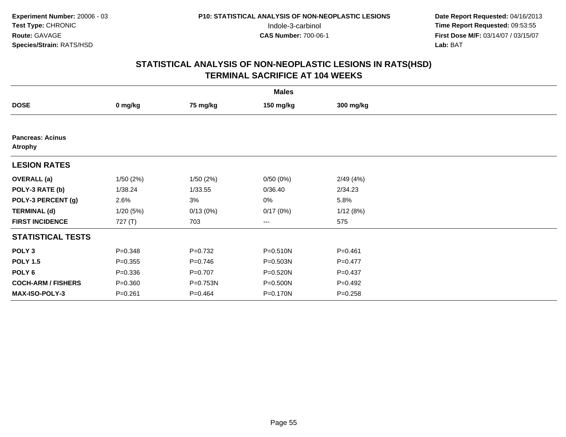|                                           | <b>Males</b> |             |              |             |  |  |  |  |
|-------------------------------------------|--------------|-------------|--------------|-------------|--|--|--|--|
| <b>DOSE</b>                               | 0 mg/kg      | 75 mg/kg    | 150 mg/kg    | 300 mg/kg   |  |  |  |  |
|                                           |              |             |              |             |  |  |  |  |
| <b>Pancreas: Acinus</b><br><b>Atrophy</b> |              |             |              |             |  |  |  |  |
| <b>LESION RATES</b>                       |              |             |              |             |  |  |  |  |
| <b>OVERALL</b> (a)                        | 1/50(2%)     | 1/50(2%)    | 0/50(0%)     | 2/49(4%)    |  |  |  |  |
| POLY-3 RATE (b)                           | 1/38.24      | 1/33.55     | 0/36.40      | 2/34.23     |  |  |  |  |
| POLY-3 PERCENT (g)                        | 2.6%         | 3%          | 0%           | 5.8%        |  |  |  |  |
| <b>TERMINAL (d)</b>                       | 1/20(5%)     | 0/13(0%)    | 0/17(0%)     | 1/12(8%)    |  |  |  |  |
| <b>FIRST INCIDENCE</b>                    | 727(T)       | 703         | $\cdots$     | 575         |  |  |  |  |
| <b>STATISTICAL TESTS</b>                  |              |             |              |             |  |  |  |  |
| POLY <sub>3</sub>                         | $P = 0.348$  | $P = 0.732$ | $P = 0.510N$ | $P = 0.461$ |  |  |  |  |
| <b>POLY 1.5</b>                           | $P = 0.355$  | $P=0.746$   | P=0.503N     | $P=0.477$   |  |  |  |  |
| POLY 6                                    | $P = 0.336$  | $P=0.707$   | P=0.520N     | $P = 0.437$ |  |  |  |  |
| <b>COCH-ARM / FISHERS</b>                 | $P = 0.360$  | P=0.753N    | P=0.500N     | $P=0.492$   |  |  |  |  |
| <b>MAX-ISO-POLY-3</b>                     | $P = 0.261$  | $P=0.464$   | P=0.170N     | $P = 0.258$ |  |  |  |  |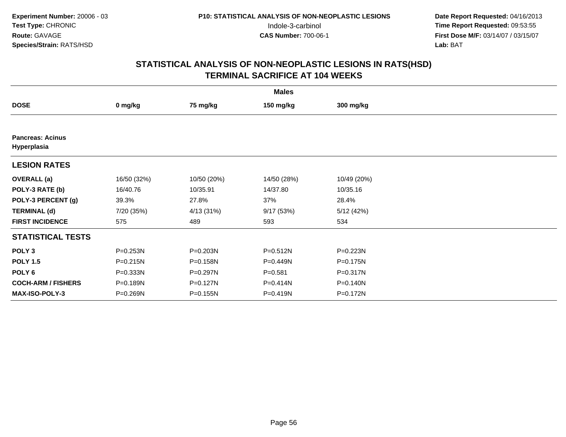|                                        | <b>Males</b> |              |              |             |  |  |  |  |
|----------------------------------------|--------------|--------------|--------------|-------------|--|--|--|--|
| <b>DOSE</b>                            | 0 mg/kg      | 75 mg/kg     | 150 mg/kg    | 300 mg/kg   |  |  |  |  |
|                                        |              |              |              |             |  |  |  |  |
| <b>Pancreas: Acinus</b><br>Hyperplasia |              |              |              |             |  |  |  |  |
| <b>LESION RATES</b>                    |              |              |              |             |  |  |  |  |
| <b>OVERALL</b> (a)                     | 16/50 (32%)  | 10/50 (20%)  | 14/50 (28%)  | 10/49 (20%) |  |  |  |  |
| POLY-3 RATE (b)                        | 16/40.76     | 10/35.91     | 14/37.80     | 10/35.16    |  |  |  |  |
| POLY-3 PERCENT (g)                     | 39.3%        | 27.8%        | 37%          | 28.4%       |  |  |  |  |
| <b>TERMINAL (d)</b>                    | 7/20 (35%)   | 4/13 (31%)   | 9/17(53%)    | 5/12(42%)   |  |  |  |  |
| <b>FIRST INCIDENCE</b>                 | 575          | 489          | 593          | 534         |  |  |  |  |
| <b>STATISTICAL TESTS</b>               |              |              |              |             |  |  |  |  |
| POLY <sub>3</sub>                      | P=0.253N     | $P = 0.203N$ | $P = 0.512N$ | P=0.223N    |  |  |  |  |
| <b>POLY 1.5</b>                        | $P = 0.215N$ | P=0.158N     | P=0.449N     | P=0.175N    |  |  |  |  |
| POLY 6                                 | $P = 0.333N$ | P=0.297N     | $P = 0.581$  | P=0.317N    |  |  |  |  |
| <b>COCH-ARM / FISHERS</b>              | P=0.189N     | $P = 0.127N$ | P=0.414N     | P=0.140N    |  |  |  |  |
| MAX-ISO-POLY-3                         | P=0.269N     | P=0.155N     | P=0.419N     | P=0.172N    |  |  |  |  |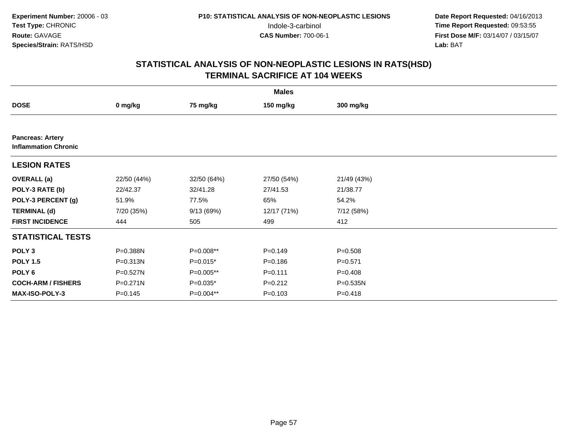|                                                        | <b>Males</b> |             |             |             |  |  |  |  |
|--------------------------------------------------------|--------------|-------------|-------------|-------------|--|--|--|--|
| <b>DOSE</b>                                            | 0 mg/kg      | 75 mg/kg    | 150 mg/kg   | 300 mg/kg   |  |  |  |  |
|                                                        |              |             |             |             |  |  |  |  |
| <b>Pancreas: Artery</b><br><b>Inflammation Chronic</b> |              |             |             |             |  |  |  |  |
| <b>LESION RATES</b>                                    |              |             |             |             |  |  |  |  |
| <b>OVERALL</b> (a)                                     | 22/50 (44%)  | 32/50 (64%) | 27/50 (54%) | 21/49 (43%) |  |  |  |  |
| POLY-3 RATE (b)                                        | 22/42.37     | 32/41.28    | 27/41.53    | 21/38.77    |  |  |  |  |
| POLY-3 PERCENT (g)                                     | 51.9%        | 77.5%       | 65%         | 54.2%       |  |  |  |  |
| <b>TERMINAL (d)</b>                                    | 7/20 (35%)   | 9/13 (69%)  | 12/17 (71%) | 7/12 (58%)  |  |  |  |  |
| <b>FIRST INCIDENCE</b>                                 | 444          | 505         | 499         | 412         |  |  |  |  |
| <b>STATISTICAL TESTS</b>                               |              |             |             |             |  |  |  |  |
| POLY <sub>3</sub>                                      | P=0.388N     | P=0.008**   | $P = 0.149$ | $P = 0.508$ |  |  |  |  |
| <b>POLY 1.5</b>                                        | $P = 0.313N$ | $P=0.015*$  | $P = 0.186$ | $P = 0.571$ |  |  |  |  |
| POLY <sub>6</sub>                                      | P=0.527N     | P=0.005**   | $P = 0.111$ | $P=0.408$   |  |  |  |  |
| <b>COCH-ARM / FISHERS</b>                              | $P = 0.271N$ | $P=0.035*$  | $P = 0.212$ | P=0.535N    |  |  |  |  |
| MAX-ISO-POLY-3                                         | $P=0.145$    | P=0.004**   | $P = 0.103$ | $P = 0.418$ |  |  |  |  |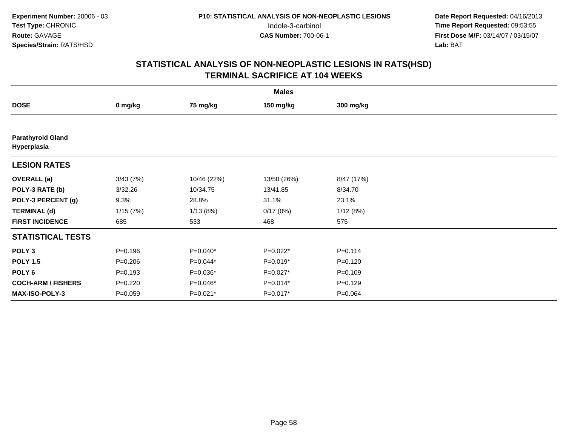|                                         | <b>Males</b> |             |             |             |  |  |  |  |
|-----------------------------------------|--------------|-------------|-------------|-------------|--|--|--|--|
| <b>DOSE</b>                             | 0 mg/kg      | 75 mg/kg    | 150 mg/kg   | 300 mg/kg   |  |  |  |  |
|                                         |              |             |             |             |  |  |  |  |
| <b>Parathyroid Gland</b><br>Hyperplasia |              |             |             |             |  |  |  |  |
| <b>LESION RATES</b>                     |              |             |             |             |  |  |  |  |
| <b>OVERALL</b> (a)                      | 3/43(7%)     | 10/46 (22%) | 13/50 (26%) | 8/47 (17%)  |  |  |  |  |
| POLY-3 RATE (b)                         | 3/32.26      | 10/34.75    | 13/41.85    | 8/34.70     |  |  |  |  |
| POLY-3 PERCENT (g)                      | 9.3%         | 28.8%       | 31.1%       | 23.1%       |  |  |  |  |
| <b>TERMINAL (d)</b>                     | 1/15(7%)     | 1/13(8%)    | 0/17(0%)    | 1/12(8%)    |  |  |  |  |
| <b>FIRST INCIDENCE</b>                  | 685          | 533         | 468         | 575         |  |  |  |  |
| <b>STATISTICAL TESTS</b>                |              |             |             |             |  |  |  |  |
| POLY <sub>3</sub>                       | $P = 0.196$  | $P=0.040*$  | $P=0.022*$  | $P = 0.114$ |  |  |  |  |
| <b>POLY 1.5</b>                         | $P=0.206$    | $P=0.044*$  | $P=0.019*$  | $P=0.120$   |  |  |  |  |
| POLY 6                                  | $P = 0.193$  | $P=0.036*$  | $P=0.027*$  | $P = 0.109$ |  |  |  |  |
| <b>COCH-ARM / FISHERS</b>               | $P = 0.220$  | $P=0.046*$  | $P=0.014*$  | $P=0.129$   |  |  |  |  |
| MAX-ISO-POLY-3                          | $P = 0.059$  | P=0.021*    | $P=0.017*$  | $P = 0.064$ |  |  |  |  |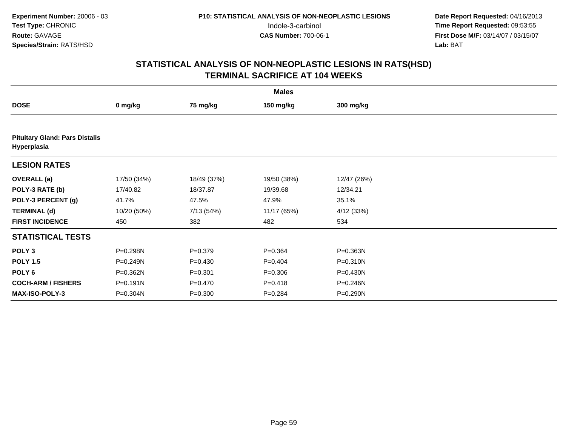| <b>Males</b>                                         |             |             |             |              |  |  |  |  |
|------------------------------------------------------|-------------|-------------|-------------|--------------|--|--|--|--|
| <b>DOSE</b>                                          | 0 mg/kg     | 75 mg/kg    | 150 mg/kg   | 300 mg/kg    |  |  |  |  |
|                                                      |             |             |             |              |  |  |  |  |
| <b>Pituitary Gland: Pars Distalis</b><br>Hyperplasia |             |             |             |              |  |  |  |  |
| <b>LESION RATES</b>                                  |             |             |             |              |  |  |  |  |
| <b>OVERALL</b> (a)                                   | 17/50 (34%) | 18/49 (37%) | 19/50 (38%) | 12/47 (26%)  |  |  |  |  |
| POLY-3 RATE (b)                                      | 17/40.82    | 18/37.87    | 19/39.68    | 12/34.21     |  |  |  |  |
| POLY-3 PERCENT (g)                                   | 41.7%       | 47.5%       | 47.9%       | 35.1%        |  |  |  |  |
| <b>TERMINAL (d)</b>                                  | 10/20 (50%) | 7/13 (54%)  | 11/17 (65%) | 4/12(33%)    |  |  |  |  |
| <b>FIRST INCIDENCE</b>                               | 450         | 382         | 482         | 534          |  |  |  |  |
| <b>STATISTICAL TESTS</b>                             |             |             |             |              |  |  |  |  |
| POLY <sub>3</sub>                                    | P=0.298N    | $P = 0.379$ | $P = 0.364$ | P=0.363N     |  |  |  |  |
| <b>POLY 1.5</b>                                      | P=0.249N    | $P=0.430$   | $P=0.404$   | $P = 0.310N$ |  |  |  |  |
| POLY <sub>6</sub>                                    | P=0.362N    | $P = 0.301$ | $P = 0.306$ | $P = 0.430N$ |  |  |  |  |
| <b>COCH-ARM / FISHERS</b>                            | P=0.191N    | $P=0.470$   | $P = 0.418$ | P=0.246N     |  |  |  |  |
| <b>MAX-ISO-POLY-3</b>                                | P=0.304N    | $P = 0.300$ | $P = 0.284$ | P=0.290N     |  |  |  |  |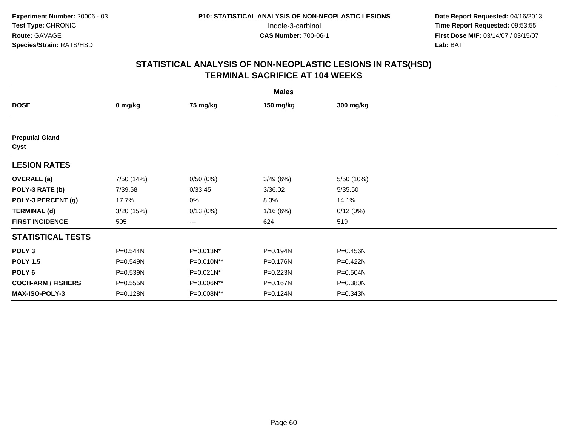| <b>Males</b>                   |            |              |           |            |  |  |  |
|--------------------------------|------------|--------------|-----------|------------|--|--|--|
| <b>DOSE</b>                    | 0 mg/kg    | 75 mg/kg     | 150 mg/kg | 300 mg/kg  |  |  |  |
|                                |            |              |           |            |  |  |  |
| <b>Preputial Gland</b><br>Cyst |            |              |           |            |  |  |  |
| <b>LESION RATES</b>            |            |              |           |            |  |  |  |
| <b>OVERALL</b> (a)             | 7/50 (14%) | 0/50(0%)     | 3/49(6%)  | 5/50 (10%) |  |  |  |
| POLY-3 RATE (b)                | 7/39.58    | 0/33.45      | 3/36.02   | 5/35.50    |  |  |  |
| POLY-3 PERCENT (g)             | 17.7%      | 0%           | 8.3%      | 14.1%      |  |  |  |
| <b>TERMINAL (d)</b>            | 3/20(15%)  | 0/13(0%)     | 1/16(6%)  | 0/12(0%)   |  |  |  |
| <b>FIRST INCIDENCE</b>         | 505        | ---          | 624       | 519        |  |  |  |
| <b>STATISTICAL TESTS</b>       |            |              |           |            |  |  |  |
| POLY <sub>3</sub>              | P=0.544N   | P=0.013N*    | P=0.194N  | P=0.456N   |  |  |  |
| <b>POLY 1.5</b>                | P=0.549N   | P=0.010N**   | P=0.176N  | P=0.422N   |  |  |  |
| POLY 6                         | P=0.539N   | $P=0.021N^*$ | P=0.223N  | P=0.504N   |  |  |  |
| <b>COCH-ARM / FISHERS</b>      | P=0.555N   | P=0.006N**   | P=0.167N  | P=0.380N   |  |  |  |
| MAX-ISO-POLY-3                 | P=0.128N   | P=0.008N**   | P=0.124N  | P=0.343N   |  |  |  |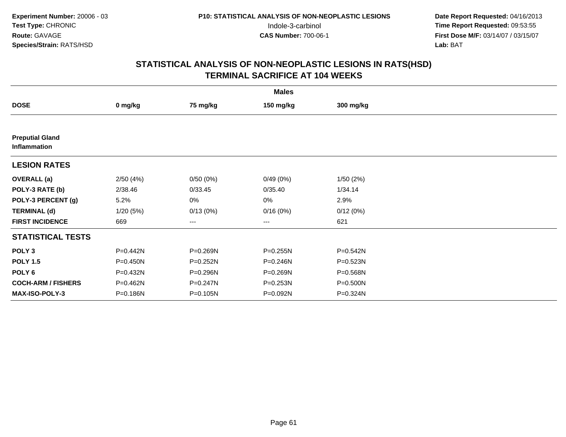|                                        | <b>Males</b> |          |                        |              |  |  |  |  |
|----------------------------------------|--------------|----------|------------------------|--------------|--|--|--|--|
| <b>DOSE</b>                            | 0 mg/kg      | 75 mg/kg | 150 mg/kg              | 300 mg/kg    |  |  |  |  |
|                                        |              |          |                        |              |  |  |  |  |
| <b>Preputial Gland</b><br>Inflammation |              |          |                        |              |  |  |  |  |
| <b>LESION RATES</b>                    |              |          |                        |              |  |  |  |  |
| <b>OVERALL</b> (a)                     | 2/50(4%)     | 0/50(0%) | 0/49(0%)               | 1/50(2%)     |  |  |  |  |
| POLY-3 RATE (b)                        | 2/38.46      | 0/33.45  | 0/35.40                | 1/34.14      |  |  |  |  |
| POLY-3 PERCENT (g)                     | 5.2%         | 0%       | 0%                     | 2.9%         |  |  |  |  |
| <b>TERMINAL (d)</b>                    | 1/20(5%)     | 0/13(0%) | 0/16(0%)               | 0/12(0%)     |  |  |  |  |
| <b>FIRST INCIDENCE</b>                 | 669          | ---      | $\qquad \qquad \cdots$ | 621          |  |  |  |  |
| <b>STATISTICAL TESTS</b>               |              |          |                        |              |  |  |  |  |
| POLY <sub>3</sub>                      | P=0.442N     | P=0.269N | $P = 0.255N$           | $P = 0.542N$ |  |  |  |  |
| <b>POLY 1.5</b>                        | $P = 0.450N$ | P=0.252N | P=0.246N               | $P = 0.523N$ |  |  |  |  |
| POLY 6                                 | P=0.432N     | P=0.296N | P=0.269N               | P=0.568N     |  |  |  |  |
| <b>COCH-ARM / FISHERS</b>              | P=0.462N     | P=0.247N | P=0.253N               | P=0.500N     |  |  |  |  |
| MAX-ISO-POLY-3                         | P=0.186N     | P=0.105N | P=0.092N               | P=0.324N     |  |  |  |  |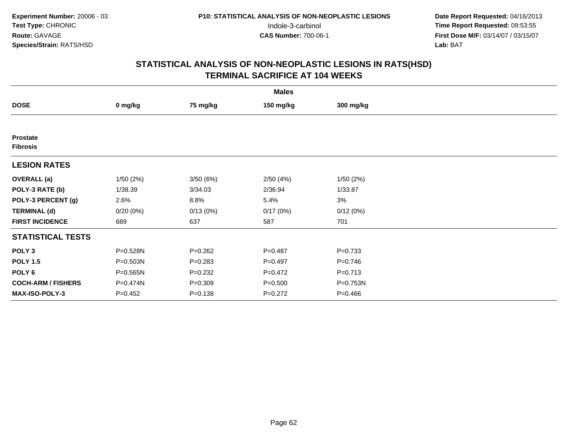| <b>Males</b>                       |             |             |             |             |  |  |  |
|------------------------------------|-------------|-------------|-------------|-------------|--|--|--|
| <b>DOSE</b>                        | 0 mg/kg     | 75 mg/kg    | 150 mg/kg   | 300 mg/kg   |  |  |  |
|                                    |             |             |             |             |  |  |  |
| <b>Prostate</b><br><b>Fibrosis</b> |             |             |             |             |  |  |  |
| <b>LESION RATES</b>                |             |             |             |             |  |  |  |
| <b>OVERALL</b> (a)                 | 1/50(2%)    | 3/50(6%)    | 2/50(4%)    | 1/50(2%)    |  |  |  |
| POLY-3 RATE (b)                    | 1/38.39     | 3/34.03     | 2/36.94     | 1/33.87     |  |  |  |
| POLY-3 PERCENT (g)                 | 2.6%        | 8.8%        | 5.4%        | 3%          |  |  |  |
| <b>TERMINAL (d)</b>                | 0/20(0%)    | 0/13(0%)    | 0/17(0%)    | 0/12(0%)    |  |  |  |
| <b>FIRST INCIDENCE</b>             | 689         | 637         | 587         | 701         |  |  |  |
| <b>STATISTICAL TESTS</b>           |             |             |             |             |  |  |  |
| POLY <sub>3</sub>                  | P=0.528N    | $P=0.262$   | $P=0.487$   | $P = 0.733$ |  |  |  |
| <b>POLY 1.5</b>                    | P=0.503N    | $P = 0.283$ | $P=0.497$   | $P=0.746$   |  |  |  |
| POLY 6                             | P=0.565N    | $P = 0.232$ | $P=0.472$   | $P = 0.713$ |  |  |  |
| <b>COCH-ARM / FISHERS</b>          | P=0.474N    | $P = 0.309$ | $P = 0.500$ | P=0.753N    |  |  |  |
| MAX-ISO-POLY-3                     | $P = 0.452$ | $P = 0.138$ | $P=0.272$   | $P=0.466$   |  |  |  |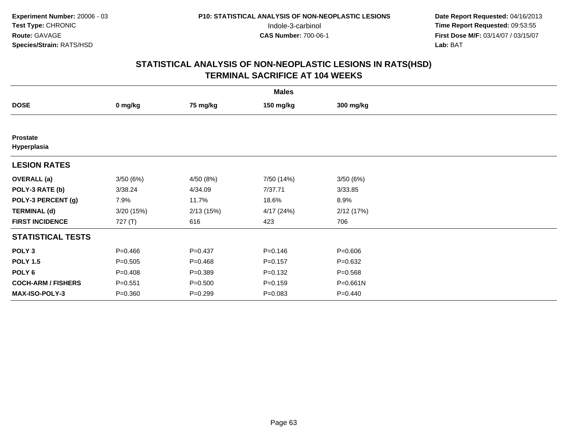| <b>Males</b>                   |             |             |             |              |  |  |  |
|--------------------------------|-------------|-------------|-------------|--------------|--|--|--|
| <b>DOSE</b>                    | 0 mg/kg     | 75 mg/kg    | 150 mg/kg   | 300 mg/kg    |  |  |  |
|                                |             |             |             |              |  |  |  |
| <b>Prostate</b><br>Hyperplasia |             |             |             |              |  |  |  |
| <b>LESION RATES</b>            |             |             |             |              |  |  |  |
| <b>OVERALL</b> (a)             | 3/50(6%)    | 4/50 (8%)   | 7/50 (14%)  | 3/50(6%)     |  |  |  |
| POLY-3 RATE (b)                | 3/38.24     | 4/34.09     | 7/37.71     | 3/33.85      |  |  |  |
| POLY-3 PERCENT (g)             | 7.9%        | 11.7%       | 18.6%       | 8.9%         |  |  |  |
| <b>TERMINAL (d)</b>            | 3/20(15%)   | 2/13(15%)   | 4/17 (24%)  | 2/12(17%)    |  |  |  |
| <b>FIRST INCIDENCE</b>         | 727 (T)     | 616         | 423         | 706          |  |  |  |
| <b>STATISTICAL TESTS</b>       |             |             |             |              |  |  |  |
| POLY <sub>3</sub>              | $P = 0.466$ | $P=0.437$   | $P = 0.146$ | $P = 0.606$  |  |  |  |
| <b>POLY 1.5</b>                | $P = 0.505$ | $P=0.468$   | $P=0.157$   | $P = 0.632$  |  |  |  |
| POLY 6                         | $P = 0.408$ | $P = 0.389$ | $P = 0.132$ | $P = 0.568$  |  |  |  |
| <b>COCH-ARM / FISHERS</b>      | $P = 0.551$ | $P = 0.500$ | $P = 0.159$ | $P = 0.661N$ |  |  |  |
| MAX-ISO-POLY-3                 | $P = 0.360$ | $P = 0.299$ | $P = 0.083$ | $P=0.440$    |  |  |  |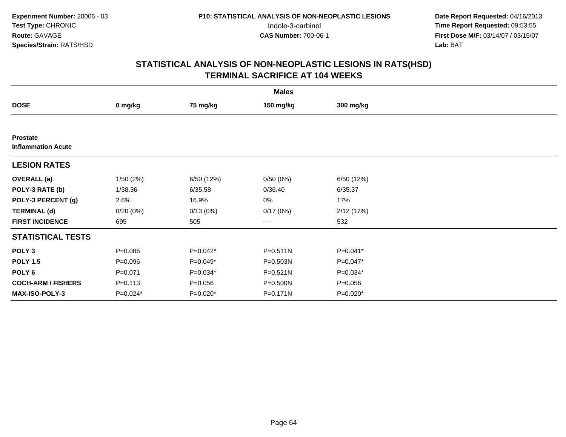|                                              | <b>Males</b> |             |              |             |  |  |  |  |
|----------------------------------------------|--------------|-------------|--------------|-------------|--|--|--|--|
| <b>DOSE</b>                                  | 0 mg/kg      | 75 mg/kg    | 150 mg/kg    | 300 mg/kg   |  |  |  |  |
|                                              |              |             |              |             |  |  |  |  |
| <b>Prostate</b><br><b>Inflammation Acute</b> |              |             |              |             |  |  |  |  |
| <b>LESION RATES</b>                          |              |             |              |             |  |  |  |  |
| <b>OVERALL</b> (a)                           | 1/50(2%)     | 6/50 (12%)  | 0/50(0%)     | 6/50 (12%)  |  |  |  |  |
| POLY-3 RATE (b)                              | 1/38.36      | 6/35.58     | 0/36.40      | 6/35.37     |  |  |  |  |
| POLY-3 PERCENT (g)                           | 2.6%         | 16.9%       | 0%           | 17%         |  |  |  |  |
| <b>TERMINAL (d)</b>                          | 0/20(0%)     | 0/13(0%)    | 0/17(0%)     | 2/12(17%)   |  |  |  |  |
| <b>FIRST INCIDENCE</b>                       | 695          | 505         | $---$        | 532         |  |  |  |  |
| <b>STATISTICAL TESTS</b>                     |              |             |              |             |  |  |  |  |
| POLY <sub>3</sub>                            | $P = 0.085$  | $P=0.042*$  | $P = 0.511N$ | $P=0.041*$  |  |  |  |  |
| <b>POLY 1.5</b>                              | $P = 0.096$  | $P=0.049*$  | P=0.503N     | $P=0.047*$  |  |  |  |  |
| POLY 6                                       | $P = 0.071$  | P=0.034*    | $P = 0.521N$ | $P=0.034*$  |  |  |  |  |
| <b>COCH-ARM / FISHERS</b>                    | $P = 0.113$  | $P = 0.056$ | P=0.500N     | $P = 0.056$ |  |  |  |  |
| MAX-ISO-POLY-3                               | P=0.024*     | P=0.020*    | P=0.171N     | P=0.020*    |  |  |  |  |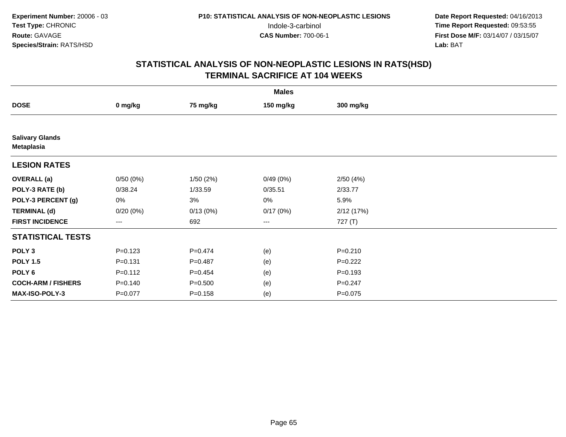| <b>Males</b>                                |             |             |           |             |  |  |  |
|---------------------------------------------|-------------|-------------|-----------|-------------|--|--|--|
| <b>DOSE</b>                                 | 0 mg/kg     | 75 mg/kg    | 150 mg/kg | 300 mg/kg   |  |  |  |
|                                             |             |             |           |             |  |  |  |
| <b>Salivary Glands</b><br><b>Metaplasia</b> |             |             |           |             |  |  |  |
| <b>LESION RATES</b>                         |             |             |           |             |  |  |  |
| <b>OVERALL</b> (a)                          | 0/50(0%)    | 1/50(2%)    | 0/49(0%)  | 2/50(4%)    |  |  |  |
| POLY-3 RATE (b)                             | 0/38.24     | 1/33.59     | 0/35.51   | 2/33.77     |  |  |  |
| POLY-3 PERCENT (g)                          | 0%          | 3%          | $0\%$     | 5.9%        |  |  |  |
| <b>TERMINAL (d)</b>                         | 0/20(0%)    | 0/13(0%)    | 0/17(0%)  | 2/12(17%)   |  |  |  |
| <b>FIRST INCIDENCE</b>                      | ---         | 692         | $\cdots$  | 727 (T)     |  |  |  |
| <b>STATISTICAL TESTS</b>                    |             |             |           |             |  |  |  |
| POLY <sub>3</sub>                           | $P = 0.123$ | $P=0.474$   | (e)       | $P = 0.210$ |  |  |  |
| <b>POLY 1.5</b>                             | $P = 0.131$ | $P=0.487$   | (e)       | $P=0.222$   |  |  |  |
| POLY 6                                      | $P = 0.112$ | $P=0.454$   | (e)       | $P = 0.193$ |  |  |  |
| <b>COCH-ARM / FISHERS</b>                   | $P = 0.140$ | $P = 0.500$ | (e)       | $P = 0.247$ |  |  |  |
| MAX-ISO-POLY-3                              | $P=0.077$   | $P = 0.158$ | (e)       | $P = 0.075$ |  |  |  |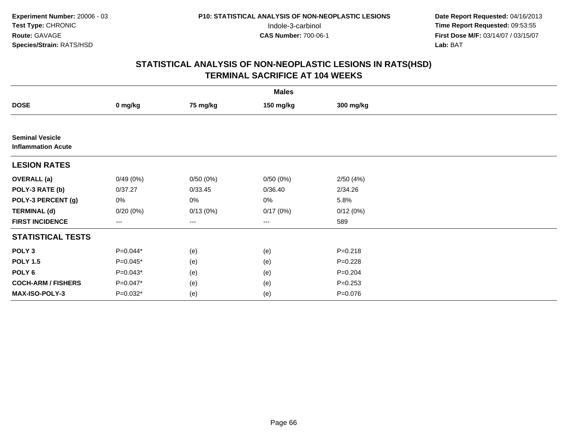|                                                     | <b>Males</b> |          |                        |             |  |  |  |  |
|-----------------------------------------------------|--------------|----------|------------------------|-------------|--|--|--|--|
| <b>DOSE</b>                                         | 0 mg/kg      | 75 mg/kg | 150 mg/kg              | 300 mg/kg   |  |  |  |  |
|                                                     |              |          |                        |             |  |  |  |  |
| <b>Seminal Vesicle</b><br><b>Inflammation Acute</b> |              |          |                        |             |  |  |  |  |
| <b>LESION RATES</b>                                 |              |          |                        |             |  |  |  |  |
| <b>OVERALL</b> (a)                                  | 0/49(0%)     | 0/50(0%) | 0/50(0%)               | 2/50(4%)    |  |  |  |  |
| POLY-3 RATE (b)                                     | 0/37.27      | 0/33.45  | 0/36.40                | 2/34.26     |  |  |  |  |
| POLY-3 PERCENT (g)                                  | 0%           | 0%       | 0%                     | 5.8%        |  |  |  |  |
| <b>TERMINAL (d)</b>                                 | $0/20(0\%)$  | 0/13(0%) | 0/17(0%)               | 0/12(0%)    |  |  |  |  |
| <b>FIRST INCIDENCE</b>                              | ---          | ---      | $\qquad \qquad \cdots$ | 589         |  |  |  |  |
| <b>STATISTICAL TESTS</b>                            |              |          |                        |             |  |  |  |  |
| POLY <sub>3</sub>                                   | P=0.044*     | (e)      | (e)                    | $P = 0.218$ |  |  |  |  |
| <b>POLY 1.5</b>                                     | $P=0.045*$   | (e)      | (e)                    | $P = 0.228$ |  |  |  |  |
| POLY <sub>6</sub>                                   | $P=0.043*$   | (e)      | (e)                    | $P = 0.204$ |  |  |  |  |
| <b>COCH-ARM / FISHERS</b>                           | P=0.047*     | (e)      | (e)                    | $P = 0.253$ |  |  |  |  |
| <b>MAX-ISO-POLY-3</b>                               | P=0.032*     | (e)      | (e)                    | $P = 0.076$ |  |  |  |  |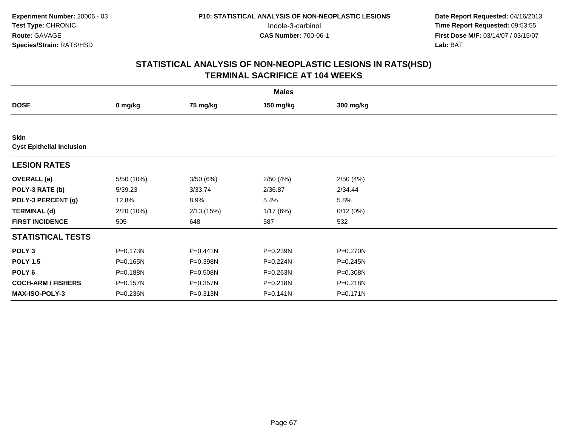| <b>Males</b>                                    |              |              |              |           |  |  |  |
|-------------------------------------------------|--------------|--------------|--------------|-----------|--|--|--|
| <b>DOSE</b>                                     | 0 mg/kg      | 75 mg/kg     | 150 mg/kg    | 300 mg/kg |  |  |  |
|                                                 |              |              |              |           |  |  |  |
| <b>Skin</b><br><b>Cyst Epithelial Inclusion</b> |              |              |              |           |  |  |  |
| <b>LESION RATES</b>                             |              |              |              |           |  |  |  |
| <b>OVERALL</b> (a)                              | 5/50 (10%)   | 3/50(6%)     | 2/50(4%)     | 2/50(4%)  |  |  |  |
| POLY-3 RATE (b)                                 | 5/39.23      | 3/33.74      | 2/36.87      | 2/34.44   |  |  |  |
| POLY-3 PERCENT (g)                              | 12.8%        | 8.9%         | 5.4%         | 5.8%      |  |  |  |
| <b>TERMINAL (d)</b>                             | 2/20 (10%)   | 2/13(15%)    | 1/17(6%)     | 0/12(0%)  |  |  |  |
| <b>FIRST INCIDENCE</b>                          | 505          | 648          | 587          | 532       |  |  |  |
| <b>STATISTICAL TESTS</b>                        |              |              |              |           |  |  |  |
| POLY <sub>3</sub>                               | P=0.173N     | $P = 0.441N$ | P=0.239N     | P=0.270N  |  |  |  |
| <b>POLY 1.5</b>                                 | $P = 0.165N$ | P=0.398N     | $P = 0.224N$ | P=0.245N  |  |  |  |
| POLY 6                                          | P=0.188N     | P=0.508N     | P=0.263N     | P=0.308N  |  |  |  |
| <b>COCH-ARM / FISHERS</b>                       | $P = 0.157N$ | P=0.357N     | P=0.218N     | P=0.218N  |  |  |  |
| MAX-ISO-POLY-3                                  | P=0.236N     | P=0.313N     | $P = 0.141N$ | P=0.171N  |  |  |  |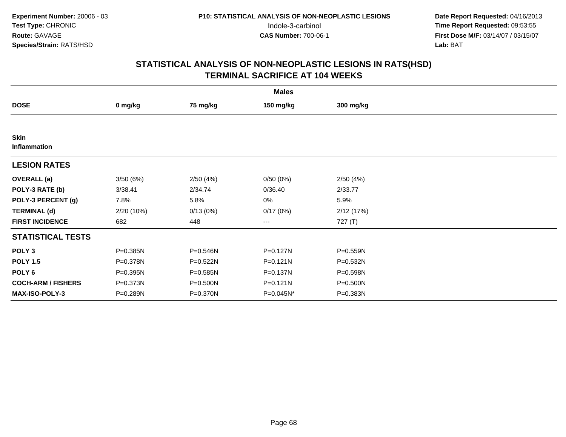| <b>Males</b>                |            |          |                        |           |  |  |  |
|-----------------------------|------------|----------|------------------------|-----------|--|--|--|
| <b>DOSE</b>                 | 0 mg/kg    | 75 mg/kg | 150 mg/kg              | 300 mg/kg |  |  |  |
|                             |            |          |                        |           |  |  |  |
| <b>Skin</b><br>Inflammation |            |          |                        |           |  |  |  |
| <b>LESION RATES</b>         |            |          |                        |           |  |  |  |
| <b>OVERALL</b> (a)          | 3/50(6%)   | 2/50(4%) | 0/50(0%)               | 2/50(4%)  |  |  |  |
| POLY-3 RATE (b)             | 3/38.41    | 2/34.74  | 0/36.40                | 2/33.77   |  |  |  |
| POLY-3 PERCENT (g)          | 7.8%       | 5.8%     | 0%                     | 5.9%      |  |  |  |
| <b>TERMINAL (d)</b>         | 2/20 (10%) | 0/13(0%) | 0/17(0%)               | 2/12(17%) |  |  |  |
| <b>FIRST INCIDENCE</b>      | 682        | 448      | $\qquad \qquad \cdots$ | 727 (T)   |  |  |  |
| <b>STATISTICAL TESTS</b>    |            |          |                        |           |  |  |  |
| POLY <sub>3</sub>           | P=0.385N   | P=0.546N | P=0.127N               | P=0.559N  |  |  |  |
| <b>POLY 1.5</b>             | P=0.378N   | P=0.522N | $P = 0.121N$           | P=0.532N  |  |  |  |
| POLY 6                      | P=0.395N   | P=0.585N | P=0.137N               | P=0.598N  |  |  |  |
| <b>COCH-ARM / FISHERS</b>   | P=0.373N   | P=0.500N | $P = 0.121N$           | P=0.500N  |  |  |  |
| <b>MAX-ISO-POLY-3</b>       | P=0.289N   | P=0.370N | P=0.045N*              | P=0.383N  |  |  |  |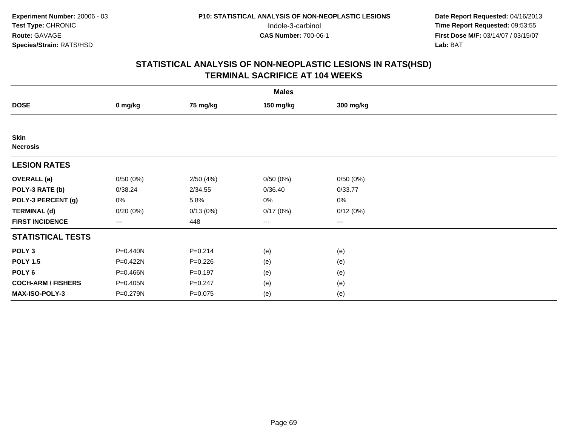| <b>Males</b>                   |                        |             |           |           |  |  |  |
|--------------------------------|------------------------|-------------|-----------|-----------|--|--|--|
| <b>DOSE</b>                    | 0 mg/kg                | 75 mg/kg    | 150 mg/kg | 300 mg/kg |  |  |  |
|                                |                        |             |           |           |  |  |  |
| <b>Skin</b><br><b>Necrosis</b> |                        |             |           |           |  |  |  |
| <b>LESION RATES</b>            |                        |             |           |           |  |  |  |
| <b>OVERALL</b> (a)             | 0/50(0%)               | 2/50(4%)    | 0/50(0%)  | 0/50(0%)  |  |  |  |
| POLY-3 RATE (b)                | 0/38.24                | 2/34.55     | 0/36.40   | 0/33.77   |  |  |  |
| POLY-3 PERCENT (g)             | $0\%$                  | 5.8%        | 0%        | 0%        |  |  |  |
| <b>TERMINAL (d)</b>            | 0/20(0%)               | 0/13(0%)    | 0/17(0%)  | 0/12(0%)  |  |  |  |
| <b>FIRST INCIDENCE</b>         | $\qquad \qquad \cdots$ | 448         | ---       | $--$      |  |  |  |
| <b>STATISTICAL TESTS</b>       |                        |             |           |           |  |  |  |
| POLY <sub>3</sub>              | P=0.440N               | $P = 0.214$ | (e)       | (e)       |  |  |  |
| <b>POLY 1.5</b>                | P=0.422N               | $P = 0.226$ | (e)       | (e)       |  |  |  |
| POLY <sub>6</sub>              | P=0.466N               | $P = 0.197$ | (e)       | (e)       |  |  |  |
| <b>COCH-ARM / FISHERS</b>      | P=0.405N               | $P = 0.247$ | (e)       | (e)       |  |  |  |
| MAX-ISO-POLY-3                 | P=0.279N               | $P = 0.075$ | (e)       | (e)       |  |  |  |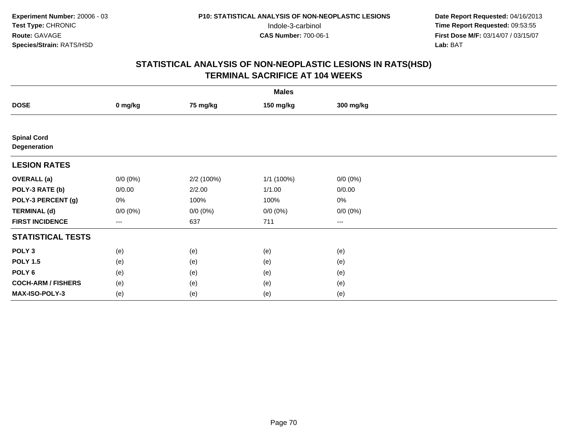|                                    | <b>Males</b>      |             |             |                   |  |  |  |  |
|------------------------------------|-------------------|-------------|-------------|-------------------|--|--|--|--|
| <b>DOSE</b>                        | 0 mg/kg           | 75 mg/kg    | 150 mg/kg   | 300 mg/kg         |  |  |  |  |
|                                    |                   |             |             |                   |  |  |  |  |
| <b>Spinal Cord</b><br>Degeneration |                   |             |             |                   |  |  |  |  |
| <b>LESION RATES</b>                |                   |             |             |                   |  |  |  |  |
| <b>OVERALL</b> (a)                 | $0/0 (0\%)$       | 2/2 (100%)  | 1/1(100%)   | $0/0 (0\%)$       |  |  |  |  |
| POLY-3 RATE (b)                    | 0/0.00            | 2/2.00      | 1/1.00      | 0/0.00            |  |  |  |  |
| POLY-3 PERCENT (g)                 | $0\%$             | 100%        | 100%        | $0\%$             |  |  |  |  |
| <b>TERMINAL (d)</b>                | $0/0 (0\%)$       | $0/0 (0\%)$ | $0/0 (0\%)$ | $0/0 (0\%)$       |  |  |  |  |
| <b>FIRST INCIDENCE</b>             | $\qquad \qquad -$ | 637         | 711         | $\qquad \qquad -$ |  |  |  |  |
| <b>STATISTICAL TESTS</b>           |                   |             |             |                   |  |  |  |  |
| POLY <sub>3</sub>                  | (e)               | (e)         | (e)         | (e)               |  |  |  |  |
| <b>POLY 1.5</b>                    | (e)               | (e)         | (e)         | (e)               |  |  |  |  |
| POLY <sub>6</sub>                  | (e)               | (e)         | (e)         | (e)               |  |  |  |  |
| <b>COCH-ARM / FISHERS</b>          | (e)               | (e)         | (e)         | (e)               |  |  |  |  |
| MAX-ISO-POLY-3                     | (e)               | (e)         | (e)         | (e)               |  |  |  |  |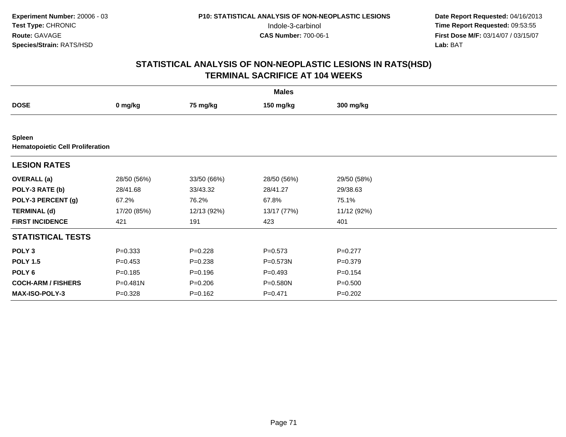|                                                          | <b>Males</b> |             |              |             |  |  |  |  |
|----------------------------------------------------------|--------------|-------------|--------------|-------------|--|--|--|--|
| <b>DOSE</b>                                              | 0 mg/kg      | 75 mg/kg    | 150 mg/kg    | 300 mg/kg   |  |  |  |  |
|                                                          |              |             |              |             |  |  |  |  |
| <b>Spleen</b><br><b>Hematopoietic Cell Proliferation</b> |              |             |              |             |  |  |  |  |
| <b>LESION RATES</b>                                      |              |             |              |             |  |  |  |  |
| <b>OVERALL</b> (a)                                       | 28/50 (56%)  | 33/50 (66%) | 28/50 (56%)  | 29/50 (58%) |  |  |  |  |
| POLY-3 RATE (b)                                          | 28/41.68     | 33/43.32    | 28/41.27     | 29/38.63    |  |  |  |  |
| POLY-3 PERCENT (g)                                       | 67.2%        | 76.2%       | 67.8%        | 75.1%       |  |  |  |  |
| <b>TERMINAL (d)</b>                                      | 17/20 (85%)  | 12/13 (92%) | 13/17 (77%)  | 11/12 (92%) |  |  |  |  |
| <b>FIRST INCIDENCE</b>                                   | 421          | 191         | 423          | 401         |  |  |  |  |
| <b>STATISTICAL TESTS</b>                                 |              |             |              |             |  |  |  |  |
| POLY <sub>3</sub>                                        | $P = 0.333$  | $P=0.228$   | $P=0.573$    | $P=0.277$   |  |  |  |  |
| <b>POLY 1.5</b>                                          | $P=0.453$    | $P = 0.238$ | $P = 0.573N$ | $P = 0.379$ |  |  |  |  |
| POLY 6                                                   | $P = 0.185$  | $P = 0.196$ | $P=0.493$    | $P=0.154$   |  |  |  |  |
| <b>COCH-ARM / FISHERS</b>                                | $P = 0.481N$ | $P = 0.206$ | P=0.580N     | $P = 0.500$ |  |  |  |  |
| MAX-ISO-POLY-3                                           | $P = 0.328$  | $P = 0.162$ | $P = 0.471$  | $P = 0.202$ |  |  |  |  |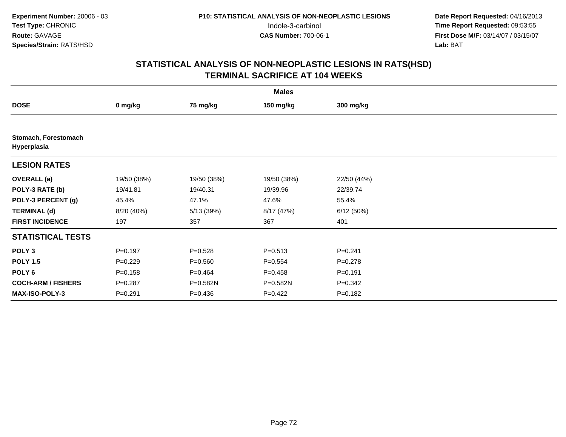| <b>Males</b>                        |             |             |             |             |  |  |  |
|-------------------------------------|-------------|-------------|-------------|-------------|--|--|--|
| <b>DOSE</b>                         | 0 mg/kg     | 75 mg/kg    | 150 mg/kg   | 300 mg/kg   |  |  |  |
|                                     |             |             |             |             |  |  |  |
| Stomach, Forestomach<br>Hyperplasia |             |             |             |             |  |  |  |
| <b>LESION RATES</b>                 |             |             |             |             |  |  |  |
| <b>OVERALL</b> (a)                  | 19/50 (38%) | 19/50 (38%) | 19/50 (38%) | 22/50 (44%) |  |  |  |
| POLY-3 RATE (b)                     | 19/41.81    | 19/40.31    | 19/39.96    | 22/39.74    |  |  |  |
| POLY-3 PERCENT (g)                  | 45.4%       | 47.1%       | 47.6%       | 55.4%       |  |  |  |
| <b>TERMINAL (d)</b>                 | 8/20 (40%)  | 5/13 (39%)  | 8/17 (47%)  | 6/12(50%)   |  |  |  |
| <b>FIRST INCIDENCE</b>              | 197         | 357         | 367         | 401         |  |  |  |
| <b>STATISTICAL TESTS</b>            |             |             |             |             |  |  |  |
| POLY <sub>3</sub>                   | $P=0.197$   | $P = 0.528$ | $P = 0.513$ | $P = 0.241$ |  |  |  |
| <b>POLY 1.5</b>                     | $P=0.229$   | $P = 0.560$ | $P=0.554$   | $P=0.278$   |  |  |  |
| POLY 6                              | $P = 0.158$ | $P=0.464$   | $P = 0.458$ | $P = 0.191$ |  |  |  |
| <b>COCH-ARM / FISHERS</b>           | $P = 0.287$ | P=0.582N    | P=0.582N    | $P = 0.342$ |  |  |  |
| MAX-ISO-POLY-3                      | $P=0.291$   | $P = 0.436$ | $P=0.422$   | $P = 0.182$ |  |  |  |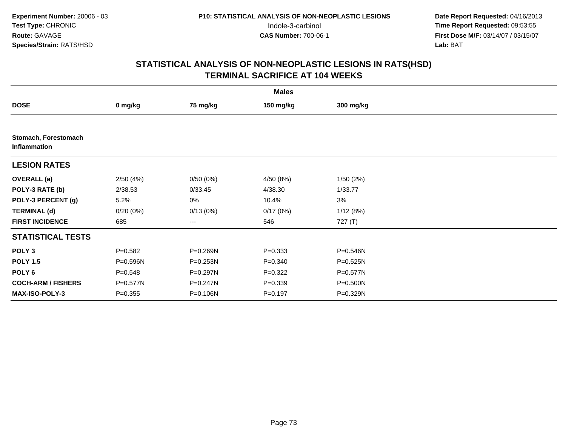|                                      |             |          | <b>Males</b> |           |  |
|--------------------------------------|-------------|----------|--------------|-----------|--|
| <b>DOSE</b>                          | 0 mg/kg     | 75 mg/kg | 150 mg/kg    | 300 mg/kg |  |
|                                      |             |          |              |           |  |
| Stomach, Forestomach<br>Inflammation |             |          |              |           |  |
| <b>LESION RATES</b>                  |             |          |              |           |  |
| <b>OVERALL</b> (a)                   | 2/50(4%)    | 0/50(0%) | 4/50 (8%)    | 1/50(2%)  |  |
| POLY-3 RATE (b)                      | 2/38.53     | 0/33.45  | 4/38.30      | 1/33.77   |  |
| POLY-3 PERCENT (g)                   | 5.2%        | 0%       | 10.4%        | 3%        |  |
| <b>TERMINAL (d)</b>                  | 0/20(0%)    | 0/13(0%) | 0/17(0%)     | 1/12(8%)  |  |
| <b>FIRST INCIDENCE</b>               | 685         | ---      | 546          | 727 (T)   |  |
| <b>STATISTICAL TESTS</b>             |             |          |              |           |  |
| POLY <sub>3</sub>                    | $P = 0.582$ | P=0.269N | $P = 0.333$  | P=0.546N  |  |
| <b>POLY 1.5</b>                      | P=0.596N    | P=0.253N | $P = 0.340$  | P=0.525N  |  |
| POLY 6                               | $P = 0.548$ | P=0.297N | $P=0.322$    | P=0.577N  |  |
| <b>COCH-ARM / FISHERS</b>            | P=0.577N    | P=0.247N | $P = 0.339$  | P=0.500N  |  |
| MAX-ISO-POLY-3                       | $P = 0.355$ | P=0.106N | $P = 0.197$  | P=0.329N  |  |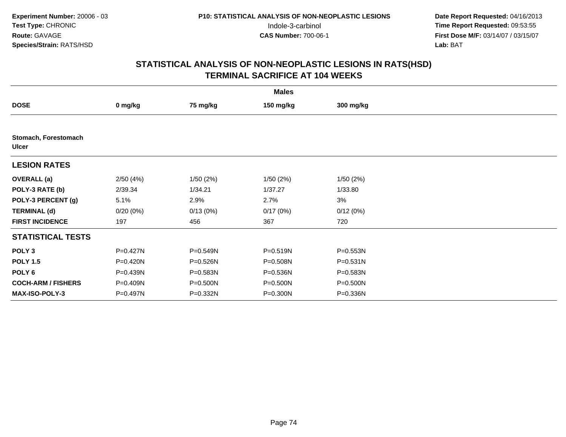|                                      | <b>Males</b> |          |           |              |  |  |  |  |
|--------------------------------------|--------------|----------|-----------|--------------|--|--|--|--|
| <b>DOSE</b>                          | 0 mg/kg      | 75 mg/kg | 150 mg/kg | 300 mg/kg    |  |  |  |  |
|                                      |              |          |           |              |  |  |  |  |
| Stomach, Forestomach<br><b>Ulcer</b> |              |          |           |              |  |  |  |  |
| <b>LESION RATES</b>                  |              |          |           |              |  |  |  |  |
| <b>OVERALL</b> (a)                   | 2/50(4%)     | 1/50(2%) | 1/50(2%)  | 1/50(2%)     |  |  |  |  |
| POLY-3 RATE (b)                      | 2/39.34      | 1/34.21  | 1/37.27   | 1/33.80      |  |  |  |  |
| POLY-3 PERCENT (g)                   | 5.1%         | 2.9%     | 2.7%      | 3%           |  |  |  |  |
| <b>TERMINAL (d)</b>                  | $0/20(0\%)$  | 0/13(0%) | 0/17(0%)  | 0/12(0%)     |  |  |  |  |
| <b>FIRST INCIDENCE</b>               | 197          | 456      | 367       | 720          |  |  |  |  |
| <b>STATISTICAL TESTS</b>             |              |          |           |              |  |  |  |  |
| POLY <sub>3</sub>                    | P=0.427N     | P=0.549N | P=0.519N  | P=0.553N     |  |  |  |  |
| <b>POLY 1.5</b>                      | P=0.420N     | P=0.526N | P=0.508N  | $P = 0.531N$ |  |  |  |  |
| POLY <sub>6</sub>                    | P=0.439N     | P=0.583N | P=0.536N  | P=0.583N     |  |  |  |  |
| <b>COCH-ARM / FISHERS</b>            | P=0.409N     | P=0.500N | P=0.500N  | P=0.500N     |  |  |  |  |
| <b>MAX-ISO-POLY-3</b>                | P=0.497N     | P=0.332N | P=0.300N  | P=0.336N     |  |  |  |  |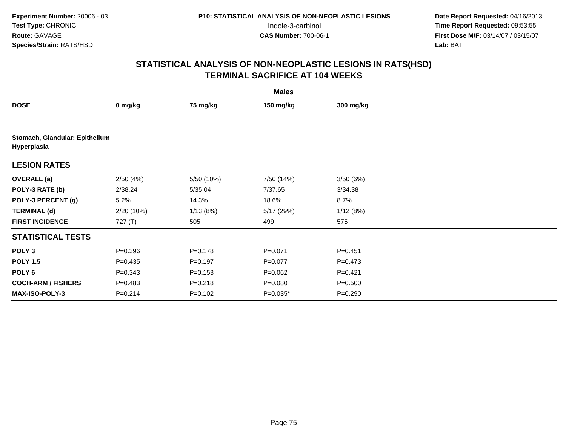|                                               | <b>Males</b> |             |             |             |  |  |  |  |
|-----------------------------------------------|--------------|-------------|-------------|-------------|--|--|--|--|
| <b>DOSE</b>                                   | 0 mg/kg      | 75 mg/kg    | 150 mg/kg   | 300 mg/kg   |  |  |  |  |
|                                               |              |             |             |             |  |  |  |  |
| Stomach, Glandular: Epithelium<br>Hyperplasia |              |             |             |             |  |  |  |  |
| <b>LESION RATES</b>                           |              |             |             |             |  |  |  |  |
| <b>OVERALL</b> (a)                            | 2/50(4%)     | 5/50 (10%)  | 7/50 (14%)  | 3/50(6%)    |  |  |  |  |
| POLY-3 RATE (b)                               | 2/38.24      | 5/35.04     | 7/37.65     | 3/34.38     |  |  |  |  |
| POLY-3 PERCENT (g)                            | 5.2%         | 14.3%       | 18.6%       | 8.7%        |  |  |  |  |
| <b>TERMINAL (d)</b>                           | 2/20 (10%)   | 1/13(8%)    | 5/17 (29%)  | 1/12(8%)    |  |  |  |  |
| <b>FIRST INCIDENCE</b>                        | 727 (T)      | 505         | 499         | 575         |  |  |  |  |
| <b>STATISTICAL TESTS</b>                      |              |             |             |             |  |  |  |  |
| POLY <sub>3</sub>                             | $P = 0.396$  | $P = 0.178$ | $P = 0.071$ | $P = 0.451$ |  |  |  |  |
| <b>POLY 1.5</b>                               | $P=0.435$    | $P = 0.197$ | $P=0.077$   | $P=0.473$   |  |  |  |  |
| POLY 6                                        | $P = 0.343$  | $P = 0.153$ | $P=0.062$   | $P=0.421$   |  |  |  |  |
| <b>COCH-ARM / FISHERS</b>                     | $P=0.483$    | $P = 0.218$ | $P = 0.080$ | $P = 0.500$ |  |  |  |  |
| <b>MAX-ISO-POLY-3</b>                         | $P = 0.214$  | $P = 0.102$ | $P=0.035*$  | $P = 0.290$ |  |  |  |  |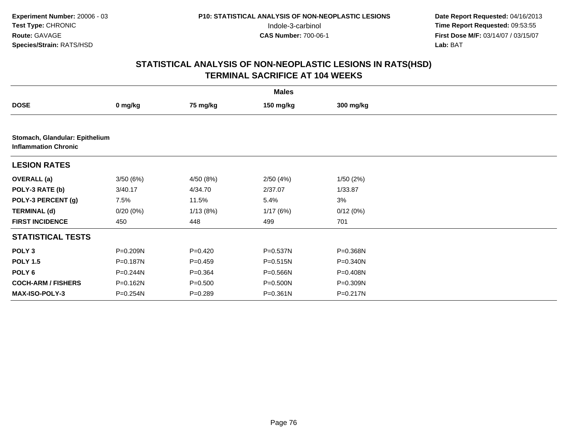|                                                               |          |             | <b>Males</b> |           |  |
|---------------------------------------------------------------|----------|-------------|--------------|-----------|--|
| <b>DOSE</b>                                                   | 0 mg/kg  | 75 mg/kg    | 150 mg/kg    | 300 mg/kg |  |
|                                                               |          |             |              |           |  |
| Stomach, Glandular: Epithelium<br><b>Inflammation Chronic</b> |          |             |              |           |  |
| <b>LESION RATES</b>                                           |          |             |              |           |  |
| <b>OVERALL</b> (a)                                            | 3/50(6%) | 4/50 (8%)   | 2/50(4%)     | 1/50(2%)  |  |
| POLY-3 RATE (b)                                               | 3/40.17  | 4/34.70     | 2/37.07      | 1/33.87   |  |
| POLY-3 PERCENT (g)                                            | 7.5%     | 11.5%       | 5.4%         | 3%        |  |
| <b>TERMINAL (d)</b>                                           | 0/20(0%) | 1/13(8%)    | 1/17(6%)     | 0/12(0%)  |  |
| <b>FIRST INCIDENCE</b>                                        | 450      | 448         | 499          | 701       |  |
| <b>STATISTICAL TESTS</b>                                      |          |             |              |           |  |
| POLY <sub>3</sub>                                             | P=0.209N | $P=0.420$   | P=0.537N     | P=0.368N  |  |
| <b>POLY 1.5</b>                                               | P=0.187N | $P=0.459$   | P=0.515N     | P=0.340N  |  |
| POLY <sub>6</sub>                                             | P=0.244N | $P=0.364$   | P=0.566N     | P=0.408N  |  |
| <b>COCH-ARM / FISHERS</b>                                     | P=0.162N | $P = 0.500$ | P=0.500N     | P=0.309N  |  |
| <b>MAX-ISO-POLY-3</b>                                         | P=0.254N | $P = 0.289$ | P=0.361N     | P=0.217N  |  |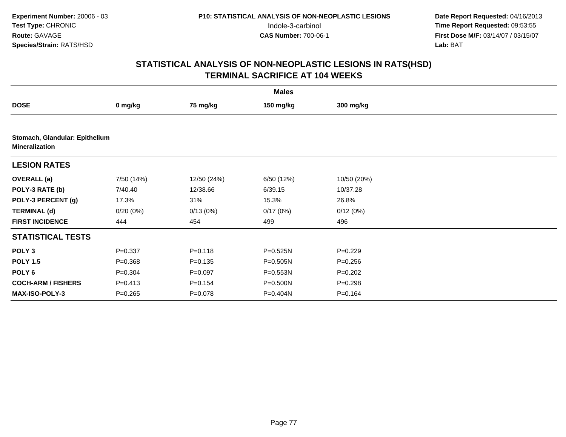| <b>Males</b>                                            |             |             |              |             |  |  |
|---------------------------------------------------------|-------------|-------------|--------------|-------------|--|--|
| <b>DOSE</b>                                             | 0 mg/kg     | 75 mg/kg    | 150 mg/kg    | 300 mg/kg   |  |  |
|                                                         |             |             |              |             |  |  |
| Stomach, Glandular: Epithelium<br><b>Mineralization</b> |             |             |              |             |  |  |
| <b>LESION RATES</b>                                     |             |             |              |             |  |  |
| <b>OVERALL</b> (a)                                      | 7/50 (14%)  | 12/50 (24%) | 6/50 (12%)   | 10/50 (20%) |  |  |
| POLY-3 RATE (b)                                         | 7/40.40     | 12/38.66    | 6/39.15      | 10/37.28    |  |  |
| POLY-3 PERCENT (g)                                      | 17.3%       | 31%         | 15.3%        | 26.8%       |  |  |
| <b>TERMINAL (d)</b>                                     | 0/20(0%)    | 0/13(0%)    | 0/17(0%)     | 0/12(0%)    |  |  |
| <b>FIRST INCIDENCE</b>                                  | 444         | 454         | 499          | 496         |  |  |
| <b>STATISTICAL TESTS</b>                                |             |             |              |             |  |  |
| POLY <sub>3</sub>                                       | $P = 0.337$ | $P = 0.118$ | $P = 0.525N$ | $P=0.229$   |  |  |
| <b>POLY 1.5</b>                                         | $P = 0.368$ | $P = 0.135$ | $P = 0.505N$ | $P = 0.256$ |  |  |
| POLY 6                                                  | $P = 0.304$ | $P = 0.097$ | $P = 0.553N$ | $P=0.202$   |  |  |
| <b>COCH-ARM / FISHERS</b>                               | $P = 0.413$ | $P = 0.154$ | P=0.500N     | $P = 0.298$ |  |  |
| MAX-ISO-POLY-3                                          | $P=0.265$   | $P=0.078$   | P=0.404N     | $P = 0.164$ |  |  |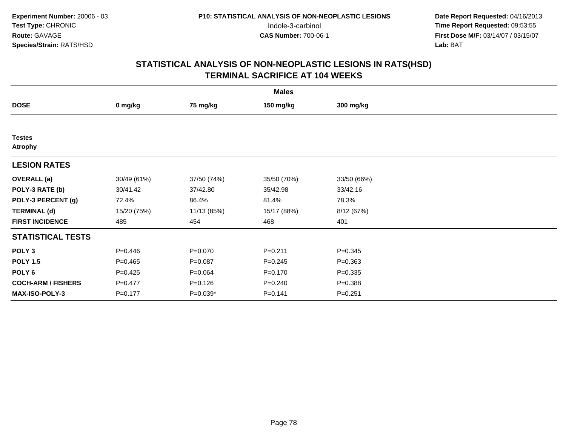|                                 | <b>Males</b> |             |             |             |  |  |  |  |
|---------------------------------|--------------|-------------|-------------|-------------|--|--|--|--|
| <b>DOSE</b>                     | 0 mg/kg      | 75 mg/kg    | 150 mg/kg   | 300 mg/kg   |  |  |  |  |
|                                 |              |             |             |             |  |  |  |  |
| <b>Testes</b><br><b>Atrophy</b> |              |             |             |             |  |  |  |  |
| <b>LESION RATES</b>             |              |             |             |             |  |  |  |  |
| <b>OVERALL</b> (a)              | 30/49 (61%)  | 37/50 (74%) | 35/50 (70%) | 33/50 (66%) |  |  |  |  |
| POLY-3 RATE (b)                 | 30/41.42     | 37/42.80    | 35/42.98    | 33/42.16    |  |  |  |  |
| POLY-3 PERCENT (g)              | 72.4%        | 86.4%       | 81.4%       | 78.3%       |  |  |  |  |
| <b>TERMINAL (d)</b>             | 15/20 (75%)  | 11/13 (85%) | 15/17 (88%) | 8/12 (67%)  |  |  |  |  |
| <b>FIRST INCIDENCE</b>          | 485          | 454         | 468         | 401         |  |  |  |  |
| <b>STATISTICAL TESTS</b>        |              |             |             |             |  |  |  |  |
| POLY <sub>3</sub>               | $P = 0.446$  | $P = 0.070$ | $P = 0.211$ | $P = 0.345$ |  |  |  |  |
| <b>POLY 1.5</b>                 | $P = 0.465$  | $P = 0.087$ | $P = 0.245$ | $P = 0.363$ |  |  |  |  |
| POLY <sub>6</sub>               | $P = 0.425$  | $P = 0.064$ | $P = 0.170$ | $P = 0.335$ |  |  |  |  |
| <b>COCH-ARM / FISHERS</b>       | $P = 0.477$  | $P = 0.126$ | $P = 0.240$ | $P = 0.388$ |  |  |  |  |
| <b>MAX-ISO-POLY-3</b>           | $P = 0.177$  | $P=0.039*$  | $P = 0.141$ | $P = 0.251$ |  |  |  |  |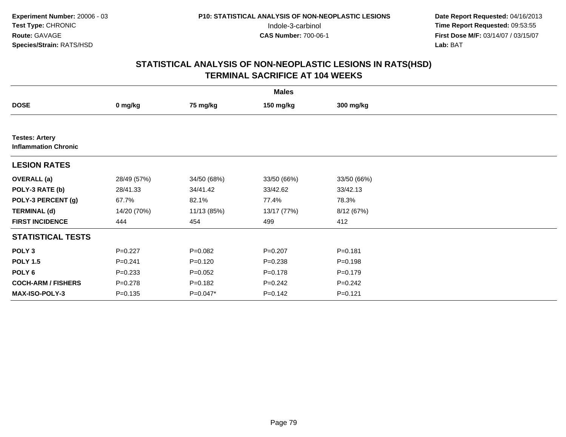|                                                      | <b>Males</b> |             |             |             |  |  |  |  |
|------------------------------------------------------|--------------|-------------|-------------|-------------|--|--|--|--|
| <b>DOSE</b>                                          | 0 mg/kg      | 75 mg/kg    | 150 mg/kg   | 300 mg/kg   |  |  |  |  |
|                                                      |              |             |             |             |  |  |  |  |
| <b>Testes: Artery</b><br><b>Inflammation Chronic</b> |              |             |             |             |  |  |  |  |
| <b>LESION RATES</b>                                  |              |             |             |             |  |  |  |  |
| <b>OVERALL</b> (a)                                   | 28/49 (57%)  | 34/50 (68%) | 33/50 (66%) | 33/50 (66%) |  |  |  |  |
| POLY-3 RATE (b)                                      | 28/41.33     | 34/41.42    | 33/42.62    | 33/42.13    |  |  |  |  |
| POLY-3 PERCENT (g)                                   | 67.7%        | 82.1%       | 77.4%       | 78.3%       |  |  |  |  |
| <b>TERMINAL (d)</b>                                  | 14/20 (70%)  | 11/13 (85%) | 13/17 (77%) | 8/12 (67%)  |  |  |  |  |
| <b>FIRST INCIDENCE</b>                               | 444          | 454         | 499         | 412         |  |  |  |  |
| <b>STATISTICAL TESTS</b>                             |              |             |             |             |  |  |  |  |
| POLY <sub>3</sub>                                    | $P=0.227$    | $P=0.082$   | $P=0.207$   | $P = 0.181$ |  |  |  |  |
| <b>POLY 1.5</b>                                      | $P = 0.241$  | $P=0.120$   | $P = 0.238$ | $P = 0.198$ |  |  |  |  |
| POLY 6                                               | $P = 0.233$  | $P=0.052$   | $P = 0.178$ | $P = 0.179$ |  |  |  |  |
| <b>COCH-ARM / FISHERS</b>                            | $P=0.278$    | $P = 0.182$ | $P = 0.242$ | $P = 0.242$ |  |  |  |  |
| MAX-ISO-POLY-3                                       | $P = 0.135$  | P=0.047*    | $P = 0.142$ | $P = 0.121$ |  |  |  |  |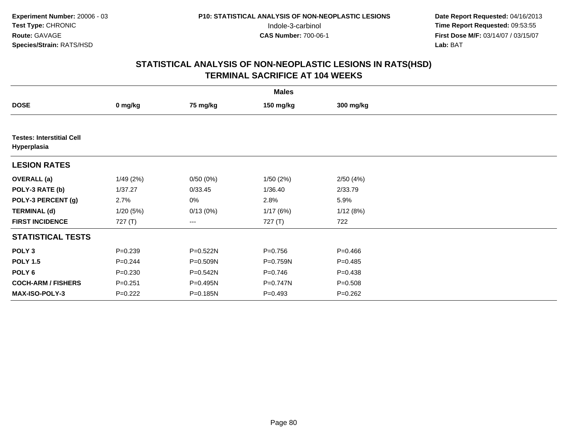|                                                 | <b>Males</b> |          |             |             |  |  |  |  |
|-------------------------------------------------|--------------|----------|-------------|-------------|--|--|--|--|
| <b>DOSE</b>                                     | 0 mg/kg      | 75 mg/kg | 150 mg/kg   | 300 mg/kg   |  |  |  |  |
|                                                 |              |          |             |             |  |  |  |  |
| <b>Testes: Interstitial Cell</b><br>Hyperplasia |              |          |             |             |  |  |  |  |
| <b>LESION RATES</b>                             |              |          |             |             |  |  |  |  |
| <b>OVERALL</b> (a)                              | 1/49(2%)     | 0/50(0%) | 1/50 (2%)   | 2/50(4%)    |  |  |  |  |
| POLY-3 RATE (b)                                 | 1/37.27      | 0/33.45  | 1/36.40     | 2/33.79     |  |  |  |  |
| POLY-3 PERCENT (g)                              | 2.7%         | 0%       | 2.8%        | 5.9%        |  |  |  |  |
| <b>TERMINAL (d)</b>                             | 1/20(5%)     | 0/13(0%) | 1/17(6%)    | 1/12(8%)    |  |  |  |  |
| <b>FIRST INCIDENCE</b>                          | 727 (T)      | ---      | 727 (T)     | 722         |  |  |  |  |
| <b>STATISTICAL TESTS</b>                        |              |          |             |             |  |  |  |  |
| POLY <sub>3</sub>                               | $P = 0.239$  | P=0.522N | $P = 0.756$ | $P = 0.466$ |  |  |  |  |
| <b>POLY 1.5</b>                                 | $P = 0.244$  | P=0.509N | P=0.759N    | $P = 0.485$ |  |  |  |  |
| POLY <sub>6</sub>                               | $P = 0.230$  | P=0.542N | $P = 0.746$ | $P = 0.438$ |  |  |  |  |
| <b>COCH-ARM / FISHERS</b>                       | $P = 0.251$  | P=0.495N | P=0.747N    | $P = 0.508$ |  |  |  |  |
| <b>MAX-ISO-POLY-3</b>                           | $P=0.222$    | P=0.185N | $P = 0.493$ | $P = 0.262$ |  |  |  |  |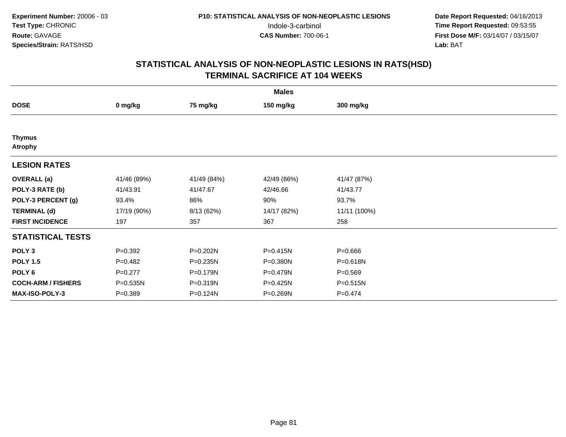|                                 | <b>Males</b> |             |              |              |  |  |  |  |
|---------------------------------|--------------|-------------|--------------|--------------|--|--|--|--|
| <b>DOSE</b>                     | 0 mg/kg      | 75 mg/kg    | 150 mg/kg    | 300 mg/kg    |  |  |  |  |
|                                 |              |             |              |              |  |  |  |  |
| <b>Thymus</b><br><b>Atrophy</b> |              |             |              |              |  |  |  |  |
| <b>LESION RATES</b>             |              |             |              |              |  |  |  |  |
| <b>OVERALL</b> (a)              | 41/46 (89%)  | 41/49 (84%) | 42/49 (86%)  | 41/47 (87%)  |  |  |  |  |
| POLY-3 RATE (b)                 | 41/43.91     | 41/47.67    | 42/46.66     | 41/43.77     |  |  |  |  |
| POLY-3 PERCENT (g)              | 93.4%        | 86%         | 90%          | 93.7%        |  |  |  |  |
| <b>TERMINAL (d)</b>             | 17/19 (90%)  | 8/13 (62%)  | 14/17 (82%)  | 11/11 (100%) |  |  |  |  |
| <b>FIRST INCIDENCE</b>          | 197          | 357         | 367          | 258          |  |  |  |  |
| <b>STATISTICAL TESTS</b>        |              |             |              |              |  |  |  |  |
| POLY <sub>3</sub>               | $P=0.392$    | P=0.202N    | $P = 0.415N$ | $P = 0.666$  |  |  |  |  |
| <b>POLY 1.5</b>                 | $P=0.482$    | P=0.235N    | P=0.380N     | P=0.618N     |  |  |  |  |
| POLY <sub>6</sub>               | $P=0.277$    | P=0.179N    | P=0.479N     | $P = 0.569$  |  |  |  |  |
| <b>COCH-ARM / FISHERS</b>       | P=0.535N     | P=0.319N    | P=0.425N     | P=0.515N     |  |  |  |  |
| <b>MAX-ISO-POLY-3</b>           | $P = 0.389$  | P=0.124N    | P=0.269N     | $P=0.474$    |  |  |  |  |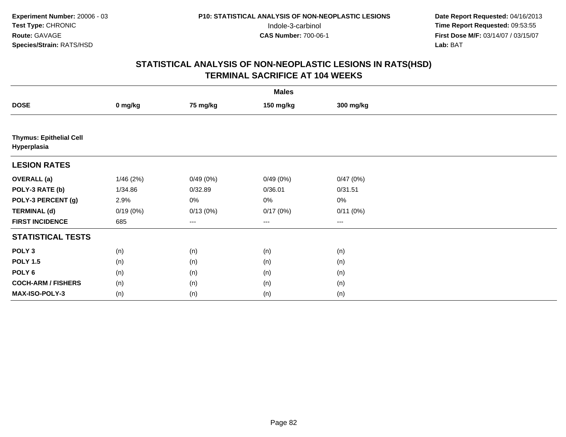|                                               | <b>Males</b> |          |                   |           |  |  |  |
|-----------------------------------------------|--------------|----------|-------------------|-----------|--|--|--|
| <b>DOSE</b>                                   | 0 mg/kg      | 75 mg/kg | 150 mg/kg         | 300 mg/kg |  |  |  |
|                                               |              |          |                   |           |  |  |  |
| <b>Thymus: Epithelial Cell</b><br>Hyperplasia |              |          |                   |           |  |  |  |
| <b>LESION RATES</b>                           |              |          |                   |           |  |  |  |
| <b>OVERALL</b> (a)                            | 1/46(2%)     | 0/49(0%) | 0/49(0%)          | 0/47(0%)  |  |  |  |
| POLY-3 RATE (b)                               | 1/34.86      | 0/32.89  | 0/36.01           | 0/31.51   |  |  |  |
| POLY-3 PERCENT (g)                            | 2.9%         | 0%       | 0%                | $0\%$     |  |  |  |
| <b>TERMINAL (d)</b>                           | 0/19(0%)     | 0/13(0%) | 0/17(0%)          | 0/11(0%)  |  |  |  |
| <b>FIRST INCIDENCE</b>                        | 685          | ---      | $\qquad \qquad -$ | $---$     |  |  |  |
| <b>STATISTICAL TESTS</b>                      |              |          |                   |           |  |  |  |
| POLY <sub>3</sub>                             | (n)          | (n)      | (n)               | (n)       |  |  |  |
| <b>POLY 1.5</b>                               | (n)          | (n)      | (n)               | (n)       |  |  |  |
| POLY <sub>6</sub>                             | (n)          | (n)      | (n)               | (n)       |  |  |  |
| <b>COCH-ARM / FISHERS</b>                     | (n)          | (n)      | (n)               | (n)       |  |  |  |
| <b>MAX-ISO-POLY-3</b>                         | (n)          | (n)      | (n)               | (n)       |  |  |  |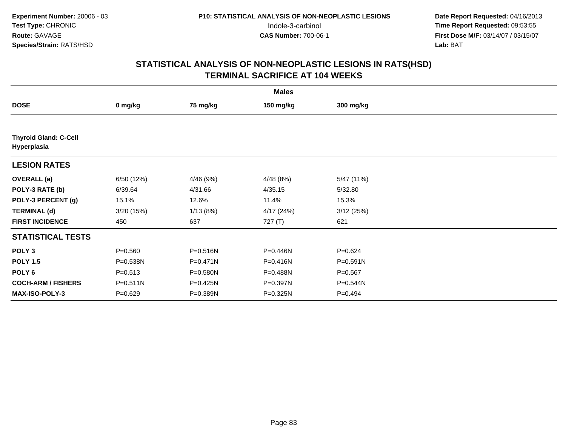|                                             | <b>Males</b> |           |           |             |  |  |  |  |
|---------------------------------------------|--------------|-----------|-----------|-------------|--|--|--|--|
| <b>DOSE</b>                                 | 0 mg/kg      | 75 mg/kg  | 150 mg/kg | 300 mg/kg   |  |  |  |  |
|                                             |              |           |           |             |  |  |  |  |
| <b>Thyroid Gland: C-Cell</b><br>Hyperplasia |              |           |           |             |  |  |  |  |
| <b>LESION RATES</b>                         |              |           |           |             |  |  |  |  |
| <b>OVERALL</b> (a)                          | 6/50 (12%)   | 4/46 (9%) | 4/48(8%)  | 5/47 (11%)  |  |  |  |  |
| POLY-3 RATE (b)                             | 6/39.64      | 4/31.66   | 4/35.15   | 5/32.80     |  |  |  |  |
| POLY-3 PERCENT (g)                          | 15.1%        | 12.6%     | 11.4%     | 15.3%       |  |  |  |  |
| <b>TERMINAL (d)</b>                         | 3/20 (15%)   | 1/13(8%)  | 4/17(24%) | 3/12(25%)   |  |  |  |  |
| <b>FIRST INCIDENCE</b>                      | 450          | 637       | 727 (T)   | 621         |  |  |  |  |
| <b>STATISTICAL TESTS</b>                    |              |           |           |             |  |  |  |  |
| POLY <sub>3</sub>                           | $P = 0.560$  | P=0.516N  | P=0.446N  | $P = 0.624$ |  |  |  |  |
| <b>POLY 1.5</b>                             | P=0.538N     | P=0.471N  | P=0.416N  | P=0.591N    |  |  |  |  |
| POLY <sub>6</sub>                           | $P = 0.513$  | P=0.580N  | P=0.488N  | $P = 0.567$ |  |  |  |  |
| <b>COCH-ARM / FISHERS</b>                   | $P = 0.511N$ | P=0.425N  | P=0.397N  | P=0.544N    |  |  |  |  |
| <b>MAX-ISO-POLY-3</b>                       | $P = 0.629$  | P=0.389N  | P=0.325N  | $P=0.494$   |  |  |  |  |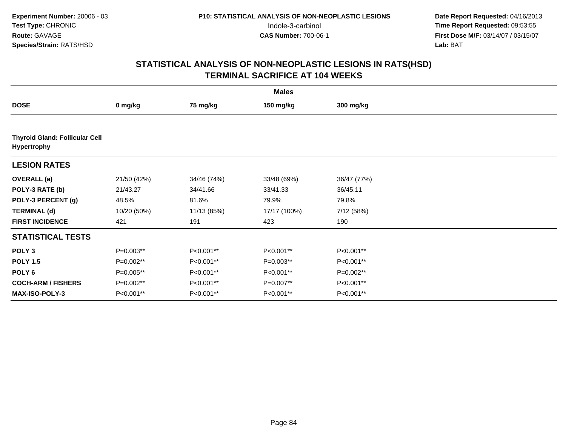|                                                      | <b>Males</b> |             |              |             |  |  |  |
|------------------------------------------------------|--------------|-------------|--------------|-------------|--|--|--|
| <b>DOSE</b>                                          | 0 mg/kg      | 75 mg/kg    | 150 mg/kg    | 300 mg/kg   |  |  |  |
|                                                      |              |             |              |             |  |  |  |
| <b>Thyroid Gland: Follicular Cell</b><br>Hypertrophy |              |             |              |             |  |  |  |
| <b>LESION RATES</b>                                  |              |             |              |             |  |  |  |
| <b>OVERALL</b> (a)                                   | 21/50 (42%)  | 34/46 (74%) | 33/48 (69%)  | 36/47 (77%) |  |  |  |
| POLY-3 RATE (b)                                      | 21/43.27     | 34/41.66    | 33/41.33     | 36/45.11    |  |  |  |
| POLY-3 PERCENT (g)                                   | 48.5%        | 81.6%       | 79.9%        | 79.8%       |  |  |  |
| <b>TERMINAL (d)</b>                                  | 10/20 (50%)  | 11/13 (85%) | 17/17 (100%) | 7/12 (58%)  |  |  |  |
| <b>FIRST INCIDENCE</b>                               | 421          | 191         | 423          | 190         |  |  |  |
| <b>STATISTICAL TESTS</b>                             |              |             |              |             |  |  |  |
| POLY <sub>3</sub>                                    | P=0.003**    | P<0.001**   | P<0.001**    | P<0.001**   |  |  |  |
| <b>POLY 1.5</b>                                      | P=0.002**    | P<0.001**   | $P=0.003**$  | P<0.001**   |  |  |  |
| POLY <sub>6</sub>                                    | P=0.005**    | P<0.001**   | P<0.001**    | $P=0.002**$ |  |  |  |
| <b>COCH-ARM / FISHERS</b>                            | P=0.002**    | P<0.001**   | P=0.007**    | P<0.001**   |  |  |  |
| MAX-ISO-POLY-3                                       | P<0.001**    | P<0.001**   | P<0.001**    | P<0.001**   |  |  |  |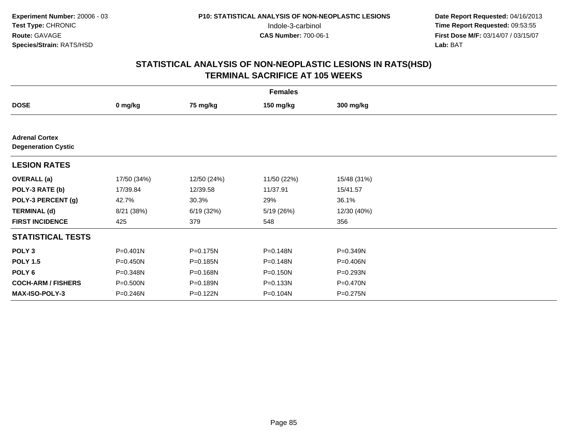|                                                     | <b>Females</b> |             |              |              |  |  |  |  |
|-----------------------------------------------------|----------------|-------------|--------------|--------------|--|--|--|--|
| <b>DOSE</b>                                         | 0 mg/kg        | 75 mg/kg    | 150 mg/kg    | 300 mg/kg    |  |  |  |  |
|                                                     |                |             |              |              |  |  |  |  |
| <b>Adrenal Cortex</b><br><b>Degeneration Cystic</b> |                |             |              |              |  |  |  |  |
| <b>LESION RATES</b>                                 |                |             |              |              |  |  |  |  |
| <b>OVERALL</b> (a)                                  | 17/50 (34%)    | 12/50 (24%) | 11/50 (22%)  | 15/48 (31%)  |  |  |  |  |
| POLY-3 RATE (b)                                     | 17/39.84       | 12/39.58    | 11/37.91     | 15/41.57     |  |  |  |  |
| POLY-3 PERCENT (g)                                  | 42.7%          | 30.3%       | 29%          | 36.1%        |  |  |  |  |
| <b>TERMINAL (d)</b>                                 | 8/21 (38%)     | 6/19(32%)   | 5/19(26%)    | 12/30 (40%)  |  |  |  |  |
| <b>FIRST INCIDENCE</b>                              | 425            | 379         | 548          | 356          |  |  |  |  |
| <b>STATISTICAL TESTS</b>                            |                |             |              |              |  |  |  |  |
| POLY <sub>3</sub>                                   | $P = 0.401N$   | P=0.175N    | P=0.148N     | $P = 0.349N$ |  |  |  |  |
| <b>POLY 1.5</b>                                     | $P = 0.450N$   | P=0.185N    | P=0.148N     | P=0.406N     |  |  |  |  |
| POLY <sub>6</sub>                                   | P=0.348N       | P=0.168N    | $P = 0.150N$ | P=0.293N     |  |  |  |  |
| <b>COCH-ARM / FISHERS</b>                           | P=0.500N       | P=0.189N    | $P = 0.133N$ | P=0.470N     |  |  |  |  |
| <b>MAX-ISO-POLY-3</b>                               | P=0.246N       | P=0.122N    | P=0.104N     | $P = 0.275N$ |  |  |  |  |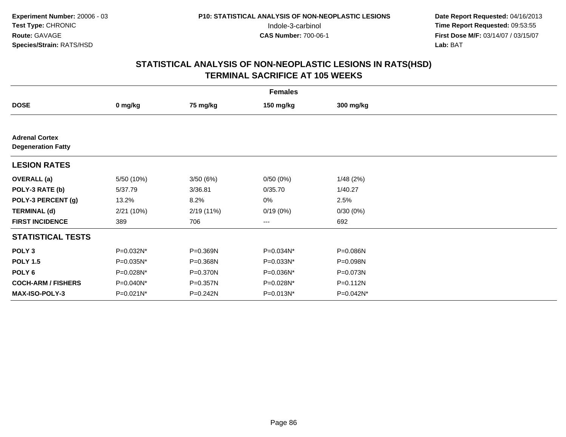| <b>Females</b>                                     |            |            |           |              |  |  |  |
|----------------------------------------------------|------------|------------|-----------|--------------|--|--|--|
| <b>DOSE</b>                                        | 0 mg/kg    | 75 mg/kg   | 150 mg/kg | 300 mg/kg    |  |  |  |
|                                                    |            |            |           |              |  |  |  |
| <b>Adrenal Cortex</b><br><b>Degeneration Fatty</b> |            |            |           |              |  |  |  |
| <b>LESION RATES</b>                                |            |            |           |              |  |  |  |
| <b>OVERALL</b> (a)                                 | 5/50 (10%) | 3/50(6%)   | 0/50(0%)  | 1/48(2%)     |  |  |  |
| POLY-3 RATE (b)                                    | 5/37.79    | 3/36.81    | 0/35.70   | 1/40.27      |  |  |  |
| POLY-3 PERCENT (g)                                 | 13.2%      | 8.2%       | 0%        | 2.5%         |  |  |  |
| <b>TERMINAL (d)</b>                                | 2/21(10%)  | 2/19 (11%) | 0/19(0%)  | 0/30(0%)     |  |  |  |
| <b>FIRST INCIDENCE</b>                             | 389        | 706        | $---$     | 692          |  |  |  |
| <b>STATISTICAL TESTS</b>                           |            |            |           |              |  |  |  |
| POLY <sub>3</sub>                                  | P=0.032N*  | P=0.369N   | P=0.034N* | P=0.086N     |  |  |  |
| <b>POLY 1.5</b>                                    | P=0.035N*  | P=0.368N   | P=0.033N* | P=0.098N     |  |  |  |
| POLY 6                                             | P=0.028N*  | P=0.370N   | P=0.036N* | P=0.073N     |  |  |  |
| <b>COCH-ARM / FISHERS</b>                          | P=0.040N*  | P=0.357N   | P=0.028N* | $P = 0.112N$ |  |  |  |
| MAX-ISO-POLY-3                                     | P=0.021N*  | P=0.242N   | P=0.013N* | P=0.042N*    |  |  |  |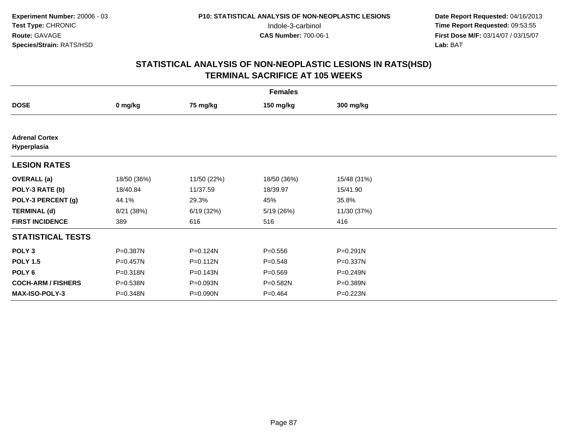|                                      | <b>Females</b> |             |             |              |  |  |  |  |
|--------------------------------------|----------------|-------------|-------------|--------------|--|--|--|--|
| <b>DOSE</b>                          | 0 mg/kg        | 75 mg/kg    | 150 mg/kg   | 300 mg/kg    |  |  |  |  |
|                                      |                |             |             |              |  |  |  |  |
| <b>Adrenal Cortex</b><br>Hyperplasia |                |             |             |              |  |  |  |  |
| <b>LESION RATES</b>                  |                |             |             |              |  |  |  |  |
| <b>OVERALL</b> (a)                   | 18/50 (36%)    | 11/50 (22%) | 18/50 (36%) | 15/48 (31%)  |  |  |  |  |
| POLY-3 RATE (b)                      | 18/40.84       | 11/37.59    | 18/39.97    | 15/41.90     |  |  |  |  |
| POLY-3 PERCENT (g)                   | 44.1%          | 29.3%       | 45%         | 35.8%        |  |  |  |  |
| <b>TERMINAL (d)</b>                  | 8/21 (38%)     | 6/19(32%)   | 5/19 (26%)  | 11/30 (37%)  |  |  |  |  |
| <b>FIRST INCIDENCE</b>               | 389            | 616         | 516         | 416          |  |  |  |  |
| <b>STATISTICAL TESTS</b>             |                |             |             |              |  |  |  |  |
| POLY <sub>3</sub>                    | P=0.387N       | P=0.124N    | $P = 0.556$ | $P = 0.291N$ |  |  |  |  |
| <b>POLY 1.5</b>                      | P=0.457N       | P=0.112N    | $P = 0.548$ | P=0.337N     |  |  |  |  |
| POLY 6                               | P=0.318N       | P=0.143N    | $P = 0.569$ | P=0.249N     |  |  |  |  |
| <b>COCH-ARM / FISHERS</b>            | P=0.538N       | P=0.093N    | P=0.582N    | P=0.389N     |  |  |  |  |
| MAX-ISO-POLY-3                       | P=0.348N       | P=0.090N    | $P = 0.464$ | P=0.223N     |  |  |  |  |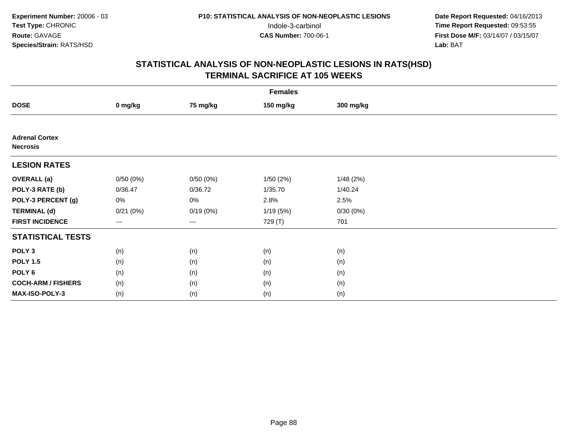|                                          | <b>Females</b> |          |           |           |  |  |  |  |
|------------------------------------------|----------------|----------|-----------|-----------|--|--|--|--|
| <b>DOSE</b>                              | 0 mg/kg        | 75 mg/kg | 150 mg/kg | 300 mg/kg |  |  |  |  |
|                                          |                |          |           |           |  |  |  |  |
| <b>Adrenal Cortex</b><br><b>Necrosis</b> |                |          |           |           |  |  |  |  |
| <b>LESION RATES</b>                      |                |          |           |           |  |  |  |  |
| <b>OVERALL</b> (a)                       | 0/50(0%)       | 0/50(0%) | 1/50(2%)  | 1/48(2%)  |  |  |  |  |
| POLY-3 RATE (b)                          | 0/36.47        | 0/36.72  | 1/35.70   | 1/40.24   |  |  |  |  |
| POLY-3 PERCENT (g)                       | 0%             | $0\%$    | 2.8%      | 2.5%      |  |  |  |  |
| <b>TERMINAL (d)</b>                      | 0/21(0%)       | 0/19(0%) | 1/19(5%)  | 0/30(0%)  |  |  |  |  |
| <b>FIRST INCIDENCE</b>                   | $---$          | $---$    | 729 (T)   | 701       |  |  |  |  |
| <b>STATISTICAL TESTS</b>                 |                |          |           |           |  |  |  |  |
| POLY <sub>3</sub>                        | (n)            | (n)      | (n)       | (n)       |  |  |  |  |
| <b>POLY 1.5</b>                          | (n)            | (n)      | (n)       | (n)       |  |  |  |  |
| POLY <sub>6</sub>                        | (n)            | (n)      | (n)       | (n)       |  |  |  |  |
| <b>COCH-ARM / FISHERS</b>                | (n)            | (n)      | (n)       | (n)       |  |  |  |  |
| <b>MAX-ISO-POLY-3</b>                    | (n)            | (n)      | (n)       | (n)       |  |  |  |  |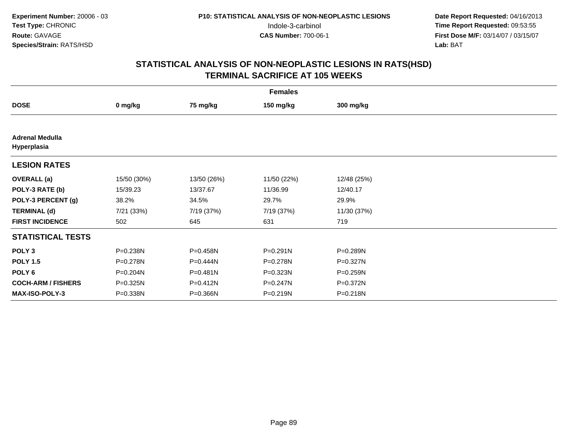| <b>Females</b>                        |              |             |              |              |  |  |  |
|---------------------------------------|--------------|-------------|--------------|--------------|--|--|--|
| <b>DOSE</b>                           | 0 mg/kg      | 75 mg/kg    | 150 mg/kg    | 300 mg/kg    |  |  |  |
|                                       |              |             |              |              |  |  |  |
| <b>Adrenal Medulla</b><br>Hyperplasia |              |             |              |              |  |  |  |
| <b>LESION RATES</b>                   |              |             |              |              |  |  |  |
| <b>OVERALL</b> (a)                    | 15/50 (30%)  | 13/50 (26%) | 11/50 (22%)  | 12/48 (25%)  |  |  |  |
| POLY-3 RATE (b)                       | 15/39.23     | 13/37.67    | 11/36.99     | 12/40.17     |  |  |  |
| POLY-3 PERCENT (g)                    | 38.2%        | 34.5%       | 29.7%        | 29.9%        |  |  |  |
| <b>TERMINAL (d)</b>                   | 7/21 (33%)   | 7/19 (37%)  | 7/19 (37%)   | 11/30 (37%)  |  |  |  |
| <b>FIRST INCIDENCE</b>                | 502          | 645         | 631          | 719          |  |  |  |
| <b>STATISTICAL TESTS</b>              |              |             |              |              |  |  |  |
| POLY <sub>3</sub>                     | P=0.238N     | P=0.458N    | $P = 0.291N$ | P=0.289N     |  |  |  |
| <b>POLY 1.5</b>                       | P=0.278N     | P=0.444N    | P=0.278N     | P=0.327N     |  |  |  |
| POLY 6                                | $P = 0.204N$ | P=0.481N    | P=0.323N     | $P = 0.259N$ |  |  |  |
| <b>COCH-ARM / FISHERS</b>             | P=0.325N     | P=0.412N    | $P = 0.247N$ | P=0.372N     |  |  |  |
| MAX-ISO-POLY-3                        | P=0.338N     | P=0.366N    | P=0.219N     | P=0.218N     |  |  |  |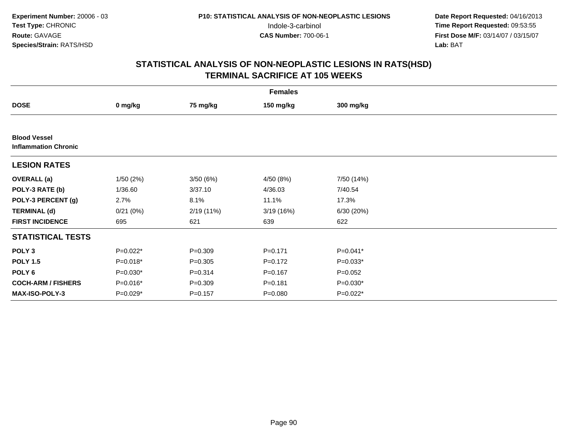| <b>Females</b>                                     |            |             |             |             |  |  |  |
|----------------------------------------------------|------------|-------------|-------------|-------------|--|--|--|
| <b>DOSE</b>                                        | 0 mg/kg    | 75 mg/kg    | 150 mg/kg   | 300 mg/kg   |  |  |  |
|                                                    |            |             |             |             |  |  |  |
| <b>Blood Vessel</b><br><b>Inflammation Chronic</b> |            |             |             |             |  |  |  |
| <b>LESION RATES</b>                                |            |             |             |             |  |  |  |
| <b>OVERALL</b> (a)                                 | 1/50(2%)   | 3/50(6%)    | 4/50 (8%)   | 7/50 (14%)  |  |  |  |
| POLY-3 RATE (b)                                    | 1/36.60    | 3/37.10     | 4/36.03     | 7/40.54     |  |  |  |
| POLY-3 PERCENT (g)                                 | 2.7%       | 8.1%        | 11.1%       | 17.3%       |  |  |  |
| <b>TERMINAL (d)</b>                                | 0/21(0%)   | 2/19(11%)   | 3/19(16%)   | 6/30 (20%)  |  |  |  |
| <b>FIRST INCIDENCE</b>                             | 695        | 621         | 639         | 622         |  |  |  |
| <b>STATISTICAL TESTS</b>                           |            |             |             |             |  |  |  |
| POLY <sub>3</sub>                                  | $P=0.022*$ | $P = 0.309$ | $P = 0.171$ | P=0.041*    |  |  |  |
| <b>POLY 1.5</b>                                    | $P=0.018*$ | $P = 0.305$ | $P=0.172$   | $P=0.033*$  |  |  |  |
| POLY 6                                             | $P=0.030*$ | $P = 0.314$ | $P = 0.167$ | $P = 0.052$ |  |  |  |
| <b>COCH-ARM / FISHERS</b>                          | $P=0.016*$ | $P = 0.309$ | $P = 0.181$ | P=0.030*    |  |  |  |
| <b>MAX-ISO-POLY-3</b>                              | $P=0.029*$ | $P = 0.157$ | $P = 0.080$ | $P=0.022*$  |  |  |  |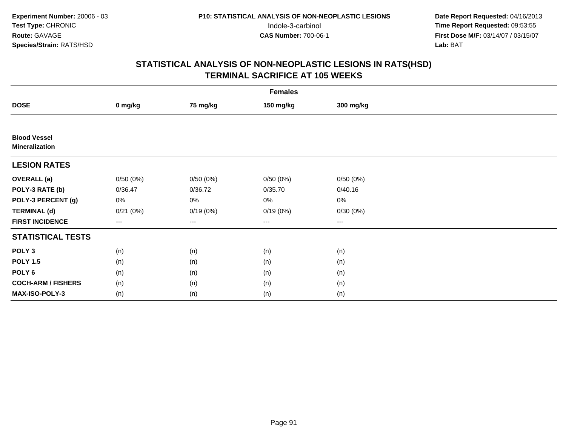|                                              | <b>Females</b> |                   |                   |           |  |  |  |  |
|----------------------------------------------|----------------|-------------------|-------------------|-----------|--|--|--|--|
| <b>DOSE</b>                                  | 0 mg/kg        | 75 mg/kg          | 150 mg/kg         | 300 mg/kg |  |  |  |  |
|                                              |                |                   |                   |           |  |  |  |  |
| <b>Blood Vessel</b><br><b>Mineralization</b> |                |                   |                   |           |  |  |  |  |
| <b>LESION RATES</b>                          |                |                   |                   |           |  |  |  |  |
| <b>OVERALL</b> (a)                           | 0/50(0%)       | 0/50(0%)          | 0/50(0%)          | 0/50(0%)  |  |  |  |  |
| POLY-3 RATE (b)                              | 0/36.47        | 0/36.72           | 0/35.70           | 0/40.16   |  |  |  |  |
| POLY-3 PERCENT (g)                           | 0%             | 0%                | 0%                | $0\%$     |  |  |  |  |
| <b>TERMINAL (d)</b>                          | 0/21(0%)       | 0/19(0%)          | 0/19(0%)          | 0/30(0%)  |  |  |  |  |
| <b>FIRST INCIDENCE</b>                       | $---$          | $\qquad \qquad -$ | $\qquad \qquad -$ | $---$     |  |  |  |  |
| <b>STATISTICAL TESTS</b>                     |                |                   |                   |           |  |  |  |  |
| POLY <sub>3</sub>                            | (n)            | (n)               | (n)               | (n)       |  |  |  |  |
| <b>POLY 1.5</b>                              | (n)            | (n)               | (n)               | (n)       |  |  |  |  |
| POLY <sub>6</sub>                            | (n)            | (n)               | (n)               | (n)       |  |  |  |  |
| <b>COCH-ARM / FISHERS</b>                    | (n)            | (n)               | (n)               | (n)       |  |  |  |  |
| MAX-ISO-POLY-3                               | (n)            | (n)               | (n)               | (n)       |  |  |  |  |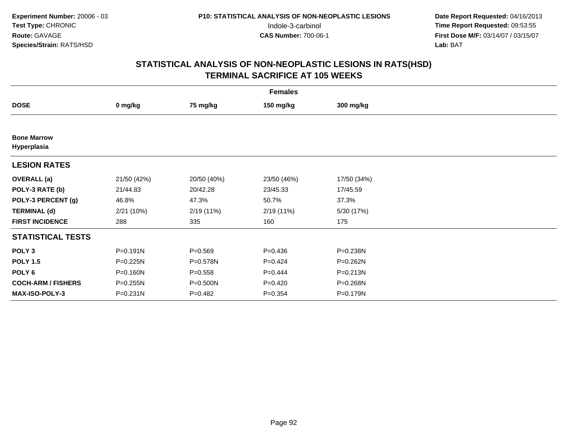|                                   | <b>Females</b> |              |             |              |  |  |  |  |
|-----------------------------------|----------------|--------------|-------------|--------------|--|--|--|--|
| <b>DOSE</b>                       | 0 mg/kg        | 75 mg/kg     | 150 mg/kg   | 300 mg/kg    |  |  |  |  |
|                                   |                |              |             |              |  |  |  |  |
| <b>Bone Marrow</b><br>Hyperplasia |                |              |             |              |  |  |  |  |
| <b>LESION RATES</b>               |                |              |             |              |  |  |  |  |
| <b>OVERALL</b> (a)                | 21/50 (42%)    | 20/50 (40%)  | 23/50 (46%) | 17/50 (34%)  |  |  |  |  |
| POLY-3 RATE (b)                   | 21/44.83       | 20/42.28     | 23/45.33    | 17/45.59     |  |  |  |  |
| POLY-3 PERCENT (g)                | 46.8%          | 47.3%        | 50.7%       | 37.3%        |  |  |  |  |
| <b>TERMINAL (d)</b>               | 2/21(10%)      | 2/19(11%)    | 2/19(11%)   | 5/30 (17%)   |  |  |  |  |
| <b>FIRST INCIDENCE</b>            | 288            | 335          | 160         | 175          |  |  |  |  |
| <b>STATISTICAL TESTS</b>          |                |              |             |              |  |  |  |  |
| POLY <sub>3</sub>                 | $P = 0.191N$   | $P = 0.569$  | $P = 0.436$ | P=0.238N     |  |  |  |  |
| <b>POLY 1.5</b>                   | $P = 0.225N$   | P=0.578N     | $P=0.424$   | $P = 0.262N$ |  |  |  |  |
| POLY <sub>6</sub>                 | $P = 0.160N$   | $P = 0.558$  | $P=0.444$   | $P = 0.213N$ |  |  |  |  |
| <b>COCH-ARM / FISHERS</b>         | $P = 0.255N$   | $P = 0.500N$ | $P=0.420$   | P=0.268N     |  |  |  |  |
| <b>MAX-ISO-POLY-3</b>             | $P = 0.231N$   | $P=0.482$    | $P = 0.354$ | P=0.179N     |  |  |  |  |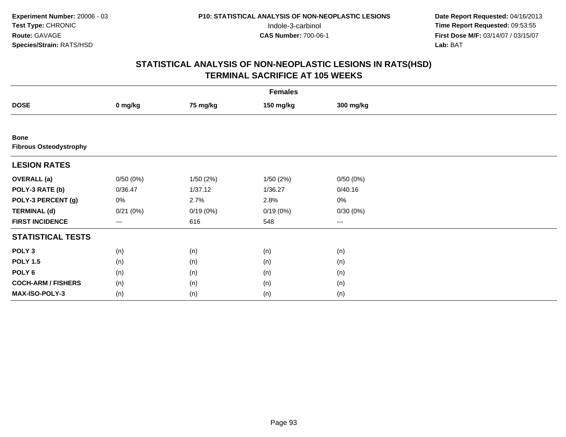|                                              | <b>Females</b> |           |           |           |  |  |  |  |
|----------------------------------------------|----------------|-----------|-----------|-----------|--|--|--|--|
| <b>DOSE</b>                                  | 0 mg/kg        | 75 mg/kg  | 150 mg/kg | 300 mg/kg |  |  |  |  |
|                                              |                |           |           |           |  |  |  |  |
| <b>Bone</b><br><b>Fibrous Osteodystrophy</b> |                |           |           |           |  |  |  |  |
| <b>LESION RATES</b>                          |                |           |           |           |  |  |  |  |
| <b>OVERALL</b> (a)                           | 0/50(0%)       | 1/50 (2%) | 1/50(2%)  | 0/50(0%)  |  |  |  |  |
| POLY-3 RATE (b)                              | 0/36.47        | 1/37.12   | 1/36.27   | 0/40.16   |  |  |  |  |
| POLY-3 PERCENT (g)                           | 0%             | 2.7%      | 2.8%      | $0\%$     |  |  |  |  |
| <b>TERMINAL (d)</b>                          | 0/21(0%)       | 0/19(0%)  | 0/19(0%)  | 0/30(0%)  |  |  |  |  |
| <b>FIRST INCIDENCE</b>                       | ---            | 616       | 548       | ---       |  |  |  |  |
| <b>STATISTICAL TESTS</b>                     |                |           |           |           |  |  |  |  |
| POLY <sub>3</sub>                            | (n)            | (n)       | (n)       | (n)       |  |  |  |  |
| <b>POLY 1.5</b>                              | (n)            | (n)       | (n)       | (n)       |  |  |  |  |
| POLY <sub>6</sub>                            | (n)            | (n)       | (n)       | (n)       |  |  |  |  |
| <b>COCH-ARM / FISHERS</b>                    | (n)            | (n)       | (n)       | (n)       |  |  |  |  |
| <b>MAX-ISO-POLY-3</b>                        | (n)            | (n)       | (n)       | (n)       |  |  |  |  |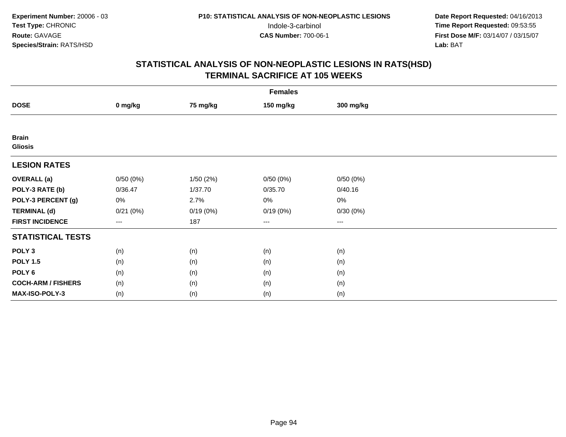|                                | <b>Females</b>    |          |           |                        |  |  |  |  |
|--------------------------------|-------------------|----------|-----------|------------------------|--|--|--|--|
| <b>DOSE</b>                    | 0 mg/kg           | 75 mg/kg | 150 mg/kg | 300 mg/kg              |  |  |  |  |
|                                |                   |          |           |                        |  |  |  |  |
| <b>Brain</b><br><b>Gliosis</b> |                   |          |           |                        |  |  |  |  |
| <b>LESION RATES</b>            |                   |          |           |                        |  |  |  |  |
| <b>OVERALL</b> (a)             | 0/50(0%)          | 1/50(2%) | 0/50(0%)  | 0/50(0%)               |  |  |  |  |
| POLY-3 RATE (b)                | 0/36.47           | 1/37.70  | 0/35.70   | 0/40.16                |  |  |  |  |
| POLY-3 PERCENT (g)             | 0%                | 2.7%     | 0%        | 0%                     |  |  |  |  |
| <b>TERMINAL (d)</b>            | 0/21(0%)          | 0/19(0%) | 0/19(0%)  | 0/30(0%)               |  |  |  |  |
| <b>FIRST INCIDENCE</b>         | $\qquad \qquad -$ | 187      | ---       | $\qquad \qquad \cdots$ |  |  |  |  |
| <b>STATISTICAL TESTS</b>       |                   |          |           |                        |  |  |  |  |
| POLY <sub>3</sub>              | (n)               | (n)      | (n)       | (n)                    |  |  |  |  |
| <b>POLY 1.5</b>                | (n)               | (n)      | (n)       | (n)                    |  |  |  |  |
| POLY <sub>6</sub>              | (n)               | (n)      | (n)       | (n)                    |  |  |  |  |
| <b>COCH-ARM / FISHERS</b>      | (n)               | (n)      | (n)       | (n)                    |  |  |  |  |
| MAX-ISO-POLY-3                 | (n)               | (n)      | (n)       | (n)                    |  |  |  |  |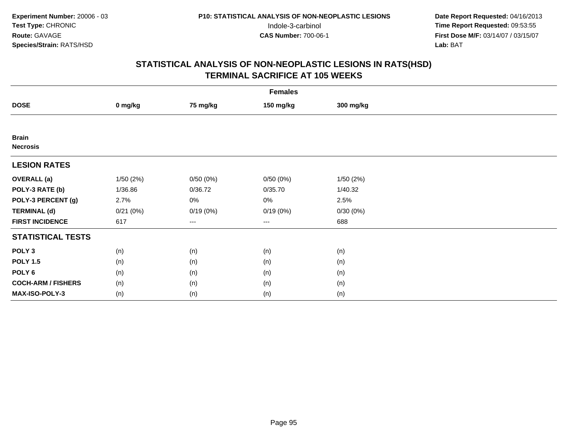|                                 | <b>Females</b> |          |           |           |  |  |  |  |
|---------------------------------|----------------|----------|-----------|-----------|--|--|--|--|
| <b>DOSE</b>                     | 0 mg/kg        | 75 mg/kg | 150 mg/kg | 300 mg/kg |  |  |  |  |
|                                 |                |          |           |           |  |  |  |  |
| <b>Brain</b><br><b>Necrosis</b> |                |          |           |           |  |  |  |  |
| <b>LESION RATES</b>             |                |          |           |           |  |  |  |  |
| <b>OVERALL</b> (a)              | 1/50(2%)       | 0/50(0%) | 0/50(0%)  | 1/50(2%)  |  |  |  |  |
| POLY-3 RATE (b)                 | 1/36.86        | 0/36.72  | 0/35.70   | 1/40.32   |  |  |  |  |
| POLY-3 PERCENT (g)              | 2.7%           | 0%       | 0%        | 2.5%      |  |  |  |  |
| <b>TERMINAL (d)</b>             | 0/21(0%)       | 0/19(0%) | 0/19(0%)  | 0/30(0%)  |  |  |  |  |
| <b>FIRST INCIDENCE</b>          | 617            | ---      | $---$     | 688       |  |  |  |  |
| <b>STATISTICAL TESTS</b>        |                |          |           |           |  |  |  |  |
| POLY <sub>3</sub>               | (n)            | (n)      | (n)       | (n)       |  |  |  |  |
| <b>POLY 1.5</b>                 | (n)            | (n)      | (n)       | (n)       |  |  |  |  |
| POLY <sub>6</sub>               | (n)            | (n)      | (n)       | (n)       |  |  |  |  |
| <b>COCH-ARM / FISHERS</b>       | (n)            | (n)      | (n)       | (n)       |  |  |  |  |
| MAX-ISO-POLY-3                  | (n)            | (n)      | (n)       | (n)       |  |  |  |  |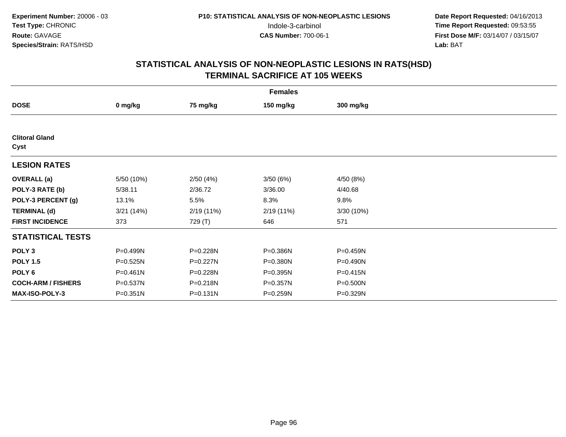| <b>Females</b>                |            |              |              |              |  |  |  |
|-------------------------------|------------|--------------|--------------|--------------|--|--|--|
| <b>DOSE</b>                   | 0 mg/kg    | 75 mg/kg     | 150 mg/kg    | 300 mg/kg    |  |  |  |
|                               |            |              |              |              |  |  |  |
| <b>Clitoral Gland</b><br>Cyst |            |              |              |              |  |  |  |
| <b>LESION RATES</b>           |            |              |              |              |  |  |  |
| <b>OVERALL</b> (a)            | 5/50 (10%) | 2/50(4%)     | 3/50(6%)     | 4/50(8%)     |  |  |  |
| POLY-3 RATE (b)               | 5/38.11    | 2/36.72      | 3/36.00      | 4/40.68      |  |  |  |
| POLY-3 PERCENT (g)            | 13.1%      | 5.5%         | 8.3%         | 9.8%         |  |  |  |
| <b>TERMINAL (d)</b>           | 3/21(14%)  | 2/19(11%)    | 2/19(11%)    | 3/30 (10%)   |  |  |  |
| <b>FIRST INCIDENCE</b>        | 373        | 729 (T)      | 646          | 571          |  |  |  |
| <b>STATISTICAL TESTS</b>      |            |              |              |              |  |  |  |
| POLY <sub>3</sub>             | P=0.499N   | P=0.228N     | P=0.386N     | P=0.459N     |  |  |  |
| <b>POLY 1.5</b>               | P=0.525N   | P=0.227N     | P=0.380N     | P=0.490N     |  |  |  |
| POLY <sub>6</sub>             | P=0.461N   | P=0.228N     | $P = 0.395N$ | $P = 0.415N$ |  |  |  |
| <b>COCH-ARM / FISHERS</b>     | P=0.537N   | P=0.218N     | P=0.357N     | P=0.500N     |  |  |  |
| <b>MAX-ISO-POLY-3</b>         | P=0.351N   | $P = 0.131N$ | $P = 0.259N$ | P=0.329N     |  |  |  |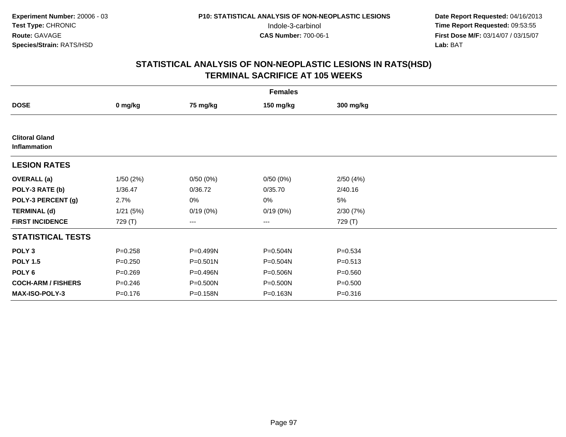|                                       | <b>Females</b> |              |                   |             |  |  |  |  |
|---------------------------------------|----------------|--------------|-------------------|-------------|--|--|--|--|
| <b>DOSE</b>                           | 0 mg/kg        | 75 mg/kg     | 150 mg/kg         | 300 mg/kg   |  |  |  |  |
|                                       |                |              |                   |             |  |  |  |  |
| <b>Clitoral Gland</b><br>Inflammation |                |              |                   |             |  |  |  |  |
| <b>LESION RATES</b>                   |                |              |                   |             |  |  |  |  |
| <b>OVERALL</b> (a)                    | 1/50(2%)       | 0/50(0%)     | 0/50(0%)          | 2/50(4%)    |  |  |  |  |
| POLY-3 RATE (b)                       | 1/36.47        | 0/36.72      | 0/35.70           | 2/40.16     |  |  |  |  |
| POLY-3 PERCENT (g)                    | 2.7%           | 0%           | 0%                | 5%          |  |  |  |  |
| <b>TERMINAL (d)</b>                   | 1/21(5%)       | 0/19(0%)     | 0/19(0%)          | 2/30(7%)    |  |  |  |  |
| <b>FIRST INCIDENCE</b>                | 729 (T)        | ---          | $\qquad \qquad -$ | 729 (T)     |  |  |  |  |
| <b>STATISTICAL TESTS</b>              |                |              |                   |             |  |  |  |  |
| POLY <sub>3</sub>                     | $P = 0.258$    | P=0.499N     | P=0.504N          | $P = 0.534$ |  |  |  |  |
| <b>POLY 1.5</b>                       | $P = 0.250$    | $P = 0.501N$ | P=0.504N          | $P = 0.513$ |  |  |  |  |
| POLY <sub>6</sub>                     | $P = 0.269$    | P=0.496N     | P=0.506N          | $P = 0.560$ |  |  |  |  |
| <b>COCH-ARM / FISHERS</b>             | $P = 0.246$    | P=0.500N     | P=0.500N          | $P = 0.500$ |  |  |  |  |
| <b>MAX-ISO-POLY-3</b>                 | $P = 0.176$    | P=0.158N     | P=0.163N          | $P = 0.316$ |  |  |  |  |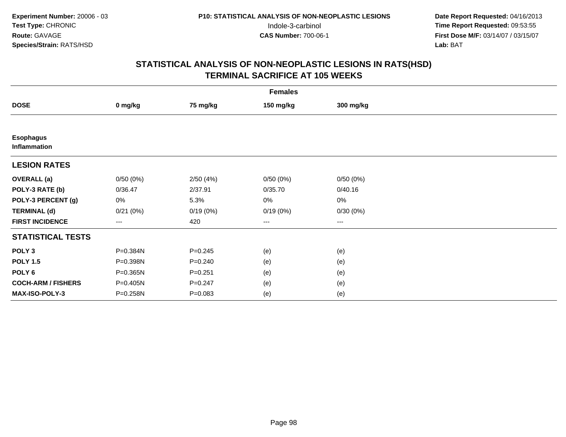|                                  | <b>Females</b> |             |                        |           |  |  |  |  |
|----------------------------------|----------------|-------------|------------------------|-----------|--|--|--|--|
| <b>DOSE</b>                      | 0 mg/kg        | 75 mg/kg    | 150 mg/kg              | 300 mg/kg |  |  |  |  |
|                                  |                |             |                        |           |  |  |  |  |
| <b>Esophagus</b><br>Inflammation |                |             |                        |           |  |  |  |  |
| <b>LESION RATES</b>              |                |             |                        |           |  |  |  |  |
| <b>OVERALL</b> (a)               | 0/50(0%)       | 2/50(4%)    | 0/50(0%)               | 0/50(0%)  |  |  |  |  |
| POLY-3 RATE (b)                  | 0/36.47        | 2/37.91     | 0/35.70                | 0/40.16   |  |  |  |  |
| POLY-3 PERCENT (g)               | $0\%$          | 5.3%        | 0%                     | $0\%$     |  |  |  |  |
| <b>TERMINAL (d)</b>              | 0/21(0%)       | 0/19(0%)    | 0/19(0%)               | 0/30(0%)  |  |  |  |  |
| <b>FIRST INCIDENCE</b>           | $---$          | 420         | $\qquad \qquad \cdots$ | ---       |  |  |  |  |
| <b>STATISTICAL TESTS</b>         |                |             |                        |           |  |  |  |  |
| POLY <sub>3</sub>                | P=0.384N       | $P = 0.245$ | (e)                    | (e)       |  |  |  |  |
| <b>POLY 1.5</b>                  | P=0.398N       | $P = 0.240$ | (e)                    | (e)       |  |  |  |  |
| POLY 6                           | P=0.365N       | $P = 0.251$ | (e)                    | (e)       |  |  |  |  |
| <b>COCH-ARM / FISHERS</b>        | P=0.405N       | $P = 0.247$ | (e)                    | (e)       |  |  |  |  |
| MAX-ISO-POLY-3                   | P=0.258N       | $P = 0.083$ | (e)                    | (e)       |  |  |  |  |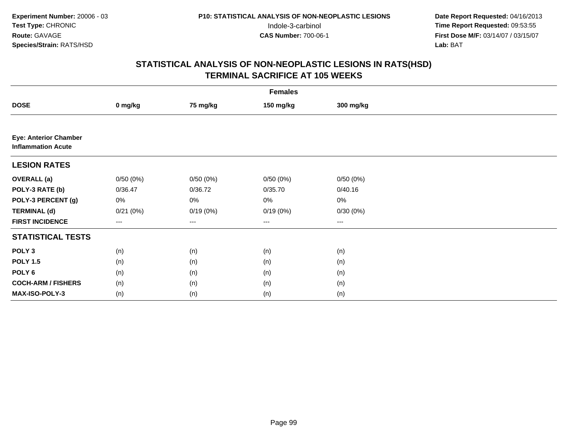|                                                           | <b>Females</b> |          |                   |           |  |  |  |  |
|-----------------------------------------------------------|----------------|----------|-------------------|-----------|--|--|--|--|
| <b>DOSE</b>                                               | 0 mg/kg        | 75 mg/kg | 150 mg/kg         | 300 mg/kg |  |  |  |  |
|                                                           |                |          |                   |           |  |  |  |  |
| <b>Eye: Anterior Chamber</b><br><b>Inflammation Acute</b> |                |          |                   |           |  |  |  |  |
| <b>LESION RATES</b>                                       |                |          |                   |           |  |  |  |  |
| <b>OVERALL</b> (a)                                        | 0/50(0%)       | 0/50(0%) | 0/50(0%)          | 0/50(0%)  |  |  |  |  |
| POLY-3 RATE (b)                                           | 0/36.47        | 0/36.72  | 0/35.70           | 0/40.16   |  |  |  |  |
| POLY-3 PERCENT (g)                                        | 0%             | 0%       | 0%                | 0%        |  |  |  |  |
| <b>TERMINAL (d)</b>                                       | 0/21(0%)       | 0/19(0%) | 0/19(0%)          | 0/30(0%)  |  |  |  |  |
| <b>FIRST INCIDENCE</b>                                    | $---$          | ---      | $\qquad \qquad -$ | ---       |  |  |  |  |
| <b>STATISTICAL TESTS</b>                                  |                |          |                   |           |  |  |  |  |
| POLY <sub>3</sub>                                         | (n)            | (n)      | (n)               | (n)       |  |  |  |  |
| <b>POLY 1.5</b>                                           | (n)            | (n)      | (n)               | (n)       |  |  |  |  |
| POLY <sub>6</sub>                                         | (n)            | (n)      | (n)               | (n)       |  |  |  |  |
| <b>COCH-ARM / FISHERS</b>                                 | (n)            | (n)      | (n)               | (n)       |  |  |  |  |
| <b>MAX-ISO-POLY-3</b>                                     | (n)            | (n)      | (n)               | (n)       |  |  |  |  |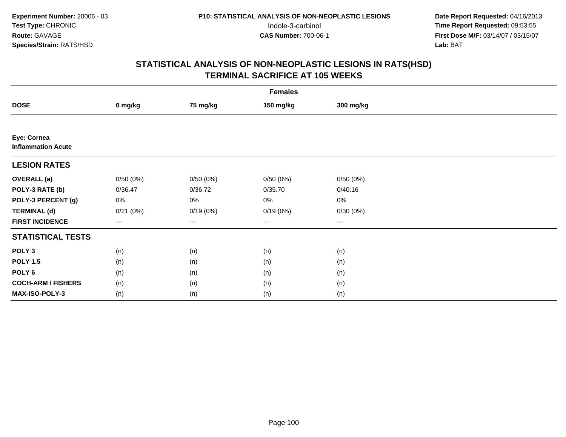|                                          | <b>Females</b> |          |           |           |  |  |  |  |
|------------------------------------------|----------------|----------|-----------|-----------|--|--|--|--|
| <b>DOSE</b>                              | 0 mg/kg        | 75 mg/kg | 150 mg/kg | 300 mg/kg |  |  |  |  |
|                                          |                |          |           |           |  |  |  |  |
| Eye: Cornea<br><b>Inflammation Acute</b> |                |          |           |           |  |  |  |  |
| <b>LESION RATES</b>                      |                |          |           |           |  |  |  |  |
| <b>OVERALL</b> (a)                       | 0/50(0%)       | 0/50(0%) | 0/50(0%)  | 0/50(0%)  |  |  |  |  |
| POLY-3 RATE (b)                          | 0/36.47        | 0/36.72  | 0/35.70   | 0/40.16   |  |  |  |  |
| POLY-3 PERCENT (g)                       | 0%             | 0%       | $0\%$     | $0\%$     |  |  |  |  |
| <b>TERMINAL (d)</b>                      | 0/21(0%)       | 0/19(0%) | 0/19(0%)  | 0/30(0%)  |  |  |  |  |
| <b>FIRST INCIDENCE</b>                   | ---            | $---$    | $\cdots$  | ---       |  |  |  |  |
| <b>STATISTICAL TESTS</b>                 |                |          |           |           |  |  |  |  |
| POLY <sub>3</sub>                        | (n)            | (n)      | (n)       | (n)       |  |  |  |  |
| <b>POLY 1.5</b>                          | (n)            | (n)      | (n)       | (n)       |  |  |  |  |
| POLY <sub>6</sub>                        | (n)            | (n)      | (n)       | (n)       |  |  |  |  |
| <b>COCH-ARM / FISHERS</b>                | (n)            | (n)      | (n)       | (n)       |  |  |  |  |
| MAX-ISO-POLY-3                           | (n)            | (n)      | (n)       | (n)       |  |  |  |  |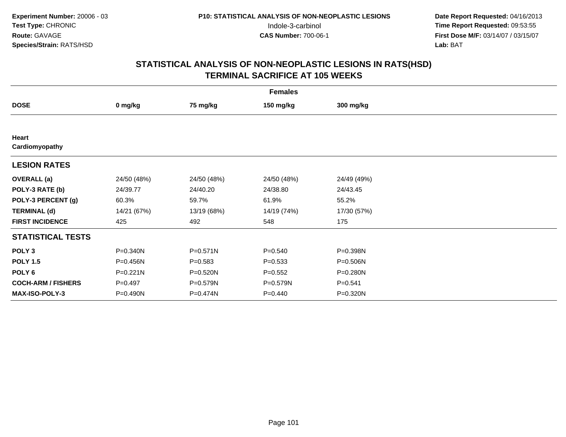| <b>Females</b>            |              |             |             |              |  |  |  |
|---------------------------|--------------|-------------|-------------|--------------|--|--|--|
| <b>DOSE</b>               | 0 mg/kg      | 75 mg/kg    | 150 mg/kg   | 300 mg/kg    |  |  |  |
|                           |              |             |             |              |  |  |  |
| Heart<br>Cardiomyopathy   |              |             |             |              |  |  |  |
| <b>LESION RATES</b>       |              |             |             |              |  |  |  |
| <b>OVERALL</b> (a)        | 24/50 (48%)  | 24/50 (48%) | 24/50 (48%) | 24/49 (49%)  |  |  |  |
| POLY-3 RATE (b)           | 24/39.77     | 24/40.20    | 24/38.80    | 24/43.45     |  |  |  |
| POLY-3 PERCENT (g)        | 60.3%        | 59.7%       | 61.9%       | 55.2%        |  |  |  |
| <b>TERMINAL (d)</b>       | 14/21 (67%)  | 13/19 (68%) | 14/19 (74%) | 17/30 (57%)  |  |  |  |
| <b>FIRST INCIDENCE</b>    | 425          | 492         | 548         | 175          |  |  |  |
| <b>STATISTICAL TESTS</b>  |              |             |             |              |  |  |  |
| POLY <sub>3</sub>         | P=0.340N     | P=0.571N    | $P = 0.540$ | P=0.398N     |  |  |  |
| <b>POLY 1.5</b>           | P=0.456N     | $P = 0.583$ | $P = 0.533$ | $P = 0.506N$ |  |  |  |
| POLY 6                    | $P = 0.221N$ | P=0.520N    | $P=0.552$   | $P = 0.280N$ |  |  |  |
| <b>COCH-ARM / FISHERS</b> | $P=0.497$    | P=0.579N    | P=0.579N    | $P = 0.541$  |  |  |  |
| MAX-ISO-POLY-3            | P=0.490N     | P=0.474N    | $P = 0.440$ | P=0.320N     |  |  |  |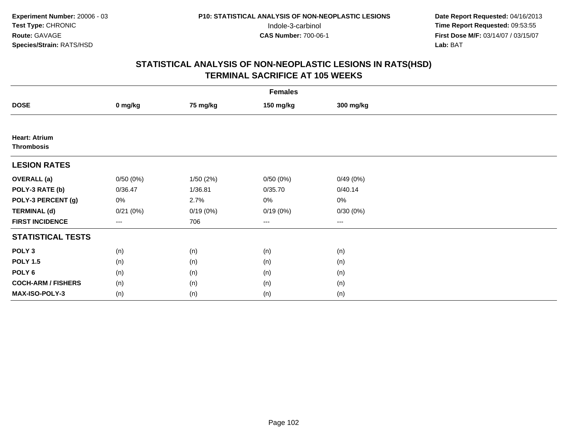|                           | <b>Females</b> |          |           |           |  |  |  |  |
|---------------------------|----------------|----------|-----------|-----------|--|--|--|--|
| <b>DOSE</b>               | 0 mg/kg        | 75 mg/kg | 150 mg/kg | 300 mg/kg |  |  |  |  |
|                           |                |          |           |           |  |  |  |  |
| <b>Heart: Atrium</b>      |                |          |           |           |  |  |  |  |
| <b>Thrombosis</b>         |                |          |           |           |  |  |  |  |
| <b>LESION RATES</b>       |                |          |           |           |  |  |  |  |
| <b>OVERALL</b> (a)        | 0/50(0%)       | 1/50(2%) | 0/50(0%)  | 0/49(0%)  |  |  |  |  |
| POLY-3 RATE (b)           | 0/36.47        | 1/36.81  | 0/35.70   | 0/40.14   |  |  |  |  |
| POLY-3 PERCENT (g)        | $0\%$          | 2.7%     | 0%        | $0\%$     |  |  |  |  |
| <b>TERMINAL (d)</b>       | 0/21(0%)       | 0/19(0%) | 0/19(0%)  | 0/30(0%)  |  |  |  |  |
| <b>FIRST INCIDENCE</b>    | $---$          | 706      | $---$     | $\cdots$  |  |  |  |  |
| <b>STATISTICAL TESTS</b>  |                |          |           |           |  |  |  |  |
| POLY <sub>3</sub>         | (n)            | (n)      | (n)       | (n)       |  |  |  |  |
| <b>POLY 1.5</b>           | (n)            | (n)      | (n)       | (n)       |  |  |  |  |
| POLY <sub>6</sub>         | (n)            | (n)      | (n)       | (n)       |  |  |  |  |
| <b>COCH-ARM / FISHERS</b> | (n)            | (n)      | (n)       | (n)       |  |  |  |  |
| <b>MAX-ISO-POLY-3</b>     | (n)            | (n)      | (n)       | (n)       |  |  |  |  |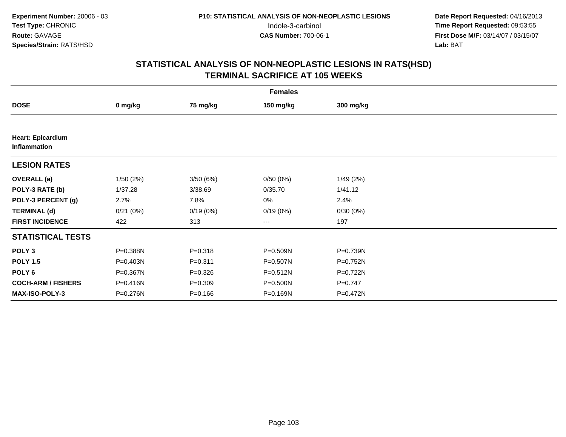|                                          | <b>Females</b> |             |           |             |  |  |  |  |
|------------------------------------------|----------------|-------------|-----------|-------------|--|--|--|--|
| <b>DOSE</b>                              | 0 mg/kg        | 75 mg/kg    | 150 mg/kg | 300 mg/kg   |  |  |  |  |
|                                          |                |             |           |             |  |  |  |  |
| <b>Heart: Epicardium</b><br>Inflammation |                |             |           |             |  |  |  |  |
| <b>LESION RATES</b>                      |                |             |           |             |  |  |  |  |
| <b>OVERALL</b> (a)                       | 1/50(2%)       | 3/50 (6%)   | 0/50(0%)  | 1/49(2%)    |  |  |  |  |
| POLY-3 RATE (b)                          | 1/37.28        | 3/38.69     | 0/35.70   | 1/41.12     |  |  |  |  |
| POLY-3 PERCENT (g)                       | 2.7%           | 7.8%        | 0%        | 2.4%        |  |  |  |  |
| <b>TERMINAL (d)</b>                      | 0/21(0%)       | 0/19(0%)    | 0/19(0%)  | 0/30(0%)    |  |  |  |  |
| <b>FIRST INCIDENCE</b>                   | 422            | 313         | $---$     | 197         |  |  |  |  |
| <b>STATISTICAL TESTS</b>                 |                |             |           |             |  |  |  |  |
| POLY <sub>3</sub>                        | P=0.388N       | $P = 0.318$ | P=0.509N  | P=0.739N    |  |  |  |  |
| <b>POLY 1.5</b>                          | P=0.403N       | $P = 0.311$ | P=0.507N  | P=0.752N    |  |  |  |  |
| POLY <sub>6</sub>                        | P=0.367N       | $P = 0.326$ | P=0.512N  | $P=0.722N$  |  |  |  |  |
| <b>COCH-ARM / FISHERS</b>                | P=0.416N       | $P = 0.309$ | P=0.500N  | $P = 0.747$ |  |  |  |  |
| <b>MAX-ISO-POLY-3</b>                    | P=0.276N       | $P = 0.166$ | P=0.169N  | P=0.472N    |  |  |  |  |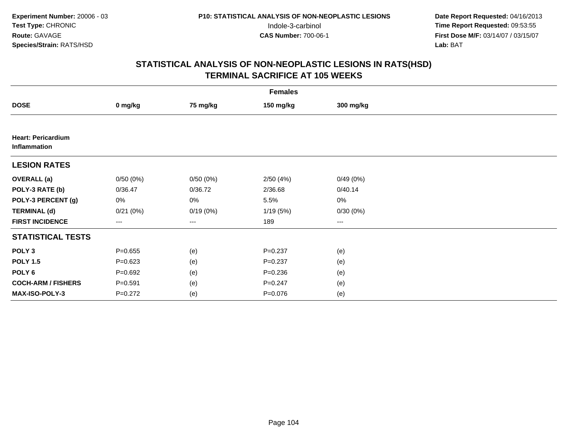|                                           | <b>Females</b> |          |             |           |  |  |  |  |
|-------------------------------------------|----------------|----------|-------------|-----------|--|--|--|--|
| <b>DOSE</b>                               | 0 mg/kg        | 75 mg/kg | 150 mg/kg   | 300 mg/kg |  |  |  |  |
|                                           |                |          |             |           |  |  |  |  |
| <b>Heart: Pericardium</b><br>Inflammation |                |          |             |           |  |  |  |  |
| <b>LESION RATES</b>                       |                |          |             |           |  |  |  |  |
| <b>OVERALL</b> (a)                        | 0/50(0%)       | 0/50(0%) | 2/50(4%)    | 0/49(0%)  |  |  |  |  |
| POLY-3 RATE (b)                           | 0/36.47        | 0/36.72  | 2/36.68     | 0/40.14   |  |  |  |  |
| POLY-3 PERCENT (g)                        | 0%             | 0%       | 5.5%        | $0\%$     |  |  |  |  |
| <b>TERMINAL (d)</b>                       | 0/21(0%)       | 0/19(0%) | 1/19(5%)    | 0/30(0%)  |  |  |  |  |
| <b>FIRST INCIDENCE</b>                    | ---            | ---      | 189         | $\cdots$  |  |  |  |  |
| <b>STATISTICAL TESTS</b>                  |                |          |             |           |  |  |  |  |
| POLY <sub>3</sub>                         | $P = 0.655$    | (e)      | $P = 0.237$ | (e)       |  |  |  |  |
| <b>POLY 1.5</b>                           | $P = 0.623$    | (e)      | $P = 0.237$ | (e)       |  |  |  |  |
| POLY <sub>6</sub>                         | $P = 0.692$    | (e)      | $P = 0.236$ | (e)       |  |  |  |  |
| <b>COCH-ARM / FISHERS</b>                 | $P = 0.591$    | (e)      | $P = 0.247$ | (e)       |  |  |  |  |
| MAX-ISO-POLY-3                            | $P=0.272$      | (e)      | $P = 0.076$ | (e)       |  |  |  |  |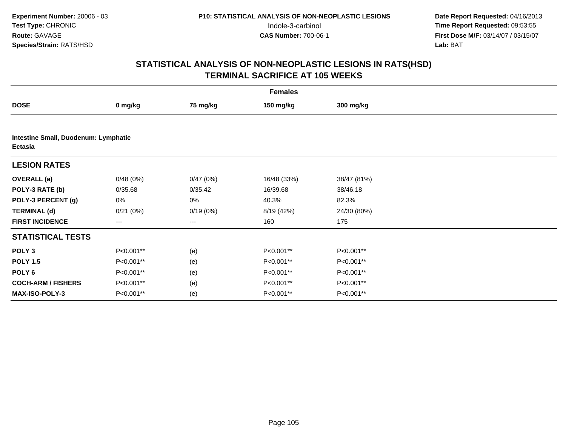| <b>Females</b>                                  |           |          |             |             |  |  |  |
|-------------------------------------------------|-----------|----------|-------------|-------------|--|--|--|
| <b>DOSE</b>                                     | 0 mg/kg   | 75 mg/kg | 150 mg/kg   | 300 mg/kg   |  |  |  |
|                                                 |           |          |             |             |  |  |  |
| Intestine Small, Duodenum: Lymphatic<br>Ectasia |           |          |             |             |  |  |  |
| <b>LESION RATES</b>                             |           |          |             |             |  |  |  |
| <b>OVERALL</b> (a)                              | 0/48(0%)  | 0/47(0%) | 16/48 (33%) | 38/47 (81%) |  |  |  |
| POLY-3 RATE (b)                                 | 0/35.68   | 0/35.42  | 16/39.68    | 38/46.18    |  |  |  |
| POLY-3 PERCENT (g)                              | 0%        | 0%       | 40.3%       | 82.3%       |  |  |  |
| <b>TERMINAL (d)</b>                             | 0/21(0%)  | 0/19(0%) | 8/19 (42%)  | 24/30 (80%) |  |  |  |
| <b>FIRST INCIDENCE</b>                          | ---       | $---$    | 160         | 175         |  |  |  |
| <b>STATISTICAL TESTS</b>                        |           |          |             |             |  |  |  |
| POLY <sub>3</sub>                               | P<0.001** | (e)      | P<0.001**   | P<0.001**   |  |  |  |
| <b>POLY 1.5</b>                                 | P<0.001** | (e)      | P<0.001**   | P<0.001**   |  |  |  |
| POLY 6                                          | P<0.001** | (e)      | P<0.001**   | P<0.001**   |  |  |  |
| <b>COCH-ARM / FISHERS</b>                       | P<0.001** | (e)      | P<0.001**   | P<0.001**   |  |  |  |
| MAX-ISO-POLY-3                                  | P<0.001** | (e)      | P<0.001**   | P<0.001**   |  |  |  |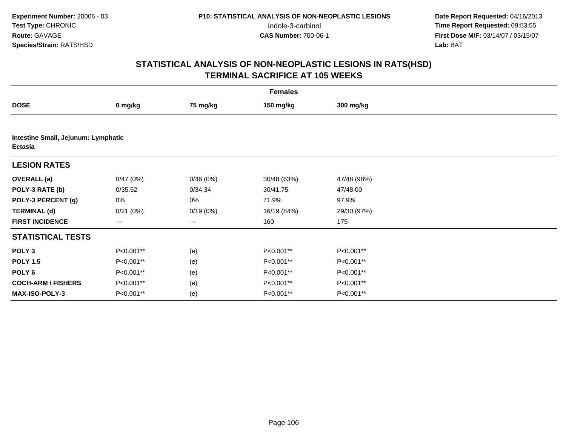|                                                | <b>Females</b> |          |             |             |  |  |  |  |
|------------------------------------------------|----------------|----------|-------------|-------------|--|--|--|--|
| <b>DOSE</b>                                    | 0 mg/kg        | 75 mg/kg | 150 mg/kg   | 300 mg/kg   |  |  |  |  |
|                                                |                |          |             |             |  |  |  |  |
| Intestine Small, Jejunum: Lymphatic<br>Ectasia |                |          |             |             |  |  |  |  |
| <b>LESION RATES</b>                            |                |          |             |             |  |  |  |  |
| <b>OVERALL</b> (a)                             | 0/47(0%)       | 0/46(0%) | 30/48 (63%) | 47/48 (98%) |  |  |  |  |
| POLY-3 RATE (b)                                | 0/35.52        | 0/34.34  | 30/41.75    | 47/48.00    |  |  |  |  |
| POLY-3 PERCENT (g)                             | 0%             | 0%       | 71.9%       | 97.9%       |  |  |  |  |
| <b>TERMINAL (d)</b>                            | 0/21(0%)       | 0/19(0%) | 16/19 (84%) | 29/30 (97%) |  |  |  |  |
| <b>FIRST INCIDENCE</b>                         | ---            | ---      | 160         | 175         |  |  |  |  |
| <b>STATISTICAL TESTS</b>                       |                |          |             |             |  |  |  |  |
| POLY <sub>3</sub>                              | P<0.001**      | (e)      | P<0.001**   | P<0.001**   |  |  |  |  |
| <b>POLY 1.5</b>                                | P<0.001**      | (e)      | P<0.001**   | P<0.001**   |  |  |  |  |
| POLY 6                                         | P<0.001**      | (e)      | P<0.001**   | P<0.001**   |  |  |  |  |
| <b>COCH-ARM / FISHERS</b>                      | P<0.001**      | (e)      | P<0.001**   | P<0.001**   |  |  |  |  |
| MAX-ISO-POLY-3                                 | P<0.001**      | (e)      | P<0.001**   | P<0.001**   |  |  |  |  |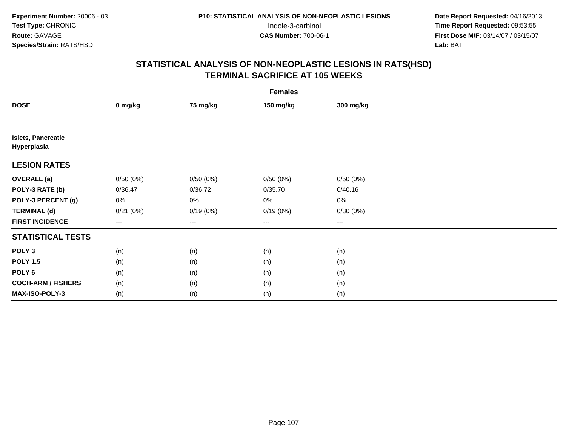|                                          | <b>Females</b> |          |           |           |  |  |  |  |
|------------------------------------------|----------------|----------|-----------|-----------|--|--|--|--|
| <b>DOSE</b>                              | 0 mg/kg        | 75 mg/kg | 150 mg/kg | 300 mg/kg |  |  |  |  |
|                                          |                |          |           |           |  |  |  |  |
| <b>Islets, Pancreatic</b><br>Hyperplasia |                |          |           |           |  |  |  |  |
| <b>LESION RATES</b>                      |                |          |           |           |  |  |  |  |
| <b>OVERALL</b> (a)                       | 0/50(0%)       | 0/50(0%) | 0/50(0%)  | 0/50(0%)  |  |  |  |  |
| POLY-3 RATE (b)                          | 0/36.47        | 0/36.72  | 0/35.70   | 0/40.16   |  |  |  |  |
| POLY-3 PERCENT (g)                       | $0\%$          | $0\%$    | 0%        | $0\%$     |  |  |  |  |
| <b>TERMINAL (d)</b>                      | 0/21(0%)       | 0/19(0%) | 0/19(0%)  | 0/30(0%)  |  |  |  |  |
| <b>FIRST INCIDENCE</b>                   | $---$          | ---      | $---$     | $\cdots$  |  |  |  |  |
| <b>STATISTICAL TESTS</b>                 |                |          |           |           |  |  |  |  |
| POLY <sub>3</sub>                        | (n)            | (n)      | (n)       | (n)       |  |  |  |  |
| <b>POLY 1.5</b>                          | (n)            | (n)      | (n)       | (n)       |  |  |  |  |
| POLY <sub>6</sub>                        | (n)            | (n)      | (n)       | (n)       |  |  |  |  |
| <b>COCH-ARM / FISHERS</b>                | (n)            | (n)      | (n)       | (n)       |  |  |  |  |
| <b>MAX-ISO-POLY-3</b>                    | (n)            | (n)      | (n)       | (n)       |  |  |  |  |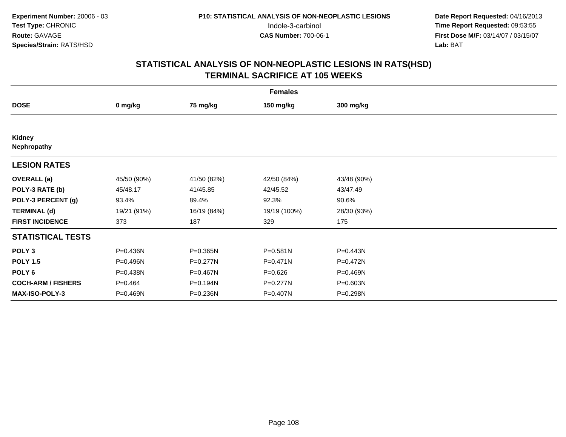| <b>Females</b>            |             |             |              |             |  |  |  |
|---------------------------|-------------|-------------|--------------|-------------|--|--|--|
| <b>DOSE</b>               | 0 mg/kg     | 75 mg/kg    | 150 mg/kg    | 300 mg/kg   |  |  |  |
|                           |             |             |              |             |  |  |  |
| Kidney<br>Nephropathy     |             |             |              |             |  |  |  |
| <b>LESION RATES</b>       |             |             |              |             |  |  |  |
| <b>OVERALL</b> (a)        | 45/50 (90%) | 41/50 (82%) | 42/50 (84%)  | 43/48 (90%) |  |  |  |
| POLY-3 RATE (b)           | 45/48.17    | 41/45.85    | 42/45.52     | 43/47.49    |  |  |  |
| POLY-3 PERCENT (g)        | 93.4%       | 89.4%       | 92.3%        | 90.6%       |  |  |  |
| <b>TERMINAL (d)</b>       | 19/21 (91%) | 16/19 (84%) | 19/19 (100%) | 28/30 (93%) |  |  |  |
| <b>FIRST INCIDENCE</b>    | 373         | 187         | 329          | 175         |  |  |  |
| <b>STATISTICAL TESTS</b>  |             |             |              |             |  |  |  |
| POLY <sub>3</sub>         | P=0.436N    | P=0.365N    | $P = 0.581N$ | P=0.443N    |  |  |  |
| <b>POLY 1.5</b>           | P=0.496N    | P=0.277N    | $P = 0.471N$ | P=0.472N    |  |  |  |
| POLY 6                    | P=0.438N    | P=0.467N    | $P=0.626$    | P=0.469N    |  |  |  |
| <b>COCH-ARM / FISHERS</b> | $P=0.464$   | P=0.194N    | $P = 0.277N$ | P=0.603N    |  |  |  |
| MAX-ISO-POLY-3            | P=0.469N    | P=0.236N    | P=0.407N     | P=0.298N    |  |  |  |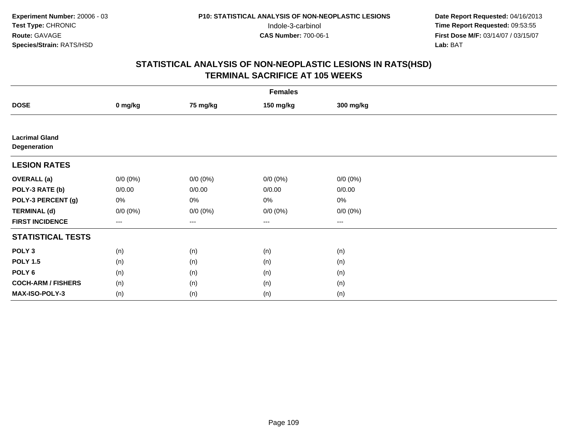|                                       | <b>Females</b> |             |             |             |  |  |  |  |
|---------------------------------------|----------------|-------------|-------------|-------------|--|--|--|--|
| <b>DOSE</b>                           | 0 mg/kg        | 75 mg/kg    | 150 mg/kg   | 300 mg/kg   |  |  |  |  |
|                                       |                |             |             |             |  |  |  |  |
| <b>Lacrimal Gland</b><br>Degeneration |                |             |             |             |  |  |  |  |
| <b>LESION RATES</b>                   |                |             |             |             |  |  |  |  |
| <b>OVERALL</b> (a)                    | $0/0 (0\%)$    | $0/0 (0\%)$ | $0/0 (0\%)$ | $0/0 (0\%)$ |  |  |  |  |
| POLY-3 RATE (b)                       | 0/0.00         | 0/0.00      | 0/0.00      | 0/0.00      |  |  |  |  |
| POLY-3 PERCENT (g)                    | $0\%$          | 0%          | 0%          | 0%          |  |  |  |  |
| <b>TERMINAL (d)</b>                   | $0/0 (0\%)$    | $0/0 (0\%)$ | $0/0 (0\%)$ | $0/0 (0\%)$ |  |  |  |  |
| <b>FIRST INCIDENCE</b>                | ---            | ---         | $---$       | ---         |  |  |  |  |
| <b>STATISTICAL TESTS</b>              |                |             |             |             |  |  |  |  |
| POLY <sub>3</sub>                     | (n)            | (n)         | (n)         | (n)         |  |  |  |  |
| <b>POLY 1.5</b>                       | (n)            | (n)         | (n)         | (n)         |  |  |  |  |
| POLY <sub>6</sub>                     | (n)            | (n)         | (n)         | (n)         |  |  |  |  |
| <b>COCH-ARM / FISHERS</b>             | (n)            | (n)         | (n)         | (n)         |  |  |  |  |
| MAX-ISO-POLY-3                        | (n)            | (n)         | (n)         | (n)         |  |  |  |  |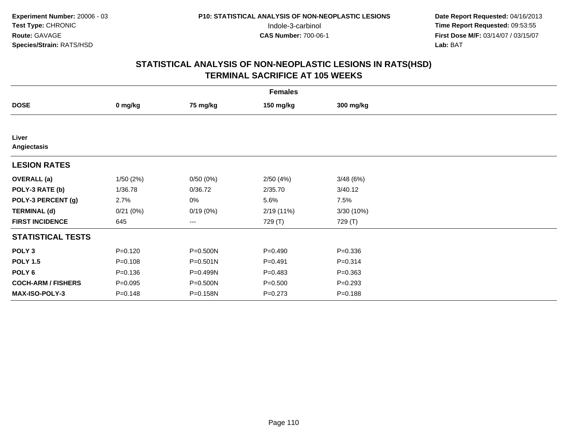| <b>Females</b>            |             |              |             |             |  |  |  |
|---------------------------|-------------|--------------|-------------|-------------|--|--|--|
| <b>DOSE</b>               | 0 mg/kg     | 75 mg/kg     | 150 mg/kg   | 300 mg/kg   |  |  |  |
|                           |             |              |             |             |  |  |  |
| Liver<br>Angiectasis      |             |              |             |             |  |  |  |
| <b>LESION RATES</b>       |             |              |             |             |  |  |  |
| <b>OVERALL</b> (a)        | 1/50(2%)    | 0/50(0%)     | 2/50(4%)    | 3/48(6%)    |  |  |  |
| POLY-3 RATE (b)           | 1/36.78     | 0/36.72      | 2/35.70     | 3/40.12     |  |  |  |
| POLY-3 PERCENT (g)        | 2.7%        | 0%           | 5.6%        | 7.5%        |  |  |  |
| <b>TERMINAL (d)</b>       | 0/21(0%)    | 0/19(0%)     | 2/19(11%)   | 3/30 (10%)  |  |  |  |
| <b>FIRST INCIDENCE</b>    | 645         | ---          | 729 (T)     | 729 (T)     |  |  |  |
| <b>STATISTICAL TESTS</b>  |             |              |             |             |  |  |  |
| POLY <sub>3</sub>         | $P = 0.120$ | P=0.500N     | $P = 0.490$ | $P = 0.336$ |  |  |  |
| <b>POLY 1.5</b>           | $P = 0.108$ | $P = 0.501N$ | $P = 0.491$ | $P = 0.314$ |  |  |  |
| POLY <sub>6</sub>         | $P = 0.136$ | P=0.499N     | $P = 0.483$ | $P = 0.363$ |  |  |  |
| <b>COCH-ARM / FISHERS</b> | $P = 0.095$ | P=0.500N     | $P = 0.500$ | $P = 0.293$ |  |  |  |
| <b>MAX-ISO-POLY-3</b>     | $P = 0.148$ | P=0.158N     | $P = 0.273$ | $P = 0.188$ |  |  |  |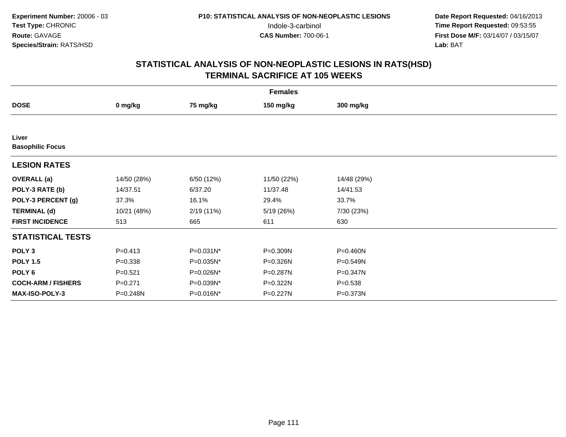| <b>Females</b>                   |             |            |             |             |  |  |  |
|----------------------------------|-------------|------------|-------------|-------------|--|--|--|
| <b>DOSE</b>                      | 0 mg/kg     | 75 mg/kg   | 150 mg/kg   | 300 mg/kg   |  |  |  |
|                                  |             |            |             |             |  |  |  |
| Liver<br><b>Basophilic Focus</b> |             |            |             |             |  |  |  |
| <b>LESION RATES</b>              |             |            |             |             |  |  |  |
| <b>OVERALL</b> (a)               | 14/50 (28%) | 6/50 (12%) | 11/50 (22%) | 14/48 (29%) |  |  |  |
| POLY-3 RATE (b)                  | 14/37.51    | 6/37.20    | 11/37.48    | 14/41.53    |  |  |  |
| POLY-3 PERCENT (g)               | 37.3%       | 16.1%      | 29.4%       | 33.7%       |  |  |  |
| <b>TERMINAL (d)</b>              | 10/21 (48%) | 2/19(11%)  | 5/19 (26%)  | 7/30 (23%)  |  |  |  |
| <b>FIRST INCIDENCE</b>           | 513         | 665        | 611         | 630         |  |  |  |
| <b>STATISTICAL TESTS</b>         |             |            |             |             |  |  |  |
| POLY <sub>3</sub>                | $P = 0.413$ | P=0.031N*  | P=0.309N    | P=0.460N    |  |  |  |
| <b>POLY 1.5</b>                  | $P = 0.338$ | P=0.035N*  | P=0.326N    | P=0.549N    |  |  |  |
| POLY 6                           | $P = 0.521$ | P=0.026N*  | P=0.287N    | P=0.347N    |  |  |  |
| <b>COCH-ARM / FISHERS</b>        | $P = 0.271$ | P=0.039N*  | P=0.322N    | $P = 0.538$ |  |  |  |
| MAX-ISO-POLY-3                   | P=0.248N    | P=0.016N*  | P=0.227N    | P=0.373N    |  |  |  |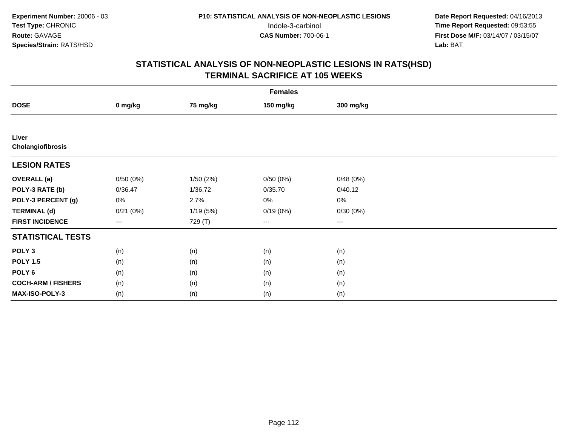| <b>Females</b>             |                        |          |           |           |  |  |  |
|----------------------------|------------------------|----------|-----------|-----------|--|--|--|
| <b>DOSE</b>                | 0 mg/kg                | 75 mg/kg | 150 mg/kg | 300 mg/kg |  |  |  |
|                            |                        |          |           |           |  |  |  |
| Liver<br>Cholangiofibrosis |                        |          |           |           |  |  |  |
| <b>LESION RATES</b>        |                        |          |           |           |  |  |  |
| <b>OVERALL</b> (a)         | 0/50(0%)               | 1/50(2%) | 0/50(0%)  | 0/48(0%)  |  |  |  |
| POLY-3 RATE (b)            | 0/36.47                | 1/36.72  | 0/35.70   | 0/40.12   |  |  |  |
| POLY-3 PERCENT (g)         | 0%                     | 2.7%     | 0%        | $0\%$     |  |  |  |
| <b>TERMINAL (d)</b>        | 0/21(0%)               | 1/19(5%) | 0/19(0%)  | 0/30(0%)  |  |  |  |
| <b>FIRST INCIDENCE</b>     | $\qquad \qquad \cdots$ | 729 (T)  | $\cdots$  | $\cdots$  |  |  |  |
| <b>STATISTICAL TESTS</b>   |                        |          |           |           |  |  |  |
| POLY <sub>3</sub>          | (n)                    | (n)      | (n)       | (n)       |  |  |  |
| <b>POLY 1.5</b>            | (n)                    | (n)      | (n)       | (n)       |  |  |  |
| POLY <sub>6</sub>          | (n)                    | (n)      | (n)       | (n)       |  |  |  |
| <b>COCH-ARM / FISHERS</b>  | (n)                    | (n)      | (n)       | (n)       |  |  |  |
| MAX-ISO-POLY-3             | (n)                    | (n)      | (n)       | (n)       |  |  |  |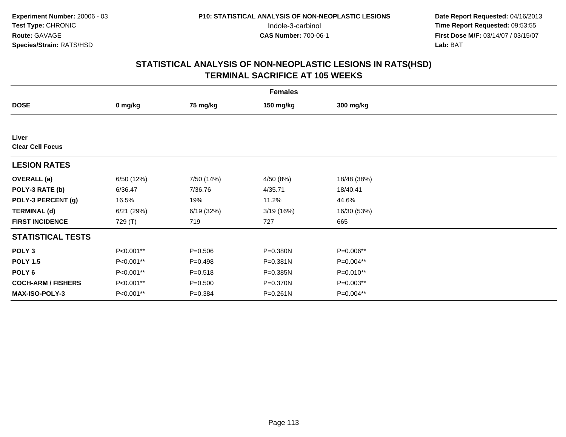| <b>Females</b>                   |            |             |              |             |  |  |  |
|----------------------------------|------------|-------------|--------------|-------------|--|--|--|
| <b>DOSE</b>                      | 0 mg/kg    | 75 mg/kg    | 150 mg/kg    | 300 mg/kg   |  |  |  |
|                                  |            |             |              |             |  |  |  |
| Liver<br><b>Clear Cell Focus</b> |            |             |              |             |  |  |  |
| <b>LESION RATES</b>              |            |             |              |             |  |  |  |
| <b>OVERALL</b> (a)               | 6/50 (12%) | 7/50 (14%)  | 4/50 (8%)    | 18/48 (38%) |  |  |  |
| POLY-3 RATE (b)                  | 6/36.47    | 7/36.76     | 4/35.71      | 18/40.41    |  |  |  |
| POLY-3 PERCENT (g)               | 16.5%      | 19%         | 11.2%        | 44.6%       |  |  |  |
| <b>TERMINAL (d)</b>              | 6/21(29%)  | 6/19(32%)   | 3/19(16%)    | 16/30 (53%) |  |  |  |
| <b>FIRST INCIDENCE</b>           | 729 (T)    | 719         | 727          | 665         |  |  |  |
| <b>STATISTICAL TESTS</b>         |            |             |              |             |  |  |  |
| POLY <sub>3</sub>                | P<0.001**  | $P = 0.506$ | P=0.380N     | P=0.006**   |  |  |  |
| <b>POLY 1.5</b>                  | P<0.001**  | $P=0.498$   | P=0.381N     | P=0.004**   |  |  |  |
| POLY 6                           | P<0.001**  | $P = 0.518$ | P=0.385N     | P=0.010**   |  |  |  |
| <b>COCH-ARM / FISHERS</b>        | P<0.001**  | $P = 0.500$ | P=0.370N     | P=0.003**   |  |  |  |
| <b>MAX-ISO-POLY-3</b>            | P<0.001**  | $P = 0.384$ | $P = 0.261N$ | P=0.004**   |  |  |  |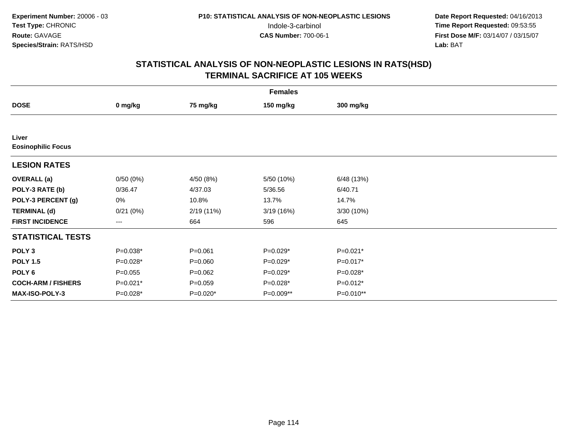| <b>Females</b>                     |             |             |            |            |  |  |  |
|------------------------------------|-------------|-------------|------------|------------|--|--|--|
| <b>DOSE</b>                        | 0 mg/kg     | 75 mg/kg    | 150 mg/kg  | 300 mg/kg  |  |  |  |
|                                    |             |             |            |            |  |  |  |
| Liver<br><b>Eosinophilic Focus</b> |             |             |            |            |  |  |  |
| <b>LESION RATES</b>                |             |             |            |            |  |  |  |
| <b>OVERALL</b> (a)                 | 0/50(0%)    | 4/50 (8%)   | 5/50 (10%) | 6/48(13%)  |  |  |  |
| POLY-3 RATE (b)                    | 0/36.47     | 4/37.03     | 5/36.56    | 6/40.71    |  |  |  |
| POLY-3 PERCENT (g)                 | 0%          | 10.8%       | 13.7%      | 14.7%      |  |  |  |
| <b>TERMINAL (d)</b>                | 0/21(0%)    | 2/19(11%)   | 3/19(16%)  | 3/30(10%)  |  |  |  |
| <b>FIRST INCIDENCE</b>             | ---         | 664         | 596        | 645        |  |  |  |
| <b>STATISTICAL TESTS</b>           |             |             |            |            |  |  |  |
| POLY <sub>3</sub>                  | $P=0.038*$  | $P = 0.061$ | $P=0.029*$ | $P=0.021*$ |  |  |  |
| <b>POLY 1.5</b>                    | $P=0.028*$  | $P = 0.060$ | $P=0.029*$ | $P=0.017*$ |  |  |  |
| POLY 6                             | $P = 0.055$ | $P=0.062$   | $P=0.029*$ | P=0.028*   |  |  |  |
| <b>COCH-ARM / FISHERS</b>          | $P=0.021*$  | $P = 0.059$ | $P=0.028*$ | $P=0.012*$ |  |  |  |
| MAX-ISO-POLY-3                     | P=0.028*    | $P=0.020*$  | P=0.009**  | P=0.010**  |  |  |  |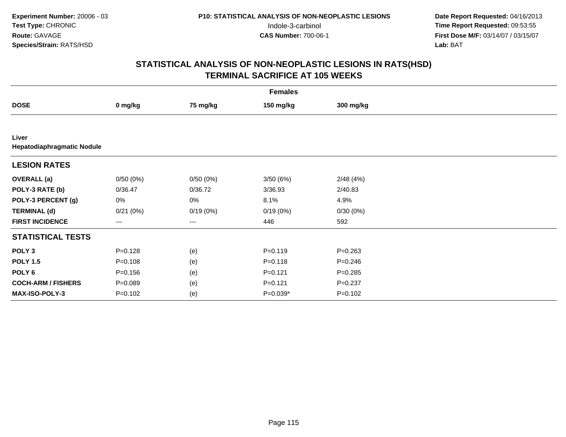| <b>Females</b>                      |             |          |             |             |  |  |  |
|-------------------------------------|-------------|----------|-------------|-------------|--|--|--|
| <b>DOSE</b>                         | 0 mg/kg     | 75 mg/kg | 150 mg/kg   | 300 mg/kg   |  |  |  |
|                                     |             |          |             |             |  |  |  |
| Liver<br>Hepatodiaphragmatic Nodule |             |          |             |             |  |  |  |
| <b>LESION RATES</b>                 |             |          |             |             |  |  |  |
| <b>OVERALL</b> (a)                  | 0/50(0%)    | 0/50(0%) | 3/50(6%)    | 2/48(4%)    |  |  |  |
| POLY-3 RATE (b)                     | 0/36.47     | 0/36.72  | 3/36.93     | 2/40.83     |  |  |  |
| POLY-3 PERCENT (g)                  | 0%          | 0%       | 8.1%        | 4.9%        |  |  |  |
| <b>TERMINAL (d)</b>                 | 0/21(0%)    | 0/19(0%) | 0/19(0%)    | 0/30(0%)    |  |  |  |
| <b>FIRST INCIDENCE</b>              | ---         | ---      | 446         | 592         |  |  |  |
| <b>STATISTICAL TESTS</b>            |             |          |             |             |  |  |  |
| POLY <sub>3</sub>                   | $P = 0.128$ | (e)      | $P = 0.119$ | $P = 0.263$ |  |  |  |
| <b>POLY 1.5</b>                     | $P = 0.108$ | (e)      | $P = 0.118$ | $P = 0.246$ |  |  |  |
| POLY 6                              | $P = 0.156$ | (e)      | $P = 0.121$ | $P = 0.285$ |  |  |  |
| <b>COCH-ARM / FISHERS</b>           | $P = 0.089$ | (e)      | $P=0.121$   | $P = 0.237$ |  |  |  |
| MAX-ISO-POLY-3                      | $P = 0.102$ | (e)      | $P=0.039*$  | $P = 0.102$ |  |  |  |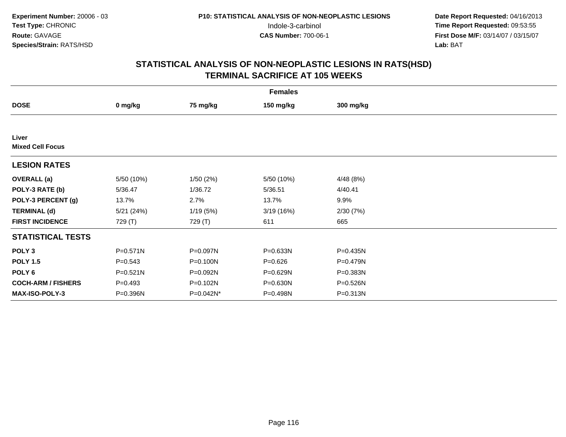| <b>Females</b>                   |              |           |             |              |  |  |  |
|----------------------------------|--------------|-----------|-------------|--------------|--|--|--|
| <b>DOSE</b>                      | 0 mg/kg      | 75 mg/kg  | 150 mg/kg   | 300 mg/kg    |  |  |  |
|                                  |              |           |             |              |  |  |  |
| Liver<br><b>Mixed Cell Focus</b> |              |           |             |              |  |  |  |
| <b>LESION RATES</b>              |              |           |             |              |  |  |  |
| <b>OVERALL</b> (a)               | 5/50 (10%)   | 1/50(2%)  | 5/50 (10%)  | 4/48(8%)     |  |  |  |
| POLY-3 RATE (b)                  | 5/36.47      | 1/36.72   | 5/36.51     | 4/40.41      |  |  |  |
| POLY-3 PERCENT (g)               | 13.7%        | 2.7%      | 13.7%       | 9.9%         |  |  |  |
| <b>TERMINAL (d)</b>              | 5/21(24%)    | 1/19(5%)  | 3/19(16%)   | 2/30(7%)     |  |  |  |
| <b>FIRST INCIDENCE</b>           | 729 (T)      | 729 (T)   | 611         | 665          |  |  |  |
| <b>STATISTICAL TESTS</b>         |              |           |             |              |  |  |  |
| POLY <sub>3</sub>                | $P = 0.571N$ | P=0.097N  | P=0.633N    | $P = 0.435N$ |  |  |  |
| <b>POLY 1.5</b>                  | $P = 0.543$  | P=0.100N  | $P = 0.626$ | P=0.479N     |  |  |  |
| POLY <sub>6</sub>                | $P = 0.521N$ | P=0.092N  | P=0.629N    | P=0.383N     |  |  |  |
| <b>COCH-ARM / FISHERS</b>        | $P=0.493$    | P=0.102N  | P=0.630N    | P=0.526N     |  |  |  |
| <b>MAX-ISO-POLY-3</b>            | P=0.396N     | P=0.042N* | P=0.498N    | $P = 0.313N$ |  |  |  |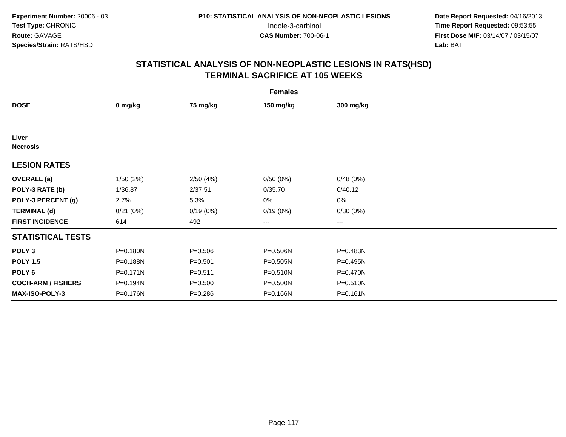| <b>Females</b>            |          |             |              |              |  |  |  |
|---------------------------|----------|-------------|--------------|--------------|--|--|--|
| <b>DOSE</b>               | 0 mg/kg  | 75 mg/kg    | 150 mg/kg    | 300 mg/kg    |  |  |  |
|                           |          |             |              |              |  |  |  |
| Liver<br><b>Necrosis</b>  |          |             |              |              |  |  |  |
| <b>LESION RATES</b>       |          |             |              |              |  |  |  |
| <b>OVERALL</b> (a)        | 1/50(2%) | 2/50(4%)    | 0/50(0%)     | 0/48(0%)     |  |  |  |
| POLY-3 RATE (b)           | 1/36.87  | 2/37.51     | 0/35.70      | 0/40.12      |  |  |  |
| POLY-3 PERCENT (g)        | 2.7%     | 5.3%        | 0%           | 0%           |  |  |  |
| <b>TERMINAL (d)</b>       | 0/21(0%) | 0/19(0%)    | 0/19(0%)     | 0/30(0%)     |  |  |  |
| <b>FIRST INCIDENCE</b>    | 614      | 492         | $\cdots$     | $\cdots$     |  |  |  |
| <b>STATISTICAL TESTS</b>  |          |             |              |              |  |  |  |
| POLY <sub>3</sub>         | P=0.180N | $P = 0.506$ | P=0.506N     | P=0.483N     |  |  |  |
| <b>POLY 1.5</b>           | P=0.188N | $P = 0.501$ | P=0.505N     | P=0.495N     |  |  |  |
| POLY 6                    | P=0.171N | $P = 0.511$ | $P = 0.510N$ | $P = 0.470N$ |  |  |  |
| <b>COCH-ARM / FISHERS</b> | P=0.194N | $P = 0.500$ | P=0.500N     | P=0.510N     |  |  |  |
| <b>MAX-ISO-POLY-3</b>     | P=0.176N | $P = 0.286$ | P=0.166N     | $P = 0.161N$ |  |  |  |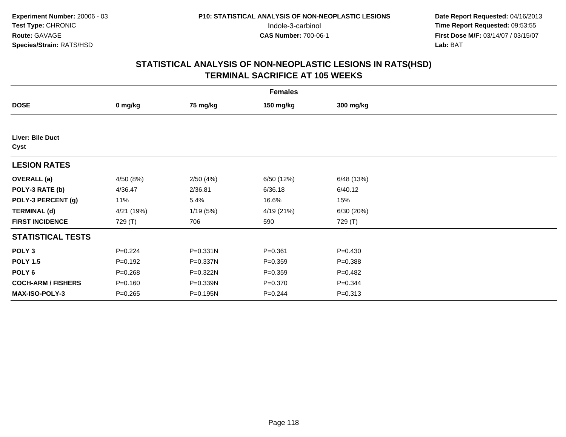| <b>Females</b>            |             |          |             |             |  |  |  |
|---------------------------|-------------|----------|-------------|-------------|--|--|--|
| <b>DOSE</b>               | 0 mg/kg     | 75 mg/kg | 150 mg/kg   | 300 mg/kg   |  |  |  |
|                           |             |          |             |             |  |  |  |
| Liver: Bile Duct<br>Cyst  |             |          |             |             |  |  |  |
| <b>LESION RATES</b>       |             |          |             |             |  |  |  |
| <b>OVERALL</b> (a)        | 4/50 (8%)   | 2/50(4%) | 6/50 (12%)  | 6/48 (13%)  |  |  |  |
| POLY-3 RATE (b)           | 4/36.47     | 2/36.81  | 6/36.18     | 6/40.12     |  |  |  |
| POLY-3 PERCENT (g)        | 11%         | 5.4%     | 16.6%       | 15%         |  |  |  |
| <b>TERMINAL (d)</b>       | 4/21 (19%)  | 1/19(5%) | 4/19 (21%)  | 6/30 (20%)  |  |  |  |
| <b>FIRST INCIDENCE</b>    | 729 (T)     | 706      | 590         | 729 (T)     |  |  |  |
| <b>STATISTICAL TESTS</b>  |             |          |             |             |  |  |  |
| POLY <sub>3</sub>         | $P = 0.224$ | P=0.331N | $P = 0.361$ | $P=0.430$   |  |  |  |
| <b>POLY 1.5</b>           | $P = 0.192$ | P=0.337N | $P = 0.359$ | $P = 0.388$ |  |  |  |
| POLY 6                    | $P = 0.268$ | P=0.322N | $P = 0.359$ | $P=0.482$   |  |  |  |
| <b>COCH-ARM / FISHERS</b> | $P = 0.160$ | P=0.339N | $P = 0.370$ | $P = 0.344$ |  |  |  |
| MAX-ISO-POLY-3            | $P = 0.265$ | P=0.195N | $P = 0.244$ | $P = 0.313$ |  |  |  |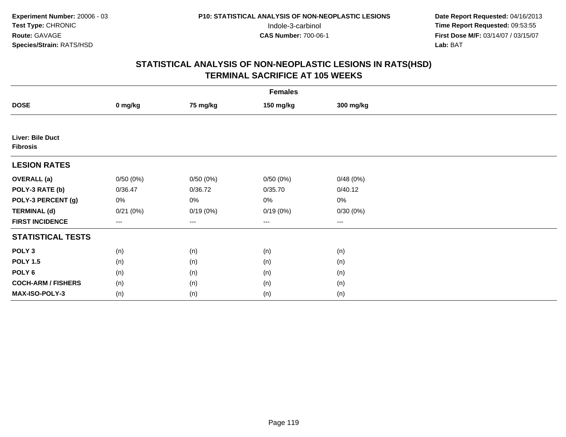|                                     | <b>Females</b>         |          |           |           |  |  |  |  |
|-------------------------------------|------------------------|----------|-----------|-----------|--|--|--|--|
| <b>DOSE</b>                         | 0 mg/kg                | 75 mg/kg | 150 mg/kg | 300 mg/kg |  |  |  |  |
|                                     |                        |          |           |           |  |  |  |  |
| Liver: Bile Duct<br><b>Fibrosis</b> |                        |          |           |           |  |  |  |  |
| <b>LESION RATES</b>                 |                        |          |           |           |  |  |  |  |
| <b>OVERALL</b> (a)                  | 0/50(0%)               | 0/50(0%) | 0/50(0%)  | 0/48(0%)  |  |  |  |  |
| POLY-3 RATE (b)                     | 0/36.47                | 0/36.72  | 0/35.70   | 0/40.12   |  |  |  |  |
| POLY-3 PERCENT (g)                  | 0%                     | 0%       | 0%        | 0%        |  |  |  |  |
| <b>TERMINAL (d)</b>                 | 0/21(0%)               | 0/19(0%) | 0/19(0%)  | 0/30(0%)  |  |  |  |  |
| <b>FIRST INCIDENCE</b>              | $\qquad \qquad \cdots$ | ---      | $---$     | $\cdots$  |  |  |  |  |
| <b>STATISTICAL TESTS</b>            |                        |          |           |           |  |  |  |  |
| POLY <sub>3</sub>                   | (n)                    | (n)      | (n)       | (n)       |  |  |  |  |
| <b>POLY 1.5</b>                     | (n)                    | (n)      | (n)       | (n)       |  |  |  |  |
| POLY <sub>6</sub>                   | (n)                    | (n)      | (n)       | (n)       |  |  |  |  |
| <b>COCH-ARM / FISHERS</b>           | (n)                    | (n)      | (n)       | (n)       |  |  |  |  |
| MAX-ISO-POLY-3                      | (n)                    | (n)      | (n)       | (n)       |  |  |  |  |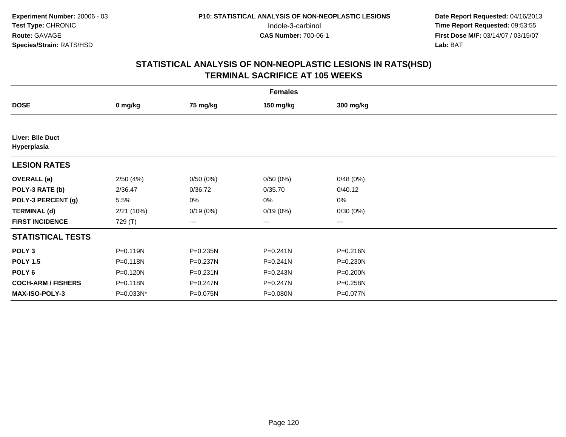| <b>Females</b>                  |              |              |              |              |  |  |  |
|---------------------------------|--------------|--------------|--------------|--------------|--|--|--|
| <b>DOSE</b>                     | 0 mg/kg      | 75 mg/kg     | 150 mg/kg    | 300 mg/kg    |  |  |  |
|                                 |              |              |              |              |  |  |  |
| Liver: Bile Duct<br>Hyperplasia |              |              |              |              |  |  |  |
| <b>LESION RATES</b>             |              |              |              |              |  |  |  |
| <b>OVERALL</b> (a)              | 2/50(4%)     | 0/50(0%)     | 0/50(0%)     | 0/48(0%)     |  |  |  |
| POLY-3 RATE (b)                 | 2/36.47      | 0/36.72      | 0/35.70      | 0/40.12      |  |  |  |
| POLY-3 PERCENT (g)              | 5.5%         | 0%           | 0%           | $0\%$        |  |  |  |
| <b>TERMINAL (d)</b>             | 2/21 (10%)   | 0/19(0%)     | 0/19(0%)     | 0/30(0%)     |  |  |  |
| <b>FIRST INCIDENCE</b>          | 729 (T)      | ---          | $--$         | ---          |  |  |  |
| <b>STATISTICAL TESTS</b>        |              |              |              |              |  |  |  |
| POLY <sub>3</sub>               | $P = 0.119N$ | P=0.235N     | $P = 0.241N$ | $P = 0.216N$ |  |  |  |
| <b>POLY 1.5</b>                 | P=0.118N     | P=0.237N     | $P = 0.241N$ | P=0.230N     |  |  |  |
| POLY 6                          | $P = 0.120N$ | $P = 0.231N$ | $P = 0.243N$ | P=0.200N     |  |  |  |
| <b>COCH-ARM / FISHERS</b>       | P=0.118N     | P=0.247N     | P=0.247N     | P=0.258N     |  |  |  |
| MAX-ISO-POLY-3                  | P=0.033N*    | P=0.075N     | P=0.080N     | P=0.077N     |  |  |  |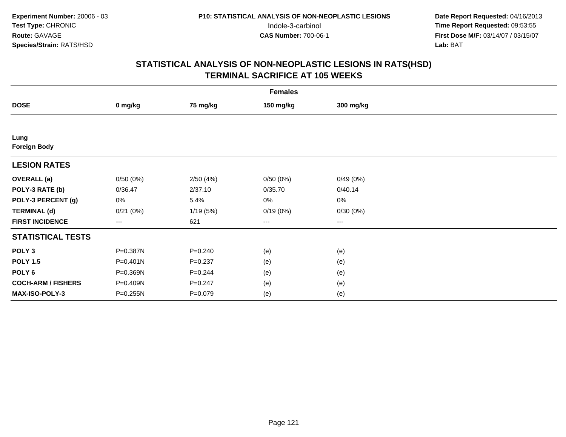|                             | <b>Females</b> |             |           |           |  |  |  |  |
|-----------------------------|----------------|-------------|-----------|-----------|--|--|--|--|
| <b>DOSE</b>                 | 0 mg/kg        | 75 mg/kg    | 150 mg/kg | 300 mg/kg |  |  |  |  |
|                             |                |             |           |           |  |  |  |  |
| Lung<br><b>Foreign Body</b> |                |             |           |           |  |  |  |  |
| <b>LESION RATES</b>         |                |             |           |           |  |  |  |  |
| <b>OVERALL</b> (a)          | 0/50(0%)       | 2/50(4%)    | 0/50(0%)  | 0/49(0%)  |  |  |  |  |
| POLY-3 RATE (b)             | 0/36.47        | 2/37.10     | 0/35.70   | 0/40.14   |  |  |  |  |
| POLY-3 PERCENT (g)          | 0%             | 5.4%        | 0%        | $0\%$     |  |  |  |  |
| <b>TERMINAL (d)</b>         | 0/21(0%)       | 1/19(5%)    | 0/19(0%)  | 0/30(0%)  |  |  |  |  |
| <b>FIRST INCIDENCE</b>      | ---            | 621         | $---$     | ---       |  |  |  |  |
| <b>STATISTICAL TESTS</b>    |                |             |           |           |  |  |  |  |
| POLY <sub>3</sub>           | P=0.387N       | $P=0.240$   | (e)       | (e)       |  |  |  |  |
| <b>POLY 1.5</b>             | $P = 0.401N$   | $P = 0.237$ | (e)       | (e)       |  |  |  |  |
| POLY 6                      | P=0.369N       | $P = 0.244$ | (e)       | (e)       |  |  |  |  |
| <b>COCH-ARM / FISHERS</b>   | P=0.409N       | $P = 0.247$ | (e)       | (e)       |  |  |  |  |
| MAX-ISO-POLY-3              | P=0.255N       | $P = 0.079$ | (e)       | (e)       |  |  |  |  |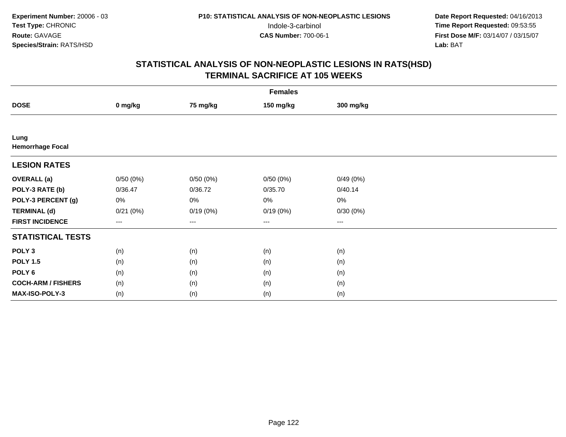|                                 | <b>Females</b>                           |                   |           |           |  |  |  |  |
|---------------------------------|------------------------------------------|-------------------|-----------|-----------|--|--|--|--|
| <b>DOSE</b>                     | 0 mg/kg                                  | 75 mg/kg          | 150 mg/kg | 300 mg/kg |  |  |  |  |
|                                 |                                          |                   |           |           |  |  |  |  |
| Lung<br><b>Hemorrhage Focal</b> |                                          |                   |           |           |  |  |  |  |
| <b>LESION RATES</b>             |                                          |                   |           |           |  |  |  |  |
| <b>OVERALL</b> (a)              | 0/50(0%)                                 | 0/50(0%)          | 0/50(0%)  | 0/49(0%)  |  |  |  |  |
| POLY-3 RATE (b)                 | 0/36.47                                  | 0/36.72           | 0/35.70   | 0/40.14   |  |  |  |  |
| POLY-3 PERCENT (g)              | 0%                                       | 0%                | 0%        | $0\%$     |  |  |  |  |
| <b>TERMINAL (d)</b>             | 0/21(0%)                                 | 0/19(0%)          | 0/19(0%)  | 0/30(0%)  |  |  |  |  |
| <b>FIRST INCIDENCE</b>          | $\hspace{0.05cm} \ldots \hspace{0.05cm}$ | $\qquad \qquad -$ | $\cdots$  | $\cdots$  |  |  |  |  |
| <b>STATISTICAL TESTS</b>        |                                          |                   |           |           |  |  |  |  |
| POLY <sub>3</sub>               | (n)                                      | (n)               | (n)       | (n)       |  |  |  |  |
| <b>POLY 1.5</b>                 | (n)                                      | (n)               | (n)       | (n)       |  |  |  |  |
| POLY <sub>6</sub>               | (n)                                      | (n)               | (n)       | (n)       |  |  |  |  |
| <b>COCH-ARM / FISHERS</b>       | (n)                                      | (n)               | (n)       | (n)       |  |  |  |  |
| MAX-ISO-POLY-3                  | (n)                                      | (n)               | (n)       | (n)       |  |  |  |  |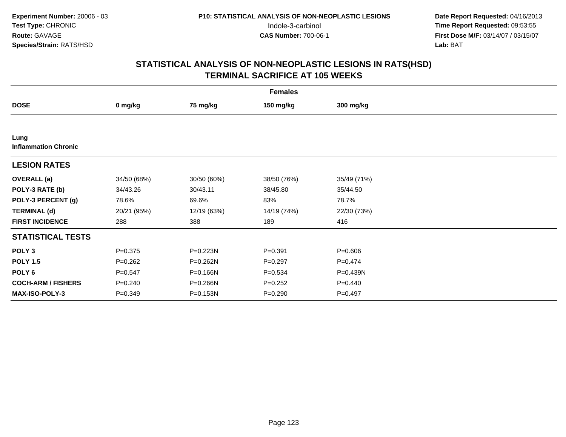| <b>Females</b>                      |             |             |             |             |  |  |  |
|-------------------------------------|-------------|-------------|-------------|-------------|--|--|--|
| <b>DOSE</b>                         | 0 mg/kg     | 75 mg/kg    | 150 mg/kg   | 300 mg/kg   |  |  |  |
|                                     |             |             |             |             |  |  |  |
| Lung<br><b>Inflammation Chronic</b> |             |             |             |             |  |  |  |
| <b>LESION RATES</b>                 |             |             |             |             |  |  |  |
| <b>OVERALL</b> (a)                  | 34/50 (68%) | 30/50 (60%) | 38/50 (76%) | 35/49 (71%) |  |  |  |
| POLY-3 RATE (b)                     | 34/43.26    | 30/43.11    | 38/45.80    | 35/44.50    |  |  |  |
| POLY-3 PERCENT (g)                  | 78.6%       | 69.6%       | 83%         | 78.7%       |  |  |  |
| <b>TERMINAL (d)</b>                 | 20/21 (95%) | 12/19 (63%) | 14/19 (74%) | 22/30 (73%) |  |  |  |
| <b>FIRST INCIDENCE</b>              | 288         | 388         | 189         | 416         |  |  |  |
| <b>STATISTICAL TESTS</b>            |             |             |             |             |  |  |  |
| POLY <sub>3</sub>                   | $P = 0.375$ | P=0.223N    | $P=0.391$   | $P = 0.606$ |  |  |  |
| <b>POLY 1.5</b>                     | $P=0.262$   | P=0.262N    | $P=0.297$   | $P=0.474$   |  |  |  |
| POLY 6                              | $P = 0.547$ | P=0.166N    | $P = 0.534$ | P=0.439N    |  |  |  |
| <b>COCH-ARM / FISHERS</b>           | $P = 0.240$ | P=0.266N    | $P = 0.252$ | $P=0.440$   |  |  |  |
| MAX-ISO-POLY-3                      | $P = 0.349$ | P=0.153N    | $P = 0.290$ | $P=0.497$   |  |  |  |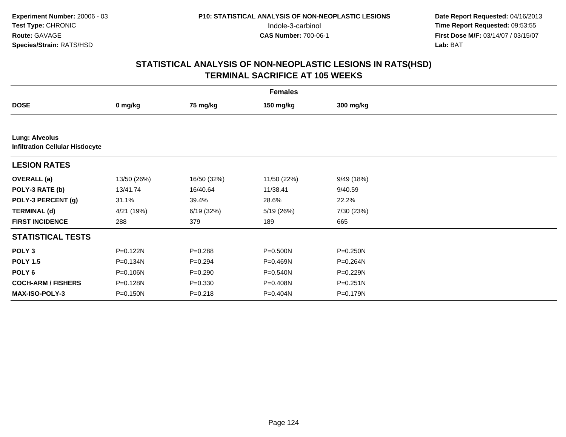| <b>Females</b>                                                   |              |             |             |              |  |  |
|------------------------------------------------------------------|--------------|-------------|-------------|--------------|--|--|
| <b>DOSE</b>                                                      | 0 mg/kg      | 75 mg/kg    | 150 mg/kg   | 300 mg/kg    |  |  |
|                                                                  |              |             |             |              |  |  |
| <b>Lung: Alveolus</b><br><b>Infiltration Cellular Histiocyte</b> |              |             |             |              |  |  |
| <b>LESION RATES</b>                                              |              |             |             |              |  |  |
| <b>OVERALL</b> (a)                                               | 13/50 (26%)  | 16/50 (32%) | 11/50 (22%) | 9/49 (18%)   |  |  |
| POLY-3 RATE (b)                                                  | 13/41.74     | 16/40.64    | 11/38.41    | 9/40.59      |  |  |
| POLY-3 PERCENT (g)                                               | 31.1%        | 39.4%       | 28.6%       | 22.2%        |  |  |
| <b>TERMINAL (d)</b>                                              | 4/21 (19%)   | 6/19(32%)   | 5/19 (26%)  | 7/30 (23%)   |  |  |
| <b>FIRST INCIDENCE</b>                                           | 288          | 379         | 189         | 665          |  |  |
| <b>STATISTICAL TESTS</b>                                         |              |             |             |              |  |  |
| POLY <sub>3</sub>                                                | P=0.122N     | $P = 0.288$ | P=0.500N    | $P = 0.250N$ |  |  |
| <b>POLY 1.5</b>                                                  | P=0.134N     | $P=0.294$   | P=0.469N    | P=0.264N     |  |  |
| POLY <sub>6</sub>                                                | P=0.106N     | $P = 0.290$ | P=0.540N    | P=0.229N     |  |  |
| <b>COCH-ARM / FISHERS</b>                                        | P=0.128N     | $P = 0.330$ | P=0.408N    | $P = 0.251N$ |  |  |
| <b>MAX-ISO-POLY-3</b>                                            | $P = 0.150N$ | $P = 0.218$ | P=0.404N    | P=0.179N     |  |  |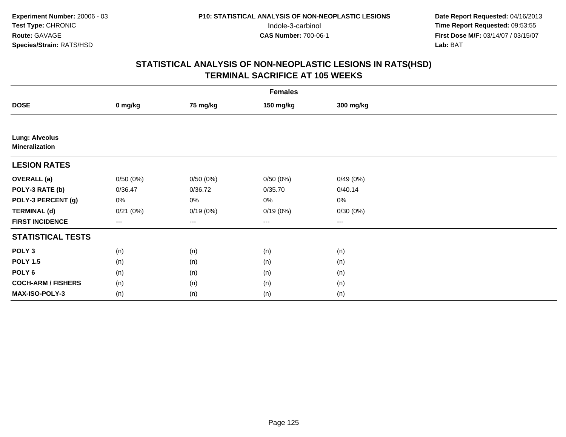|                                                | <b>Females</b> |          |                        |           |  |  |  |  |
|------------------------------------------------|----------------|----------|------------------------|-----------|--|--|--|--|
| <b>DOSE</b>                                    | 0 mg/kg        | 75 mg/kg | 150 mg/kg              | 300 mg/kg |  |  |  |  |
|                                                |                |          |                        |           |  |  |  |  |
| <b>Lung: Alveolus</b><br><b>Mineralization</b> |                |          |                        |           |  |  |  |  |
| <b>LESION RATES</b>                            |                |          |                        |           |  |  |  |  |
| <b>OVERALL</b> (a)                             | 0/50(0%)       | 0/50(0%) | 0/50(0%)               | 0/49(0%)  |  |  |  |  |
| POLY-3 RATE (b)                                | 0/36.47        | 0/36.72  | 0/35.70                | 0/40.14   |  |  |  |  |
| POLY-3 PERCENT (g)                             | 0%             | 0%       | 0%                     | 0%        |  |  |  |  |
| <b>TERMINAL (d)</b>                            | 0/21(0%)       | 0/19(0%) | 0/19(0%)               | 0/30(0%)  |  |  |  |  |
| <b>FIRST INCIDENCE</b>                         | ---            | $---$    | $\qquad \qquad \cdots$ | $\cdots$  |  |  |  |  |
| <b>STATISTICAL TESTS</b>                       |                |          |                        |           |  |  |  |  |
| POLY <sub>3</sub>                              | (n)            | (n)      | (n)                    | (n)       |  |  |  |  |
| <b>POLY 1.5</b>                                | (n)            | (n)      | (n)                    | (n)       |  |  |  |  |
| POLY <sub>6</sub>                              | (n)            | (n)      | (n)                    | (n)       |  |  |  |  |
| <b>COCH-ARM / FISHERS</b>                      | (n)            | (n)      | (n)                    | (n)       |  |  |  |  |
| MAX-ISO-POLY-3                                 | (n)            | (n)      | (n)                    | (n)       |  |  |  |  |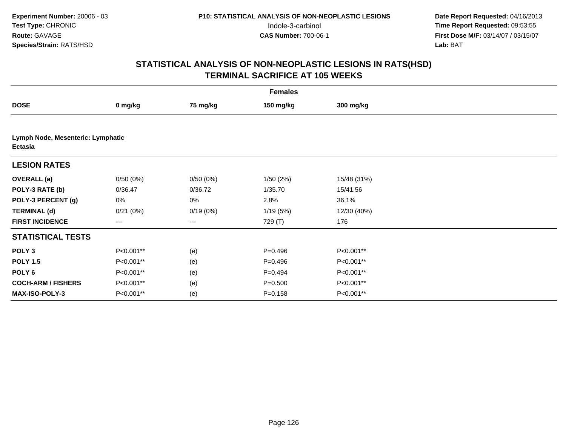| <b>Females</b>                               |           |          |             |             |  |  |
|----------------------------------------------|-----------|----------|-------------|-------------|--|--|
| <b>DOSE</b>                                  | 0 mg/kg   | 75 mg/kg | 150 mg/kg   | 300 mg/kg   |  |  |
|                                              |           |          |             |             |  |  |
| Lymph Node, Mesenteric: Lymphatic<br>Ectasia |           |          |             |             |  |  |
| <b>LESION RATES</b>                          |           |          |             |             |  |  |
| <b>OVERALL</b> (a)                           | 0/50(0%)  | 0/50(0%) | 1/50(2%)    | 15/48 (31%) |  |  |
| POLY-3 RATE (b)                              | 0/36.47   | 0/36.72  | 1/35.70     | 15/41.56    |  |  |
| POLY-3 PERCENT (g)                           | 0%        | 0%       | 2.8%        | 36.1%       |  |  |
| <b>TERMINAL (d)</b>                          | 0/21(0%)  | 0/19(0%) | 1/19(5%)    | 12/30 (40%) |  |  |
| <b>FIRST INCIDENCE</b>                       | ---       | ---      | 729 (T)     | 176         |  |  |
| <b>STATISTICAL TESTS</b>                     |           |          |             |             |  |  |
| POLY <sub>3</sub>                            | P<0.001** | (e)      | $P=0.496$   | P<0.001**   |  |  |
| <b>POLY 1.5</b>                              | P<0.001** | (e)      | $P = 0.496$ | P<0.001**   |  |  |
| POLY <sub>6</sub>                            | P<0.001** | (e)      | $P=0.494$   | P<0.001**   |  |  |
| <b>COCH-ARM / FISHERS</b>                    | P<0.001** | (e)      | $P = 0.500$ | P<0.001**   |  |  |
| MAX-ISO-POLY-3                               | P<0.001** | (e)      | $P = 0.158$ | P<0.001**   |  |  |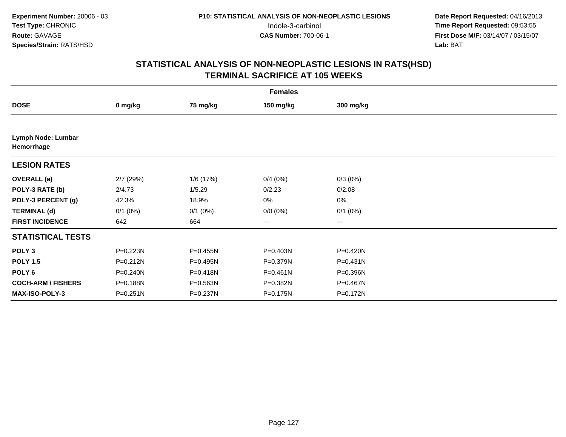| <b>Females</b>                   |              |              |              |              |  |  |  |
|----------------------------------|--------------|--------------|--------------|--------------|--|--|--|
| <b>DOSE</b>                      | 0 mg/kg      | 75 mg/kg     | 150 mg/kg    | 300 mg/kg    |  |  |  |
|                                  |              |              |              |              |  |  |  |
| Lymph Node: Lumbar<br>Hemorrhage |              |              |              |              |  |  |  |
| <b>LESION RATES</b>              |              |              |              |              |  |  |  |
| <b>OVERALL</b> (a)               | $2/7$ (29%)  | 1/6 (17%)    | 0/4(0%)      | $0/3(0\%)$   |  |  |  |
| POLY-3 RATE (b)                  | 2/4.73       | 1/5.29       | 0/2.23       | 0/2.08       |  |  |  |
| POLY-3 PERCENT (g)               | 42.3%        | 18.9%        | 0%           | $0\%$        |  |  |  |
| <b>TERMINAL (d)</b>              | $0/1$ (0%)   | $0/1$ $(0%)$ | $0/0(0\%)$   | $0/1$ $(0%)$ |  |  |  |
| <b>FIRST INCIDENCE</b>           | 642          | 664          | $---$        | ---          |  |  |  |
| <b>STATISTICAL TESTS</b>         |              |              |              |              |  |  |  |
| POLY <sub>3</sub>                | P=0.223N     | P=0.455N     | P=0.403N     | P=0.420N     |  |  |  |
| <b>POLY 1.5</b>                  | $P = 0.212N$ | P=0.495N     | P=0.379N     | $P = 0.431N$ |  |  |  |
| POLY <sub>6</sub>                | $P = 0.240N$ | P=0.418N     | $P = 0.461N$ | P=0.396N     |  |  |  |
| <b>COCH-ARM / FISHERS</b>        | P=0.188N     | P=0.563N     | P=0.382N     | P=0.467N     |  |  |  |
| MAX-ISO-POLY-3                   | P=0.251N     | P=0.237N     | P=0.175N     | P=0.172N     |  |  |  |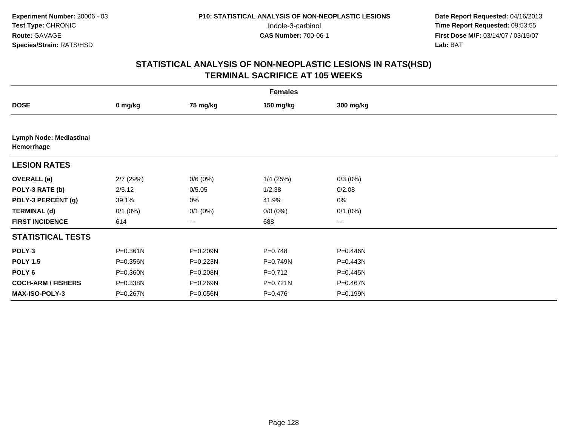| <b>Females</b>                               |              |              |             |              |  |  |  |
|----------------------------------------------|--------------|--------------|-------------|--------------|--|--|--|
| <b>DOSE</b>                                  | 0 mg/kg      | 75 mg/kg     | 150 mg/kg   | 300 mg/kg    |  |  |  |
|                                              |              |              |             |              |  |  |  |
| <b>Lymph Node: Mediastinal</b><br>Hemorrhage |              |              |             |              |  |  |  |
| <b>LESION RATES</b>                          |              |              |             |              |  |  |  |
| <b>OVERALL</b> (a)                           | $2/7$ (29%)  | 0/6(0%)      | $1/4$ (25%) | $0/3(0\%)$   |  |  |  |
| POLY-3 RATE (b)                              | 2/5.12       | 0/5.05       | 1/2.38      | 0/2.08       |  |  |  |
| POLY-3 PERCENT (g)                           | 39.1%        | 0%           | 41.9%       | $0\%$        |  |  |  |
| <b>TERMINAL (d)</b>                          | $0/1$ (0%)   | $0/1$ $(0%)$ | $0/0 (0\%)$ | $0/1$ $(0%)$ |  |  |  |
| <b>FIRST INCIDENCE</b>                       | 614          | ---          | 688         | ---          |  |  |  |
| <b>STATISTICAL TESTS</b>                     |              |              |             |              |  |  |  |
| POLY <sub>3</sub>                            | $P = 0.361N$ | P=0.209N     | $P=0.748$   | P=0.446N     |  |  |  |
| <b>POLY 1.5</b>                              | P=0.356N     | P=0.223N     | P=0.749N    | P=0.443N     |  |  |  |
| POLY 6                                       | P=0.360N     | P=0.208N     | $P=0.712$   | P=0.445N     |  |  |  |
| <b>COCH-ARM / FISHERS</b>                    | P=0.338N     | P=0.269N     | $P=0.721N$  | P=0.467N     |  |  |  |
| <b>MAX-ISO-POLY-3</b>                        | P=0.267N     | P=0.056N     | $P = 0.476$ | P=0.199N     |  |  |  |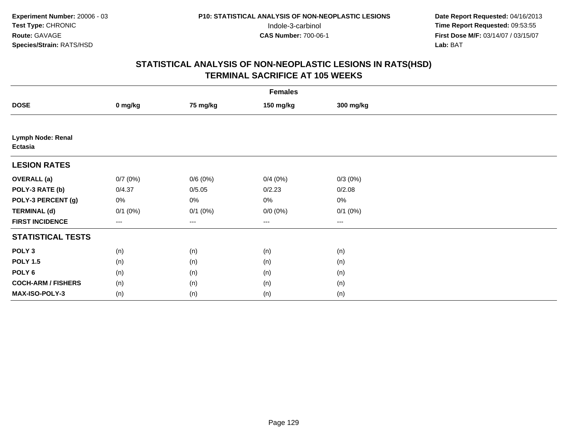|                                     | <b>Females</b> |              |             |              |  |  |  |  |
|-------------------------------------|----------------|--------------|-------------|--------------|--|--|--|--|
| <b>DOSE</b>                         | 0 mg/kg        | 75 mg/kg     | 150 mg/kg   | 300 mg/kg    |  |  |  |  |
|                                     |                |              |             |              |  |  |  |  |
| Lymph Node: Renal<br><b>Ectasia</b> |                |              |             |              |  |  |  |  |
| <b>LESION RATES</b>                 |                |              |             |              |  |  |  |  |
| <b>OVERALL</b> (a)                  | 0/7(0%)        | 0/6(0%)      | 0/4(0%)     | $0/3(0\%)$   |  |  |  |  |
| POLY-3 RATE (b)                     | 0/4.37         | 0/5.05       | 0/2.23      | 0/2.08       |  |  |  |  |
| POLY-3 PERCENT (g)                  | 0%             | 0%           | 0%          | $0\%$        |  |  |  |  |
| <b>TERMINAL (d)</b>                 | $0/1$ $(0%)$   | $0/1$ $(0%)$ | $0/0 (0\%)$ | $0/1$ $(0%)$ |  |  |  |  |
| <b>FIRST INCIDENCE</b>              | ---            | $--$         | $---$       | ---          |  |  |  |  |
| <b>STATISTICAL TESTS</b>            |                |              |             |              |  |  |  |  |
| POLY <sub>3</sub>                   | (n)            | (n)          | (n)         | (n)          |  |  |  |  |
| <b>POLY 1.5</b>                     | (n)            | (n)          | (n)         | (n)          |  |  |  |  |
| POLY <sub>6</sub>                   | (n)            | (n)          | (n)         | (n)          |  |  |  |  |
| <b>COCH-ARM / FISHERS</b>           | (n)            | (n)          | (n)         | (n)          |  |  |  |  |
| MAX-ISO-POLY-3                      | (n)            | (n)          | (n)         | (n)          |  |  |  |  |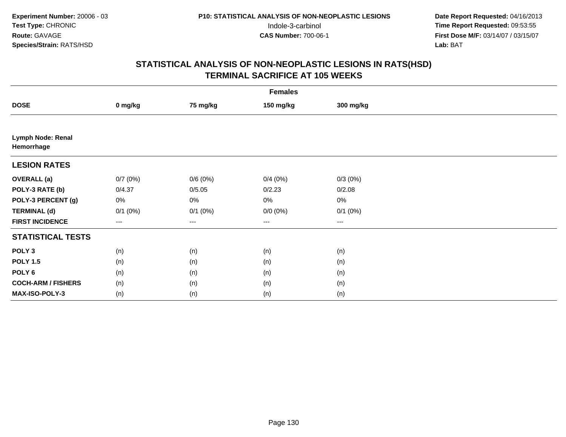|                                 | <b>Females</b> |              |                        |              |  |  |  |  |
|---------------------------------|----------------|--------------|------------------------|--------------|--|--|--|--|
| <b>DOSE</b>                     | 0 mg/kg        | 75 mg/kg     | 150 mg/kg              | 300 mg/kg    |  |  |  |  |
|                                 |                |              |                        |              |  |  |  |  |
| Lymph Node: Renal<br>Hemorrhage |                |              |                        |              |  |  |  |  |
| <b>LESION RATES</b>             |                |              |                        |              |  |  |  |  |
| <b>OVERALL</b> (a)              | 0/7(0%)        | 0/6(0%)      | 0/4(0%)                | $0/3(0\%)$   |  |  |  |  |
| POLY-3 RATE (b)                 | 0/4.37         | 0/5.05       | 0/2.23                 | 0/2.08       |  |  |  |  |
| POLY-3 PERCENT (g)              | 0%             | 0%           | 0%                     | $0\%$        |  |  |  |  |
| <b>TERMINAL (d)</b>             | $0/1$ $(0%)$   | $0/1$ $(0%)$ | $0/0 (0\%)$            | $0/1$ $(0%)$ |  |  |  |  |
| <b>FIRST INCIDENCE</b>          | ---            | $--$         | $\qquad \qquad \cdots$ | ---          |  |  |  |  |
| <b>STATISTICAL TESTS</b>        |                |              |                        |              |  |  |  |  |
| POLY <sub>3</sub>               | (n)            | (n)          | (n)                    | (n)          |  |  |  |  |
| <b>POLY 1.5</b>                 | (n)            | (n)          | (n)                    | (n)          |  |  |  |  |
| POLY <sub>6</sub>               | (n)            | (n)          | (n)                    | (n)          |  |  |  |  |
| <b>COCH-ARM / FISHERS</b>       | (n)            | (n)          | (n)                    | (n)          |  |  |  |  |
| MAX-ISO-POLY-3                  | (n)            | (n)          | (n)                    | (n)          |  |  |  |  |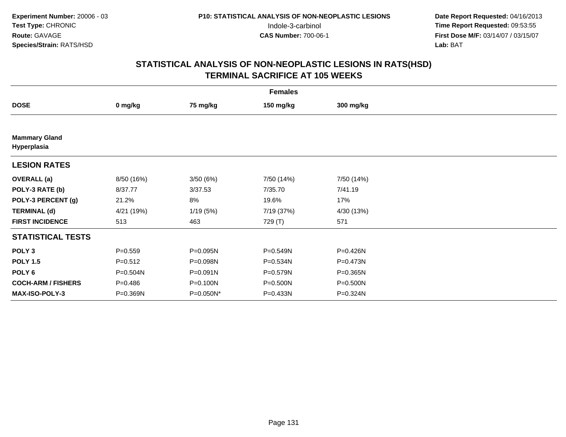|                                     | <b>Females</b> |           |            |            |  |  |  |  |
|-------------------------------------|----------------|-----------|------------|------------|--|--|--|--|
| <b>DOSE</b>                         | 0 mg/kg        | 75 mg/kg  | 150 mg/kg  | 300 mg/kg  |  |  |  |  |
|                                     |                |           |            |            |  |  |  |  |
| <b>Mammary Gland</b><br>Hyperplasia |                |           |            |            |  |  |  |  |
| <b>LESION RATES</b>                 |                |           |            |            |  |  |  |  |
| <b>OVERALL</b> (a)                  | 8/50 (16%)     | 3/50 (6%) | 7/50 (14%) | 7/50 (14%) |  |  |  |  |
| POLY-3 RATE (b)                     | 8/37.77        | 3/37.53   | 7/35.70    | 7/41.19    |  |  |  |  |
| POLY-3 PERCENT (g)                  | 21.2%          | 8%        | 19.6%      | 17%        |  |  |  |  |
| <b>TERMINAL (d)</b>                 | 4/21 (19%)     | 1/19(5%)  | 7/19 (37%) | 4/30 (13%) |  |  |  |  |
| <b>FIRST INCIDENCE</b>              | 513            | 463       | 729 (T)    | 571        |  |  |  |  |
| <b>STATISTICAL TESTS</b>            |                |           |            |            |  |  |  |  |
| POLY <sub>3</sub>                   | $P = 0.559$    | P=0.095N  | P=0.549N   | P=0.426N   |  |  |  |  |
| <b>POLY 1.5</b>                     | $P = 0.512$    | P=0.098N  | P=0.534N   | P=0.473N   |  |  |  |  |
| POLY 6                              | $P = 0.504N$   | P=0.091N  | P=0.579N   | P=0.365N   |  |  |  |  |
| <b>COCH-ARM / FISHERS</b>           | $P = 0.486$    | P=0.100N  | P=0.500N   | P=0.500N   |  |  |  |  |
| <b>MAX-ISO-POLY-3</b>               | P=0.369N       | P=0.050N* | P=0.433N   | P=0.324N   |  |  |  |  |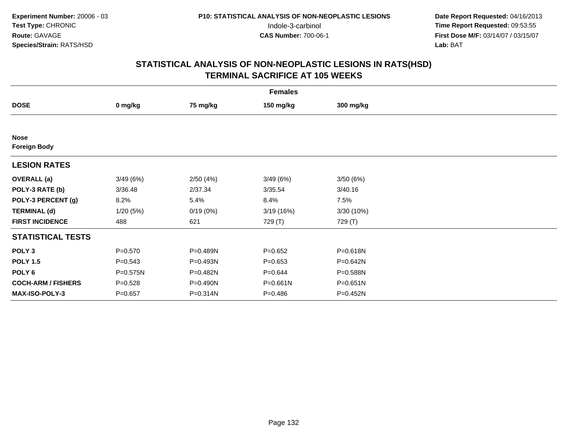| <b>Females</b>                     |             |          |             |           |  |  |  |
|------------------------------------|-------------|----------|-------------|-----------|--|--|--|
| <b>DOSE</b>                        | 0 mg/kg     | 75 mg/kg | 150 mg/kg   | 300 mg/kg |  |  |  |
|                                    |             |          |             |           |  |  |  |
| <b>Nose</b><br><b>Foreign Body</b> |             |          |             |           |  |  |  |
| <b>LESION RATES</b>                |             |          |             |           |  |  |  |
| <b>OVERALL</b> (a)                 | 3/49(6%)    | 2/50(4%) | 3/49(6%)    | 3/50(6%)  |  |  |  |
| POLY-3 RATE (b)                    | 3/36.48     | 2/37.34  | 3/35.54     | 3/40.16   |  |  |  |
| POLY-3 PERCENT (g)                 | 8.2%        | 5.4%     | 8.4%        | 7.5%      |  |  |  |
| <b>TERMINAL (d)</b>                | 1/20(5%)    | 0/19(0%) | 3/19(16%)   | 3/30(10%) |  |  |  |
| <b>FIRST INCIDENCE</b>             | 488         | 621      | 729 (T)     | 729 (T)   |  |  |  |
| <b>STATISTICAL TESTS</b>           |             |          |             |           |  |  |  |
| POLY <sub>3</sub>                  | $P = 0.570$ | P=0.489N | $P = 0.652$ | P=0.618N  |  |  |  |
| <b>POLY 1.5</b>                    | $P = 0.543$ | P=0.493N | $P = 0.653$ | P=0.642N  |  |  |  |
| POLY <sub>6</sub>                  | P=0.575N    | P=0.482N | $P = 0.644$ | P=0.588N  |  |  |  |
| <b>COCH-ARM / FISHERS</b>          | $P = 0.528$ | P=0.490N | P=0.661N    | P=0.651N  |  |  |  |
| <b>MAX-ISO-POLY-3</b>              | $P = 0.657$ | P=0.314N | $P = 0.486$ | P=0.452N  |  |  |  |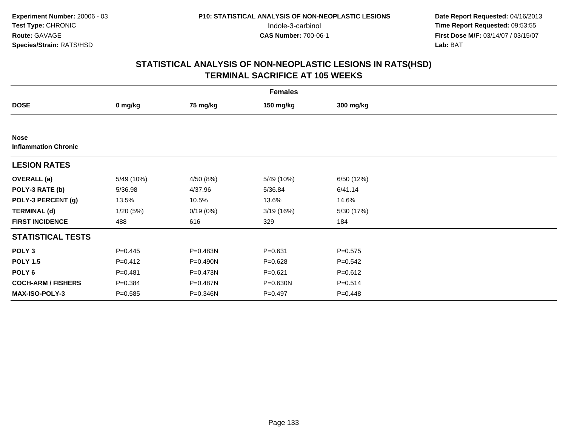| <b>Females</b>                             |             |           |             |             |  |  |  |
|--------------------------------------------|-------------|-----------|-------------|-------------|--|--|--|
| <b>DOSE</b>                                | 0 mg/kg     | 75 mg/kg  | 150 mg/kg   | 300 mg/kg   |  |  |  |
|                                            |             |           |             |             |  |  |  |
| <b>Nose</b><br><b>Inflammation Chronic</b> |             |           |             |             |  |  |  |
| <b>LESION RATES</b>                        |             |           |             |             |  |  |  |
| <b>OVERALL</b> (a)                         | 5/49 (10%)  | 4/50 (8%) | 5/49 (10%)  | 6/50 (12%)  |  |  |  |
| POLY-3 RATE (b)                            | 5/36.98     | 4/37.96   | 5/36.84     | 6/41.14     |  |  |  |
| POLY-3 PERCENT (g)                         | 13.5%       | 10.5%     | 13.6%       | 14.6%       |  |  |  |
| <b>TERMINAL (d)</b>                        | 1/20(5%)    | 0/19(0%)  | 3/19(16%)   | 5/30 (17%)  |  |  |  |
| <b>FIRST INCIDENCE</b>                     | 488         | 616       | 329         | 184         |  |  |  |
| <b>STATISTICAL TESTS</b>                   |             |           |             |             |  |  |  |
| POLY <sub>3</sub>                          | $P=0.445$   | P=0.483N  | $P = 0.631$ | $P = 0.575$ |  |  |  |
| <b>POLY 1.5</b>                            | $P=0.412$   | P=0.490N  | $P = 0.628$ | $P = 0.542$ |  |  |  |
| POLY 6                                     | $P = 0.481$ | P=0.473N  | $P=0.621$   | $P = 0.612$ |  |  |  |
| <b>COCH-ARM / FISHERS</b>                  | $P = 0.384$ | P=0.487N  | P=0.630N    | $P = 0.514$ |  |  |  |
| MAX-ISO-POLY-3                             | $P = 0.585$ | P=0.346N  | $P = 0.497$ | $P=0.448$   |  |  |  |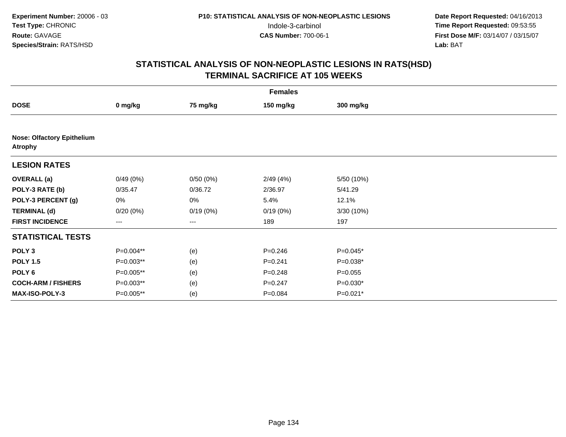| <b>Females</b>                                      |             |          |             |             |  |  |  |
|-----------------------------------------------------|-------------|----------|-------------|-------------|--|--|--|
| <b>DOSE</b>                                         | 0 mg/kg     | 75 mg/kg | 150 mg/kg   | 300 mg/kg   |  |  |  |
|                                                     |             |          |             |             |  |  |  |
| <b>Nose: Olfactory Epithelium</b><br><b>Atrophy</b> |             |          |             |             |  |  |  |
| <b>LESION RATES</b>                                 |             |          |             |             |  |  |  |
| <b>OVERALL</b> (a)                                  | 0/49(0%)    | 0/50(0%) | 2/49(4%)    | 5/50 (10%)  |  |  |  |
| POLY-3 RATE (b)                                     | 0/35.47     | 0/36.72  | 2/36.97     | 5/41.29     |  |  |  |
| POLY-3 PERCENT (g)                                  | 0%          | 0%       | 5.4%        | 12.1%       |  |  |  |
| <b>TERMINAL (d)</b>                                 | 0/20(0%)    | 0/19(0%) | 0/19(0%)    | 3/30(10%)   |  |  |  |
| <b>FIRST INCIDENCE</b>                              | $---$       | ---      | 189         | 197         |  |  |  |
| <b>STATISTICAL TESTS</b>                            |             |          |             |             |  |  |  |
| POLY <sub>3</sub>                                   | P=0.004**   | (e)      | $P = 0.246$ | $P=0.045*$  |  |  |  |
| <b>POLY 1.5</b>                                     | P=0.003**   | (e)      | $P = 0.241$ | $P=0.038*$  |  |  |  |
| POLY 6                                              | P=0.005**   | (e)      | $P = 0.248$ | $P = 0.055$ |  |  |  |
| <b>COCH-ARM / FISHERS</b>                           | P=0.003**   | (e)      | $P = 0.247$ | $P=0.030*$  |  |  |  |
| MAX-ISO-POLY-3                                      | $P=0.005**$ | (e)      | $P = 0.084$ | $P=0.021*$  |  |  |  |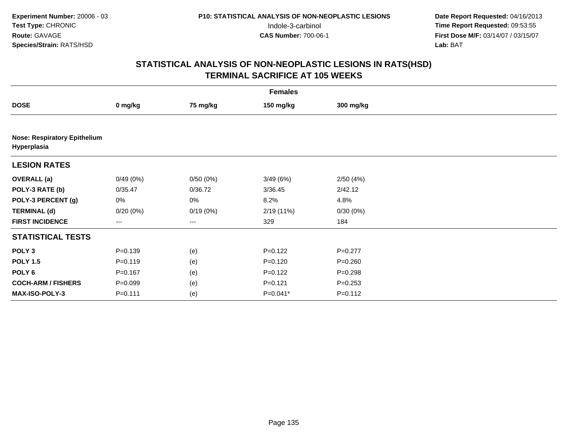| <b>Females</b>                                     |             |          |             |             |  |  |  |
|----------------------------------------------------|-------------|----------|-------------|-------------|--|--|--|
| <b>DOSE</b>                                        | 0 mg/kg     | 75 mg/kg | 150 mg/kg   | 300 mg/kg   |  |  |  |
|                                                    |             |          |             |             |  |  |  |
| <b>Nose: Respiratory Epithelium</b><br>Hyperplasia |             |          |             |             |  |  |  |
| <b>LESION RATES</b>                                |             |          |             |             |  |  |  |
| <b>OVERALL</b> (a)                                 | 0/49(0%)    | 0/50(0%) | 3/49(6%)    | 2/50(4%)    |  |  |  |
| POLY-3 RATE (b)                                    | 0/35.47     | 0/36.72  | 3/36.45     | 2/42.12     |  |  |  |
| POLY-3 PERCENT (g)                                 | 0%          | 0%       | 8.2%        | 4.8%        |  |  |  |
| <b>TERMINAL (d)</b>                                | $0/20(0\%)$ | 0/19(0%) | 2/19(11%)   | 0/30(0%)    |  |  |  |
| <b>FIRST INCIDENCE</b>                             | ---         | $--$     | 329         | 184         |  |  |  |
| <b>STATISTICAL TESTS</b>                           |             |          |             |             |  |  |  |
| POLY <sub>3</sub>                                  | $P = 0.139$ | (e)      | $P=0.122$   | $P=0.277$   |  |  |  |
| <b>POLY 1.5</b>                                    | $P = 0.119$ | (e)      | $P = 0.120$ | $P = 0.260$ |  |  |  |
| POLY 6                                             | $P = 0.167$ | (e)      | $P=0.122$   | $P = 0.298$ |  |  |  |
| <b>COCH-ARM / FISHERS</b>                          | $P = 0.099$ | (e)      | $P = 0.121$ | $P = 0.253$ |  |  |  |
| MAX-ISO-POLY-3                                     | $P = 0.111$ | (e)      | $P=0.041*$  | $P = 0.112$ |  |  |  |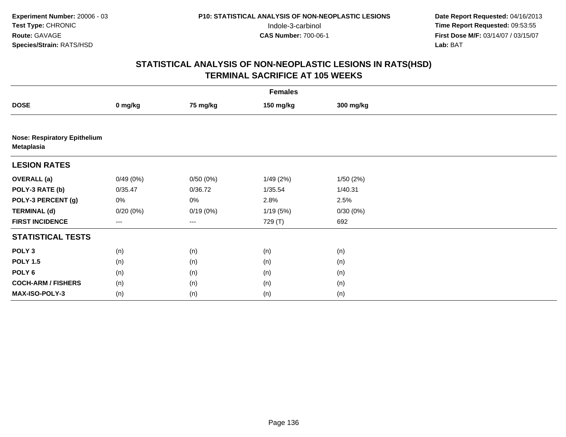|                                                   | <b>Females</b> |          |           |           |  |  |  |  |
|---------------------------------------------------|----------------|----------|-----------|-----------|--|--|--|--|
| <b>DOSE</b>                                       | 0 mg/kg        | 75 mg/kg | 150 mg/kg | 300 mg/kg |  |  |  |  |
|                                                   |                |          |           |           |  |  |  |  |
| <b>Nose: Respiratory Epithelium</b><br>Metaplasia |                |          |           |           |  |  |  |  |
| <b>LESION RATES</b>                               |                |          |           |           |  |  |  |  |
| <b>OVERALL (a)</b>                                | 0/49(0%)       | 0/50(0%) | 1/49(2%)  | 1/50(2%)  |  |  |  |  |
| POLY-3 RATE (b)                                   | 0/35.47        | 0/36.72  | 1/35.54   | 1/40.31   |  |  |  |  |
| POLY-3 PERCENT (g)                                | 0%             | 0%       | 2.8%      | 2.5%      |  |  |  |  |
| <b>TERMINAL (d)</b>                               | 0/20(0%)       | 0/19(0%) | 1/19(5%)  | 0/30(0%)  |  |  |  |  |
| <b>FIRST INCIDENCE</b>                            | ---            | $--$     | 729 (T)   | 692       |  |  |  |  |
| <b>STATISTICAL TESTS</b>                          |                |          |           |           |  |  |  |  |
| POLY <sub>3</sub>                                 | (n)            | (n)      | (n)       | (n)       |  |  |  |  |
| <b>POLY 1.5</b>                                   | (n)            | (n)      | (n)       | (n)       |  |  |  |  |
| POLY <sub>6</sub>                                 | (n)            | (n)      | (n)       | (n)       |  |  |  |  |
| <b>COCH-ARM / FISHERS</b>                         | (n)            | (n)      | (n)       | (n)       |  |  |  |  |
| MAX-ISO-POLY-3                                    | (n)            | (n)      | (n)       | (n)       |  |  |  |  |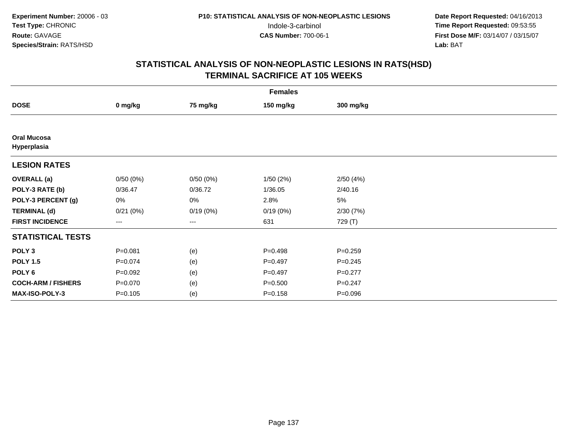| <b>Females</b>                    |             |          |             |             |  |  |  |
|-----------------------------------|-------------|----------|-------------|-------------|--|--|--|
| <b>DOSE</b>                       | 0 mg/kg     | 75 mg/kg | 150 mg/kg   | 300 mg/kg   |  |  |  |
|                                   |             |          |             |             |  |  |  |
| <b>Oral Mucosa</b><br>Hyperplasia |             |          |             |             |  |  |  |
| <b>LESION RATES</b>               |             |          |             |             |  |  |  |
| <b>OVERALL</b> (a)                | 0/50(0%)    | 0/50(0%) | 1/50(2%)    | 2/50(4%)    |  |  |  |
| POLY-3 RATE (b)                   | 0/36.47     | 0/36.72  | 1/36.05     | 2/40.16     |  |  |  |
| POLY-3 PERCENT (g)                | 0%          | 0%       | 2.8%        | 5%          |  |  |  |
| <b>TERMINAL (d)</b>               | 0/21(0%)    | 0/19(0%) | 0/19(0%)    | 2/30(7%)    |  |  |  |
| <b>FIRST INCIDENCE</b>            | ---         | ---      | 631         | 729 (T)     |  |  |  |
| <b>STATISTICAL TESTS</b>          |             |          |             |             |  |  |  |
| POLY <sub>3</sub>                 | $P = 0.081$ | (e)      | $P = 0.498$ | $P = 0.259$ |  |  |  |
| <b>POLY 1.5</b>                   | $P=0.074$   | (e)      | $P=0.497$   | $P=0.245$   |  |  |  |
| POLY 6                            | $P=0.092$   | (e)      | $P=0.497$   | $P=0.277$   |  |  |  |
| <b>COCH-ARM / FISHERS</b>         | $P = 0.070$ | (e)      | $P = 0.500$ | $P = 0.247$ |  |  |  |
| MAX-ISO-POLY-3                    | $P = 0.105$ | (e)      | $P = 0.158$ | $P = 0.096$ |  |  |  |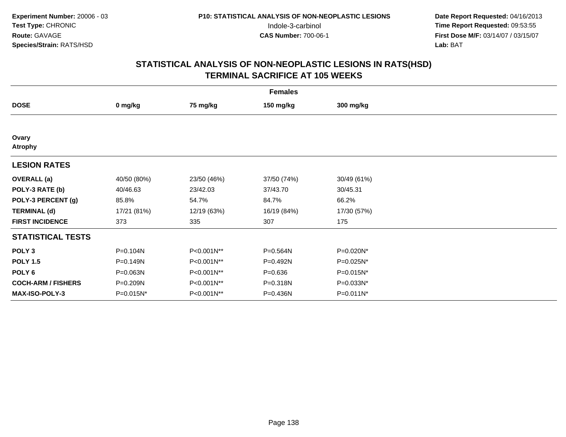| <b>Females</b>            |             |             |             |              |  |  |  |
|---------------------------|-------------|-------------|-------------|--------------|--|--|--|
| <b>DOSE</b>               | 0 mg/kg     | 75 mg/kg    | 150 mg/kg   | 300 mg/kg    |  |  |  |
|                           |             |             |             |              |  |  |  |
| Ovary<br>Atrophy          |             |             |             |              |  |  |  |
| <b>LESION RATES</b>       |             |             |             |              |  |  |  |
| <b>OVERALL</b> (a)        | 40/50 (80%) | 23/50 (46%) | 37/50 (74%) | 30/49 (61%)  |  |  |  |
| POLY-3 RATE (b)           | 40/46.63    | 23/42.03    | 37/43.70    | 30/45.31     |  |  |  |
| POLY-3 PERCENT (g)        | 85.8%       | 54.7%       | 84.7%       | 66.2%        |  |  |  |
| <b>TERMINAL (d)</b>       | 17/21 (81%) | 12/19 (63%) | 16/19 (84%) | 17/30 (57%)  |  |  |  |
| <b>FIRST INCIDENCE</b>    | 373         | 335         | 307         | 175          |  |  |  |
| <b>STATISTICAL TESTS</b>  |             |             |             |              |  |  |  |
| POLY <sub>3</sub>         | P=0.104N    | P<0.001N**  | P=0.564N    | P=0.020N*    |  |  |  |
| <b>POLY 1.5</b>           | P=0.149N    | P<0.001N**  | P=0.492N    | P=0.025N*    |  |  |  |
| POLY 6                    | P=0.063N    | P<0.001N**  | $P = 0.636$ | P=0.015N*    |  |  |  |
| <b>COCH-ARM / FISHERS</b> | P=0.209N    | P<0.001N**  | P=0.318N    | P=0.033N*    |  |  |  |
| MAX-ISO-POLY-3            | P=0.015N*   | P<0.001N**  | P=0.436N    | $P=0.011N^*$ |  |  |  |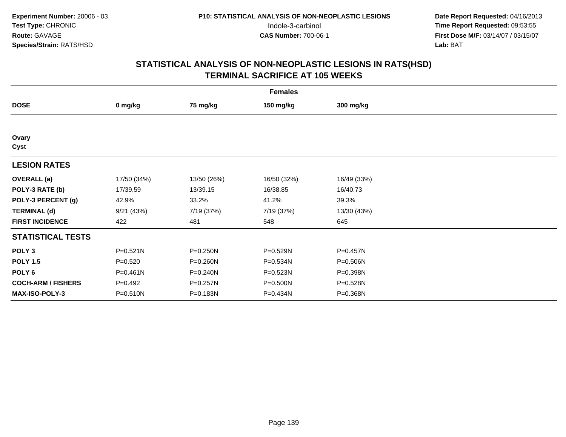| <b>Females</b>            |              |             |             |             |  |  |  |
|---------------------------|--------------|-------------|-------------|-------------|--|--|--|
| <b>DOSE</b>               | 0 mg/kg      | 75 mg/kg    | 150 mg/kg   | 300 mg/kg   |  |  |  |
|                           |              |             |             |             |  |  |  |
| Ovary<br>Cyst             |              |             |             |             |  |  |  |
| <b>LESION RATES</b>       |              |             |             |             |  |  |  |
| <b>OVERALL</b> (a)        | 17/50 (34%)  | 13/50 (26%) | 16/50 (32%) | 16/49 (33%) |  |  |  |
| POLY-3 RATE (b)           | 17/39.59     | 13/39.15    | 16/38.85    | 16/40.73    |  |  |  |
| POLY-3 PERCENT (g)        | 42.9%        | 33.2%       | 41.2%       | 39.3%       |  |  |  |
| <b>TERMINAL (d)</b>       | 9/21(43%)    | 7/19 (37%)  | 7/19 (37%)  | 13/30 (43%) |  |  |  |
| <b>FIRST INCIDENCE</b>    | 422          | 481         | 548         | 645         |  |  |  |
| <b>STATISTICAL TESTS</b>  |              |             |             |             |  |  |  |
| POLY <sub>3</sub>         | P=0.521N     | P=0.250N    | P=0.529N    | P=0.457N    |  |  |  |
| <b>POLY 1.5</b>           | $P=0.520$    | P=0.260N    | P=0.534N    | P=0.506N    |  |  |  |
| POLY <sub>6</sub>         | $P = 0.461N$ | P=0.240N    | P=0.523N    | P=0.398N    |  |  |  |
| <b>COCH-ARM / FISHERS</b> | $P=0.492$    | P=0.257N    | P=0.500N    | P=0.528N    |  |  |  |
| MAX-ISO-POLY-3            | P=0.510N     | P=0.183N    | P=0.434N    | P=0.368N    |  |  |  |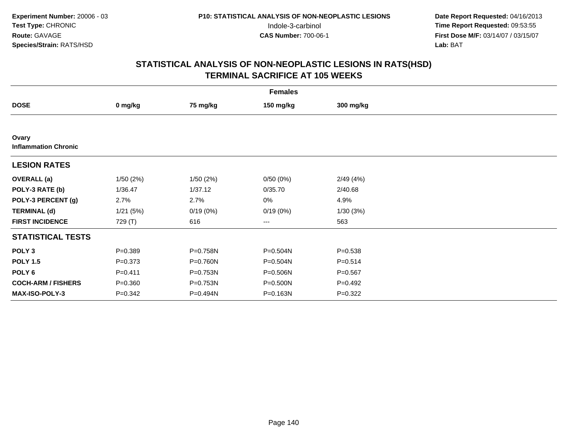| <b>Females</b>                       |             |          |                        |             |  |  |  |
|--------------------------------------|-------------|----------|------------------------|-------------|--|--|--|
| <b>DOSE</b>                          | 0 mg/kg     | 75 mg/kg | 150 mg/kg              | 300 mg/kg   |  |  |  |
|                                      |             |          |                        |             |  |  |  |
| Ovary<br><b>Inflammation Chronic</b> |             |          |                        |             |  |  |  |
| <b>LESION RATES</b>                  |             |          |                        |             |  |  |  |
| <b>OVERALL</b> (a)                   | 1/50(2%)    | 1/50(2%) | 0/50(0%)               | 2/49(4%)    |  |  |  |
| POLY-3 RATE (b)                      | 1/36.47     | 1/37.12  | 0/35.70                | 2/40.68     |  |  |  |
| POLY-3 PERCENT (g)                   | 2.7%        | 2.7%     | 0%                     | 4.9%        |  |  |  |
| <b>TERMINAL (d)</b>                  | 1/21(5%)    | 0/19(0%) | 0/19(0%)               | 1/30(3%)    |  |  |  |
| <b>FIRST INCIDENCE</b>               | 729 (T)     | 616      | $\qquad \qquad \cdots$ | 563         |  |  |  |
| <b>STATISTICAL TESTS</b>             |             |          |                        |             |  |  |  |
| POLY <sub>3</sub>                    | $P = 0.389$ | P=0.758N | P=0.504N               | $P = 0.538$ |  |  |  |
| <b>POLY 1.5</b>                      | $P = 0.373$ | P=0.760N | P=0.504N               | $P = 0.514$ |  |  |  |
| POLY 6                               | $P = 0.411$ | P=0.753N | P=0.506N               | $P = 0.567$ |  |  |  |
| <b>COCH-ARM / FISHERS</b>            | $P = 0.360$ | P=0.753N | P=0.500N               | $P=0.492$   |  |  |  |
| <b>MAX-ISO-POLY-3</b>                | $P = 0.342$ | P=0.494N | P=0.163N               | $P=0.322$   |  |  |  |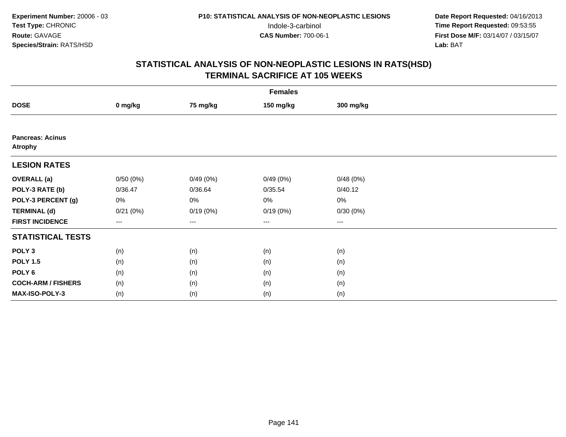| <b>Females</b>                     |          |          |           |           |  |  |  |
|------------------------------------|----------|----------|-----------|-----------|--|--|--|
| <b>DOSE</b>                        | 0 mg/kg  | 75 mg/kg | 150 mg/kg | 300 mg/kg |  |  |  |
|                                    |          |          |           |           |  |  |  |
| <b>Pancreas: Acinus</b><br>Atrophy |          |          |           |           |  |  |  |
| <b>LESION RATES</b>                |          |          |           |           |  |  |  |
| <b>OVERALL</b> (a)                 | 0/50(0%) | 0/49(0%) | 0/49(0%)  | 0/48(0%)  |  |  |  |
| POLY-3 RATE (b)                    | 0/36.47  | 0/36.64  | 0/35.54   | 0/40.12   |  |  |  |
| POLY-3 PERCENT (g)                 | 0%       | 0%       | 0%        | $0\%$     |  |  |  |
| <b>TERMINAL (d)</b>                | 0/21(0%) | 0/19(0%) | 0/19(0%)  | 0/30(0%)  |  |  |  |
| <b>FIRST INCIDENCE</b>             | ---      | $---$    | $\cdots$  | ---       |  |  |  |
| <b>STATISTICAL TESTS</b>           |          |          |           |           |  |  |  |
| POLY <sub>3</sub>                  | (n)      | (n)      | (n)       | (n)       |  |  |  |
| <b>POLY 1.5</b>                    | (n)      | (n)      | (n)       | (n)       |  |  |  |
| POLY <sub>6</sub>                  | (n)      | (n)      | (n)       | (n)       |  |  |  |
| <b>COCH-ARM / FISHERS</b>          | (n)      | (n)      | (n)       | (n)       |  |  |  |
| MAX-ISO-POLY-3                     | (n)      | (n)      | (n)       | (n)       |  |  |  |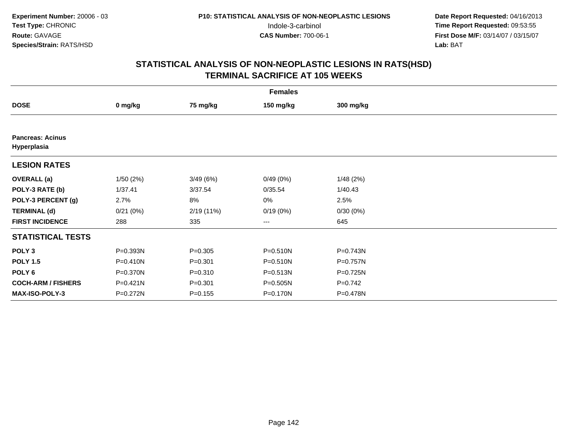| <b>Females</b>                         |              |             |                        |           |  |  |  |
|----------------------------------------|--------------|-------------|------------------------|-----------|--|--|--|
| <b>DOSE</b>                            | 0 mg/kg      | 75 mg/kg    | 150 mg/kg              | 300 mg/kg |  |  |  |
|                                        |              |             |                        |           |  |  |  |
| <b>Pancreas: Acinus</b><br>Hyperplasia |              |             |                        |           |  |  |  |
| <b>LESION RATES</b>                    |              |             |                        |           |  |  |  |
| <b>OVERALL</b> (a)                     | 1/50(2%)     | 3/49(6%)    | 0/49(0%)               | 1/48(2%)  |  |  |  |
| POLY-3 RATE (b)                        | 1/37.41      | 3/37.54     | 0/35.54                | 1/40.43   |  |  |  |
| POLY-3 PERCENT (g)                     | 2.7%         | 8%          | 0%                     | 2.5%      |  |  |  |
| <b>TERMINAL (d)</b>                    | 0/21(0%)     | 2/19 (11%)  | 0/19(0%)               | 0/30(0%)  |  |  |  |
| <b>FIRST INCIDENCE</b>                 | 288          | 335         | $\qquad \qquad \cdots$ | 645       |  |  |  |
| <b>STATISTICAL TESTS</b>               |              |             |                        |           |  |  |  |
| POLY <sub>3</sub>                      | P=0.393N     | $P = 0.305$ | $P = 0.510N$           | P=0.743N  |  |  |  |
| <b>POLY 1.5</b>                        | $P = 0.410N$ | $P = 0.301$ | $P = 0.510N$           | P=0.757N  |  |  |  |
| POLY 6                                 | P=0.370N     | $P = 0.310$ | $P = 0.513N$           | P=0.725N  |  |  |  |
| <b>COCH-ARM / FISHERS</b>              | P=0.421N     | $P = 0.301$ | P=0.505N               | $P=0.742$ |  |  |  |
| <b>MAX-ISO-POLY-3</b>                  | P=0.272N     | $P = 0.155$ | P=0.170N               | P=0.478N  |  |  |  |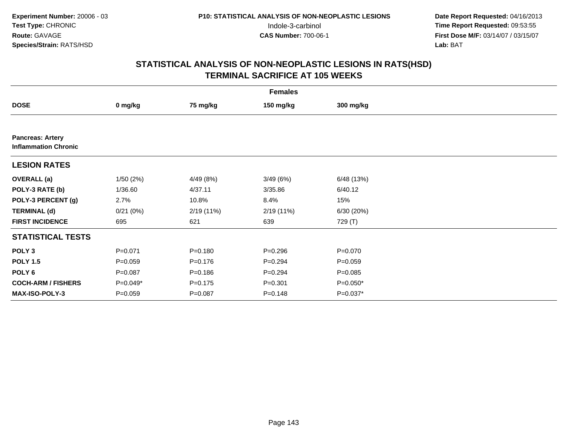| <b>Females</b>                                         |             |             |             |             |  |  |  |
|--------------------------------------------------------|-------------|-------------|-------------|-------------|--|--|--|
| <b>DOSE</b>                                            | 0 mg/kg     | 75 mg/kg    | 150 mg/kg   | 300 mg/kg   |  |  |  |
|                                                        |             |             |             |             |  |  |  |
| <b>Pancreas: Artery</b><br><b>Inflammation Chronic</b> |             |             |             |             |  |  |  |
| <b>LESION RATES</b>                                    |             |             |             |             |  |  |  |
| <b>OVERALL</b> (a)                                     | 1/50(2%)    | 4/49 (8%)   | 3/49(6%)    | 6/48 (13%)  |  |  |  |
| POLY-3 RATE (b)                                        | 1/36.60     | 4/37.11     | 3/35.86     | 6/40.12     |  |  |  |
| POLY-3 PERCENT (g)                                     | 2.7%        | 10.8%       | 8.4%        | 15%         |  |  |  |
| <b>TERMINAL (d)</b>                                    | 0/21(0%)    | 2/19 (11%)  | 2/19(11%)   | 6/30(20%)   |  |  |  |
| <b>FIRST INCIDENCE</b>                                 | 695         | 621         | 639         | 729 (T)     |  |  |  |
| <b>STATISTICAL TESTS</b>                               |             |             |             |             |  |  |  |
| POLY <sub>3</sub>                                      | $P = 0.071$ | $P = 0.180$ | $P = 0.296$ | $P = 0.070$ |  |  |  |
| <b>POLY 1.5</b>                                        | $P = 0.059$ | $P = 0.176$ | $P = 0.294$ | $P = 0.059$ |  |  |  |
| POLY 6                                                 | $P = 0.087$ | $P = 0.186$ | $P = 0.294$ | $P = 0.085$ |  |  |  |
| <b>COCH-ARM / FISHERS</b>                              | $P=0.049*$  | $P = 0.175$ | $P = 0.301$ | $P=0.050*$  |  |  |  |
| MAX-ISO-POLY-3                                         | $P=0.059$   | $P = 0.087$ | $P = 0.148$ | P=0.037*    |  |  |  |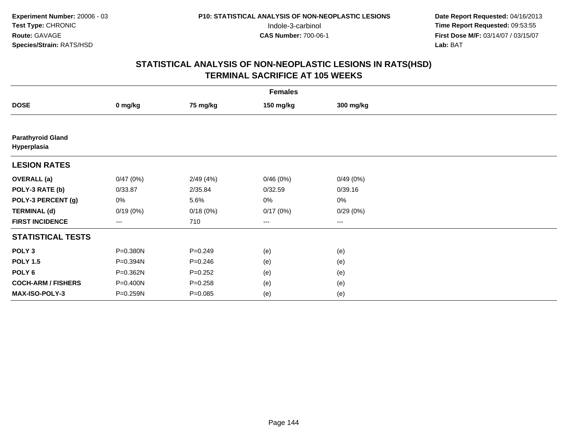| <b>Females</b>                          |          |             |                   |           |  |  |  |
|-----------------------------------------|----------|-------------|-------------------|-----------|--|--|--|
| <b>DOSE</b>                             | 0 mg/kg  | 75 mg/kg    | 150 mg/kg         | 300 mg/kg |  |  |  |
|                                         |          |             |                   |           |  |  |  |
| <b>Parathyroid Gland</b><br>Hyperplasia |          |             |                   |           |  |  |  |
| <b>LESION RATES</b>                     |          |             |                   |           |  |  |  |
| <b>OVERALL</b> (a)                      | 0/47(0%) | 2/49(4%)    | 0/46(0%)          | 0/49(0%)  |  |  |  |
| POLY-3 RATE (b)                         | 0/33.87  | 2/35.84     | 0/32.59           | 0/39.16   |  |  |  |
| POLY-3 PERCENT (g)                      | 0%       | 5.6%        | 0%                | $0\%$     |  |  |  |
| <b>TERMINAL (d)</b>                     | 0/19(0%) | 0/18(0%)    | 0/17(0%)          | 0/29(0%)  |  |  |  |
| <b>FIRST INCIDENCE</b>                  | $---$    | 710         | $\qquad \qquad -$ | $---$     |  |  |  |
| <b>STATISTICAL TESTS</b>                |          |             |                   |           |  |  |  |
| POLY <sub>3</sub>                       | P=0.380N | $P = 0.249$ | (e)               | (e)       |  |  |  |
| <b>POLY 1.5</b>                         | P=0.394N | $P = 0.246$ | (e)               | (e)       |  |  |  |
| POLY 6                                  | P=0.362N | $P = 0.252$ | (e)               | (e)       |  |  |  |
| <b>COCH-ARM / FISHERS</b>               | P=0.400N | $P = 0.258$ | (e)               | (e)       |  |  |  |
| MAX-ISO-POLY-3                          | P=0.259N | $P = 0.085$ | (e)               | (e)       |  |  |  |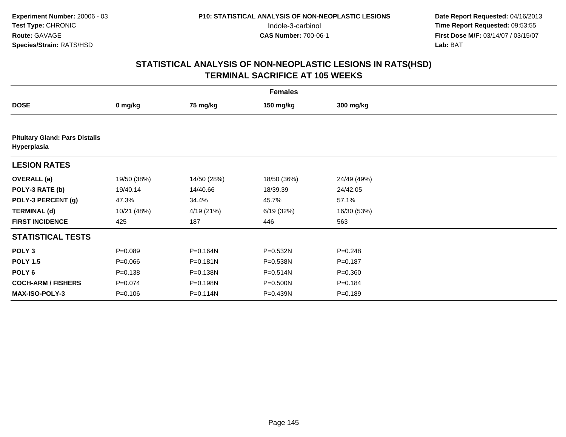|                                                      | <b>Females</b> |              |              |             |  |  |  |  |
|------------------------------------------------------|----------------|--------------|--------------|-------------|--|--|--|--|
| <b>DOSE</b>                                          | 0 mg/kg        | 75 mg/kg     | 150 mg/kg    | 300 mg/kg   |  |  |  |  |
|                                                      |                |              |              |             |  |  |  |  |
| <b>Pituitary Gland: Pars Distalis</b><br>Hyperplasia |                |              |              |             |  |  |  |  |
| <b>LESION RATES</b>                                  |                |              |              |             |  |  |  |  |
| <b>OVERALL</b> (a)                                   | 19/50 (38%)    | 14/50 (28%)  | 18/50 (36%)  | 24/49 (49%) |  |  |  |  |
| POLY-3 RATE (b)                                      | 19/40.14       | 14/40.66     | 18/39.39     | 24/42.05    |  |  |  |  |
| POLY-3 PERCENT (g)                                   | 47.3%          | 34.4%        | 45.7%        | 57.1%       |  |  |  |  |
| <b>TERMINAL (d)</b>                                  | 10/21 (48%)    | 4/19 (21%)   | 6/19(32%)    | 16/30 (53%) |  |  |  |  |
| <b>FIRST INCIDENCE</b>                               | 425            | 187          | 446          | 563         |  |  |  |  |
| <b>STATISTICAL TESTS</b>                             |                |              |              |             |  |  |  |  |
| POLY <sub>3</sub>                                    | $P = 0.089$    | P=0.164N     | P=0.532N     | $P = 0.248$ |  |  |  |  |
| <b>POLY 1.5</b>                                      | $P = 0.066$    | $P = 0.181N$ | P=0.538N     | $P = 0.187$ |  |  |  |  |
| POLY <sub>6</sub>                                    | $P = 0.138$    | P=0.138N     | $P = 0.514N$ | $P = 0.360$ |  |  |  |  |
| <b>COCH-ARM / FISHERS</b>                            | $P = 0.074$    | P=0.198N     | P=0.500N     | $P = 0.184$ |  |  |  |  |
| MAX-ISO-POLY-3                                       | $P = 0.106$    | P=0.114N     | P=0.439N     | $P = 0.189$ |  |  |  |  |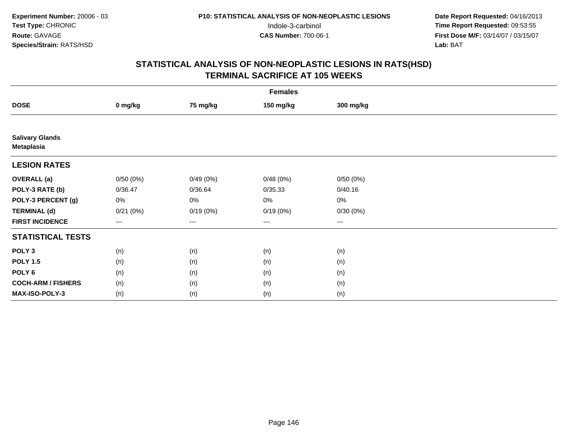|                                      | <b>Females</b> |                        |           |           |  |  |  |  |
|--------------------------------------|----------------|------------------------|-----------|-----------|--|--|--|--|
| <b>DOSE</b>                          | 0 mg/kg        | 75 mg/kg               | 150 mg/kg | 300 mg/kg |  |  |  |  |
|                                      |                |                        |           |           |  |  |  |  |
| <b>Salivary Glands</b><br>Metaplasia |                |                        |           |           |  |  |  |  |
| <b>LESION RATES</b>                  |                |                        |           |           |  |  |  |  |
| <b>OVERALL</b> (a)                   | 0/50(0%)       | 0/49(0%)               | 0/48(0%)  | 0/50(0%)  |  |  |  |  |
| POLY-3 RATE (b)                      | 0/36.47        | 0/36.64                | 0/35.33   | 0/40.16   |  |  |  |  |
| POLY-3 PERCENT (g)                   | 0%             | 0%                     | $0\%$     | $0\%$     |  |  |  |  |
| <b>TERMINAL (d)</b>                  | 0/21(0%)       | 0/19(0%)               | 0/19(0%)  | 0/30(0%)  |  |  |  |  |
| <b>FIRST INCIDENCE</b>               | ---            | $\qquad \qquad \cdots$ | $\cdots$  | ---       |  |  |  |  |
| <b>STATISTICAL TESTS</b>             |                |                        |           |           |  |  |  |  |
| POLY <sub>3</sub>                    | (n)            | (n)                    | (n)       | (n)       |  |  |  |  |
| <b>POLY 1.5</b>                      | (n)            | (n)                    | (n)       | (n)       |  |  |  |  |
| POLY <sub>6</sub>                    | (n)            | (n)                    | (n)       | (n)       |  |  |  |  |
| <b>COCH-ARM / FISHERS</b>            | (n)            | (n)                    | (n)       | (n)       |  |  |  |  |
| MAX-ISO-POLY-3                       | (n)            | (n)                    | (n)       | (n)       |  |  |  |  |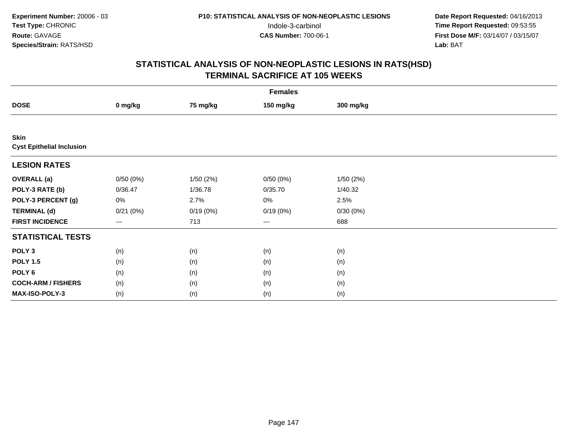|                                                 | <b>Females</b>      |          |           |           |  |  |  |  |
|-------------------------------------------------|---------------------|----------|-----------|-----------|--|--|--|--|
| <b>DOSE</b>                                     | 0 mg/kg             | 75 mg/kg | 150 mg/kg | 300 mg/kg |  |  |  |  |
|                                                 |                     |          |           |           |  |  |  |  |
| <b>Skin</b><br><b>Cyst Epithelial Inclusion</b> |                     |          |           |           |  |  |  |  |
| <b>LESION RATES</b>                             |                     |          |           |           |  |  |  |  |
| <b>OVERALL</b> (a)                              | 0/50(0%)            | 1/50(2%) | 0/50(0%)  | 1/50(2%)  |  |  |  |  |
| POLY-3 RATE (b)                                 | 0/36.47             | 1/36.78  | 0/35.70   | 1/40.32   |  |  |  |  |
| POLY-3 PERCENT (g)                              | 0%                  | 2.7%     | 0%        | 2.5%      |  |  |  |  |
| <b>TERMINAL (d)</b>                             | 0/21(0%)            | 0/19(0%) | 0/19(0%)  | 0/30(0%)  |  |  |  |  |
| <b>FIRST INCIDENCE</b>                          | $\qquad \qquad - -$ | 713      | ---       | 688       |  |  |  |  |
| <b>STATISTICAL TESTS</b>                        |                     |          |           |           |  |  |  |  |
| POLY <sub>3</sub>                               | (n)                 | (n)      | (n)       | (n)       |  |  |  |  |
| <b>POLY 1.5</b>                                 | (n)                 | (n)      | (n)       | (n)       |  |  |  |  |
| POLY <sub>6</sub>                               | (n)                 | (n)      | (n)       | (n)       |  |  |  |  |
| <b>COCH-ARM / FISHERS</b>                       | (n)                 | (n)      | (n)       | (n)       |  |  |  |  |
| MAX-ISO-POLY-3                                  | (n)                 | (n)      | (n)       | (n)       |  |  |  |  |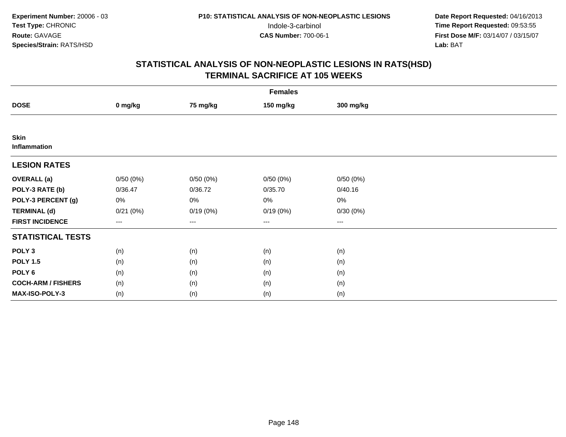|                                    | <b>Females</b>                           |                   |           |           |  |  |  |  |
|------------------------------------|------------------------------------------|-------------------|-----------|-----------|--|--|--|--|
| <b>DOSE</b>                        | 0 mg/kg                                  | 75 mg/kg          | 150 mg/kg | 300 mg/kg |  |  |  |  |
|                                    |                                          |                   |           |           |  |  |  |  |
| <b>Skin</b><br><b>Inflammation</b> |                                          |                   |           |           |  |  |  |  |
| <b>LESION RATES</b>                |                                          |                   |           |           |  |  |  |  |
| <b>OVERALL</b> (a)                 | 0/50(0%)                                 | 0/50(0%)          | 0/50(0%)  | 0/50(0%)  |  |  |  |  |
| POLY-3 RATE (b)                    | 0/36.47                                  | 0/36.72           | 0/35.70   | 0/40.16   |  |  |  |  |
| POLY-3 PERCENT (g)                 | 0%                                       | 0%                | 0%        | $0\%$     |  |  |  |  |
| <b>TERMINAL (d)</b>                | 0/21(0%)                                 | 0/19(0%)          | 0/19(0%)  | 0/30(0%)  |  |  |  |  |
| <b>FIRST INCIDENCE</b>             | $\hspace{0.05cm} \ldots \hspace{0.05cm}$ | $\qquad \qquad -$ | $\cdots$  | $\cdots$  |  |  |  |  |
| <b>STATISTICAL TESTS</b>           |                                          |                   |           |           |  |  |  |  |
| POLY <sub>3</sub>                  | (n)                                      | (n)               | (n)       | (n)       |  |  |  |  |
| <b>POLY 1.5</b>                    | (n)                                      | (n)               | (n)       | (n)       |  |  |  |  |
| POLY <sub>6</sub>                  | (n)                                      | (n)               | (n)       | (n)       |  |  |  |  |
| <b>COCH-ARM / FISHERS</b>          | (n)                                      | (n)               | (n)       | (n)       |  |  |  |  |
| MAX-ISO-POLY-3                     | (n)                                      | (n)               | (n)       | (n)       |  |  |  |  |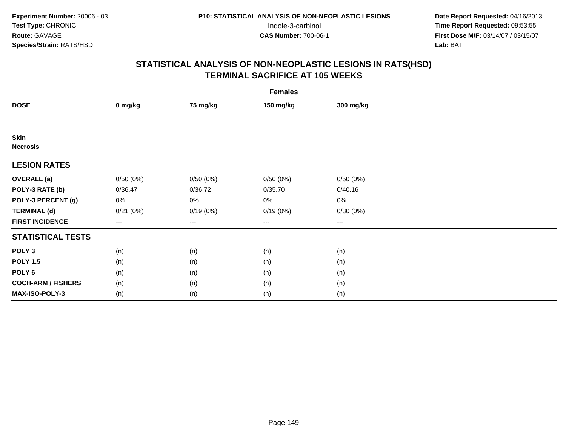|                                | <b>Females</b>                           |          |           |           |  |  |  |  |
|--------------------------------|------------------------------------------|----------|-----------|-----------|--|--|--|--|
| <b>DOSE</b>                    | 0 mg/kg                                  | 75 mg/kg | 150 mg/kg | 300 mg/kg |  |  |  |  |
|                                |                                          |          |           |           |  |  |  |  |
| <b>Skin</b><br><b>Necrosis</b> |                                          |          |           |           |  |  |  |  |
| <b>LESION RATES</b>            |                                          |          |           |           |  |  |  |  |
| <b>OVERALL</b> (a)             | 0/50(0%)                                 | 0/50(0%) | 0/50(0%)  | 0/50(0%)  |  |  |  |  |
| POLY-3 RATE (b)                | 0/36.47                                  | 0/36.72  | 0/35.70   | 0/40.16   |  |  |  |  |
| POLY-3 PERCENT (g)             | 0%                                       | 0%       | 0%        | $0\%$     |  |  |  |  |
| <b>TERMINAL (d)</b>            | 0/21(0%)                                 | 0/19(0%) | 0/19(0%)  | 0/30(0%)  |  |  |  |  |
| <b>FIRST INCIDENCE</b>         | $\hspace{0.05cm} \ldots \hspace{0.05cm}$ | $\cdots$ | $\cdots$  | $\cdots$  |  |  |  |  |
| <b>STATISTICAL TESTS</b>       |                                          |          |           |           |  |  |  |  |
| POLY <sub>3</sub>              | (n)                                      | (n)      | (n)       | (n)       |  |  |  |  |
| <b>POLY 1.5</b>                | (n)                                      | (n)      | (n)       | (n)       |  |  |  |  |
| POLY <sub>6</sub>              | (n)                                      | (n)      | (n)       | (n)       |  |  |  |  |
| <b>COCH-ARM / FISHERS</b>      | (n)                                      | (n)      | (n)       | (n)       |  |  |  |  |
| MAX-ISO-POLY-3                 | (n)                                      | (n)      | (n)       | (n)       |  |  |  |  |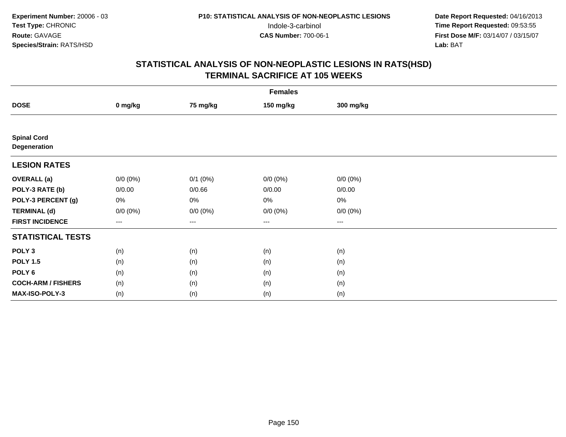|                                    | <b>Females</b> |              |                        |             |  |  |  |  |
|------------------------------------|----------------|--------------|------------------------|-------------|--|--|--|--|
| <b>DOSE</b>                        | 0 mg/kg        | 75 mg/kg     | 150 mg/kg              | 300 mg/kg   |  |  |  |  |
|                                    |                |              |                        |             |  |  |  |  |
| <b>Spinal Cord</b><br>Degeneration |                |              |                        |             |  |  |  |  |
| <b>LESION RATES</b>                |                |              |                        |             |  |  |  |  |
| <b>OVERALL</b> (a)                 | $0/0 (0\%)$    | $0/1$ $(0%)$ | $0/0 (0\%)$            | $0/0 (0\%)$ |  |  |  |  |
| POLY-3 RATE (b)                    | 0/0.00         | 0/0.66       | 0/0.00                 | 0/0.00      |  |  |  |  |
| POLY-3 PERCENT (g)                 | 0%             | 0%           | 0%                     | 0%          |  |  |  |  |
| <b>TERMINAL (d)</b>                | $0/0 (0\%)$    | $0/0 (0\%)$  | $0/0 (0\%)$            | $0/0 (0\%)$ |  |  |  |  |
| <b>FIRST INCIDENCE</b>             | $---$          | ---          | $\qquad \qquad \cdots$ | ---         |  |  |  |  |
| <b>STATISTICAL TESTS</b>           |                |              |                        |             |  |  |  |  |
| POLY <sub>3</sub>                  | (n)            | (n)          | (n)                    | (n)         |  |  |  |  |
| <b>POLY 1.5</b>                    | (n)            | (n)          | (n)                    | (n)         |  |  |  |  |
| POLY <sub>6</sub>                  | (n)            | (n)          | (n)                    | (n)         |  |  |  |  |
| <b>COCH-ARM / FISHERS</b>          | (n)            | (n)          | (n)                    | (n)         |  |  |  |  |
| MAX-ISO-POLY-3                     | (n)            | (n)          | (n)                    | (n)         |  |  |  |  |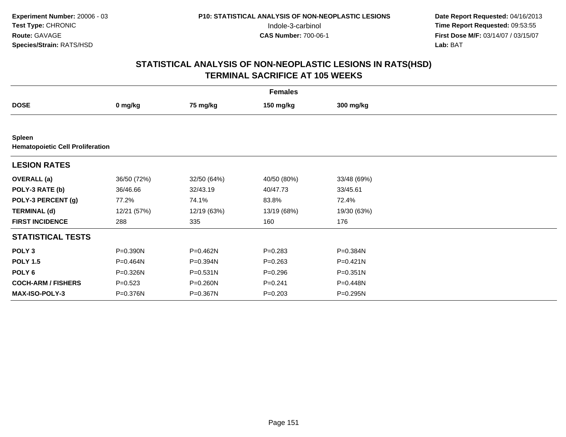| <b>Females</b>            |                                         |              |             |              |  |  |  |  |  |
|---------------------------|-----------------------------------------|--------------|-------------|--------------|--|--|--|--|--|
| <b>DOSE</b>               | 0 mg/kg                                 | 75 mg/kg     | 150 mg/kg   | 300 mg/kg    |  |  |  |  |  |
|                           |                                         |              |             |              |  |  |  |  |  |
| <b>Spleen</b>             | <b>Hematopoietic Cell Proliferation</b> |              |             |              |  |  |  |  |  |
| <b>LESION RATES</b>       |                                         |              |             |              |  |  |  |  |  |
| <b>OVERALL</b> (a)        | 36/50 (72%)                             | 32/50 (64%)  | 40/50 (80%) | 33/48 (69%)  |  |  |  |  |  |
| POLY-3 RATE (b)           | 36/46.66                                | 32/43.19     | 40/47.73    | 33/45.61     |  |  |  |  |  |
| POLY-3 PERCENT (g)        | 77.2%                                   | 74.1%        | 83.8%       | 72.4%        |  |  |  |  |  |
| <b>TERMINAL (d)</b>       | 12/21 (57%)                             | 12/19 (63%)  | 13/19 (68%) | 19/30 (63%)  |  |  |  |  |  |
| <b>FIRST INCIDENCE</b>    | 288                                     | 335          | 160         | 176          |  |  |  |  |  |
| <b>STATISTICAL TESTS</b>  |                                         |              |             |              |  |  |  |  |  |
| POLY <sub>3</sub>         | P=0.390N                                | P=0.462N     | $P = 0.283$ | P=0.384N     |  |  |  |  |  |
| <b>POLY 1.5</b>           | P=0.464N                                | P=0.394N     | $P = 0.263$ | $P = 0.421N$ |  |  |  |  |  |
| POLY <sub>6</sub>         | P=0.326N                                | $P = 0.531N$ | $P = 0.296$ | $P = 0.351N$ |  |  |  |  |  |
| <b>COCH-ARM / FISHERS</b> | $P = 0.523$                             | P=0.260N     | $P=0.241$   | P=0.448N     |  |  |  |  |  |
| <b>MAX-ISO-POLY-3</b>     | P=0.376N                                | P=0.367N     | $P = 0.203$ | P=0.295N     |  |  |  |  |  |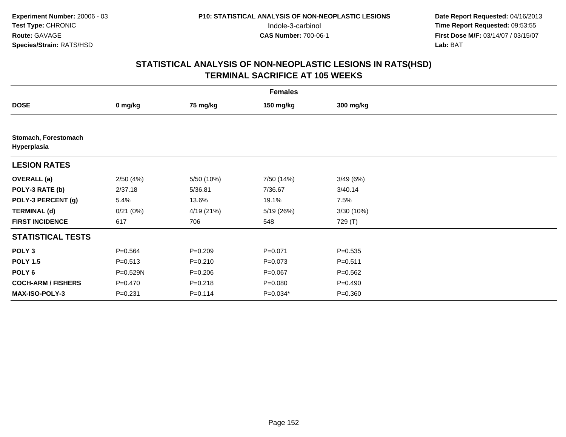|                                     | <b>Females</b> |             |             |             |  |  |  |  |
|-------------------------------------|----------------|-------------|-------------|-------------|--|--|--|--|
| <b>DOSE</b>                         | 0 mg/kg        | 75 mg/kg    | 150 mg/kg   | 300 mg/kg   |  |  |  |  |
|                                     |                |             |             |             |  |  |  |  |
| Stomach, Forestomach<br>Hyperplasia |                |             |             |             |  |  |  |  |
| <b>LESION RATES</b>                 |                |             |             |             |  |  |  |  |
| <b>OVERALL</b> (a)                  | 2/50(4%)       | 5/50 (10%)  | 7/50 (14%)  | 3/49(6%)    |  |  |  |  |
| POLY-3 RATE (b)                     | 2/37.18        | 5/36.81     | 7/36.67     | 3/40.14     |  |  |  |  |
| POLY-3 PERCENT (g)                  | 5.4%           | 13.6%       | 19.1%       | 7.5%        |  |  |  |  |
| <b>TERMINAL (d)</b>                 | 0/21(0%)       | 4/19 (21%)  | 5/19 (26%)  | 3/30(10%)   |  |  |  |  |
| <b>FIRST INCIDENCE</b>              | 617            | 706         | 548         | 729 (T)     |  |  |  |  |
| <b>STATISTICAL TESTS</b>            |                |             |             |             |  |  |  |  |
| POLY <sub>3</sub>                   | $P = 0.564$    | $P = 0.209$ | $P = 0.071$ | $P = 0.535$ |  |  |  |  |
| <b>POLY 1.5</b>                     | $P = 0.513$    | $P = 0.210$ | $P = 0.073$ | $P = 0.511$ |  |  |  |  |
| POLY <sub>6</sub>                   | P=0.529N       | $P = 0.206$ | $P=0.067$   | $P = 0.562$ |  |  |  |  |
| <b>COCH-ARM / FISHERS</b>           | $P = 0.470$    | $P = 0.218$ | $P = 0.080$ | $P = 0.490$ |  |  |  |  |
| <b>MAX-ISO-POLY-3</b>               | $P = 0.231$    | $P = 0.114$ | $P=0.034*$  | $P = 0.360$ |  |  |  |  |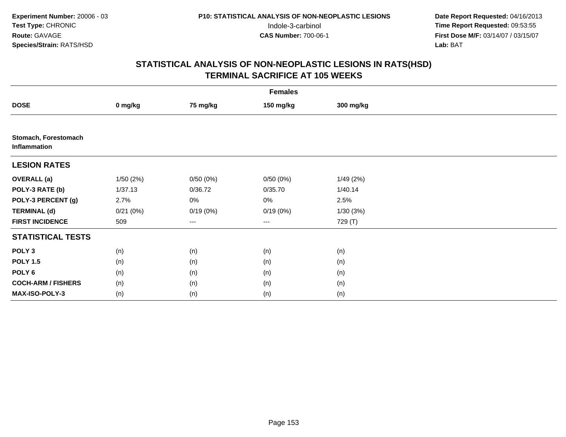|                                             | <b>Females</b> |          |                   |           |  |  |  |  |
|---------------------------------------------|----------------|----------|-------------------|-----------|--|--|--|--|
| <b>DOSE</b>                                 | 0 mg/kg        | 75 mg/kg | 150 mg/kg         | 300 mg/kg |  |  |  |  |
|                                             |                |          |                   |           |  |  |  |  |
| Stomach, Forestomach<br><b>Inflammation</b> |                |          |                   |           |  |  |  |  |
| <b>LESION RATES</b>                         |                |          |                   |           |  |  |  |  |
| <b>OVERALL</b> (a)                          | 1/50(2%)       | 0/50(0%) | 0/50(0%)          | 1/49(2%)  |  |  |  |  |
| POLY-3 RATE (b)                             | 1/37.13        | 0/36.72  | 0/35.70           | 1/40.14   |  |  |  |  |
| POLY-3 PERCENT (g)                          | 2.7%           | 0%       | 0%                | 2.5%      |  |  |  |  |
| <b>TERMINAL (d)</b>                         | 0/21(0%)       | 0/19(0%) | 0/19(0%)          | 1/30(3%)  |  |  |  |  |
| <b>FIRST INCIDENCE</b>                      | 509            | ---      | $\qquad \qquad -$ | 729 (T)   |  |  |  |  |
| <b>STATISTICAL TESTS</b>                    |                |          |                   |           |  |  |  |  |
| POLY <sub>3</sub>                           | (n)            | (n)      | (n)               | (n)       |  |  |  |  |
| <b>POLY 1.5</b>                             | (n)            | (n)      | (n)               | (n)       |  |  |  |  |
| POLY <sub>6</sub>                           | (n)            | (n)      | (n)               | (n)       |  |  |  |  |
| <b>COCH-ARM / FISHERS</b>                   | (n)            | (n)      | (n)               | (n)       |  |  |  |  |
| MAX-ISO-POLY-3                              | (n)            | (n)      | (n)               | (n)       |  |  |  |  |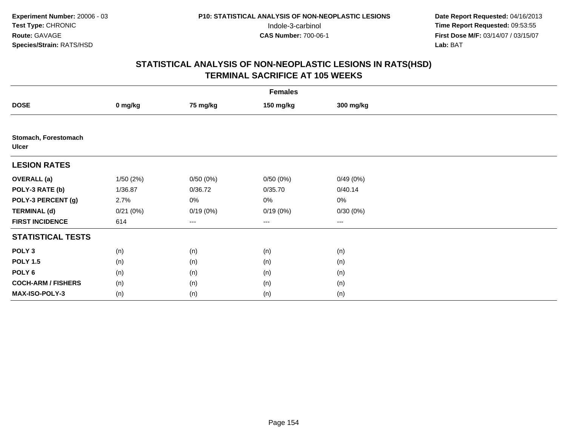|                                      | <b>Females</b> |          |           |           |  |  |  |  |
|--------------------------------------|----------------|----------|-----------|-----------|--|--|--|--|
| <b>DOSE</b>                          | 0 mg/kg        | 75 mg/kg | 150 mg/kg | 300 mg/kg |  |  |  |  |
|                                      |                |          |           |           |  |  |  |  |
| Stomach, Forestomach<br><b>Ulcer</b> |                |          |           |           |  |  |  |  |
| <b>LESION RATES</b>                  |                |          |           |           |  |  |  |  |
| <b>OVERALL</b> (a)                   | 1/50(2%)       | 0/50(0%) | 0/50(0%)  | 0/49(0%)  |  |  |  |  |
| POLY-3 RATE (b)                      | 1/36.87        | 0/36.72  | 0/35.70   | 0/40.14   |  |  |  |  |
| POLY-3 PERCENT (g)                   | 2.7%           | 0%       | 0%        | 0%        |  |  |  |  |
| <b>TERMINAL (d)</b>                  | 0/21(0%)       | 0/19(0%) | 0/19(0%)  | 0/30(0%)  |  |  |  |  |
| <b>FIRST INCIDENCE</b>               | 614            | ---      | ---       | $--$      |  |  |  |  |
| <b>STATISTICAL TESTS</b>             |                |          |           |           |  |  |  |  |
| POLY <sub>3</sub>                    | (n)            | (n)      | (n)       | (n)       |  |  |  |  |
| <b>POLY 1.5</b>                      | (n)            | (n)      | (n)       | (n)       |  |  |  |  |
| POLY <sub>6</sub>                    | (n)            | (n)      | (n)       | (n)       |  |  |  |  |
| <b>COCH-ARM / FISHERS</b>            | (n)            | (n)      | (n)       | (n)       |  |  |  |  |
| MAX-ISO-POLY-3                       | (n)            | (n)      | (n)       | (n)       |  |  |  |  |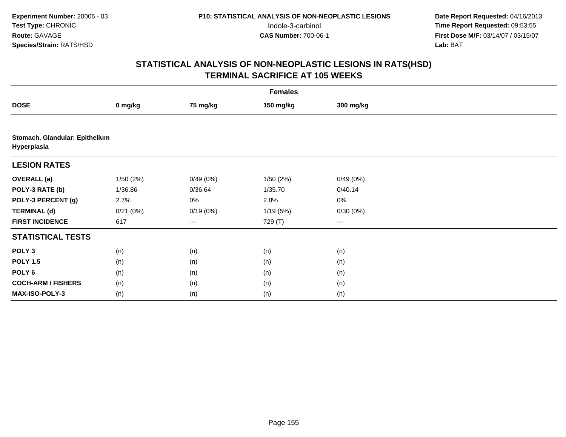|                                               | <b>Females</b> |          |           |           |  |  |  |  |
|-----------------------------------------------|----------------|----------|-----------|-----------|--|--|--|--|
| <b>DOSE</b>                                   | 0 mg/kg        | 75 mg/kg | 150 mg/kg | 300 mg/kg |  |  |  |  |
|                                               |                |          |           |           |  |  |  |  |
| Stomach, Glandular: Epithelium<br>Hyperplasia |                |          |           |           |  |  |  |  |
| <b>LESION RATES</b>                           |                |          |           |           |  |  |  |  |
| <b>OVERALL (a)</b>                            | 1/50(2%)       | 0/49(0%) | 1/50(2%)  | 0/49(0%)  |  |  |  |  |
| POLY-3 RATE (b)                               | 1/36.86        | 0/36.64  | 1/35.70   | 0/40.14   |  |  |  |  |
| POLY-3 PERCENT (g)                            | 2.7%           | 0%       | 2.8%      | 0%        |  |  |  |  |
| <b>TERMINAL (d)</b>                           | 0/21(0%)       | 0/19(0%) | 1/19(5%)  | 0/30(0%)  |  |  |  |  |
| <b>FIRST INCIDENCE</b>                        | 617            | $--$     | 729 (T)   | ---       |  |  |  |  |
| <b>STATISTICAL TESTS</b>                      |                |          |           |           |  |  |  |  |
| POLY <sub>3</sub>                             | (n)            | (n)      | (n)       | (n)       |  |  |  |  |
| <b>POLY 1.5</b>                               | (n)            | (n)      | (n)       | (n)       |  |  |  |  |
| POLY <sub>6</sub>                             | (n)            | (n)      | (n)       | (n)       |  |  |  |  |
| <b>COCH-ARM / FISHERS</b>                     | (n)            | (n)      | (n)       | (n)       |  |  |  |  |
| MAX-ISO-POLY-3                                | (n)            | (n)      | (n)       | (n)       |  |  |  |  |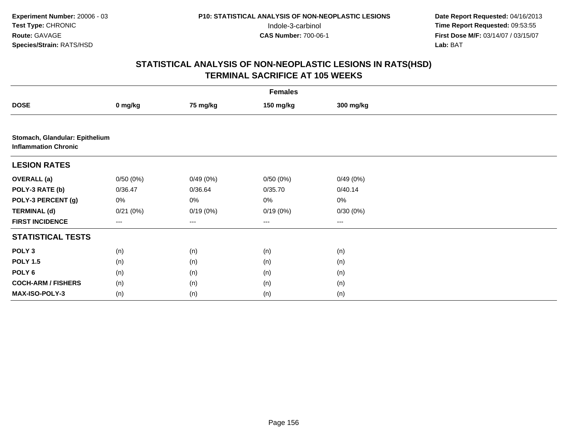|                             | <b>Females</b>                 |                   |           |           |  |  |  |  |
|-----------------------------|--------------------------------|-------------------|-----------|-----------|--|--|--|--|
| <b>DOSE</b>                 | 0 mg/kg                        | 75 mg/kg          | 150 mg/kg | 300 mg/kg |  |  |  |  |
|                             |                                |                   |           |           |  |  |  |  |
| <b>Inflammation Chronic</b> | Stomach, Glandular: Epithelium |                   |           |           |  |  |  |  |
| <b>LESION RATES</b>         |                                |                   |           |           |  |  |  |  |
| <b>OVERALL (a)</b>          | 0/50(0%)                       | 0/49(0%)          | 0/50(0%)  | 0/49(0%)  |  |  |  |  |
| POLY-3 RATE (b)             | 0/36.47                        | 0/36.64           | 0/35.70   | 0/40.14   |  |  |  |  |
| POLY-3 PERCENT (g)          | 0%                             | 0%                | $0\%$     | 0%        |  |  |  |  |
| <b>TERMINAL (d)</b>         | 0/21(0%)                       | 0/19(0%)          | 0/19(0%)  | 0/30(0%)  |  |  |  |  |
| <b>FIRST INCIDENCE</b>      | ---                            | $\qquad \qquad -$ | ---       | ---       |  |  |  |  |
| <b>STATISTICAL TESTS</b>    |                                |                   |           |           |  |  |  |  |
| POLY <sub>3</sub>           | (n)                            | (n)               | (n)       | (n)       |  |  |  |  |
| <b>POLY 1.5</b>             | (n)                            | (n)               | (n)       | (n)       |  |  |  |  |
| POLY 6                      | (n)                            | (n)               | (n)       | (n)       |  |  |  |  |
| <b>COCH-ARM / FISHERS</b>   | (n)                            | (n)               | (n)       | (n)       |  |  |  |  |
| MAX-ISO-POLY-3              | (n)                            | (n)               | (n)       | (n)       |  |  |  |  |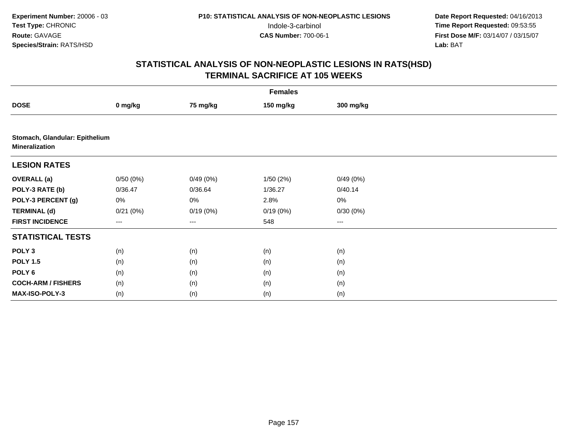|                                                         |          |                        | <b>Females</b> |           |  |
|---------------------------------------------------------|----------|------------------------|----------------|-----------|--|
| <b>DOSE</b>                                             | 0 mg/kg  | 75 mg/kg               | 150 mg/kg      | 300 mg/kg |  |
|                                                         |          |                        |                |           |  |
| Stomach, Glandular: Epithelium<br><b>Mineralization</b> |          |                        |                |           |  |
| <b>LESION RATES</b>                                     |          |                        |                |           |  |
| <b>OVERALL (a)</b>                                      | 0/50(0%) | 0/49(0%)               | 1/50(2%)       | 0/49(0%)  |  |
| POLY-3 RATE (b)                                         | 0/36.47  | 0/36.64                | 1/36.27        | 0/40.14   |  |
| POLY-3 PERCENT (g)                                      | 0%       | 0%                     | 2.8%           | 0%        |  |
| <b>TERMINAL (d)</b>                                     | 0/21(0%) | 0/19(0%)               | 0/19(0%)       | 0/30(0%)  |  |
| <b>FIRST INCIDENCE</b>                                  | ---      | $\qquad \qquad \cdots$ | 548            | ---       |  |
| <b>STATISTICAL TESTS</b>                                |          |                        |                |           |  |
| POLY <sub>3</sub>                                       | (n)      | (n)                    | (n)            | (n)       |  |
| <b>POLY 1.5</b>                                         | (n)      | (n)                    | (n)            | (n)       |  |
| POLY <sub>6</sub>                                       | (n)      | (n)                    | (n)            | (n)       |  |
| <b>COCH-ARM / FISHERS</b>                               | (n)      | (n)                    | (n)            | (n)       |  |
| MAX-ISO-POLY-3                                          | (n)      | (n)                    | (n)            | (n)       |  |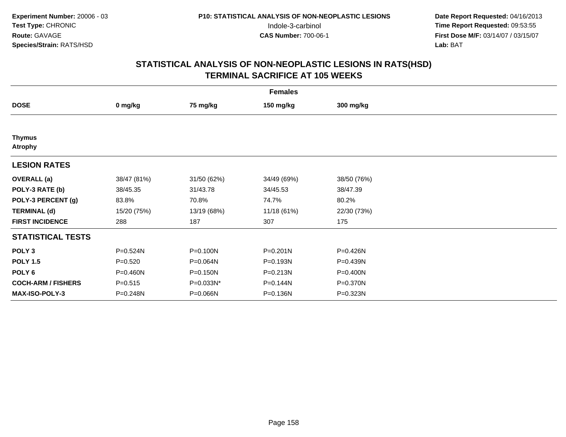| <b>Females</b>                  |             |             |              |             |  |
|---------------------------------|-------------|-------------|--------------|-------------|--|
| <b>DOSE</b>                     | 0 mg/kg     | 75 mg/kg    | 150 mg/kg    | 300 mg/kg   |  |
|                                 |             |             |              |             |  |
| <b>Thymus</b><br><b>Atrophy</b> |             |             |              |             |  |
| <b>LESION RATES</b>             |             |             |              |             |  |
| <b>OVERALL</b> (a)              | 38/47 (81%) | 31/50 (62%) | 34/49 (69%)  | 38/50 (76%) |  |
| POLY-3 RATE (b)                 | 38/45.35    | 31/43.78    | 34/45.53     | 38/47.39    |  |
| POLY-3 PERCENT (g)              | 83.8%       | 70.8%       | 74.7%        | 80.2%       |  |
| <b>TERMINAL (d)</b>             | 15/20 (75%) | 13/19 (68%) | 11/18 (61%)  | 22/30 (73%) |  |
| <b>FIRST INCIDENCE</b>          | 288         | 187         | 307          | 175         |  |
| <b>STATISTICAL TESTS</b>        |             |             |              |             |  |
| POLY <sub>3</sub>               | P=0.524N    | P=0.100N    | $P = 0.201N$ | P=0.426N    |  |
| <b>POLY 1.5</b>                 | $P = 0.520$ | P=0.064N    | P=0.193N     | P=0.439N    |  |
| POLY 6                          | P=0.460N    | P=0.150N    | P=0.213N     | P=0.400N    |  |
| <b>COCH-ARM / FISHERS</b>       | $P = 0.515$ | P=0.033N*   | P=0.144N     | P=0.370N    |  |
| <b>MAX-ISO-POLY-3</b>           | P=0.248N    | P=0.066N    | P=0.136N     | P=0.323N    |  |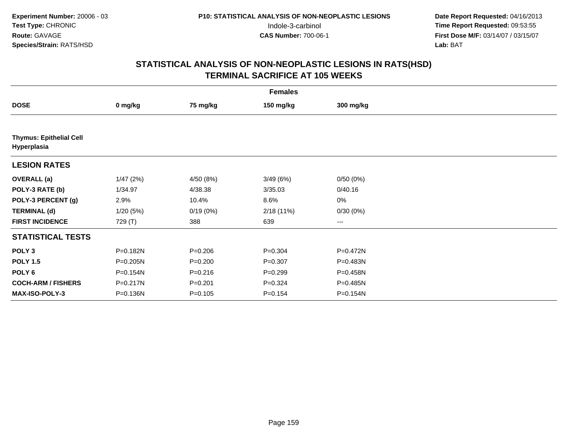|                                               | <b>Females</b> |             |             |              |  |
|-----------------------------------------------|----------------|-------------|-------------|--------------|--|
| <b>DOSE</b>                                   | 0 mg/kg        | 75 mg/kg    | 150 mg/kg   | 300 mg/kg    |  |
|                                               |                |             |             |              |  |
| <b>Thymus: Epithelial Cell</b><br>Hyperplasia |                |             |             |              |  |
| <b>LESION RATES</b>                           |                |             |             |              |  |
| <b>OVERALL</b> (a)                            | 1/47(2%)       | 4/50 (8%)   | 3/49(6%)    | 0/50(0%)     |  |
| POLY-3 RATE (b)                               | 1/34.97        | 4/38.38     | 3/35.03     | 0/40.16      |  |
| POLY-3 PERCENT (g)                            | 2.9%           | 10.4%       | 8.6%        | $0\%$        |  |
| <b>TERMINAL (d)</b>                           | 1/20(5%)       | 0/19(0%)    | 2/18(11%)   | 0/30(0%)     |  |
| <b>FIRST INCIDENCE</b>                        | 729 (T)        | 388         | 639         | ---          |  |
| <b>STATISTICAL TESTS</b>                      |                |             |             |              |  |
| POLY <sub>3</sub>                             | P=0.182N       | $P = 0.206$ | $P = 0.304$ | $P = 0.472N$ |  |
| <b>POLY 1.5</b>                               | P=0.205N       | $P = 0.200$ | $P = 0.307$ | P=0.483N     |  |
| POLY <sub>6</sub>                             | P=0.154N       | $P = 0.216$ | $P = 0.299$ | P=0.458N     |  |
| <b>COCH-ARM / FISHERS</b>                     | P=0.217N       | $P = 0.201$ | $P = 0.324$ | P=0.485N     |  |
| <b>MAX-ISO-POLY-3</b>                         | P=0.136N       | $P = 0.105$ | $P = 0.154$ | P=0.154N     |  |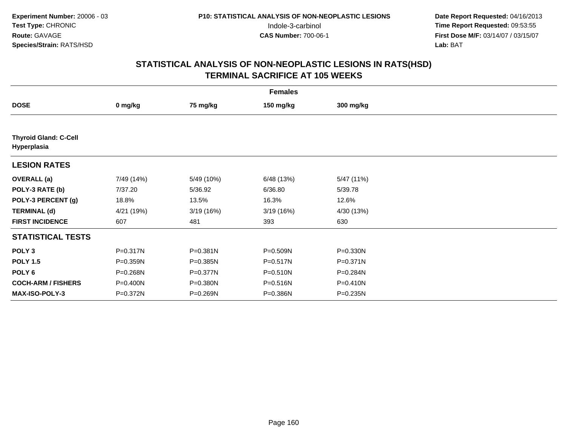|                                             | <b>Females</b> |              |            |              |  |
|---------------------------------------------|----------------|--------------|------------|--------------|--|
| <b>DOSE</b>                                 | 0 mg/kg        | 75 mg/kg     | 150 mg/kg  | 300 mg/kg    |  |
|                                             |                |              |            |              |  |
| <b>Thyroid Gland: C-Cell</b><br>Hyperplasia |                |              |            |              |  |
| <b>LESION RATES</b>                         |                |              |            |              |  |
| <b>OVERALL</b> (a)                          | 7/49 (14%)     | 5/49 (10%)   | 6/48 (13%) | 5/47 (11%)   |  |
| POLY-3 RATE (b)                             | 7/37.20        | 5/36.92      | 6/36.80    | 5/39.78      |  |
| POLY-3 PERCENT (g)                          | 18.8%          | 13.5%        | 16.3%      | 12.6%        |  |
| <b>TERMINAL (d)</b>                         | 4/21 (19%)     | 3/19(16%)    | 3/19(16%)  | 4/30 (13%)   |  |
| <b>FIRST INCIDENCE</b>                      | 607            | 481          | 393        | 630          |  |
| <b>STATISTICAL TESTS</b>                    |                |              |            |              |  |
| POLY <sub>3</sub>                           | P=0.317N       | P=0.381N     | P=0.509N   | P=0.330N     |  |
| <b>POLY 1.5</b>                             | P=0.359N       | P=0.385N     | P=0.517N   | $P = 0.371N$ |  |
| POLY <sub>6</sub>                           | $P = 0.268N$   | $P = 0.377N$ | P=0.510N   | P=0.284N     |  |
| <b>COCH-ARM / FISHERS</b>                   | P=0.400N       | P=0.380N     | P=0.516N   | $P = 0.410N$ |  |
| <b>MAX-ISO-POLY-3</b>                       | P=0.372N       | P=0.269N     | P=0.386N   | $P = 0.235N$ |  |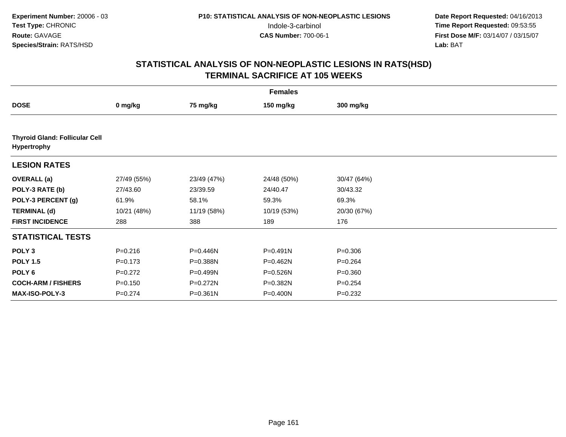|                                                      | <b>Females</b> |              |              |             |  |
|------------------------------------------------------|----------------|--------------|--------------|-------------|--|
| <b>DOSE</b>                                          | 0 mg/kg        | 75 mg/kg     | 150 mg/kg    | 300 mg/kg   |  |
|                                                      |                |              |              |             |  |
| <b>Thyroid Gland: Follicular Cell</b><br>Hypertrophy |                |              |              |             |  |
| <b>LESION RATES</b>                                  |                |              |              |             |  |
| <b>OVERALL</b> (a)                                   | 27/49 (55%)    | 23/49 (47%)  | 24/48 (50%)  | 30/47 (64%) |  |
| POLY-3 RATE (b)                                      | 27/43.60       | 23/39.59     | 24/40.47     | 30/43.32    |  |
| POLY-3 PERCENT (g)                                   | 61.9%          | 58.1%        | 59.3%        | 69.3%       |  |
| <b>TERMINAL (d)</b>                                  | 10/21 (48%)    | 11/19 (58%)  | 10/19 (53%)  | 20/30 (67%) |  |
| <b>FIRST INCIDENCE</b>                               | 288            | 388          | 189          | 176         |  |
| <b>STATISTICAL TESTS</b>                             |                |              |              |             |  |
| POLY <sub>3</sub>                                    | $P = 0.216$    | P=0.446N     | $P = 0.491N$ | $P = 0.306$ |  |
| <b>POLY 1.5</b>                                      | $P = 0.173$    | P=0.388N     | P=0.462N     | $P=0.264$   |  |
| POLY 6                                               | $P=0.272$      | $P = 0.499N$ | P=0.526N     | $P = 0.360$ |  |
| <b>COCH-ARM / FISHERS</b>                            | $P = 0.150$    | P=0.272N     | P=0.382N     | $P = 0.254$ |  |
| <b>MAX-ISO-POLY-3</b>                                | $P=0.274$      | $P = 0.361N$ | P=0.400N     | $P=0.232$   |  |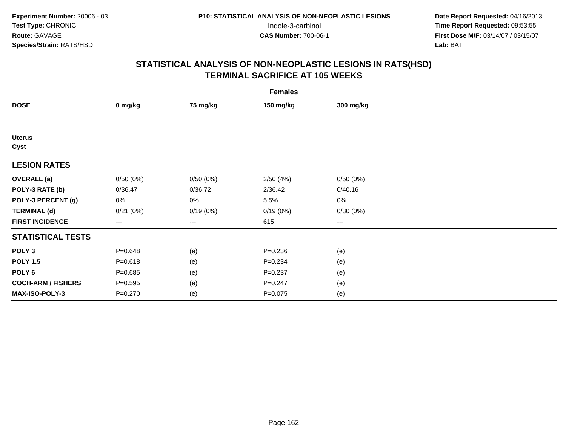|                           | <b>Females</b>    |          |             |                        |  |
|---------------------------|-------------------|----------|-------------|------------------------|--|
| <b>DOSE</b>               | 0 mg/kg           | 75 mg/kg | 150 mg/kg   | 300 mg/kg              |  |
|                           |                   |          |             |                        |  |
| <b>Uterus</b><br>Cyst     |                   |          |             |                        |  |
| <b>LESION RATES</b>       |                   |          |             |                        |  |
| <b>OVERALL</b> (a)        | 0/50(0%)          | 0/50(0%) | 2/50(4%)    | 0/50(0%)               |  |
| POLY-3 RATE (b)           | 0/36.47           | 0/36.72  | 2/36.42     | 0/40.16                |  |
| POLY-3 PERCENT (g)        | 0%                | $0\%$    | 5.5%        | 0%                     |  |
| <b>TERMINAL (d)</b>       | 0/21(0%)          | 0/19(0%) | 0/19(0%)    | 0/30(0%)               |  |
| <b>FIRST INCIDENCE</b>    | $\qquad \qquad -$ | ---      | 615         | $\qquad \qquad \cdots$ |  |
| <b>STATISTICAL TESTS</b>  |                   |          |             |                        |  |
| POLY <sub>3</sub>         | $P = 0.648$       | (e)      | $P = 0.236$ | (e)                    |  |
| <b>POLY 1.5</b>           | $P = 0.618$       | (e)      | $P = 0.234$ | (e)                    |  |
| POLY <sub>6</sub>         | $P = 0.685$       | (e)      | $P = 0.237$ | (e)                    |  |
| <b>COCH-ARM / FISHERS</b> | $P = 0.595$       | (e)      | $P = 0.247$ | (e)                    |  |
| MAX-ISO-POLY-3            | $P = 0.270$       | (e)      | $P = 0.075$ | (e)                    |  |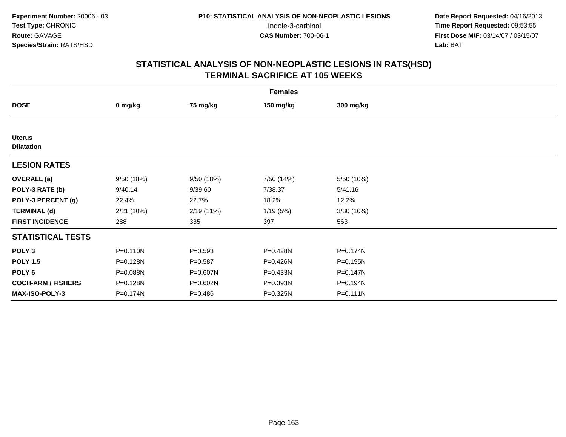|                                    | <b>Females</b> |             |            |              |  |
|------------------------------------|----------------|-------------|------------|--------------|--|
| <b>DOSE</b>                        | 0 mg/kg        | 75 mg/kg    | 150 mg/kg  | 300 mg/kg    |  |
|                                    |                |             |            |              |  |
| <b>Uterus</b><br><b>Dilatation</b> |                |             |            |              |  |
| <b>LESION RATES</b>                |                |             |            |              |  |
| <b>OVERALL</b> (a)                 | 9/50 (18%)     | 9/50 (18%)  | 7/50 (14%) | 5/50 (10%)   |  |
| POLY-3 RATE (b)                    | 9/40.14        | 9/39.60     | 7/38.37    | 5/41.16      |  |
| POLY-3 PERCENT (g)                 | 22.4%          | 22.7%       | 18.2%      | 12.2%        |  |
| <b>TERMINAL (d)</b>                | 2/21(10%)      | 2/19 (11%)  | 1/19(5%)   | 3/30 (10%)   |  |
| <b>FIRST INCIDENCE</b>             | 288            | 335         | 397        | 563          |  |
| <b>STATISTICAL TESTS</b>           |                |             |            |              |  |
| POLY <sub>3</sub>                  | $P = 0.110N$   | $P=0.593$   | P=0.428N   | P=0.174N     |  |
| <b>POLY 1.5</b>                    | P=0.128N       | $P = 0.587$ | P=0.426N   | P=0.195N     |  |
| POLY 6                             | P=0.088N       | P=0.607N    | P=0.433N   | $P = 0.147N$ |  |
| <b>COCH-ARM / FISHERS</b>          | P=0.128N       | P=0.602N    | P=0.393N   | P=0.194N     |  |
| MAX-ISO-POLY-3                     | P=0.174N       | $P = 0.486$ | P=0.325N   | $P = 0.111N$ |  |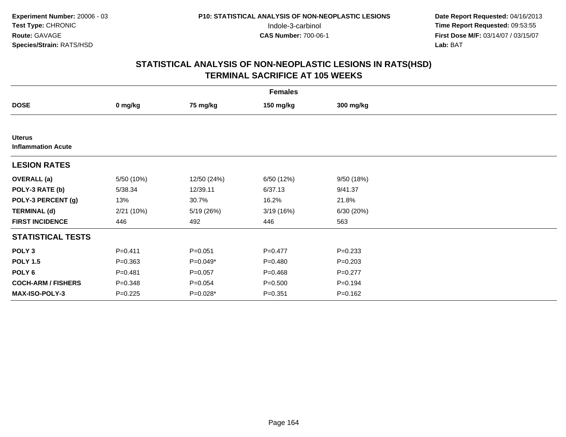|                                            | <b>Females</b> |             |             |             |  |
|--------------------------------------------|----------------|-------------|-------------|-------------|--|
| <b>DOSE</b>                                | 0 mg/kg        | 75 mg/kg    | 150 mg/kg   | 300 mg/kg   |  |
|                                            |                |             |             |             |  |
| <b>Uterus</b><br><b>Inflammation Acute</b> |                |             |             |             |  |
| <b>LESION RATES</b>                        |                |             |             |             |  |
| <b>OVERALL</b> (a)                         | 5/50 (10%)     | 12/50 (24%) | 6/50 (12%)  | 9/50 (18%)  |  |
| POLY-3 RATE (b)                            | 5/38.34        | 12/39.11    | 6/37.13     | 9/41.37     |  |
| POLY-3 PERCENT (g)                         | 13%            | 30.7%       | 16.2%       | 21.8%       |  |
| <b>TERMINAL (d)</b>                        | 2/21(10%)      | 5/19 (26%)  | 3/19(16%)   | 6/30 (20%)  |  |
| <b>FIRST INCIDENCE</b>                     | 446            | 492         | 446         | 563         |  |
| <b>STATISTICAL TESTS</b>                   |                |             |             |             |  |
| POLY <sub>3</sub>                          | $P = 0.411$    | $P = 0.051$ | $P=0.477$   | $P = 0.233$ |  |
| <b>POLY 1.5</b>                            | $P = 0.363$    | $P=0.049*$  | $P = 0.480$ | $P=0.203$   |  |
| POLY 6                                     | $P = 0.481$    | $P = 0.057$ | $P = 0.468$ | $P=0.277$   |  |
| <b>COCH-ARM / FISHERS</b>                  | $P = 0.348$    | $P = 0.054$ | $P = 0.500$ | $P = 0.194$ |  |
| MAX-ISO-POLY-3                             | $P=0.225$      | P=0.028*    | $P = 0.351$ | $P = 0.162$ |  |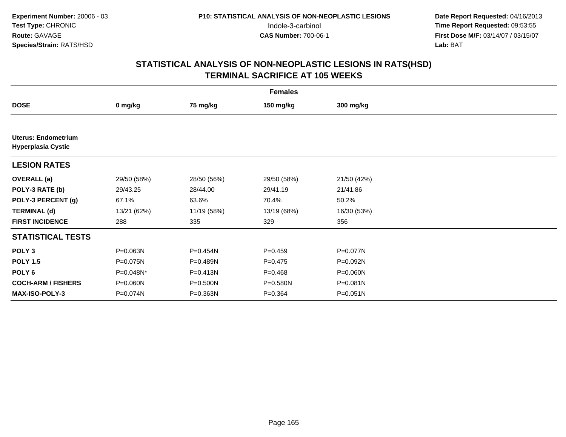|                                                         | <b>Females</b> |             |             |              |  |
|---------------------------------------------------------|----------------|-------------|-------------|--------------|--|
| <b>DOSE</b>                                             | 0 mg/kg        | 75 mg/kg    | 150 mg/kg   | 300 mg/kg    |  |
|                                                         |                |             |             |              |  |
| <b>Uterus: Endometrium</b><br><b>Hyperplasia Cystic</b> |                |             |             |              |  |
| <b>LESION RATES</b>                                     |                |             |             |              |  |
| <b>OVERALL</b> (a)                                      | 29/50 (58%)    | 28/50 (56%) | 29/50 (58%) | 21/50 (42%)  |  |
| POLY-3 RATE (b)                                         | 29/43.25       | 28/44.00    | 29/41.19    | 21/41.86     |  |
| POLY-3 PERCENT (g)                                      | 67.1%          | 63.6%       | 70.4%       | 50.2%        |  |
| <b>TERMINAL (d)</b>                                     | 13/21 (62%)    | 11/19 (58%) | 13/19 (68%) | 16/30 (53%)  |  |
| <b>FIRST INCIDENCE</b>                                  | 288            | 335         | 329         | 356          |  |
| <b>STATISTICAL TESTS</b>                                |                |             |             |              |  |
| POLY <sub>3</sub>                                       | P=0.063N       | P=0.454N    | $P = 0.459$ | P=0.077N     |  |
| <b>POLY 1.5</b>                                         | P=0.075N       | P=0.489N    | $P=0.475$   | P=0.092N     |  |
| POLY <sub>6</sub>                                       | P=0.048N*      | P=0.413N    | $P = 0.468$ | $P = 0.060N$ |  |
| <b>COCH-ARM / FISHERS</b>                               | P=0.060N       | P=0.500N    | P=0.580N    | $P = 0.081N$ |  |
| <b>MAX-ISO-POLY-3</b>                                   | P=0.074N       | P=0.363N    | $P = 0.364$ | $P = 0.051N$ |  |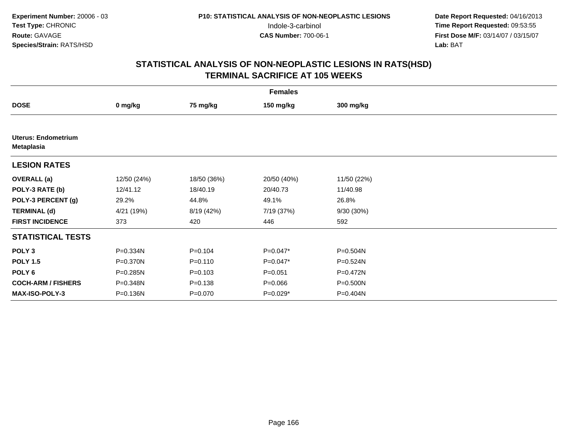| <b>Females</b>                                  |             |             |             |              |  |
|-------------------------------------------------|-------------|-------------|-------------|--------------|--|
| <b>DOSE</b>                                     | 0 mg/kg     | 75 mg/kg    | 150 mg/kg   | 300 mg/kg    |  |
|                                                 |             |             |             |              |  |
| <b>Uterus: Endometrium</b><br><b>Metaplasia</b> |             |             |             |              |  |
| <b>LESION RATES</b>                             |             |             |             |              |  |
| <b>OVERALL</b> (a)                              | 12/50 (24%) | 18/50 (36%) | 20/50 (40%) | 11/50 (22%)  |  |
| POLY-3 RATE (b)                                 | 12/41.12    | 18/40.19    | 20/40.73    | 11/40.98     |  |
| POLY-3 PERCENT (g)                              | 29.2%       | 44.8%       | 49.1%       | 26.8%        |  |
| <b>TERMINAL (d)</b>                             | 4/21 (19%)  | 8/19 (42%)  | 7/19 (37%)  | $9/30(30\%)$ |  |
| <b>FIRST INCIDENCE</b>                          | 373         | 420         | 446         | 592          |  |
| <b>STATISTICAL TESTS</b>                        |             |             |             |              |  |
| POLY <sub>3</sub>                               | P=0.334N    | $P = 0.104$ | $P=0.047*$  | P=0.504N     |  |
| <b>POLY 1.5</b>                                 | P=0.370N    | $P = 0.110$ | $P=0.047*$  | P=0.524N     |  |
| POLY 6                                          | P=0.285N    | $P = 0.103$ | $P = 0.051$ | P=0.472N     |  |
| <b>COCH-ARM / FISHERS</b>                       | P=0.348N    | $P = 0.138$ | $P = 0.066$ | P=0.500N     |  |
| <b>MAX-ISO-POLY-3</b>                           | P=0.136N    | $P = 0.070$ | $P=0.029*$  | P=0.404N     |  |